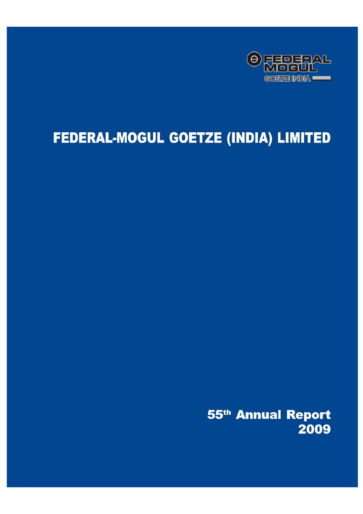

# FEDERAL-MOGUL GOETZE (INDIA) LIMITED

55<sup>th</sup> Annual Report 2009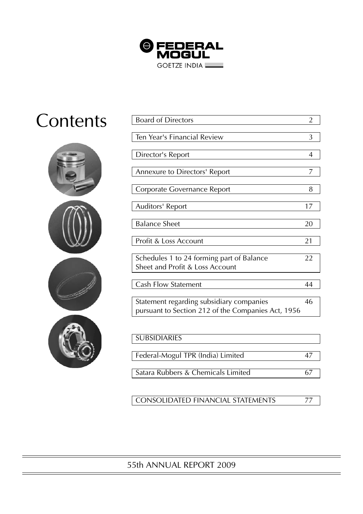

# **Contents**



| <b>Board of Directors</b>                          | $\overline{2}$ |
|----------------------------------------------------|----------------|
|                                                    |                |
| Ten Year's Financial Review                        | 3              |
|                                                    |                |
| Director's Report                                  | 4              |
|                                                    |                |
| Annexure to Directors' Report                      | 7              |
|                                                    |                |
| Corporate Governance Report                        | 8              |
|                                                    |                |
| Auditors' Report                                   | 17             |
|                                                    |                |
| <b>Balance Sheet</b>                               | 20             |
|                                                    |                |
| Profit & Loss Account                              | 21             |
|                                                    |                |
| Schedules 1 to 24 forming part of Balance          | 22             |
| Sheet and Profit & Loss Account                    |                |
|                                                    |                |
| <b>Cash Flow Statement</b>                         | 44             |
|                                                    |                |
| Statement regarding subsidiary companies           | 46             |
| pursuant to Section 212 of the Companies Act, 1956 |                |
|                                                    |                |
|                                                    |                |
| <b>SUBSIDIARIES</b>                                |                |
|                                                    |                |
| Federal-Mogul TPR (India) Limited                  | 47             |
|                                                    |                |
| Satara Rubbers & Chemicals Limited                 | 67             |
|                                                    |                |

CONSOLIDATED FINANCIAL STATEMENTS 77

# 55th ANNUAL REPORT 2009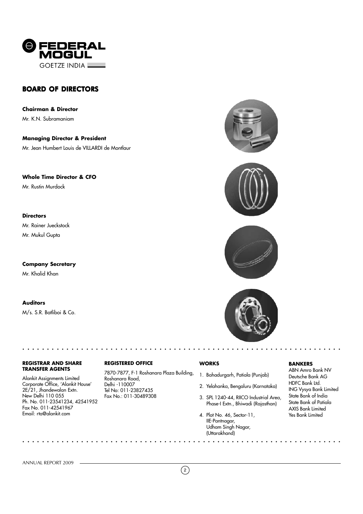

# BOARD OF DIRECTORS

**Chairman & Director** Mr. K.N. Subramaniam

**Managing Director & President** Mr. Jean Humbert Louis de VILLARDI de Montlaur

**Whole Time Director & CFO**

Mr. Rustin Murdock

# **Directors**

Mr. Rainer Jueckstock Mr. Mukul Gupta

**Company Secretary** Mr. Khalid Khan

# **Auditors**

M/s. S.R. Batliboi & Co.

#### **REGISTRAR AND SHARE TRANSFER AGENTS**

Alankit Assignments Limited Corporate Office, 'Alankit House' 2E/21, Jhandewalan Extn. New Delhi 110 055 Ph. No. 011-23541234, 42541952 Fax No. 011-42541967 Email: rta@alankit.com

○○○○○○○○○○○○○○○○○○○○○○○○○ ○○○○○○○○○○○○○○○○○○○○○○○○○○○○○○○○○○○○○○○○○

○○○○○○○○○○○○○○○○○○○○○○○○○ ○○○○○○○○○○○○○○○○○○○○○○○○○○○○○○○○○○○○○○○○○

# **REGISTERED OFFICE**

7870-7877, F-1 Roshanara Plaza Building, Roshanara Road, Delhi -110007 Tel No: 011-23827435 Fax No.: 011-30489308







# **WORKS**

- 1. Bahadurgarh, Patiala (Punjab)
- 2. Yelahanka, Bengaluru (Karnataka)
- 3. SPL 1240-44, RIICO Industrial Area, Phase-I Extn., Bhiwadi (Rajasthan)
- 4. Plot No. 46, Sector-11, IIE-Pantnagar, Udham Singh Nagar, (Uttarakhand)

# **BANKERS**

ABN Amro Bank NV Deutsche Bank AG HDFC Bank Ltd. ING Vysya Bank Limited State Bank of India State Bank of Patiala AXIS Bank Limited Yes Bank Limited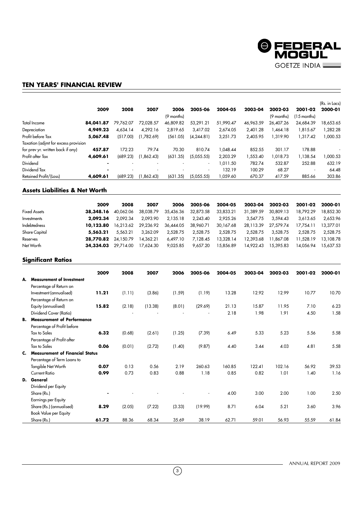

# **TEN YEARS' FINANCIAL REVIEW**

|                                      | 2009      | 2008      | 2007       | 2006       | 2005-06                  | 2004-05   | 2003-04   | 2002-03    | 2001-02     | (Rs. in Lacs)<br>2000-01 |
|--------------------------------------|-----------|-----------|------------|------------|--------------------------|-----------|-----------|------------|-------------|--------------------------|
|                                      |           |           |            | (9 months) |                          |           |           | (9 months) | (15 months) |                          |
| Total Income                         | 84,041.87 | 79.762.07 | 72.028.57  | 46.809.82  | 53.291.21                | 51,990.47 | 46.963.59 | 26.407.26  | 24.684.39   | 18,653.65                |
| Depreciation                         | 4,949.23  | 4.634.14  | 4.292.16   | 2.819.65   | 3.417.02                 | 2,674.05  | 2,401.28  | 1.464.18   | 1,815.67    | 1,282.28                 |
| Profit before Tax                    | 5,067.48  | (517.00)  | (1,782.69) | (561.05)   | (4, 244.81)              | 3,251.73  | 2.405.95  | 1.319.90   | 1,317.42    | 1,000.53                 |
| Taxation (adjmt for excess provision |           |           |            |            |                          |           |           |            |             |                          |
| for prev yr. written back if any)    | 457.87    | 172.23    | 79.74      | 70.30      | 810.74                   | 1.048.44  | 852.55    | 301.17     | 178.88      |                          |
| Profit after Tax                     | 4,609.61  | (689.23)  | (1,862.43) | (631.35)   | (5,055.55)               | 2,203.29  | 1,553.40  | 1.018.73   | 1,138.54    | 1,000.53                 |
| Dividend                             |           |           |            |            | ٠                        | 1,011.50  | 782.74    | 532.87     | 252.88      | 632.19                   |
| Dividend Tax                         |           |           |            |            | $\overline{\phantom{a}}$ | 132.19    | 100.29    | 68.27      | ٠           | 64.48                    |
| Retained Profit/(Loss)               | 4,609.61  | (689.23)  | (1.862.43) | (631.35)   | (5,055.55)               | 059.60    | 670.37    | 417.59     | 885.66      | 303.86                   |

# **Assets Liabilities & Net Worth**

|                     | 2009      | 2008      | 2007      | 2006      | 2005-06   | 2004-05   | 2003-04   | 2002-03   | 2001-02   | 2000-01   |
|---------------------|-----------|-----------|-----------|-----------|-----------|-----------|-----------|-----------|-----------|-----------|
| <b>Fixed Assets</b> | 38,348.16 | 40.062.06 | 38.038.79 | 35.436.36 | 32.873.58 | 33.833.21 | 31,389.59 | 30,809.13 | 18,792.29 | 18,852.30 |
| Investments         | 2,092.34  | 2.092.34  | 2.093.90  | 2.135.18  | 2.243.40  | 2.925.26  | 3.547.75  | 3.594.43  | 3.613.65  | 2.653.96  |
| Indebtedness        | 10,123.80 | 16.213.62 | 29.236.92 | 36.444.05 | 38,960.71 | 30.167.68 | 28.113.39 | 27.579.74 | 17.754.11 | 13.377.01 |
| Share Capital       | 5.563.21  | 5.563.21  | 3.262.09  | 2,528.75  | 2,528.75  | 2.528.75  | 2.528.75  | 3,528,75  | 2.528.75  | 2.528.75  |
| Reserves            | 28,770.82 | 24.150.79 | 14.362.21 | 6.497.10  | 7.128.45  | 13,328.14 | 12.393.68 | 11.867.08 | 11.528.19 | 13,108.78 |
| Net Worth           | 34,334.03 | 29.714.00 | 17.624.30 | 9.025.85  | 9.657.20  | 15.856.89 | 14.922.43 | 15,395.83 | 14.056.94 | 15.637.53 |
|                     |           |           |           |           |           |           |           |           |           |           |

# **Significant Ratios**

|                                      | 2009  | 2008   | 2007    | 2006   | 2005-06 | 2004-05 | 2003-04 | 2002-03 | 2001-02 | 2000-01 |
|--------------------------------------|-------|--------|---------|--------|---------|---------|---------|---------|---------|---------|
| A. Measurement of Investment         |       |        |         |        |         |         |         |         |         |         |
| Percentage of Return on              |       |        |         |        |         |         |         |         |         |         |
| Investment (annualised)              | 11.21 | (1.11) | (3.86)  | (1.59) | (1.19)  | 13.28   | 12.92   | 12.99   | 10.77   | 10.70   |
| Percentage of Return on              |       |        |         |        |         |         |         |         |         |         |
| Equity (annualised)                  | 15.82 | (2.18) | (13.38) | (8.01) | (29.69) | 21.13   | 15.87   | 11.95   | 7.10    | 6.23    |
| Dividend Cover (Ratio)               |       |        |         |        |         | 2.18    | 1.98    | 1.91    | 4.50    | 1.58    |
| <b>B.</b> Measurement of Performance |       |        |         |        |         |         |         |         |         |         |
| Percentage of Profit before          |       |        |         |        |         |         |         |         |         |         |
| <b>Tax to Sales</b>                  | 6.32  | (0.68) | (2.61)  | (1.25) | (7.39)  | 6.49    | 5.33    | 5.23    | 5.56    | 5.58    |
|                                      |       |        |         |        |         |         |         |         |         |         |
| Percentage of Profit after           |       |        |         |        |         |         |         |         |         |         |
| <b>Tax to Sales</b>                  | 0.06  | (0.01) | (2.72)  | (1.40) | (9.87)  | 4.40    | 3.44    | 4.03    | 4.81    | 5.58    |
| C. Measurement of Financial Status   |       |        |         |        |         |         |         |         |         |         |
| Percentage of Term Loans to          |       |        |         |        |         |         |         |         |         |         |
| Tangible Net Worth                   | 0.07  | 0.13   | 0.56    | 2.19   | 260.63  | 160.85  | 122.41  | 102.16  | 56.92   | 39.53   |
| <b>Current Ratio</b>                 | 0.99  | 0.73   | 0.83    | 0.88   | 1.18    | 0.85    | 0.82    | 1.01    | 1.40    | 1.16    |
| D. General                           |       |        |         |        |         |         |         |         |         |         |
| Dividend per Equity                  |       |        |         |        |         |         |         |         |         |         |
| Share (Rs.)                          |       |        |         |        |         | 4.00    | 3.00    | 2.00    | 1.00    | 2.50    |
| Earnings per Equity                  |       |        |         |        |         |         |         |         |         |         |
| Share (Rs.) (annualised)             | 8.29  | (2.05) | (7.22)  | (3.33) | (19.99) | 8.71    | 6.04    | 5.21    | 3.60    | 3.96    |
| Book Value per Equity                |       |        |         |        |         |         |         |         |         |         |
| Share (Rs.)                          | 61.72 | 88.36  | 68.34   | 35.69  | 38.19   | 62.71   | 59.01   | 56.93   | 55.59   | 61.84   |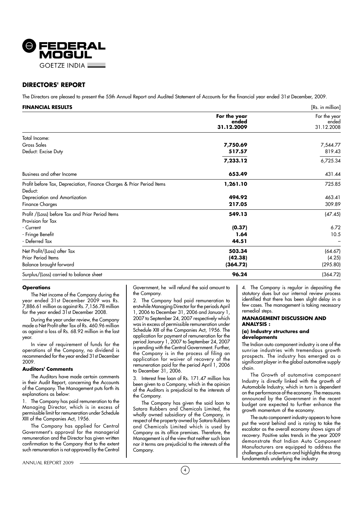

# **DIRECTORS' REPORT**

The Directors are pleased to present the 55th Annual Report and Audited Statement of Accounts for the financial year ended 31st December, 2009.

| <b>FINANCIAL RESULTS</b>                                              |                                     | [Rs. in million]                    |
|-----------------------------------------------------------------------|-------------------------------------|-------------------------------------|
|                                                                       | For the year<br>ended<br>31.12.2009 | For the year<br>ended<br>31.12.2008 |
| Total Income:                                                         |                                     |                                     |
| <b>Gross Sales</b>                                                    | 7,750.69                            | 7,544.77                            |
| Deduct: Excise Duty                                                   | 517.57                              | 819.43                              |
|                                                                       | 7,233.12                            | 6,725.34                            |
| Business and other Income                                             | 653.49                              | 431.44                              |
| Profit before Tax, Depreciation, Finance Charges & Prior Period Items | 1,261.10                            | 725.85                              |
| Deduct:<br>Depreciation and Amortization                              | 494.92                              | 463.41                              |
|                                                                       | 217.05                              | 309.89                              |
| <b>Finance Charges</b>                                                |                                     |                                     |
| Profit /(Loss) before Tax and Prior Period Items                      | 549.13                              | (47.45)                             |
| Provision for Tax                                                     |                                     |                                     |
| - Current                                                             | (0.37)                              | 6.72                                |
| - Fringe Benefit                                                      | 1.64                                | 10.5                                |
| - Deferred Tax                                                        | 44.51                               |                                     |
| Net Profit/(Loss) after Tax                                           | 503.34                              | (64.67)                             |
| Prior Period Items                                                    | (42.38)                             | (4.25)                              |
| Balance brought forward                                               | (364.72)                            | (295.80)                            |
| Surplus/(Loss) carried to balance sheet                               | 96.24                               | (364.72)                            |

#### **Operations**

The Net income of the Company during the year ended 31st December 2009 was Rs. 7,886.61 million as against Rs. 7,156.78 million for the year ended 31st December 2008.

During the year under review, the Company made a Net Profit after Tax of Rs. 460.96 million as against a loss of Rs. 68.92 million in the last year.

In view of requirement of funds for the operations of the Company, no dividend is recommended for the year ended 31st December 2009.

# **Auditors' Comments**

The Auditors have made certain comments in their Audit Report, concerning the Accounts of the Company. The Management puts forth its explanations as below:

1. The Company has paid remuneration to the Managing Director, which is in excess of permissible limit for remuneration under Schedule XIII of the Companies Act, 1956.

The Company has applied for Central Government's approval for the managerial remuneration and the Director has given written confirmation to the Company that to the extent such remuneration is not approved by the Central

Government, he will refund the said amount to the Company.

2. The Company had paid remuneration to erstwhile Managing Director for the periods April 1, 2006 to December 31, 2006 and January 1, 2007 to September 24, 2007 respectively which was in excess of permissible remuneration under Schedule XIII of the Companies Act, 1956. The application for payment of remuneration for the period January 1, 2007 to September 24, 2007 is pending with the Central Government. Further, the Company is in the process of filing an application for waiver of recovery of the remuneration paid for the period April 1, 2006 to December 31, 2006.

3. Interest free loan of Rs. 171.47 million has been given to a Company, which in the opinion of the Auditors is prejudicial to the interests of the Company.

The Company has given the said loan to Satara Rubbers and Chemicals Limited, the wholly owned subsidiary of the Company, in respect of the property owned by Satara Rubbers and Chemicals Limited which is used by Company as its office premises. Therefore, the Management is of the view that neither such loan nor it terms are prejudicial to the interests of the Company.

4. The Company is regular in depositing the statutory dues but our internal review process identified that there has been slight delay in a few cases. The management is taking necessary remedial steps.

# **MANAGEMENT DISCUSSION AND ANALYSIS :**

# **(a) Industry structures and developments**

The Indian auto component industry is one of the sunrise industries with tremendous growth prospects. The industry has emerged as a significant player in the global automotive supply chain.

The Growth of automotive component Industry is directly linked with the growth of Automobile Industry, which in turn is dependent on the performance of the economy. The measures announced by the Government in the recent budget are expected to further enhance the growth momentum of the economy.

The auto component industry appears to have put the worst behind and is raring to take the escalator as the overall economy shows signs of recovery. Positive sales trends in the year 2009 demonstrate that Indian Auto Component Manufacturers are equipped to address the challenges of a downturn and highlights the strong fundamentals underlying the industry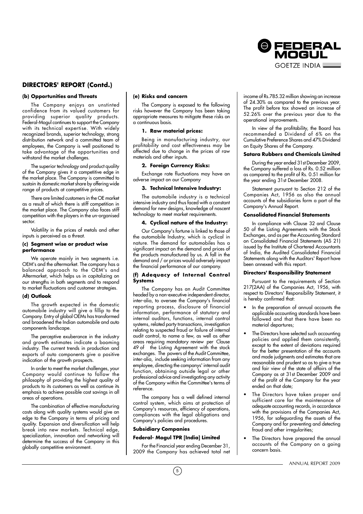

# **DIRECTORS' REPORT (Contd.)**

# **(b) Opportunities and Threats**

The Company enjoys an unstinted confidence from its valued customers for providing superior quality products. Federal-Mogul continues to support the Company with its technical expertise. With widely recognized brands, superior technology, strong distribution network and a committed team of employees, the Company is well positioned to take advantage of the opportunities and withstand the market challenges.

The superior technology and product quality of the Company gives it a competitive edge in the market place. The Company is committed to sustain its domestic market share by offering wide range of products at competitive prices.

There are limited customers in the OE market as a result of which there is stiff competition in the market place. The Company also faces stiff competition with the players in the un-organised sector.

Volatility in the prices of metals and other inputs is perceived as a threat.

#### **(c) Segment wise or product wise performance**

We operate mainly in two segments i.e. OEM's and the aftermarket. The company has a balanced approach to the OEM's and Aftermarket, which helps us in capitalizing on our strengths in both segments and to respond to market fluctuations and customer strategies.

# **(d) Outlook**

The growth expected in the domestic automobile industry will give a fillip to the Company. Entry of global OEMs has transformed and broadened the Indian automobile and auto components landscape.

The perceptive exuberance in the industry and growth estimates indicate a booming industry. The current trends in production and exports of auto components give a positive indication of the growth prospects.

In order to meet the market challenges, your Company would continue to follow the philosophy of providing the highest quality of products to its customers as well as continue its emphasis to achieve possible cost savings in all areas of operations.

The combination of effective manufacturing costs along with quality systems would give an edge to the Company in terms of pricing and quality. Expansion and diversification will help break into new markets. Technical edge, specialization, innovation and networking will determine the success of the Company in this globally competitive environment.

#### **(e) Risks and concern**

The Company is exposed to the following risks however the Company has been taking appropriate measures to mitigate these risks on a continuous basis.

# **1. Raw material prices:**

Being in manufacturing industry, our profitability and cost effectiveness may be affected due to change in the prices of raw materials and other inputs.

# **2. Foreign Currency Risks:**

Exchange rate fluctuations may have an adverse impact on our Company

#### **3. Technical Intensive Industry:**

The automobile industry is a technical intensive industry and thus faced with a constant demand for new designs, knowledge of nascent technology to meet market requirements.

# **4. Cyclical nature of the Industry:**

Our Company's fortune is linked to those of the automobile Industry, which is cyclical in nature. The demand for automobiles has a significant impact on the demand and prices of the products manufactured by us. A fall in the demand and / or prices would adversely impact the financial performance of our company.

# **(f) Adequacy of Internal Control Systems**

The Company has an Audit Committee headed by a non-executive independent director, inter-alia, to oversee the Company's financial reporting process, disclosure of financial information, performance of statutory and internal auditors, functions, internal control systems, related party transactions, investigation relating to suspected fraud or failure of internal audit control, to name a few, as well as other areas requiring mandatory review per Clause 49 of the Listing Agreement with the stock exchanges. The powers of the Audit Committee, inter-alia, include seeking information from any employee, directing the companys' internal audit function, obtaining outside legal or other professional advice and investigating any activity of the Company within the Committee's terms of reference.

The company has a well defined internal control system, which aims at protection of Company's resources, efficiency of operations, compliances with the legal obligations and Company's policies and procedures.

# **Subsidiary Companies**

# **Federal- Mogul TPR [India] Limited**

For the Financial year ending December 31, 2009 the Company has achieved total net income of Rs.785.32 million showing an increase of 24.30% as compared to the previous year. The profit before tax showed an increase of 52.26% over the previous year due to the operational improvements.

In view of the profitability, the Board has recommended a Dividend of 6% on the Cumulative Preference Shares and 47% Dividend on Equity Shares of the Company.

# **Satara Rubbers and Chemicals Limited**

During the year ended 31st December 2009, the Company suffered a loss of Rs. 0.52 million as compared to the profit of Rs. 0.51 million for the year ending 31st December 2008.

Statement pursuant to Section 212 of the Companies Act, 1956 as also the annual accounts of the subsidiaries form a part of the Company's Annual Report.

#### **Consolidated Financial Statements**

In compliance with Clause 32 and Clause 50 of the Listing Agreements with the Stock Exchanges, and as per the Accounting Standard on Consolidated Financial Statements (AS 21) issued by the Institute of Chartered Accountants of India, the Audited Consolidated Financial Statements along with the Auditors' Report have been annexed with this report.

#### **Directors' Responsibility Statement**

Pursuant to the requirements of Section 217(2AA) of the Companies Act, 1956, with respect to Directors' Responsibility Statement, it is hereby confirmed that:

- In the preparation of annual accounts the applicable accounting standards have been followed and that there have been no material departures;
- The Directors have selected such accounting policies and applied them consistently, except to the extent of deviations required for the better presentation of the accounts and made judgments and estimates that are reasonable and prudent so as to give a true and fair view of the state of affairs of the Company as at 31st December 2009 and of the profit of the Company for the year ended on that date;
- The Directors have taken proper and sufficient care for the maintenance of adequate accounting records, in accordance with the provisions of the Companies Act, 1956, for safeguarding the assets of the Company and for preventing and detecting fraud and other irregularities;
- The Directors have prepared the annual accounts of the Company on a going concern basis.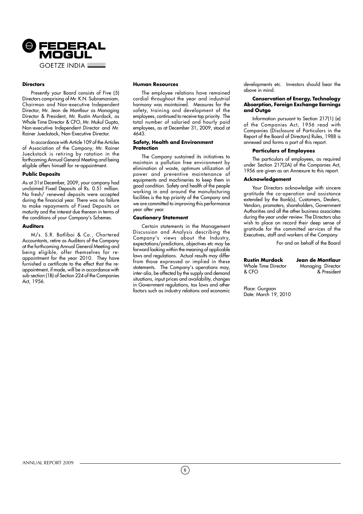

# **Directors**

Presently your Board consists of Five (5) Directors comprising of Mr. K.N. Subramaniam, Chairman and Non-executive Independent Director, Mr. Jean de Montlaur as Managing Director & President, Mr. Rustin Murdock, as Whole Time Director & CFO, Mr. Mukul Gupta, Non-executive Independent Director and Mr. Rainer Jueckstock, Non-Executive Director.

In accordance with Article 109 of the Articles of Association of the Company, Mr. Rainer Jueckstock is retiring by rotation in the forthcoming Annual General Meeting and being eligible offers himself for re-appointment.

#### **Public Deposits**

As at 31st December, 2009, your company had unclaimed Fixed Deposits of Rs. 0.51 million. No fresh/ renewed deposits were accepted during the financial year. There was no failure to make repayments of Fixed Deposits on maturity and the interest due thereon in terms of the conditions of your Company's Schemes.

# **Auditors**

M/s. S.R. Batliboi & Co., Chartered Accountants, retire as Auditors of the Company at the forthcoming Annual General Meeting and being eligible, offer themselves for reappointment for the year 2010. They have furnished a certificate to the effect that the reappointment, if made, will be in accordance with sub-section (1B) of Section 224 of the Companies Act, 1956.

#### **Human Resources**

The employee relations have remained cordial throughout the year and industrial harmony was maintained. Measures for the safety, training and development of the employees, continued to receive top priority. The total number of salaried and hourly paid employees, as at December 31, 2009, stood at 4643.

#### **Safety, Health and Environment Protection**

The Company sustained its initiatives to maintain a pollution free environment by elimination of waste, optimum utilization of power and preventive maintenance of equipments and machineries to keep them in good condition. Safety and health of the people working in and around the manufacturing facilities is the top priority of the Company and we are committed to improving this performance year after year.

#### **Cautionary Statement**

Certain statements in the Management Discussion and Analysis describing the Company's views about the Industry, expectations/predictions, objectives etc may be forward looking within the meaning of applicable laws and regulations. Actual results may differ from those expressed or implied in these statements. The Company's operations may, inter-alia, be affected by the supply and demand situations, input prices and availability, changes in Government regulations, tax laws and other factors such as industry relations and economic developments etc. Investors should bear the above in mind.

#### **Conservation of Energy, Technology Absorption, Foreign Exchange Earnings and Outgo**

Information pursuant to Section 217(1) (e) of the Companies Act, 1956 read with Companies (Disclosure of Particulars in the Report of the Board of Directors) Rules, 1988 is annexed and forms a part of this report.

#### **Particulars of Employees**

The particulars of employees, as required under Section 217(2A) of the Companies Act, 1956 are given as an Annexure to this report.

#### **Acknowledgement**

Your Directors acknowledge with sincere gratitude the co-operation and assistance extended by the Bank(s), Customers, Dealers, Vendors, promoters, shareholders, Government Authorities and all the other business associates during the year under review. The Directors also wish to place on record their deep sense of gratitude for the committed services of the Executives, staff and workers of the Company

For and on behalf of the Board

| <b>Rustin Murdock</b> | Jean de Montlaur  |
|-----------------------|-------------------|
| Whole Time Director   | Managing Director |
| & CFO                 | & President       |

Place: Gurgaon Date: March 19, 2010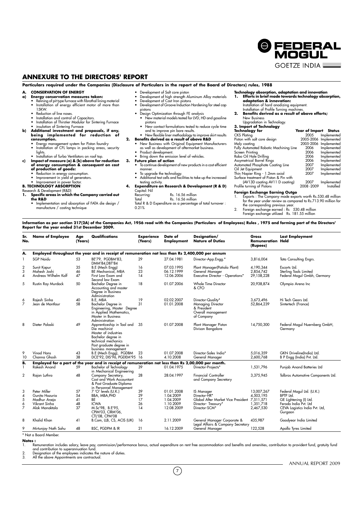# **ANNEXURE TO THE DIRECTORS' REPORT**

**Particulars required under the Companies (Disclosure of Particulars in the report of the Board of Directors) rules, 1988**

# **A. CONSERVATION OF ENERGY**<br>**a)** Energy conservation measure

- **a) Energy conservation measures taken:** Relining of pit type furnace with fibrothal lining material
	- Installation of energy efficient motor of more than
	- 15KW.
	- Reduction of line noses.
	- Installation and control of Capacitors. Installation of Thirstier Modular for Sintering Furnace
	- insulation of Sintering Furnace
- **b) Additional investment and proposals, if any, being implemented for reduction of**
	- **consumption.**
	- Energy management system for Piston foundry Installation of CFL lamps in packing areas, security
	- lights.
	- Installation of Turbo Ventilators on roof top.
- **c) Impact of measure (a) & (b) above for reduction of energy consumption & consequent on cost<br><b>of production of goods:**<br>• Reduction in energy consumption.<br>• Improvement in yield of generators.
	-
	-

#### Improvement in power factor. **B. TECHNOLOGY ABSORPTION**

- Research & Development (R&D)<br>1. Specific areas in which **1. Specific areas in which the Company carried out the R&D**
- - Implementation and absorption of FATA die design / manufacture / casting technique
- Development of Salt core piston Development of high strength Aluminum Alloy materials Development of Cast Iron pistons • Development of Groove Induction Hardening for steel cap
- pistons Design Optimization through FE analysis
- New material models tested for LVD, HD and gasoline pistons • New contact formulations tested to reduce cycle time
- and to improve pin bore results. New flexible liner methodology to improve skirt results
- **2. Benefits derived as a result of above R&D** • New Business with Original Equipment Manufacturers as well as development of aftermarket business.
	-
	- Bring down the emission level of vehicles.
	-
	- To continue development of new products in a cost efficient manner.
	-
	-
	- Capital: Nil
	- Recurring: Rs. 16.56 million Total Rs. 16.56 million Total R & D Expenditure as a percentage of total turnover :
	- 0.21%

**Technology absorption, adaptation and innovation 1. Efforts in brief made towards technology absorption, adaptation & innovation:** Installation of hard anodizing equipment.

@ FEDERAL MOGUL **GOFTZF INDIA** 

- Installation of Profile Turning machines. **2. Benefits derived as a result of above efforts;**
- New Business

# Upgradation in Technology. **3. Import of Technology**

| 3. Import of Technology                |                              |                       |
|----------------------------------------|------------------------------|-----------------------|
| Technology for                         | <b>Year of Import Status</b> |                       |
| CKS Plating                            | 2005                         | Implemented           |
| Piston with salt core design           |                              | 2005-2006 Implemented |
| Moly coating                           |                              | 2005-2006 Implemented |
| Fully Automated Robotic Machining Line | 2006                         | Implemented           |
| Screen Printing                        | 2006                         | Implemented           |
| Robo Oil Hole Drilling                 | 2006                         | Implemented           |
| Assymetrical Barrel Rings              | 2006                         | Implemented           |
| Automated Phosphate Coating Line       | 2007                         | Implemented           |
| Oil Jet Equipment                      | 2007                         | Implemented           |
| Thin Napier Ring - 1.2mm axial         | 2007                         | Implemented           |
| Surface treatment of Piston & Pin with |                              |                       |
| (AV13D coating AV11 D coating)         | 2007                         | Implemented           |
| Profile turning of Pistons             | 2008-2009                    | Installed             |
|                                        |                              |                       |

# **Foreign Exchange Earning Outgo**<br>1. Exports : The Company made expo

Exports : The Company made exports worth Rs.530.48 million for the year under review as compared to Rs.713.90 million for

the corresponding previous year. 2. Foreign exchange earned : Rs 530.48 million Foreign exchange utilized Rs. 181.55 million

**Information as per section 217(2A) of the Companies Act, 1956 read with the Companies (Particulars of Employees) Rules , 1975 and forming part of the Directors' Report for the year ended 31st December 2009.**

| Sr.<br>No.          | <b>Name of Employee</b>                             | Age<br>(Years) | Qualifications                                                                                                                                                     | <b>Experience</b><br>(Years) | Date of<br><b>Employment</b>           | Designation/<br><b>Nature of Duties</b>                                                   | Gross<br><b>Remuneration Held</b><br>(Rupees) | <b>Last Employment</b>                                                |
|---------------------|-----------------------------------------------------|----------------|--------------------------------------------------------------------------------------------------------------------------------------------------------------------|------------------------------|----------------------------------------|-------------------------------------------------------------------------------------------|-----------------------------------------------|-----------------------------------------------------------------------|
| А.                  |                                                     |                | Employed throughout the year and in receipt of remuneration not less than Rs 2,400,000 per annum                                                                   |                              |                                        |                                                                                           |                                               |                                                                       |
| 1                   | <b>SGP Naidu</b>                                    | 53             | BE'79, PGDBM'83,<br>DMM'84, DBT'84                                                                                                                                 | 29                           | 27.04.1981                             | Director-App.Engg.*                                                                       | 3,816,004                                     | Tata Consulting Engrs.                                                |
| 2<br>3<br>4         | Sunit Kapur<br>Mahesh Joshi<br>Andreas Wilhelm Kolf | 35<br>46<br>47 | B.E (Mech Engg)<br>BE Mechanical, MBA<br>First Law Exam and<br>Second law Exam                                                                                     | 16<br>23<br>14               | 07.03.1995<br>06.12.1999<br>12.06.2006 | Plant Manager(Patiala Plant)<br>General Manager<br>Executive Director - Operations*       | 4,190,344<br>2,854,742<br>29,158,228          | Escorts Ltd.<br>Sterling Tools Limited<br>Federal Mogul Gmbh, Germany |
| 5                   | Rustin Ray Murdock                                  | 50             | Bachelor Degree in<br>Accounting and master<br>Degree in Business<br>Administration                                                                                | 18                           | 01.07.2006                             | Whole Time Director<br>& CFO                                                              | 20,938,874                                    | Olympia Arena Inc                                                     |
| 6<br>$\overline{7}$ | Rajesh Sinha<br>Jean de Montlaur                    | 40<br>58       | B.E. MBA<br>Bachelor Degree in<br>Engineering, Master Degree<br>in Applied Mathematics,<br>Master in Business<br>Administration                                    | 19<br>31                     | 02.02.2007<br>01.01.2008               | Director-Quality*<br>Managing Director<br>& President<br>Overall management<br>of Company | 3.673.496<br>52,864,239                       | Hi Tech Gears Ltd.<br>Sintertech (France)                             |
| 8                   | Dieter Polaski                                      | 49             | Apprenticeship in Tool and<br>Die machinist<br>Master of industries<br>Bachelor degree in<br>technical mechanics<br>Post graduate degree in<br>business management | 35                           | 01.07.2008                             | Plant Manager Piston<br>Divison Bangalore                                                 | 14,750,300                                    | Federal Mogul Nuernberg GmbH,<br>Germany                              |
| 9<br>10             | Vinod Hans<br>Channa Ghosh                          | 43<br>38       | B.E (Mech Engg), PGDBM<br>DCE'92, DIS'96, PGDEM'95 16                                                                                                              | 23                           | 01.07.2008<br>4.10.2008                | Director-Sales India*<br>General Manager                                                  | 5,016,359<br>2,600,768                        | GKN Driveline(India) Ltd.<br>B P Engg (India) Pvt. Ltd.               |
| B.                  |                                                     |                | Employed for a part of the year and in receipt of remuneration not less than Rs 2,00,000 per month.                                                                |                              |                                        |                                                                                           |                                               |                                                                       |
|                     | Rakesh Anand                                        | 59             | <b>Bachelor of Technology</b><br>in Mechanical Engineering                                                                                                         | 39                           | 01.04.1975                             | Director-Projects*                                                                        | 1,531,796                                     | Punjab Anand Batteries Ltd                                            |
| 2                   | Rajan Luthra                                        | 48             | Company Secretary,<br>Cost and Work Accountant<br>& Post Graduate Diploma<br>in Personnel Management                                                               | 28                           | 28.04.1997                             | <b>Financial Controller</b><br>and Company Secretary                                      | 3,375,945                                     | Talbros Automotive Components Ltd.                                    |
| 3                   | Peter Miller                                        | 57             | 7 'O' levels (U.K.)                                                                                                                                                | 39                           | 01.01.2008                             | <b>IS Manager</b>                                                                         | 13,007,267                                    | Federal Mogul Ltd. (U.K.)                                             |
| 4                   | Gunita Hazuria                                      | 54             | BBA, MBA, PHD                                                                                                                                                      | 29                           | 1.04.2009                              | Director-HR*                                                                              | 4,503,195                                     | BPTP Ltd.                                                             |
| 5                   | Madhur Aneja                                        | 41             | BE                                                                                                                                                                 | 17                           | 1.04.2009                              | Global After Market Vice President                                                        | 7,511,571                                     | GE Lightening (I) Ltd.                                                |
| 6<br>7              | Vikrant Sinha<br>Alok Manaktala                     | 48<br>37       | <b>ICWA</b><br>M.Sc'98, B.E'95,<br>CPIM'03, CIRM'06,<br>CTL'08, CPM'08                                                                                             | 26<br>14                     | 1.10.2009<br>12.08.2009                | Director- Treasury*<br>Director-SCM*                                                      | 1,351,718<br>2,467,530                        | Ferodo India Pvt. Ltd<br>CEVA Logistics India Pvt. Ltd,<br>Gurgaon    |
| 8                   | Khalid Khan                                         | 41             | B.Com, LLB, CS, ACIS (UK)                                                                                                                                          | 16                           | 2.11.2009                              | General Manager Corporate &<br>Legal Affairs & Company Secretary                          | 435,987                                       | Goodyear India Limited                                                |
| 9                   | Mirtunjay Nath Sahu                                 | 48             | BSC, PGDPM & IR                                                                                                                                                    | 21                           | 16.12.2009                             | General Manager                                                                           | 122,528                                       | Apollo Tyres Limited                                                  |
|                     | * Not a Board Member                                |                |                                                                                                                                                                    |                              |                                        |                                                                                           |                                               |                                                                       |

# **Notes :**

1. Remuneration includes salary, leave pay, commission/pertormance bonus, actual expenditure on rent tree accommodation and benetits and amenities, contribution to provident fund, gratuity fund<br>and contribution to superann

- ANNUAL REPORT 2009

- - Product development.
		-
		- **3. Future plan of action**
			- To upgrade the technology. Additional test cells and facilities to take up the increased
		- testing activity. **4. Expenditure on Research & Development (R & D)**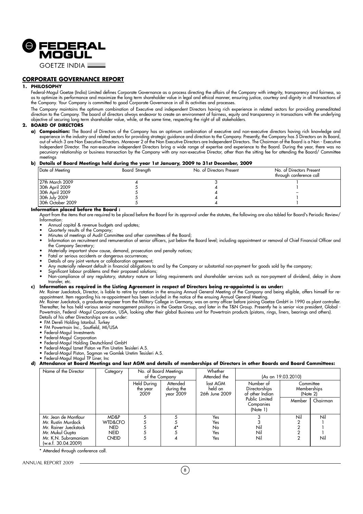

**GOFTZF INDIA L** 

# **CORPORATE GOVERNANCE REPORT**

# **1. PHILOSOPHY**

Federal-Mogul Goetze (India) Limited defines Corporate Governance as a process directing the affairs of the Company with integrity, transparency and fairness, so as to optimize its performance and maximize the long term shareholder value in legal and ethical manner, ensuring justice, courtesy and dignity in all transactions of the Company. Your Company is committed to good Corporate Governance in all its activities and processes.

The Company maintains the optimum combination of Executive and independent Directors having rich experience in related sectors for providing premeditated direction to the Company. The board of directors always endeavor to create an environment of fairness, equity and transparency in transactions with the underlying objective of securing long term shareholder value, while, at the same time, respecting the right of all stakeholders.

# **2. BOARD OF DIRECTORS**

**a) Composition:** The Board of Directors of the Company has an optimum combination of executive and non-executive directors having rich knowledge and experience in the industry and related sectors for providing strategic guidance and direction to the Company. Presently, the Company has 5 Directors on its Board, out of which 3 are Non Executive Directors. Moreover 2 of the Non Executive Directors are Independent Directors. The Chairman of the Board is a Non - Executive Independent Director. The non-executive independent Directors bring a wide range of expertise and experience to the Board. During the year, there was no pecuniary relationship or business transaction by the Company with any non-executive Director, other than the sitting fee for attending the Board/ Committee .<br>meetings

#### **b) Details of Board Meetings held during the year 1st January, 2009 to 31st December, 2009**

| Date of Meeting   | Board Strength | No. of Directors Present | No. of Directors Present<br>through conference call |
|-------------------|----------------|--------------------------|-----------------------------------------------------|
| l 27th March 2009 |                |                          |                                                     |
| 30th April 2009   |                |                          |                                                     |
| 30th April 2009   |                |                          |                                                     |
| 30th July 2009    |                |                          |                                                     |
| 30th October 2009 |                |                          |                                                     |

#### **Information placed before the Board :**

Apart from the items that are required to be placed before the Board for its approval under the statutes, the following are also tabled for Board's Periodic Review/ Information:

- Annual capital & revenue budgets and updates;
- Quarterly results of the Company;
- Minutes of meetings of Audit Committee and other committees of the Board; • Information on recruitment and remuneration of senior officers, just below the Board level; including appointment or removal of Chief Financial Officer and the Company Secretary;
- Materially important show cause, demand, prosecution and penalty notices;
- Fatal or serious accidents or dangerous occurrences;
- Details of any joint venture or collaboration agreement;
- Any materially relevant default in financial obligations to and by the Company or substantial non-payment for goods sold by the company;
- Significant labour problems and their proposed solutions;
- Non-compliance of any regulatory, statutory nature or listing requirements and shareholder services such as non-payment of dividend, delay in share transfer, etc.

# **c) Information as required in the Listing Agreement in respect of Directors being re-appointed is as under:**

Mr. Rainer Jueckstock, Director, is liable to retire by rotation in the ensuing Annual General Meeting of the Company and being eligible, offers himself for reappointment. Item regarding his re-appointment has been included in the notice of the ensuing Annual General Meeting.

Mr. Rainer Jueckstock, a graduate engineer from the Military College in Germany, was an army officer before joining Goetze GmbH in 1990 as plant controller. Thereafter, he has held various senior management positions in the Goetze Group, and later in the T&N Group. Presently he is senior vice president, Global - Powertrain, Federal -Mogul Corporation, USA, looking after their global Business unit for Powertrain products (pistons, rings, liners, bearings and others). Details of his other Directorships are as under:

- FM Dereli Holding Istanbul. Turkey
- FM Powertrain Inc., Soutfield, MI/USA
- Federal-Mogul Investments
- Federal-Mogul Corporation
- Federal-Mogul Holding Deutschland GmbH
- Federal-Mogul Izmet Piston ve Pim Uretim Tesisleri A.S. • Federal-Mogul Piston, Sogman ve Gomlek Uretim Tesisleri A.S.
- Federal-Mogul Mogul TP Liner, Inc

# **d) Attendance at Board Meetings and last AGM and details of memberships of Directors in other Boards and Board Committees:**

| Name of the Director                                                                                                                  | Category                                                     | No. of Board Meetings<br>of the Company |                                     | Whether<br>Attended the               | (As on 19.03.2010)                            |                                      |            |  |
|---------------------------------------------------------------------------------------------------------------------------------------|--------------------------------------------------------------|-----------------------------------------|-------------------------------------|---------------------------------------|-----------------------------------------------|--------------------------------------|------------|--|
|                                                                                                                                       |                                                              | <b>Held During</b><br>the year<br>2009  | Attended<br>during the<br>year 2009 | last AGM<br>held on<br>26th June 2009 | Number of<br>Directorships<br>of other Indian | Committee<br>Memberships<br>(Note 2) |            |  |
|                                                                                                                                       |                                                              |                                         |                                     |                                       | Public Limited<br>Companies<br>(Note 1)       | Member                               | Chairman   |  |
| Mr. Jean de Montlaur<br>Mr. Rustin Murdock<br>Mr. Rainer Jueckstock<br>Mr. Mukul Gupta<br>Mr. K.N. Subramaniam<br>(w.e.f. 30.04.2009) | MD&P<br>WTD&CFO<br><b>NED</b><br><b>NEID</b><br><b>CNEID</b> |                                         |                                     | Yes<br>Yes<br>No<br>Yes<br>Yes        | Nil<br>Nil<br>Nil                             | Nil                                  | Nil<br>Nil |  |

\* Attended through conference call.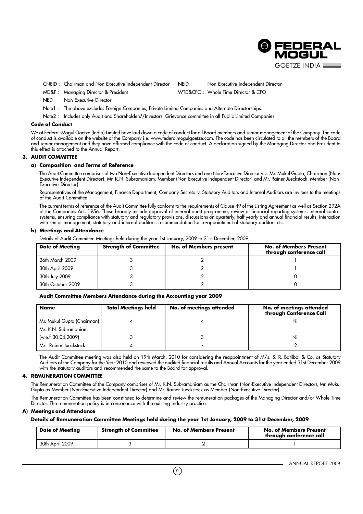

CNEID : Chairman and Non-Executive Independent Director NEID : Non Executive Independent Director

MD&P : Managing Director & President WTD&CFO : Whole Time Director & CFO

NED : Non Executive Director

Note1 : The above excludes Foreign Companies, Private Limited Companies and Alternate Directorships.

Note2 : Includes only Audit and Shareholders'/Investors' Grievance committee in all Public Limited Companies.

#### **Code of Conduct**

We at Federal-Mogul Goetze (India) Limited have laid down a code of conduct for all Board members and senior management of the Company. The code of conduct is available on the website of the Company i.e. www.federalmogulgoetze.com. The code has been circulated to all the members of the Board and senior management and they have affirmed compliance with the code of conduct. A declaration signed by the Managing Director and President to this effect is attached to the Annual Report.

# **3. AUDIT COMMITTEE**

### **a) Composition and Terms of Reference**

The Audit Committee comprises of two Non-Executive Independent Directors and one Non-Executive Director viz. Mr. Mukul Gupta, Chairman (Non-Executive Independent Director), Mr. K.N. Subramaniam, Member (Non-Executive Independent Director) and Mr. Rainer Jueckstock, Member (Non-Executive Director).

Representatives of the Management, Finance Department, Company Secretary, Statutory Auditors and Internal Auditors are invitees to the meetings of the Audit Committee.

The current terms of reference of the Audit Committee fully conform to the requirements of Clause 49 of the Listing Agreement as well as Section 292A of the Companies Act, 1956. These broadly include approval of internal audit programme, review of financial reporting systems, internal control systems, ensuring compliance with statutory and regulatory provisions, discussions on quarterly, half yearly and annual financial results, interaction with senior management, statutory and internal auditors, recommendation for re-appointment of statutory auditors etc.

#### **b) Meetings and Attendance**

Details of Audit Committee Meetings held during the year 1st January, 2009 to 31st December, 2009

| <b>Date of Meeting</b> | <b>Strength of Committee</b> | No. of Members present | <b>No. of Members Present</b><br>through conference call |
|------------------------|------------------------------|------------------------|----------------------------------------------------------|
| 26th March 2009        |                              |                        |                                                          |
| 30th April 2009        |                              |                        |                                                          |
| 30th July 2009         |                              |                        |                                                          |
| 30th October 2009      |                              |                        |                                                          |

# **Audit Committee Members Attendance during the Accounting year 2009**

| <b>Name</b>                | <b>Total Meetings held</b> | No. of meetings attended | No. of meetings attended<br>through Conference Call |
|----------------------------|----------------------------|--------------------------|-----------------------------------------------------|
| Mr. Mukul Gupta (Chairman) |                            |                          | Nil                                                 |
| Mr. K.N. Subramaniam       |                            |                          |                                                     |
| (w.e.f 30.04.2009)         |                            |                          | Nil                                                 |
| Mr. Rainer Jueckstock      |                            |                          |                                                     |

The Audit Committee meeting was also held on 19th March, 2010 for considering the reappointment of M/s. S. R. Batliboi & Co. as Statutory Auditors of the Company for the Year 2010 and reviewed the audited financial results and Annual Accounts for the year ended 31st December 2009 with the statutory auditors and recommended the same to the Board for approval.

# **4. REMUNERATION COMMITTEE**

The Remuneration Committee of the Company comprises of Mr. K.N. Subramaniam as the Chairman (Non-Executive Independent Director), Mr. Mukul Gupta as Member (Non-Executive Independent Director) and Mr. Rainer Jueckstock as Member (Non-Executive Director).

The Remuneration Committee has been constituted to determine and review the remuneration packages of the Managing Director and/or Whole Time Director. The remuneration policy is in consonance with the existing industry practice.

#### **A) Meetings and Attendance**

**Details of Remuneration Committee Meetings held during the year 1st January, 2009 to 31st December, 2009**

| <b>Date of Meeting</b> | <b>Strength of Committee</b> | <b>No. of Members Present</b> | <b>No. of Members Present</b><br>through conference call |
|------------------------|------------------------------|-------------------------------|----------------------------------------------------------|
| 30th April 2009        |                              |                               |                                                          |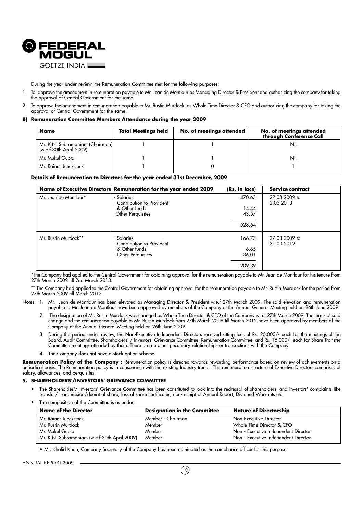

During the year under review, the Remuneration Committee met for the following purposes:

- 1. To approve the amendment in remuneration payable to Mr. Jean de Montlaur as Managing Director & President and authorizing the company for taking the approval of Central Government for the same.
- 2. To approve the amendment in remuneration payable to Mr. Rustin Murdock, as Whole Time Director & CFO and authorizing the company for taking the approval of Central Government for the same.

#### **B) Remuneration Committee Members Attendance during the year 2009**

| Name                                                       | <b>Total Meetings held</b> | No. of meetings attended | No. of meetings attended<br>through Conference Call |
|------------------------------------------------------------|----------------------------|--------------------------|-----------------------------------------------------|
| Mr. K.N. Subramaniam (Chairman)<br>(w.e.f 30th April 2009) |                            |                          | Nil                                                 |
| Mr. Mukul Gupta                                            |                            |                          | Nil                                                 |
| Mr. Rainer Jueckstock                                      |                            |                          |                                                     |

#### **Details of Remuneration to Directors for the year ended 31st December, 2009**

|                                                                                                           | Name of Executive Directors Remuneration for the year ended 2009                 | (Rs. In lacs)                      | Service contract            |
|-----------------------------------------------------------------------------------------------------------|----------------------------------------------------------------------------------|------------------------------------|-----------------------------|
| Mr. Jean de Montlaur*                                                                                     | - Salaries<br>- Contribution to Provident<br>& Other funds<br>-Other Perquisites | 470.63<br>14.44<br>43.57<br>528.64 | 27.03.2009 to<br>2.03.2013  |
| Mr. Rustin Murdock**<br>- Salaries<br>- Contribution to Provident<br>& Other funds<br>- Other Perquisites |                                                                                  | 166.73<br>6.65<br>36.01<br>209.39  | 27.03.2009 to<br>31.03.2012 |

\*The Company had applied to the Central Government for obtaining approval for the remuneration payable to Mr. Jean de Montlaur for his tenure from 27th March 2009 till 2nd March 2013.

\*\* The Company had applied to the Central Government for obtaining approval for the remuneration payable to Mr. Rustin Murdock for the period from 27th March 2009 till March 2012.

Notes: 1. Mr. Jean de Montlaur has been elevated as Managing Director & President w.e.f 27th March 2009. The said elevation and remuneration payable to Mr. Jean de Montlaur have been approved by members of the Company at the Annual General Meeting held on 26th June 2009.

- 2. The designation of Mr. Rustin Murdock was changed as Whole Time Director & CFO of the Company w.e.f 27th March 2009. The terms of said change and the remuneration payable to Mr. Rustin Murdock from 27th March 2009 till March 2012 have been approved by members of the Company at the Annual General Meeting held on 26th June 2009.
- 3. During the period under review, the Non-Executive Independent Directors received sitting fees of Rs. 20,000/- each for the meetings of the Board, Audit Committee, Shareholders' / Investors' Grievance Committee, Remuneration Committee, and Rs. 15,000/- each for Share Transfer Committee meetings attended by them. There are no other pecuniary relationships or transactions with the Company.
- 4. The Company does not have a stock option scheme.

Remuneration Policy of the Company : Remuneration policy is directed towards rewarding performance based on review of achievements on a periodical basis. The Remuneration policy is in consonance with the existing Industry trends. The remuneration structure of Executive Directors comprises of salary, allowances, and perquisites.

#### **5. SHAREHOLDERS'/INVESTORS' GRIEVANCE COMMITTEE**

- The Shareholdes'/ Investors' Grievance Committee has been constituted to look into the redressal of shareholders' and investors' complaints like transfer/ transmission/demat of share; loss of share certificates; non-receipt of Annual Report; Dividend Warrants etc.
- The composition of the Committee is as under:

| <b>Name of the Director</b>                  | <b>Designation in the Committee</b> | <b>Nature of Directorship</b>        |
|----------------------------------------------|-------------------------------------|--------------------------------------|
| Mr. Rainer Jueckstock                        | Member - Chairman                   | Non-Executive Director               |
| Mr. Rustin Murdock                           | Member                              | Whole Time Director & CFO            |
| Mr. Mukul Gupta                              | Member                              | Non - Executive Independent Director |
| Mr. K.N. Subramaniam (w.e.f 30th April 2009) | Member                              | Non - Executive Independent Director |

• Mr. Khalid Khan, Company Secretary of the Company has been nominated as the compliance officer for this purpose.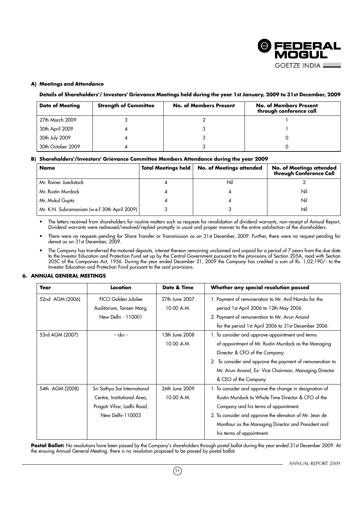

# **A) Meetings and Attendance**

# **Details of Shareholders'/ Investors' Grievance Meetings held during the year 1st January, 2009 to 31st December, 2009**

| <b>Date of Meeting</b> | <b>Strength of Committee</b> | <b>No. of Members Present</b> | <b>No. of Members Present</b><br>through conference call |
|------------------------|------------------------------|-------------------------------|----------------------------------------------------------|
| 27th March 2009        |                              |                               |                                                          |
| 30th April 2009        |                              |                               |                                                          |
| 30th July 2009         |                              |                               |                                                          |
| 30th October 2009      |                              |                               |                                                          |

# **B) Shareholders'/Investors' Grievance Committee Members Attendance during the year 2009**

| Name                                         | <b>Total Meetings held</b> | <b>No. of Meetings attended</b> | No. of Meetings attended<br>through Conference Call |
|----------------------------------------------|----------------------------|---------------------------------|-----------------------------------------------------|
| Mr. Rainer Jueckstock                        |                            | Nil                             |                                                     |
| Mr. Rustin Murdock                           |                            |                                 | Nil                                                 |
| Mr. Mukul Gupta                              |                            |                                 | Nil                                                 |
| Mr. K.N. Subramaniam (w.e.f 30th April 2009) |                            |                                 | Nil                                                 |

• The letters received from shareholders for routine matters such as requests for revalidation of dividend warrants; non-receipt of Annual Report, Dividend warrants were redressed/resolved/replied promptly in usual and proper manner to the entire satisfaction of the shareholders.

• There were no requests pending for Share Transfer or Transmission as on 31st December, 2009. Further, there were no request pending for demat as on 31st December, 2009.

 $\bullet$  The Company has transferred the matured deposits, interest thereon remaining unclaimed and unpaid for a period of 7 years from the due date to the Investor Education and Protection Fund set up by the Central Government pursuant to the provisions of Section 205A, read with Section 205C of the Companies Act, 1956. During the year ended December 31, 2009 the Company has credited a sum of Rs. 1,02,190/- to the Investor Education and Protection Fund pursuant to the said provisions.

# **6. ANNUAL GENERAL MEETINGS**

| Year            | Location                                                                                                      | Date & Time                  | Whether any special resolution passed                                                                                                                                                                                                                                                                 |
|-----------------|---------------------------------------------------------------------------------------------------------------|------------------------------|-------------------------------------------------------------------------------------------------------------------------------------------------------------------------------------------------------------------------------------------------------------------------------------------------------|
| 52nd AGM (2006) | <b>FICCI Golden Jubilee</b><br>Auditorium, Tansen Marg,                                                       | 27th June 2007<br>10.00 A.M. | 1. Payment of remuneration to Mr. Anil Nanda for the<br>period 1st April 2006 to 12th May 2006.                                                                                                                                                                                                       |
|                 | New Delhi - 110001                                                                                            |                              | 2. Payment of remuneration to Mr. Arun Anand<br>for the period 1st April 2006 to 31st December 2006.                                                                                                                                                                                                  |
| 53rd AGM (2007) | $-$ -do $-$                                                                                                   | 13th June 2008<br>10.00 A.M. | 1. To consider and approve appointment and terms<br>of appointment of Mr. Rustin Murdock as the Managing<br>Director & CFO of the Company.<br>2. To consider and approve the payment of remuneration to<br>Mr. Arun Anand, Ex- Vice Chairman, Managing Director<br>& CEO of the Company.              |
| 54th AGM (2008) | Sri Sathya Sai International<br>Centre, Institutional Area,<br>Pragati Vihar, Lodhi Road,<br>New Delhi-110003 | 26th June 2009<br>10.00 A.M. | 1. To consider and approve the change in designation of<br>Rustin Murdock to Whole Time Director & CFO of the<br>Company and his terms of appointment.<br>2. To consider and approve the elevation of Mr. Jean de<br>Montlaur as the Managing Director and President and<br>his terms of appointment. |

Postal Ballot: No resolutions have been passed by the Company's shareholders through postal ballot during the year ended 31st December 2009. At the ensuing Annual General Meeting, there is no resolution proposed to be passed by postal ballot.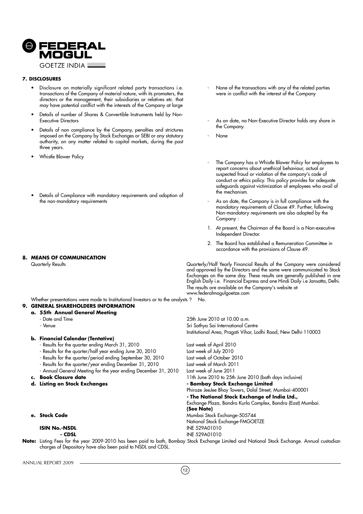

#### **7. DISCLOSURES**

- Disclosure on materially significant related party transactions i.e. transactions of the Company of material nature, with its promoters, the directors or the management, their subsidiaries or relatives etc. that may have potential conflict with the interests of the Company at large
- Details of number of Shares & Convertible Instruments held by Non-Executive Directors
- Details of non compliance by the Company, penalties and strictures imposed on the Company by Stock Exchanges or SEBI or any statutory authority, on any matter related to capital markets, during the past three years.
- Whistle Blower Policy
- Details of Compliance with mandatory requirements and adoption of the non-mandatory requirements
- **8. MEANS OF COMMUNICATION**

- None of the transactions with any of the related parties were in conflict with the interest of the Company
- As on date, no Non-Executive Director holds any share in the Company.
- None
- The Company has a Whistle Blower Policy for employees to report concerns about unethical behaviour, actual or suspected fraud or violation of the company's code of conduct or ethics policy. This policy provides for adequate safeguards against victimization of employees who avail of the mechanism.
- As on date, the Company is in full compliance with the mandatory requirements of Clause 49. Further, following Non-mandatory requirements are also adopted by the Company :
- 1. At present, the Chairman of the Board is a Non-executive Independent Director.
- 2. The Board has established a Remuneration Committee in accordance with the provisions of Clause 49.

Quarterly Results Quarterly/Half Yearly Financial Results of the Company were considered and approved by the Directors and the same were communicated to Stock Exchanges on the same day. These results are generally published in one English Daily i.e. Financial Express and one Hindi Daily i.e Jansatta, Delhi. The results are available on the Company's website at www.federalmogulgoetze.com

Institutional Area, Pragati Vihar, Lodhi Road, New Delhi-110003

Phiroze JeeJee Bhoy Towers, Dalal Street, Mumbai-400001 **- The National Stock Exchange of India Ltd.,**

Exchange Plaza, Bandra Kurla Complex, Bandra (East) Mumbai.

Whether presentations were made to Institutional Investors or to the analysts ? No. **9. GENERAL SHAREHOLDERS INFORMATION**

# **a. 55th Annual General Meeting**

- Date and Time 25th June 2010 at 10.00 a.m.
	- Venue Sai International Centre Service Studies (Service Studies Sai International Centre

# **b. Financial Calendar (Tentative)**

- Results for the quarter ending March 31, 2010 Last week of April 2010
- Results for the quarter/half year ending June 30, 2010
- Results for the quarter/period ending September 30, 2010 Last week of October 2010
- Results for the quarter/year ending December 31, 2010 Last week of March 2011
- Annual General Meeting for the year ending December 31, 2010
- **c. Book Closure date** 11th June 2010 to 25th June 2010 (both days inclusive)
- **d. Listing on Stock Exchanges**  $\qquad \qquad \qquad$  Bombay Stock Exchange Limited
- 

**e. Stock Code exchange-505744** 

**ISIN No.-NSDL INE 529A01010 - CDSL** INE 529A01010 **Note:** Listing Fees for the year 2009-2010 has been paid to both, Bombay Stock Exchange Limited and National Stock Exchange. Annual custodian charges of Depository have also been paid to NSDL and CDSL.

ANNUAL REPORT 2009

 $(12)$ 

**(See Note)**

National Stock Exchange-FMGOETZE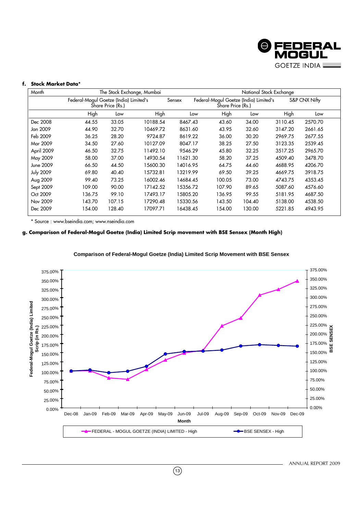

# **f. Stock Market Data\***

| Month            |                                        |                   | The Stock Exchange, Mumbai |          |                   | National Stock Exchange                |         |               |
|------------------|----------------------------------------|-------------------|----------------------------|----------|-------------------|----------------------------------------|---------|---------------|
|                  | Federal-Mogul Goetze (India) Limited's | Share Price (Rs.) |                            | Sensex   | Share Price (Rs.) | Federal-Mogul Goetze (India) Limited's |         | S&P CNX Nifty |
|                  | High                                   | Low               | High                       | Low      | High              | Low                                    | High    | Low           |
| Dec 2008         | 44.55                                  | 33.05             | 10188.54                   | 8467.43  | 43.60             | 34.00                                  | 3110.45 | 2570.70       |
| Jan 2009         | 44.90                                  | 32.70             | 10469.72                   | 8631.60  | 43.95             | 32.60                                  | 3147.20 | 2661.65       |
| Feb 2009         | 36.25                                  | 28.20             | 9724.87                    | 8619.22  | 36.00             | 30.20                                  | 2969.75 | 2677.55       |
| Mar 2009         | 34.50                                  | 27.60             | 10127.09                   | 8047.17  | 38.25             | 27.50                                  | 3123.35 | 2539.45       |
| April 2009       | 46.50                                  | 32.75             | 11492.10                   | 9546.29  | 45.80             | 32.25                                  | 3517.25 | 2965.70       |
| May 2009         | 58.00                                  | 37.00             | 14930.54                   | 11621.30 | 58.20             | 37.25                                  | 4509.40 | 3478.70       |
| June 2009        | 66.50                                  | 44.50             | 15600.30                   | 14016.95 | 64.75             | 44.60                                  | 4688.95 | 4206.70       |
| <b>July 2009</b> | 69.80                                  | 40.40             | 15732.81                   | 13219.99 | 69.50             | 39.25                                  | 4669.75 | 3918.75       |
| Aug 2009         | 99.40                                  | 73.25             | 16002.46                   | 14684.45 | 100.05            | 73.00                                  | 4743.75 | 4353.45       |
| Sept 2009        | 109.00                                 | 90.00             | 17142.52                   | 15356.72 | 107.90            | 89.65                                  | 5087.60 | 4576.60       |
| Oct 2009         | 136.75                                 | 99.10             | 17493.17                   | 15805.20 | 136.95            | 99.55                                  | 5181.95 | 4687.50       |
| Nov 2009         | 143.70                                 | 107.15            | 17290.48                   | 15330.56 | 143.50            | 104.40                                 | 5138.00 | 4538.50       |
| Dec 2009         | 154.00                                 | 128.40            | 17097.71                   | 16438.45 | 154.00            | 130.00                                 | 5221.85 | 4943.95       |

\* Source : www.bseindia.com; www.nseindia.com

# **g. Comparison of Federal-Mogul Goetze (India) Limited Scrip movement with BSE Sensex (Month High)**



 $\binom{13}{ }$ 

# **Comparison of Federal-Mogul Goetze (India) Limited Scrip Movement with BSE Sensex**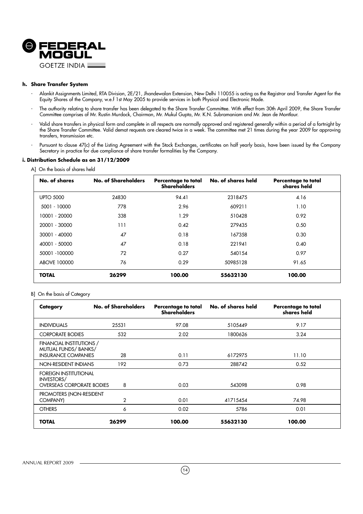

# **h. Share Transfer System**

- Alankit Assignments Limited, RTA Division, 2E/21, Jhandewalan Extension, New Delhi 110055 is acting as the Registrar and Transfer Agent for the Equity Shares of the Company, w.e.f 1st May 2005 to provide services in both Physical and Electronic Mode.
- The authority relating to share transfer has been delegated to the Share Transfer Committee. With effect from 30th April 2009, the Share Transfer Committee comprises of Mr. Rustin Murdock, Chairman, Mr. Mukul Gupta, Mr. K.N. Subramaniam and Mr. Jean de Montlaur.
- Valid share transfers in physical form and complete in all respects are normally approved and registered generally within a period of a fortnight by the Share Transfer Committee. Valid demat requests are cleared twice in a week. The committee met 21 times during the year 2009 for approving transfers, transmission etc.
- Pursuant to clause 47(c) of the Listing Agreement with the Stock Exchanges, certificates on half yearly basis, have been issued by the Company Secretary in practice for due compliance of share transfer formalities by the Company.

# **i. Distribution Schedule as on 31/12/2009**

| No. of shares    | No. of Shareholders | Percentage to total<br><b>Shareholders</b> | No. of shares held | Percentage to total<br>shares held |
|------------------|---------------------|--------------------------------------------|--------------------|------------------------------------|
| <b>UPTO 5000</b> | 24830               | 94.41                                      | 2318475            | 4.16                               |
| 5001 - 10000     | 778                 | 2.96                                       | 609211             | 1.10                               |
| 10001 - 20000    | 338                 | 1.29                                       | 510428             | 0.92                               |
| 20001 - 30000    | 111                 | 0.42                                       | 279435             | 0.50                               |
| 30001 - 40000    | 47                  | 0.18                                       | 167358             | 0.30                               |
| 40001 - 50000    | 47                  | 0.18                                       | 221941             | 0.40                               |
| 50001 -100000    | 72                  | 0.27                                       | 540154             | 0.97                               |
| ABOVE 100000     | 76                  | 0.29                                       | 50985128           | 91.65                              |
| <b>TOTAL</b>     | 26299               | 100.00                                     | 55632130           | 100.00                             |

# A] On the basis of shares held

#### B] On the basis of Category

| Category                                                                              | No. of Shareholders | Percentage to total<br><b>Shareholders</b> | No. of shares held | Percentage to total<br>shares held |
|---------------------------------------------------------------------------------------|---------------------|--------------------------------------------|--------------------|------------------------------------|
| <b>INDIVIDUALS</b>                                                                    | 25531               | 97.08                                      | 5105449            | 9.17                               |
| <b>CORPORATE BODIES</b>                                                               | 532                 | 2.02                                       | 1800626            | 3.24                               |
| FINANCIAL INSTITUTIONS /<br>MUTUAL FUNDS/ BANKS/<br><b>INSURANCE COMPANIES</b>        | 28                  | 0.11                                       | 6172975            | 11.10                              |
| NON-RESIDENT INDIANS                                                                  | 192                 | 0.73                                       | 288742             | 0.52                               |
| <b>FOREIGN INSTITUTIONAL</b><br><b>INVESTORS/</b><br><b>OVERSEAS CORPORATE BODIES</b> | 8                   | 0.03                                       | 543098             | 0.98                               |
| PROMOTERS (NON-RESIDENT<br>COMPANY)                                                   | $\overline{2}$      | 0.01                                       | 41715454           | 74.98                              |
| <b>OTHERS</b>                                                                         | 6                   | 0.02                                       | 5786               | 0.01                               |
| TOTAL                                                                                 | 26299               | 100.00                                     | 55632130           | 100.00                             |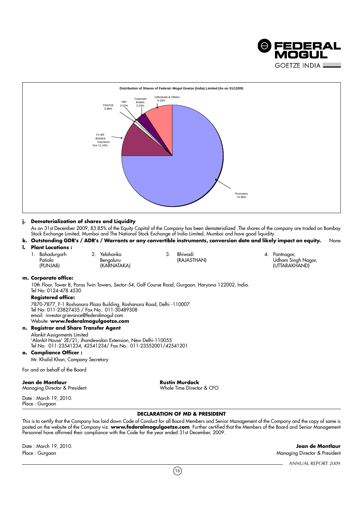



# **j. Dematerialization of shares and Liquidity**

As on 31st December 2009, 83.85% of the Equity Capital of the Company has been dematerialized .The shares of the company are traded on Bombay Stock Exchange Limited, Mumbai and The National Stock Exchange of India Limited, Mumbai and have good liquidity.

- **k. Outstanding GDR's / ADR's / Warrants or any convertible instruments, conversion date and likely impact on equity.** None
- **l. Plant Locations :**

| Bahaduraarh                      | <u>.</u> | Yelahanka   | ັ | Bhiwadi     | Pantnagar.                            |
|----------------------------------|----------|-------------|---|-------------|---------------------------------------|
| $\cdot$ .<br><sup>o</sup> atiala |          | Benaaluru   |   | (RAJASTHAN) | $\sim$<br>Udham Sinah Na <sub>'</sub> |
| (PUNJAB)                         |          | (KARNATAKA) |   |             | (UTTARAKHAND)                         |

# **m. Corporate office:**

10th Floor, Tower B, Paras Twin Towers, Sector-54, Golf Course Road, Gurgaon, Haryana 122002, India. Tel No: 0124-478 4530

# **Registered office:**

7870-7877, F-1 Roshanara Plaza Building, Roshanara Road, Delhi -110007 Tel No: 011-23827435 / Fax No.: 011-30489308 email: investor.grievance@federalmogul.com Website: **www.federalmogulgoetze.com**

# **n. Registrar and Share Transfer Agent**

Alankit Assignments Limited 'Alankit House' 2E/21, Jhandewalan Extension, New Delhi-110055 Tel No: 011-23541234, 42541234/ Fax No.: 011-23552001/42541201

**o. Compliance Officer :**

Mr. Khalid Khan, Company Secretary

For and on behalf of the Board

**Jean de Montlaur Community Community Rustin Murdock** 

Managing Director & President Whole Time Director & CFO

Date : March 19, 2010. Place : Gurgaon

# **DECLARATION OF MD & PRESIDENT**

This is to certify that the Company has laid down Code of Conduct for all Board Members and Senior Management of the Company and the copy of same is posted on the website of the Company viz. **www.federalmogulgoetze.com**. Further certified that the Members of the Board and Senior Management Personnel have affirmed their compliance with the Code for the year ended 31st December, 2009.

Date : March 19, 2010. **Jean de Montlaur** Place : Gurgaon Managing Director & President

ANNUAL REPORT 2009

 $(15)$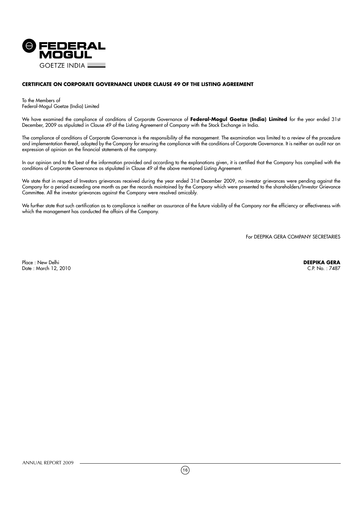

# **CERTIFICATE ON CORPORATE GOVERNANCE UNDER CLAUSE 49 OF THE LISTING AGREEMENT**

To the Members of Federal-Mogul Goetze (India) Limited

We have examined the compliance of conditions of Corporate Governance of **Federal-Mogul Goetze (India) Limited** for the year ended 31st December, 2009 as stipulated in Clause 49 of the Listing Agreement of Company with the Stock Exchange in India.

The compliance of conditions of Corporate Governance is the responsibility of the management. The examination was limited to a review of the procedure and implementation thereof, adopted by the Company for ensuring the compliance with the conditions of Corporate Governance. It is neither an audit nor an expression of opinion on the financial statements of the company.

In our opinion and to the best of the information provided and according to the explanations given, it is certified that the Company has complied with the conditions of Corporate Governance as stipulated in Clause 49 of the above mentioned Listing Agreement.

We state that in respect of Investors grievances received during the year ended 31st December 2009, no investor grievances were pending against the Company for a period exceeding one month as per the records maintained by the Company which were presented to the shareholders/Investor Grievance Committee. All the investor grievances against the Company were resolved amicably.

We further state that such certification as to compliance is neither an assurance of the future viability of the Company nor the efficiency or effectiveness with which the management has conducted the affairs of the Company.

For DEEPIKA GERA COMPANY SECRETARIES

Place : New Delhi **DEEPIKA GERA** Date : March 12, 2010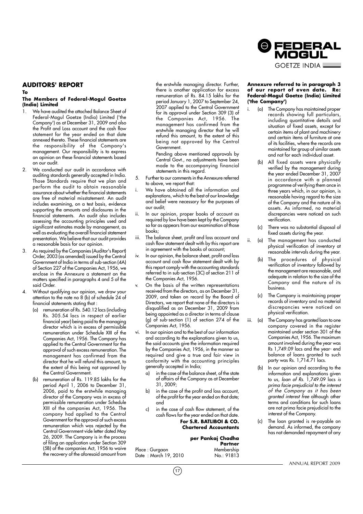# **AUDITORS' REPORT**

**To**

#### **The Members of Federal-Mogul Goetze (India) Limited**

- We have audited the attached Balance Sheet of Federal-Mogul Goetze (India) Limited ('the Company') as at December 31, 2009 and also the Profit and Loss account and the cash flow statement for the year ended on that date annexed thereto. These financial statements are the responsibility of the Company's management. Our responsibility is to express an opinion on these financial statements based on our audit.
- 2. We conducted our audit in accordance with auditing standards generally accepted in India. Those Standards require that we plan and perform the audit to obtain reasonable assurance about whether the financial statements are free of material misstatement. An audit includes examining, on a test basis, evidence supporting the amounts and disclosures in the financial statements. An audit also includes assessing the accounting principles used and significant estimates made by management, as well as evaluating the overall financial statement presentation. We believe that our audit provides a reasonable basis for our opinion.
- 3. As required by the Companies (Auditor's Report) Order, 2003 (as amended) issued by the Central Government of India in terms of sub-section (4A) of Section 227 of the Companies Act, 1956, we enclose in the Annexure a statement on the matters specified in paragraphs 4 and 5 of the said Order.
- 4. Without qualifying our opinion, we draw your attention to the note no 8 (b) of schedule 24 of financial statements stating that :
	- (a) remuneration of Rs. 540.12 lacs (including Rs. 305.54 lacs in respect of earlier financial year) being paid to the managing director which is in excess of permissible remuneration under Schedule XIII of the Companies Act, 1956. The Company has applied to the Central Government for the approval of such excess remuneration. The management has confirmed from the director that he will refund this amount, to the extent of this being not approved by the Central Government.
	- (b) remuneration of Rs. 119.85 lakhs for the period April 1, 2006 to December 31, 2006, paid to the erstwhile managing director of the Company was in excess of permissible remuneration under Schedule XIII of the companies Act, 1956. The company had applied to the Central Government for the approval of such excess remuneration which was rejected by the Central Government vide letter dated May 26, 2009. The Company is in the process of filing an application under Section 309 (5B) of the companies Act, 1956 to waive the recovery of the aforesaid amount from

the erstwhile managing director. Further, there is another application for excess remuneration of Rs. 84.15 lakhs for the period January 1, 2007 to September 24, 2007 applied to the Central Government for its approval under Section 309 (3) of the Companies Act, 1956. The management has confirmed from the erstwhile managing director that he will refund this amount, to the extent of this being not approved by the Central Government.

Pending above mentioned approvals by Central Govt., no adjustments have been made to the accompanying financial statements in this regard.

- 5. Further to our comments in the Annexure referred to above, we report that:
- We have obtained all the information and explanations, which to the best of our knowledge and belief were necessary for the purposes of our audit;
- In our opinion, proper books of account as required by law have been kept by the Company so far as appears from our examination of those books;
- iii. The balance sheet, profit and loss account and cash flow statement dealt with by this report are in agreement with the books of account;
- In our opinion, the balance sheet, profit and loss account and cash flow statement dealt with by this report comply with the accounting standards referred to in sub-section (3C) of section 211 of the Companies Act, 1956.
- v. On the basis of the written representations received from the directors, as on December 31, 2009, and taken on record by the Board of Directors, we report that none of the directors is disqualified as on December 31, 2009 from being appointed as a director in terms of clause (g) of sub-section (1) of section 274 of the .<br>Companies Act, 1956.
- vi. In our opinion and to the best of our information and according to the explanations given to us, the said accounts give the information required by the Companies Act, 1956, in the manner so required and give a true and fair view in conformity with the accounting principles generally accepted in India;
	- in the case of the balance sheet, of the state of affairs of the Company as at December 31, 2009;
	- b) in the case of the profit and loss account, of the profit for the year ended on that date; and
	- c) in the case of cash flow statement, of the cash flows for the year ended on that date. **For S.R. BATLIBOI & CO. Chartered Accountants**

# **per Pankaj Chadha Partner**<br>Membership

Date : March 19, 2010 No.: 91813

#### **Annexure referred to in paragraph 3 of our report of even date. Re: Federal-Mogul Goetze (India) Limited ('the Company')**

- (a) The Company has maintained proper records showing full particulars, including quantitative details and situation of fixed assets, except for certain items of plant and machinery and certain items of furniture at one of its facilities, where the records are maintained for group of similar assets and not for each individual asset.
- (b) All fixed assets were physically verified by the management during the year ended December 31, 2007 in accordance with a planned programme of verifying them once in three years which, in our opinion, is reasonable having regard to the size of the Company and the nature of its assets. As informed, no material discrepancies were noticed on such verification.
- (c) There was no substantial disposal of fixed assets during the year.
- ii. (a) The management has conducted physical verification of inventory at reasonable intervals during the year.
	- (b) The procedures of physical verification of inventory followed by the management are reasonable, and adequate in relation to the size of the Company and the nature of its business.
	- (c) The Company is maintaining proper records of inventory and no material discrepancies were noticed on physical verification.
- iii. (a) The Company has granted loan to one company covered in the register maintained under section 301 of the Companies Act, 1956. The maximum amount involved during the year was Rs 1,749.09 lacs and the year- end balance of loans granted to such party was Rs. 1,714.71 lacs.
	- (b) In our opinion and according to the information and explanations given to us, loan of Rs. 1,749.09 lacs is prima facie prejudicial to the interest of the Company as it has been granted interest free although other terms and conditions for such loans are not prima facie prejudicial to the interest of the Company.
	- (c) The loan granted is re-payable on demand. As informed, the company has not demanded repayment of any



Place : Gurgaon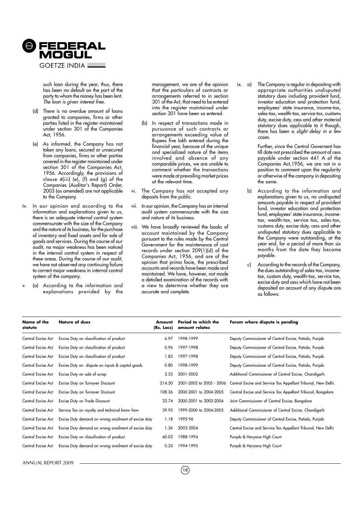

such loan during the year, thus, there has been no default on the part of the party to whom the money has been lent. The loan is given interest free.

- (d) There is no overdue amount of loans granted to companies, firms or other parties listed in the register maintained under section 301 of the Companies Act, 1956.
- (e) As informed, the Company has not taken any loans, secured or unsecured from companies, firms or other parties covered in the register maintained under section 301 of the Companies Act, 1956. Accordingly, the provisions of clause 4(iii) (e), (f) and (g) of the Companies (Auditor's Report) Order, 2003 (as amended) are not applicable to the Company.
- iv. In our opinion and according to the information and explanations given to us, there is an adequate internal control system commensurate with the size of the Company and the nature of its business, for the purchase of inventory and fixed assets and for sale of goods and services. During the course of our audit, no major weakness has been noticed in the internal control system in respect of these areas. During the course of our audit, we have not observed any continuing failure to correct major weakness in internal control system of the company.
- (a) According to the information and explanations provided by the

management, we are of the opinion that the particulars of contracts or arrangements referred to in section 301 of the Act, that need to be entered into the register maintained under section 301 have been so entered.

- (b) In respect of transactions made in pursuance of such contracts or arrangements exceeding value of Rupees five lakh entered during the financial year, because of the unique and specialized nature of the items involved and absence of any comparable prices, we are unable to comment whether the transactions were made at prevailing market prices at the relevant time.
- vi. The Company has not accepted any deposits from the public.
- vii. In our opinion, the Company has an internal audit system commensurate with the size and nature of its business.
- viii. We have broadly reviewed the books of account maintained by the Company pursuant to the rules made by the Central Government for the maintenance of cost records under section 209(1)(d) of the Companies Act, 1956, and are of the opinion that prima facie, the prescribed accounts and records have been made and maintained. We have, however, not made a detailed examination of the records with a view to determine whether they are accurate and complete.

ix. a) The Company is regular in depositing with appropriate authorities undisputed statutory dues including provident fund, investor education and protection fund, employees' state insurance, income-tax, sales-tax, wealth-tax, service tax, customs duty, excise duty, cess and other material statutory dues applicable to it though, there has been a *slight delay in a few* cases.

> Further, since the Central Governent has till date not prescribed the amount of cess payable under section 441 A of the Companies Act,1956, we are not in a position to comment upon the regularity or otherwise of the company in depositing the same.

- b) According to the information and explanations given to us, no undisputed amounts payable in respect of provident fund, investor education and protection fund, employees' state insurance, incometax, wealth-tax, service tax, sales-tax, customs duty, excise duty, cess and other undisputed statutory dues applicable to the Company were outstanding, at the year end, for a period of more than six months from the date they became payable.
- c) According to the records of the Company, the dues outstanding of sales-tax, incometax, custom duty, wealth-tax, service tax, excise duty and cess which have not been deposited on account of any dispute are as follows:

| Name of the<br>statute | <b>Nature of dues</b>                                | Amount<br>(Rs. Lacs) | Period to which the<br>amount relates | Forum where dispute is pending                                |
|------------------------|------------------------------------------------------|----------------------|---------------------------------------|---------------------------------------------------------------|
| Central Excise Act     | Excise Duty on classification of product             | 6.97                 | 1998-1999                             | Deputy Commissioner of Central Excise, Patiala, Punjab        |
| Central Excise Act     | Excise Duty on classification of product             | 0.96                 | 1997-1998                             | Deputy Commissioner of Central Excise, Patiala, Punjab        |
| Central Excise Act     | Excise Duty on classification of product             | 1.85                 | 1997-1998                             | Deputy Commissioner of Central Excise, Patiala, Punjab        |
| Central Excise Act     | Excise Duty on dispute on inputs & capital goods     | 0.80                 | 1998-1999                             | Deputy Commissioner of Central Excise, Patiala, Punjab        |
| Central Excise Act     | Excise Duty on sale of scrap                         | 3.33                 | 2001-2002                             | Additional Commissioner of Central Excise, Chandigarh.        |
| Central Excise Act     | Excise Duty on Turnover Discount                     | 214.50               | 2001-2002 to 2005 - 2006              | Central Excise and Service Tax Appellant Tribunal, New Delhi. |
| Central Excise Act     | Excise Duty on Turnover Discount                     | 108.36               | 2000-2001 to 2004-2005                | Central Excise and Service Tax Appellant Tribunal, Bangalore  |
| Central Excise Act     | Excise Duty on Trade Discount                        | 33.74                | 2000-2001 to 2003-2004                | Joint Commissioner of Central Excise, Bangalore               |
| Central Excise Act     | Service Tax on royalty and technical know how        | 39.95                | 1999-2000 to 2004-2005                | Additional Commissioner of Central Excise, Chandigarh         |
| Central Excise Act     | Excise Duty demand on wrong availment of excise duty | 1.18                 | 1995-96                               | Deputy Commissioner of Central Excise, Patiala, Punjab        |
| Central Excise Act     | Excise Duty demand on wrong availment of excise duty | 1.36                 | 2003-2004                             | Central Excise and Service Tax Appellant Tribunal, New Delhi  |
| Central Excise Act     | Excise Duty on classification of product             | 40.02                | 1988-1994                             | Punjab & Haryana High Court                                   |
| Central Excise Act     | Excise Duty demand on wrong availment of excise duty | 0.35                 | 1994-1995                             | Punjab & Haryana High Court                                   |

ANNUAL REPORT 2009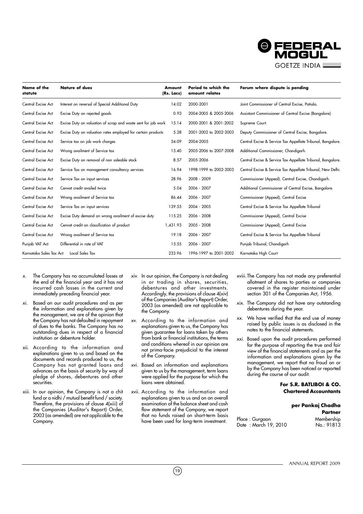

| Name of the<br>statute  | <b>Nature of dues</b>                                         | Amount<br>(Rs. Lacs) | Period to which the<br>amount relates | Forum where dispute is pending                              |
|-------------------------|---------------------------------------------------------------|----------------------|---------------------------------------|-------------------------------------------------------------|
| Central Excise Act      | Interest on reversal of Special Additional Duty               | 14.02                | 2000-2001                             | Joint Commissioner of Central Excise, Patiala.              |
| Central Excise Act      | Excise Duty on rejected goods                                 | 0.93                 | 2004-2005 & 2005-2006                 | Assistant Commissioner of Central Excise (Bangalore).       |
| Central Excise Act      | Excise Duty on valuation of scrap and waste sent for job work | 15.14                | 2000-2001 & 2001-2002                 | Supreme Court.                                              |
| Central Excise Act      | Excise Duty on valuation rates employed for certain products  | 5.28                 | 2001-2002 to 2002-2003                | Deputy Commissioner of Central Excise, Bangalore.           |
| Central Excise Act      | Service tax on job work charges                               | 54.09                | 2004-2005                             | Central Excise & Service Tax Appellate Tribunal, Bangalore. |
| Central Excise Act      | Wrong availment of Service tax                                | 15.40                | 2005-2006 to 2007-2008                | Additional Commissioner, Chandigarh.                        |
| Central Excise Act      | Excise Duty on removal of non saleable stock                  | 8.57                 | 2005-2006                             | Central Excise & Service Tax Appellate Tribunal, Bangalore. |
| Central Excise Act      | Service Tax on management consultancy services                | 16.94                | 1998-1999 to 2002-2003                | Central Excise & Service Tax Appellate Tribunal, New Delhi. |
| Central Excise Act      | Service Tax on input services                                 | 28.96                | 2008 - 2009                           | Commissioner (Appeal), Central Excise, Chandigarh.          |
| Central Excise Act      | Cenvat credit availed twice                                   | 5.04                 | 2006 - 2007                           | Additional Commissioner of Central Excise, Bangalore.       |
| Central Excise Act      | Wrong availment of Service tax                                | 86.44                | 2006 - 2007                           | Commissioner (Appeal), Central Excise                       |
| Central Excise Act      | Service Tax on input services                                 | 139.55               | 2004 - 2005                           | Central Excise & Service Tax Appellate Tribunal             |
| Central Excise Act      | Excise Duty demand on wrong availment of excise duty          | 115.25               | 2006 - 2008                           | Commissioner (Appeal), Central Excise                       |
| Central Excise Act      | Cenvat credit on classification of product                    | 1,431.93             | 2005 - 2008                           | Commissioner (Appeal), Central Excise                       |
| Central Excise Act      | Wrong availment of Service tax                                | 19.18                | 2006 - 2007                           | Central Excise & Service Tax Appellate Tribunal             |
| Punjab VAT Act          | Differential in rate of VAT                                   | 15.55                | 2006 - 2007                           | Punjab Tribunal, Chandigarh                                 |
| Karnataka Sales Tax Act | Local Sales Tax                                               | 233.96               | 1996-1997 to 2001-2002                | Karnataka High Court                                        |

- x. The Company has no accumulated losses at the end of the financial year and it has not incurred cash losses in the current and immediately preceding financial year.
- xi. Based on our audit procedures and as per the information and explanations given by the management, we are of the opinion that the Company has not defaulted in repayment of dues to the banks. The Company has no outstanding dues in respect of a financial institution or debenture holder.
- xii. According to the information and explanations given to us and based on the documents and records produced to us, the Company has not granted loans and advances on the basis of security by way of pledge of shares, debentures and other securities.
- xiii. In our opinion, the Company is not a chit fund or a nidhi / mutual benefit fund / society. Therefore, the provisions of clause 4(xiii) of the Companies (Auditor's Report) Order, 2003 (as amended) are not applicable to the Company.
- xiv. In our opinion, the Company is not dealing in or trading in shares, securities, debentures and other investments. Accordingly, the provisions of clause 4(xiv) of the Companies (Auditor's Report) Order, 2003 (as amended) are not applicable to the Company.
- xv. According to the information and explanations given to us, the Company has given guarantee for loans taken by others from bank or financial institutions, the terms and conditions whereof in our opinion are not prima-facie prejudicial to the interest of the Company.
- xvi. Based on information and explanations given to us by the management, term loans were applied for the purpose for which the loans were obtained.
- xvii. According to the information and explanations given to us and on an overall examination of the balance sheet and cash flow statement of the Company, we report that no funds raised on short-term basis have been used for long-term investment.

 $(19)$ 

- xviii.The Company has not made any preferential allotment of shares to parties or companies covered in the register maintained under section 301 of the Companies Act, 1956.
- xix. The Company did not have any outstanding debentures during the year.
- xx. We have verified that the end use of money raised by public issues is as disclosed in the notes to the financial statements.
- xxi. Based upon the audit procedures performed for the purpose of reporting the true and fair view of the financial statements and as per the information and explanations given by the management, we report that no fraud on or by the Company has been noticed or reported during the course of our audit.

# **For S.R. BATLIBOI & CO. Chartered Accountants**

# **per Pankaj Chadha Partner** Place : Gurgaon Membership

Date: March 19, 2010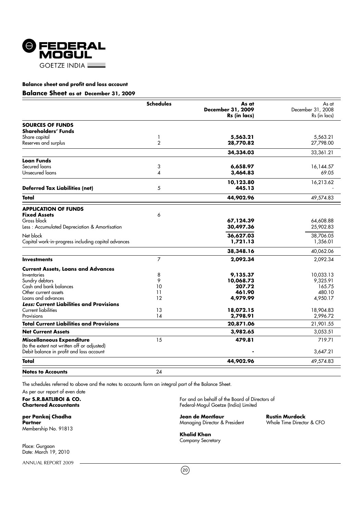

# **Balance Sheet as at December 31, 2009**

|                                                                                         | <b>Schedules</b> | As at<br>December 31, 2009 | As at<br>December 31, 2008 |
|-----------------------------------------------------------------------------------------|------------------|----------------------------|----------------------------|
|                                                                                         |                  | Rs (in lacs)               | Rs (in lacs)               |
| <b>SOURCES OF FUNDS</b><br>Shareholders' Funds                                          |                  |                            |                            |
| Share capital                                                                           | 1                | 5,563.21                   | 5,563.21                   |
| Reserves and surplus                                                                    | $\overline{2}$   | 28,770.82                  | 27,798.00                  |
|                                                                                         |                  | 34,334.03                  | 33,361.21                  |
| <b>Loan Funds</b>                                                                       |                  |                            |                            |
| Secured loans                                                                           | 3                | 6,658.97                   | 16,144.57                  |
| Unsecured loans                                                                         | 4                | 3,464.83                   | 69.05                      |
|                                                                                         |                  | 10,123.80                  | 16,213.62                  |
| <b>Deferred Tax Liabilities (net)</b>                                                   | 5                | 445.13                     |                            |
| Total                                                                                   |                  | 44,902.96                  | 49,574.83                  |
| <b>APPLICATION OF FUNDS</b>                                                             |                  |                            |                            |
| <b>Fixed Assets</b>                                                                     | 6                |                            |                            |
| Gross block                                                                             |                  | 67,124.39                  | 64,608.88                  |
| Less: Accumulated Depreciation & Amortisation                                           |                  | 30,497.36                  | 25,902.83                  |
| Net block                                                                               |                  | 36,627.03                  | 38,706.05                  |
| Capital work-in-progress including capital advances                                     |                  | 1,721.13                   | 1,356.01                   |
|                                                                                         |                  | 38,348.16                  | 40,062.06                  |
| <b>Investments</b>                                                                      | $\overline{7}$   | 2,092.34                   | 2,092.34                   |
| <b>Current Assets, Loans and Advances</b>                                               |                  |                            |                            |
| Inventories                                                                             | 8                | 9,135.37                   | 10,033.13                  |
| Sundry debtors                                                                          | 9                | 10,068.73                  | 9,325.91                   |
| Cash and bank balances                                                                  | 10               | 207.72                     | 165.75                     |
| Other current assets                                                                    | 11               | 461.90                     | 480.10                     |
| Loans and advances                                                                      | 12               | 4,979.99                   | 4,950.17                   |
| <b>Less: Current Liabilities and Provisions</b>                                         |                  |                            |                            |
| <b>Current liabilities</b>                                                              | 13               | 18,072.15                  | 18,904.83                  |
| Provisions                                                                              | 14               | 2,798.91                   | 2,996.72                   |
| <b>Total Current Liabilities and Provisions</b>                                         |                  | 20,871.06                  | 21,901.55                  |
| <b>Net Current Assets</b>                                                               |                  | 3,982.65                   | 3,053.51                   |
| Miscellaneous Expenditure                                                               | 15               | 479.81                     | 719.71                     |
| (to the extent not written off or adjusted)<br>Debit balance in profit and loss account |                  |                            | 3,647.21                   |
| Total                                                                                   |                  | 44,902.96                  | 49,574.83                  |
| <b>Notes to Accounts</b>                                                                | 24               |                            |                            |

The schedules referred to above and the notes to accounts form an integral part of the Balance Sheet.

As per our report of even date<br>For S.R.BATLIBOI & CO.

Membership No. 91813

Place: Gurgaon Date: March 19, 2010

ANNUAL REPORT 2009

**For S.R.BATLIBOI & CO.** For and on behalf of the Board of Directors of Chartered Accountants and South of the Board of Directors of Chartered Accountants **Chartered Accountants** Federal-Mogul Goetze (India) Limited

**per Pankaj Chadha Jean de Montlaur Rustin Murdock Managing Director & President** 

**Khalid Khan** Company Secretary

 $(20)$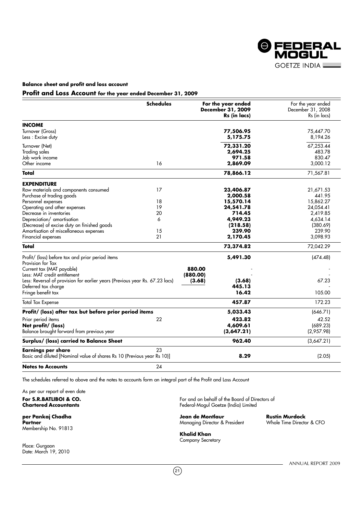

# **Profit and Loss Account for the year ended December 31, 2009**

|                                                                              | <b>Schedules</b> | For the year ended<br>December 31, 2009<br>Rs (in lacs) | For the year ended<br>December 31, 2008<br>Rs (in lacs) |
|------------------------------------------------------------------------------|------------------|---------------------------------------------------------|---------------------------------------------------------|
|                                                                              |                  |                                                         |                                                         |
| <b>INCOME</b>                                                                |                  |                                                         |                                                         |
| Turnover (Gross)                                                             |                  | 77,506.95                                               | 75,447.70                                               |
| Less : Excise duty                                                           |                  | 5,175.75                                                | 8,194.26                                                |
| Turnover (Net)                                                               |                  | 72,331.20                                               | 67,253.44                                               |
| <b>Trading sales</b>                                                         |                  | 2,694.25                                                | 483.78                                                  |
| Job work income                                                              |                  | 971.58                                                  | 830.47                                                  |
| Other income                                                                 | 16               | 2,869.09                                                | 3,000.12                                                |
| Total                                                                        |                  | 78,866.12                                               | 71,567.81                                               |
| <b>EXPENDITURE</b>                                                           |                  |                                                         |                                                         |
| Raw materials and components consumed                                        | 17               | 23,406.87                                               | 21,671.53                                               |
| Purchase of trading goods                                                    |                  | 2,000.58                                                | 441.95                                                  |
| Personnel expenses                                                           | 18               | 15,570.14                                               | 15,862.27                                               |
| Operating and other expenses                                                 | 19               | 24,541.78                                               | 24,054.41                                               |
| Decrease in inventories                                                      | 20               | 714.45                                                  | 2,419.85                                                |
| Depreciation/ amortisation                                                   | 6                | 4,949.23                                                | 4,634.14                                                |
| (Decrease) of excise duty on finished goods                                  |                  | (218.58)                                                | (380.69)                                                |
| Amortisation of miscellaneous expenses                                       | 15               | 239.90                                                  | 239.90                                                  |
| Financial expenses                                                           | 21               | 2,170.45                                                | 3,098.93                                                |
| <b>Total</b>                                                                 |                  | 73,374.82                                               | 72,042.29                                               |
| Profit/ (loss) before tax and prior period items                             |                  | 5,491.30                                                | (474.48)                                                |
| Provision for Tax                                                            |                  |                                                         |                                                         |
| Current tax (MAT payable)                                                    |                  | 880.00                                                  |                                                         |
| Less: MAT credit entitlement                                                 |                  | (880.00)                                                |                                                         |
| Less: Reversal of provision for earlier years (Previous year Rs. 67.23 lacs) |                  | (3.68)<br>(3.68)                                        | 67.23                                                   |
| Deferred tax charge                                                          |                  | 445.13                                                  |                                                         |
| Fringe benefit tax                                                           |                  | 16.42                                                   | 105.00                                                  |
| <b>Total Tax Expense</b>                                                     |                  | 457.87                                                  | 172.23                                                  |
| Profit/ (loss) after tax but before prior period items                       |                  | 5,033.43                                                | (646.71)                                                |
| Prior period items                                                           | 22               | 423.82                                                  | 42.52                                                   |
| Net profit/ (loss)                                                           |                  | 4,609.61                                                | (689.23)                                                |
| Balance brought forward from previous year                                   |                  | (3,647.21)                                              | (2,957.98)                                              |
| Surplus/ (loss) carried to Balance Sheet                                     |                  | 962.40                                                  | (3,647.21)                                              |
| <b>Earnings per share</b>                                                    | 23               |                                                         |                                                         |
| Basic and diluted [Nominal value of shares Rs 10 (Previous year Rs 10)]      |                  | 8.29                                                    | (2.05)                                                  |
| <b>Notes to Accounts</b>                                                     | 24               |                                                         |                                                         |

The schedules referred to above and the notes to accounts form an integral part of the Profit and Loss Account

As per our report of even date

Membership No. 91813

Place: Gurgaon Date: March 19, 2010

**For S.R.BATLIBOI & CO.** For and on behalf of the Board of Directors of Chartered Accountants<br> **Chartered Accountants Chartered Accountants** Federal-Mogul Goetze (India) Limited

**per Pankaj Chadha Jean de Montlaur Rustin Murdock Partner Partner** Managing Director & President

**Khalid Khan** Company Secretary

- ANNUAL REPORT 2009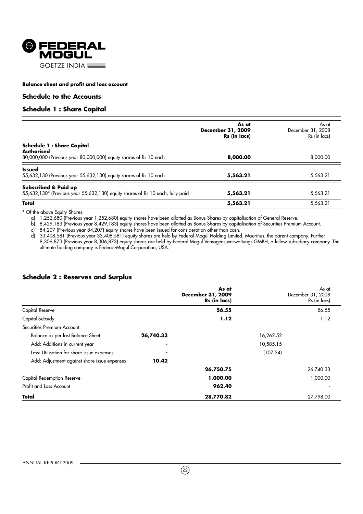

# **Schedule to the Accounts**

# **Schedule 1 : Share Capital**

|                                                                                                                     | As at<br>December 31, 2009<br>Rs (in lacs) | As at<br>December 31, 2008<br>Rs (in lacs) |
|---------------------------------------------------------------------------------------------------------------------|--------------------------------------------|--------------------------------------------|
| <b>Schedule 1: Share Capital</b><br>Authorised<br>80,000,000 (Previous year 80,000,000) equity shares of Rs 10 each | 8,000.00                                   | 8,000.00                                   |
| <b>Issued</b><br>55,632,130 (Previous year 55,632,130) equity shares of Rs 10 each                                  | 5,563.21                                   | 5,563.21                                   |
| Subscribed & Paid up<br>55,632,130* (Previous year 55,632,130) equity shares of Rs 10 each, fully paid              | 5,563.21                                   | 5,563.21                                   |
| Total                                                                                                               | 5,563.21                                   | 5,563.21                                   |

\* Of the above Equity Shares:

a) 1,252,680 (Previous year 1,252,680) equity shares have been allotted as Bonus Shares by capitalisation of General Reserve.

b) 8,429,183 (Previous year 8,429,183) equity shares have been allotted as Bonus Shares by capitalisation of Securities Premium Account.

c) 84,207 (Previous year 84,207) equity shares have been issued for consideration other than cash.

d) 33,408,581 (Previous year 33,408,581) equity shares are held by Federal Mogul Holding Limited, Mauritius, the parent company. Further 8,306,873 (Previous year 8,306,873) equity shares are held by Federal Mogul Vemogensuverwaltungs GMBH, a fellow subsidiary company. The ultimate holding company is Federal-Mogul Corporation, USA.

# **Schedule 2 : Reserves and Surplus**

|                                              |           | As at<br><b>December 31, 2009</b><br>Rs (in lacs) |           | As at<br>December 31, 2008<br>Rs (in lacs) |
|----------------------------------------------|-----------|---------------------------------------------------|-----------|--------------------------------------------|
| Capital Reserve                              |           | 56.55                                             |           | 56.55                                      |
| Capital Subsidy                              |           | 1.12                                              |           | 1.12                                       |
| Securities Premium Account                   |           |                                                   |           |                                            |
| Balance as per last Balance Sheet            | 26,740.33 |                                                   | 16,262.52 |                                            |
| Add: Additions in current year               |           |                                                   | 10,585.15 |                                            |
| Less: Utilisation for share issue expenses   |           |                                                   | (107.34)  |                                            |
| Add: Adjustment against share issue expenses | 10.42     |                                                   |           |                                            |
|                                              |           | 26,750.75                                         |           | 26,740.33                                  |
| Capital Redemption Reserve                   |           | 1,000.00                                          |           | 1,000.00                                   |
| Profit and Loss Account                      |           | 962.40                                            |           |                                            |
| Total                                        |           | 28,770.82                                         |           | 27,798.00                                  |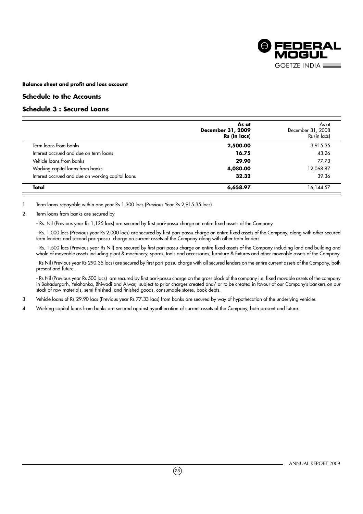

# **Schedule to the Accounts**

# **Schedule 3 : Secured Loans**

|                                                   | As at<br>December 31, 2009<br>Rs (in lacs) | As at<br>December 31, 2008<br>Rs (in lacs) |
|---------------------------------------------------|--------------------------------------------|--------------------------------------------|
| Term loans from banks                             | 2,500.00                                   | 3,915.35                                   |
| Interest accrued and due on term loans            | 16.75                                      | 43.26                                      |
| Vehicle loans from banks                          | 29.90                                      | 77.73                                      |
| Working capital loans from banks                  | 4,080.00                                   | 12,068.87                                  |
| Interest accrued and due on working capital loans | 32.32                                      | 39.36                                      |
| Total                                             | 6,658.97                                   | 16,144.57                                  |

1 Term loans repayable within one year Rs 1,300 lacs (Previous Year Rs 2,915.35 lacs)

# 2 Term loans from banks are secured by

- Rs. Nil (Previous year Rs 1,125 lacs) are secured by first pari-passu charge on entire fixed assets of the Company.

- Rs. 1,000 lacs (Previous year Rs 2,000 lacs) are secured by first pari-passu charge on entire fixed assets of the Company, along with other secured term lenders and second pari-passu charge on current assets of the Company along with other term lenders.

- Rs. 1,500 lacs (Previous year Rs Nil) are secured by first pari-passu charge on entire fixed assets of the Company including land and building and whole of moveable assets including plant & machinery, spares, tools and accessories, furniture & fixtures and other moveable assets of the Company.

- Rs Nil (Previous year Rs 290.35 lacs) are secured by first pari-passu charge with all secured lenders on the entire current assets of the Company, both present and future.

- Rs Nil (Previous year Rs 500 lacs) are secured by first pari-passu charge on the gross block of the company i.e. fixed movable assets of the company in Bahadurgarh, Yelahanka, Bhiwadi and Alwar, subject to prior charges created and/ or to be created in favour of our Company's bankers on our stock of raw materials, semi-finished and finished goods, consumable stores, book debts.

3 Vehicle loans of Rs 29.90 lacs (Previous year Rs 77.33 lacs) from banks are secured by way of hypothecation of the underlying vehicles

4 Working capital loans from banks are secured against hypothecation of current assets of the Company, both present and future.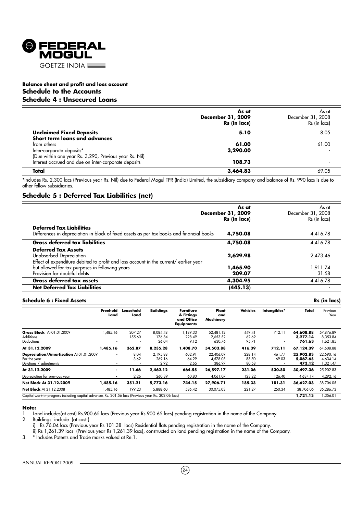

# **Balance sheet and profit and loss account Schedule to the Accounts Schedule 4 : Unsecured Loans**

|                                                        | As at<br>December 31, 2009<br>Rs (in lacs) | As at<br>December 31, 2008<br>Rs (in lacs) |
|--------------------------------------------------------|--------------------------------------------|--------------------------------------------|
| <b>Unclaimed Fixed Deposits</b>                        | 5.10                                       | 8.05                                       |
| Short term loans and advances                          |                                            |                                            |
| from others                                            | 61.00                                      | 61.00                                      |
| Inter-corporate deposits*                              | 3,290.00                                   |                                            |
| (Due within one year Rs. 3,290, Previous year Rs. Nil) |                                            |                                            |
| Interest accrued and due on inter-corporate deposits   | 108.73                                     |                                            |
| Total                                                  | 3,464.83                                   | 69.05                                      |

\*Includes Rs. 2,300 lacs (Previous year Rs. Nil) due to Federal-Mogul TPR (India) Limited, the subsidiary company and balance of Rs. 990 lacs is due to other fellow subsidiaries.

# **Schedule 5 : Deferred Tax Liabilities (net)**

|                                                                                                                              | As at<br>December 31, 2009<br>Rs (in lacs) | As at<br>December 31, 2008<br>Rs (in lacs) |
|------------------------------------------------------------------------------------------------------------------------------|--------------------------------------------|--------------------------------------------|
| <b>Deferred Tax Liabilities</b><br>Differences in depreciation in block of fixed assets as per tax books and financial books | 4,750.08                                   | 4,416.78                                   |
| <b>Gross deferred tax liabilities</b>                                                                                        | 4,750.08                                   | 4.416.78                                   |
| <b>Deferred Tax Assets</b>                                                                                                   |                                            |                                            |
| Unabsorbed Depreciation<br>Effect of expenditure debited to profit and loss account in the current/ earlier year             | 2,629.98                                   | 2,473.46                                   |
| but allowed for tax purposes in following years                                                                              | 1,465.90                                   | 1,911.74                                   |
| Provision for doubtful debts                                                                                                 | 209.07                                     | 31.58                                      |
| <b>Gross deferred tax assets</b>                                                                                             | 4,304.95                                   | 4,416.78                                   |
| <b>Net Deferred Tax Liabilities</b>                                                                                          | (445.13)                                   |                                            |

# **Schedule 6 : Fixed Assets Rs (in lacs)**

|                                                                                                     | Freehold<br>Land                                                                 | Leasehold<br>Land | <b>Buildings</b>            | <b>Furniture</b><br>& Fittings<br>and Office<br><b>Equipments</b> | Plant<br>and<br>Machinery       | <b>Vehicles</b>          | Intangibles*                       | Total                           | Previous<br>Year                  |
|-----------------------------------------------------------------------------------------------------|----------------------------------------------------------------------------------|-------------------|-----------------------------|-------------------------------------------------------------------|---------------------------------|--------------------------|------------------------------------|---------------------------------|-----------------------------------|
| Gross Block At 01.01.2009<br><b>Additions</b><br>Deductions                                         | 1,485.16<br>$\overline{\phantom{a}}$<br>$\overline{\phantom{a}}$                 | 207.27<br>155.60  | 8,084.48<br>176.84<br>26.04 | 1,189.33<br>228.49<br>9.12                                        | 52.481.12<br>2,653.52<br>630.76 | 449.41<br>62.69<br>95.71 | 712.11<br>$\overline{\phantom{a}}$ | 64,608.88<br>3.277.14<br>761.63 | 57,876.89<br>8,353.84<br>621.85   |
| At 31.12.2009                                                                                       | 1,485.16                                                                         | 362.87            | 8,235.28                    | 1,408.70                                                          | 54,503.88                       | 416.39                   | 712.11                             | 67,124.39                       | 64,608.88                         |
| Depreciation/Amortisation At 01.01.2009<br>For the year<br>Deletions / adjustments                  | $\overline{\phantom{a}}$<br>$\overline{\phantom{a}}$<br>$\overline{\phantom{a}}$ | 8.04<br>3.62      | 2.195.88<br>269.16<br>2.92  | 602.91<br>64.29<br>2.65                                           | 22,406.09<br>4.578.05<br>386.97 | 228.14<br>83.50<br>80.58 | 461.77<br>69.03                    | 25,902.83<br>5.067.65<br>473.12 | 22,590.16<br>4,634.14<br>1,321.47 |
| At 31.12.2009                                                                                       | ۰                                                                                | 11.66             | 2.462.12                    | 664.55                                                            | 26,597.17                       | 231.06                   | 530.80                             | 30,497.36                       | 25,902.83                         |
| Depreciation for previous year                                                                      |                                                                                  | 2.26              | 260.39                      | 60.80                                                             | 4,061.07                        | 123.22                   | 126.40                             | 4,634.14                        | 4,292.16                          |
| Net Block At 31.12.2009                                                                             | 1,485.16                                                                         | 351.21            | 5,773.16                    | 744.15                                                            | 27,906.71                       | 185.33                   | 181.31                             | 36,627.03                       | 38,706.05                         |
| <b>Net Block At 31.12.2008</b>                                                                      | ,485.16                                                                          | 199.23            | 5,888.60                    | 586.42                                                            | 30,075.03                       | 221.27                   | 250.34                             | 38,706.05                       | 35,286.73                         |
| Capital work-in-progress including capital advances Rs. 201.56 lacs (Previous year Rs. 302.06 lacs) |                                                                                  |                   |                             |                                                                   |                                 |                          |                                    | 1,721.13                        | ,356.01                           |

#### **Note:**

1. Land includes(at cost) Rs.900.65 lacs (Previous year Rs.900.65 lacs) pending registration in the name of the Company.

2. Buildings include (at cost )

i) Rs 76.04 lacs (Previous year Rs 101.38 lacs) Residential flats pending registration in the name of the Company.

ii) Rs 1,261.39 lacs (Previous year Rs 1,261.39 lacs), constructed on land pending registration in the name of the Company.

3. \* Includes Patents and Trade marks valued at Re.1.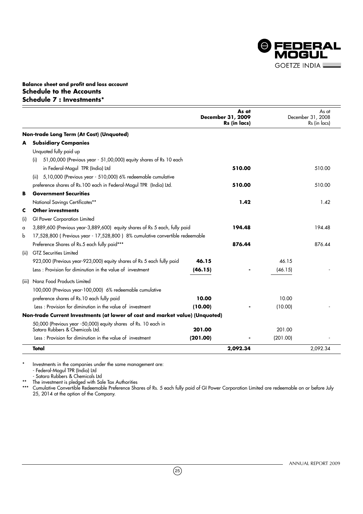

# **Balance sheet and profit and loss account Schedule to the Accounts Schedule 7 : Investments\***

|                                                                                                   |          | As at<br>December 31, 2009<br>Rs (in lacs) |          | As at<br>December 31, 2008<br>Rs (in lacs) |
|---------------------------------------------------------------------------------------------------|----------|--------------------------------------------|----------|--------------------------------------------|
| Non-trade Long Term (At Cost) (Unquoted)                                                          |          |                                            |          |                                            |
| <b>Subsidiary Companies</b><br>A                                                                  |          |                                            |          |                                            |
| Unquoted fully paid up                                                                            |          |                                            |          |                                            |
| 51,00,000 (Previous year - 51,00,000) equity shares of Rs 10 each<br>(i)                          |          |                                            |          |                                            |
| in Federal-Mogul TPR (India) Ltd                                                                  |          | 510.00                                     |          | 510.00                                     |
| 5,10,000 (Previous year - 510,000) 6% redeemable cumulative<br>(ii)                               |          |                                            |          |                                            |
| preference shares of Rs.100 each in Federal-Mogul TPR (India) Ltd.                                |          | 510.00                                     |          | 510.00                                     |
| <b>Government Securities</b><br>в                                                                 |          |                                            |          |                                            |
| National Savings Certificates**                                                                   |          | 1.42                                       |          | 1.42                                       |
| Other investments<br>c                                                                            |          |                                            |          |                                            |
| GI Power Corporation Limited<br>(i)                                                               |          |                                            |          |                                            |
| 3,889,600 (Previous year-3,889,600) equity shares of Rs 5 each, fully paid<br>a                   |          | 194.48                                     |          | 194.48                                     |
| 17,528,800 (Previous year - 17,528,800) 8% cumulative convertible redeemable<br>b                 |          |                                            |          |                                            |
| Preference Shares of Rs.5 each fully paid***                                                      |          | 876.44                                     |          | 876.44                                     |
| <b>GTZ</b> Securities Limited<br>(iii)                                                            |          |                                            |          |                                            |
| 923,000 (Previous year-923,000) equity shares of Rs 5 each fully paid                             | 46.15    |                                            | 46.15    |                                            |
| Less: Provision for diminution in the value of investment                                         | (46.15)  |                                            | (46.15)  |                                            |
| Nanz Food Products Limited<br>(iii)                                                               |          |                                            |          |                                            |
| 100,000 (Previous year-100,000) 6% redeemable cumulative                                          |          |                                            |          |                                            |
| preference shares of Rs.10 each fully paid                                                        | 10.00    |                                            | 10.00    |                                            |
| Less: Provision for diminution in the value of investment                                         | (10.00)  |                                            | (10.00)  |                                            |
| Non-trade Current Investments (at lower of cost and market value) (Unquoted)                      |          |                                            |          |                                            |
| 50,000 (Previous year -50,000) equity shares of Rs. 10 each in<br>Satara Rubbers & Chemicals Ltd. | 201.00   |                                            | 201.00   |                                            |
| Less: Provision for diminution in the value of investment                                         | (201.00) |                                            | (201.00) |                                            |
| Total                                                                                             |          | 2,092.34                                   |          | 2,092.34                                   |

Investments in the companies under the same management are: - Federal-Mogul TPR (India) Ltd

- Satara Rubbers & Chemicals Ltd \*\* The investment is pledged with Sale Tax Authorities

\*\*\* Cumulative Convertible Redeemable Preference Shares of Rs. 5 each fully paid of GI Power Corporation Limited are redeemable on or before July 25, 2014 at the option of the Company.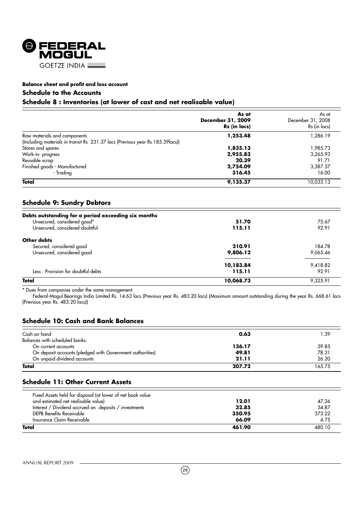

# **Schedule to the Accounts**

# **Schedule 8 : Inventories (at lower of cost and net realisable value)**

|                                                                                | As at<br>December 31, 2009<br>Rs (in lacs) | As at<br>December 31, 2008<br>Rs (in lacs) |
|--------------------------------------------------------------------------------|--------------------------------------------|--------------------------------------------|
| Raw materials and components                                                   | 1,253.48                                   | 1,286.19                                   |
| (Including materials in transit Rs 231.37 lacs (Previous year Rs 185.39 lacs)) |                                            |                                            |
| Stores and spares                                                              | 1,835.13                                   | 1,985.73                                   |
| Work-in-progress                                                               | 2,955.83                                   | 3,265.93                                   |
| Reusable scrap                                                                 | 20.39                                      | 91.71                                      |
| Finished goods - Manufactured                                                  | 2,754.09                                   | 3,387.57                                   |
| - Tradina                                                                      | 316.45                                     | 16.00                                      |
| Total                                                                          | 9,135.37                                   | 10,033.13                                  |

# **Schedule 9: Sundry Debtors**

| Debts outstanding for a period exceeding six months |           |          |
|-----------------------------------------------------|-----------|----------|
| Unsecured, considered good*                         | 51.70     | 75.67    |
| Unsecured, considered doubtful                      | 115.11    | 92.91    |
| Other debts                                         |           |          |
| Secured, considered good                            | 210.91    | 184.78   |
| Unsecured, considered good                          | 9,806.12  | 9,065.46 |
|                                                     | 10,183.84 | 9,418.82 |
| Less: Provision for doubtful debts                  | 115.11    | 92.91    |
| <b>Total</b>                                        | 10,068.73 | 9.325.91 |

\* Dues from companies under the same management:

Federal-Mogul Bearings India Limited Rs. 14.63 lacs (Previous year Rs. 483.20 lacs) (Maximum amount outstanding during the year Rs. 668.61 lacs (Previous year Rs. 483.20 lacs))

# **Schedule 10: Cash and Bank Balances**

| Cash on hand                                              | 0.63   | ∣.39   |
|-----------------------------------------------------------|--------|--------|
| Balances with scheduled banks:                            |        |        |
| On current accounts                                       | 136.17 | 59.85  |
| On deposit accounts (pledged with Government authorities) | 49.81  | 78.31  |
| On unpaid dividend accounts                               | 21.11  | 26.20  |
| Total                                                     | 207.72 | 165.75 |

# **Schedule 11: Other Current Assets**

| Total                                                      | 461.90 | 480.10 |
|------------------------------------------------------------|--------|--------|
| Insurance Claim Receivable                                 | 66.09  | 4.75   |
| DEPB Benefits Receivable                                   | 350.95 | 373.22 |
| Interest / Dividend accrued on deposits / investments      | 32.85  | 54.87  |
| and estimated net realisable value)                        | 12.01  | 47.26  |
| Fixed Assets held for disposal (at lower of net book value |        |        |
|                                                            |        |        |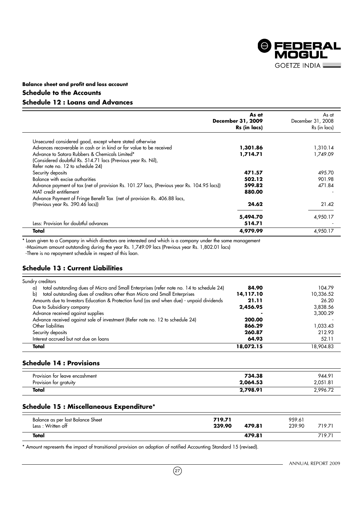

# **Balance sheet and profit and loss account Schedule to the Accounts Schedule 12 : Loans and Advances**

|                                                                                            | As at<br>December 31, 2009<br>Rs (in lacs) | As at<br>December 31, 2008<br>Rs (in lacs) |
|--------------------------------------------------------------------------------------------|--------------------------------------------|--------------------------------------------|
| Unsecured considered good, except where stated otherwise                                   |                                            |                                            |
| Advances recoverable in cash or in kind or for value to be received                        | 1,301.86                                   | 1,310.14                                   |
| Advance to Satara Rubbers & Chemicals Limited*                                             | 1,714.71                                   | 1,749.09                                   |
| (Considered doubtful Rs. 514.71 lacs (Previous year Rs. Nil),                              |                                            |                                            |
| Refer note no. 12 to schedule 24)                                                          |                                            |                                            |
| Security deposits                                                                          | 471.57                                     | 495.70                                     |
| Balance with excise authorities                                                            | 502.12                                     | 901.98                                     |
| Advance payment of tax (net of provision Rs. 101.27 lacs, (Previous year Rs. 104.95 lacs)) | 599.82                                     | 471.84                                     |
| MAT credit entitlement                                                                     | 880.00                                     |                                            |
| Advance Payment of Fringe Benefit Tax (net of provision Rs. 406.88 lacs,                   |                                            |                                            |
| (Previous year Rs. 390.46 lacs))                                                           | 24.62                                      | 21.42                                      |
|                                                                                            | 5,494.70                                   | 4,950.17                                   |
| Less: Provision for doubtful advances                                                      | 514.71                                     |                                            |
| Total                                                                                      | 4,979.99                                   | 4,950.17                                   |

\* Loan given to a Company in which directors are interested and which is a company under the same management

-Maximum amount outstanding during the year Rs. 1,749.09 lacs (Previous year Rs. 1,802.01 lacs)

-There is no repayment schedule in respect of this loan.

# **Schedule 13 : Current Liabilities**

|    | Total                                                                                     | 18,072.15 | 18,904.83 |
|----|-------------------------------------------------------------------------------------------|-----------|-----------|
|    | Interest accrued but not due on loans                                                     | 64.93     | 52.11     |
|    | Security deposits                                                                         | 260.87    | 212.93    |
|    | Other liabilities                                                                         | 866.29    | 1,033.43  |
|    | Advance received against sale of investment (Refer note no. 12 to schedule 24)            | 200.00    |           |
|    | Advance received against supplies                                                         |           | 3,300.29  |
|    | Due to Subsidiary company                                                                 | 2,456.95  | 3,838.56  |
|    | Amounts due to Investors Education & Protection fund (as and when due) - unpaid dividends | 21.11     | 26.20     |
| b) | total outstanding dues of creditors other than Micro and Small Enterprises                | 14,117.10 | 10,336.52 |
| a) | total outstanding dues of Micro and Small Enterprises (refer note no. 14 to schedule 24)  | 84.90     | 104.79    |
|    | Sundry creditors                                                                          |           |           |

# **Schedule 14 : Provisions**

| Provision for leave encashment | 734.38   | 944.91   |
|--------------------------------|----------|----------|
| Provision for gratuity         | 2,064.53 | 2,051.81 |
| Total                          | 2.798.91 | 296.72   |

# **Schedule 15 : Miscellaneous Expenditure\***

| Balance as per last Balance Sheet<br>Less: Written off | 719.71<br>239.90<br>479.81 | 959.61<br>239.90 | 719.71 |
|--------------------------------------------------------|----------------------------|------------------|--------|
| Total                                                  | 479.81                     |                  | 719.71 |

\* Amount represents the impact of transitional provision on adoption of notified Accounting Standard 15 (revised).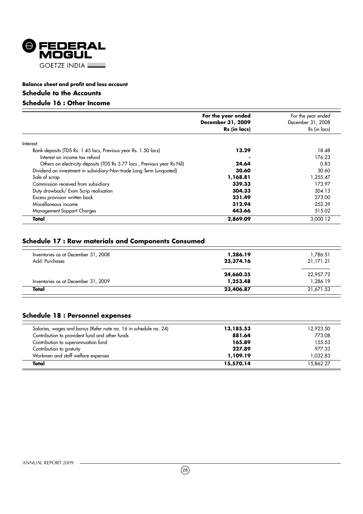

# **Schedule to the Accounts**

# **Schedule 16 : Other Income**

|                                                                         | For the year ended<br>December 31, 2009<br>Rs (in lacs) | For the year ended<br>December 31, 2008<br>Rs (in lacs) |
|-------------------------------------------------------------------------|---------------------------------------------------------|---------------------------------------------------------|
| Interest:                                                               |                                                         |                                                         |
| Bank deposits (TDS Rs. 1.45 lacs, Previous year Rs. 1.50 lacs)          | 13.29                                                   | 18.48                                                   |
| Interest on income tax refund                                           |                                                         | 176.23                                                  |
| Others on electricity deposits (TDS Rs 3.77 lacs, Previous year Rs Nil) | 24.64                                                   | 0.83                                                    |
| Dividend on investment in subsidiary-Non-trade Long Term (unquoted)     | 30.60                                                   | 30.60                                                   |
| Sale of scrap                                                           | 1,168.81                                                | 1,255.47                                                |
| Commission received from subsidiary                                     | 339.33                                                  | 173.97                                                  |
| Duty drawback/ Exim Scrip realisation                                   | 304.33                                                  | 304.13                                                  |
| Excess provision written back                                           | 231.49                                                  | 273.00                                                  |
| Miscellaneous income                                                    | 312.94                                                  | 252.39                                                  |
| Management Support Charges                                              | 443.66                                                  | 515.02                                                  |
| Total                                                                   | 2,869.09                                                | 3,000.12                                                |

# **Schedule 17 : Raw materials and Components Consumed**

| Total                               | 23,406.87 | 21,671.53 |
|-------------------------------------|-----------|-----------|
| Inventories as at December 31, 2009 | 1,253.48  | 1,286.19  |
|                                     | 24,660.35 | 22,957.72 |
| Add: Purchases                      | 23,374.16 | 21,171.21 |
| Inventories as at December 31, 2008 | 1,286.19  | 1,786.51  |

# **Schedule 18 : Personnel expenses**

| Total                                                            | 15,570.14 | 15.862.27 |
|------------------------------------------------------------------|-----------|-----------|
| Workmen and staff welfare expenses                               | 1,109.19  | 1.032.83  |
| Contribution to gratuity                                         | 227.89    | 977.33    |
| Contribution to superannuation fund                              | 165.89    | 155.53    |
| Contribution to provident fund and other funds                   | 881.64    | 773.08    |
| Salaries, wages and bonus (Refer note no. 16 in schedule no. 24) | 13,185.53 | 12,923.50 |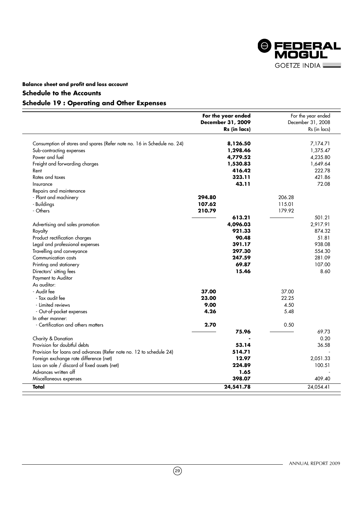

# **Schedule to the Accounts**

# **Schedule 19 : Operating and Other Expenses**

|                                                                         | For the year ended<br>December 31, 2009<br>Rs (in lacs) |        | For the year ended<br>December 31, 2008<br>Rs (in lacs) |
|-------------------------------------------------------------------------|---------------------------------------------------------|--------|---------------------------------------------------------|
|                                                                         |                                                         |        |                                                         |
| Consumption of stores and spares (Refer note no. 16 in Schedule no. 24) | 8,126.50                                                |        | 7,174.71                                                |
| Sub-contracting expenses                                                | 1,298.46                                                |        | 1,375.47                                                |
| Power and fuel                                                          | 4,779.52                                                |        | 4,235.80                                                |
| Freight and forwarding charges                                          | 1,530.83                                                |        | 1,649.64                                                |
| Rent                                                                    | 416.42                                                  |        | 222.78                                                  |
| Rates and taxes                                                         | 323.11                                                  |        | 421.86                                                  |
| Insurance                                                               | 43.11                                                   |        | 72.08                                                   |
| Repairs and maintenance                                                 |                                                         |        |                                                         |
| - Plant and machinery                                                   | 294.80                                                  | 206.28 |                                                         |
| - Buildings                                                             | 107.62                                                  | 115.01 |                                                         |
| - Others                                                                | 210.79                                                  | 179.92 |                                                         |
|                                                                         | 613.21                                                  |        | 501.21                                                  |
| Advertising and sales promotion                                         | 4,096.03                                                |        | 2,917.91                                                |
| Royalty                                                                 | 921.33                                                  |        | 874.32                                                  |
| Product rectification charges                                           | 90.48                                                   |        | 51.81                                                   |
| Legal and professional expenses                                         | 391.17                                                  |        | 938.08                                                  |
| Travelling and conveyance                                               | 297.30                                                  |        | 554.30                                                  |
| Communication costs                                                     | 247.59                                                  |        | 281.09                                                  |
| Printing and stationery                                                 | 69.87                                                   |        | 107.00                                                  |
| Directors' sitting fees                                                 | 15.46                                                   |        | 8.60                                                    |
| Payment to Auditor                                                      |                                                         |        |                                                         |
| As auditor:                                                             |                                                         |        |                                                         |
| - Audit fee                                                             | 37.00                                                   | 37.00  |                                                         |
| - Tax audit fee                                                         | 23.00                                                   | 22.25  |                                                         |
| - Limited reviews                                                       | 9.00                                                    | 4.50   |                                                         |
| - Out-of-pocket expenses                                                | 4.26                                                    | 5.48   |                                                         |
| In other manner:                                                        |                                                         |        |                                                         |
| - Certification and others matters                                      | 2.70                                                    | 0.50   |                                                         |
|                                                                         | 75.96                                                   |        | 69.73                                                   |
| Charity & Donation                                                      |                                                         |        | 0.20                                                    |
| Provision for doubtful debts                                            | 53.14                                                   |        | 36.58                                                   |
| Provision for loans and advances (Refer note no. 12 to schedule 24)     | 514.71                                                  |        |                                                         |
| Foreign exchange rate difference (net)                                  | 12.97                                                   |        | 2,051.33                                                |
| Loss on sale / discard of fixed assets (net)                            | 224.89                                                  |        | 100.51                                                  |
| Advances written off                                                    | 1.65                                                    |        |                                                         |
| Miscellaneous expenses                                                  | 398.07                                                  |        | 409.40                                                  |
| Total                                                                   | 24,541.78                                               |        | 24,054.41                                               |

 $(29)$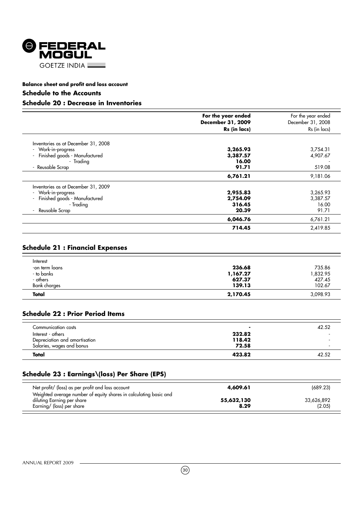

# **Schedule to the Accounts**

# **Schedule 20 : Decrease in Inventories**

|                                     | For the year ended<br>December 31, 2009<br>Rs (in lacs) | For the year ended<br>December 31, 2008<br>Rs (in lacs) |
|-------------------------------------|---------------------------------------------------------|---------------------------------------------------------|
| Inventories as at December 31, 2008 |                                                         |                                                         |
| - Work-in-progress                  | 3,265.93                                                | 3,754.31                                                |
| Finished goods - Manufactured       | 3,387.57                                                | 4,907.67                                                |
| - Tradina                           | 16.00                                                   |                                                         |
| - Reusable Scrap                    | 91.71                                                   | 519.08                                                  |
|                                     | 6,761.21                                                | 9,181.06                                                |
| Inventories as at December 31, 2009 |                                                         |                                                         |
| - Work-in-progress                  | 2,955.83                                                | 3,265.93                                                |
| Finished goods - Manufactured       | 2,754.09                                                | 3,387.57                                                |
| - Tradina                           | 316.45                                                  | 16.00                                                   |
| Reusable Scrap                      | 20.39                                                   | 91.71                                                   |
|                                     | 6,046.76                                                | 6,761.21                                                |
|                                     | 714.45                                                  | 2,419.85                                                |

# **Schedule 21 : Financial Expenses**

| - others            | 627.37   | 427.45   |
|---------------------|----------|----------|
| <b>Bank</b> charges | 139.13   | 102.67   |
| Total               | 2,170.45 | 3,098.93 |
| -on term loans      | 236.68   | 735.86   |
| - to banks          | 1,167.27 | 832.95.  |
| Interest            |          |          |

# **Schedule 22 : Prior Period Items**

| Communication costs           |        | 42.52 |
|-------------------------------|--------|-------|
| Interest - others             | 232.82 |       |
| Depreciation and amortisation | 118.42 |       |
| Salaries, wages and bonus     | 72.58  |       |
| Total                         | 423.82 | 42.52 |

# **Schedule 23 : Earnings\(loss) Per Share (EPS)**

| Net profit/ (loss) as per profit and loss account                                                                            | 4,609.61           | (689.23)             |
|------------------------------------------------------------------------------------------------------------------------------|--------------------|----------------------|
| Weighted average number of equity shares in calculating basic and<br>diluting Earning per share<br>Earning/ (loss) per share | 55,632,130<br>8.29 | 33,626,892<br>(2.05) |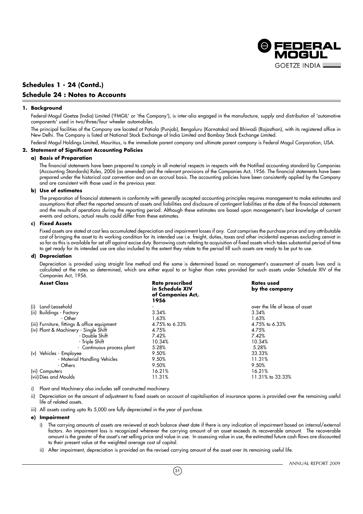

# **Schedules 1 - 24 (Contd.) Schedule 24 : Notes to Accounts**

#### **1. Background**

Federal-Mogul Goetze (India) Limited ('FMGIL' or 'the Company'), is inter-alia engaged in the manufacture, supply and distribution of 'automotive components' used in two/three/four wheeler automobiles.

The principal facilities of the Company are located at Patiala (Punjab), Bengaluru (Karnataka) and Bhiwadi (Rajasthan), with its registered office in New Delhi. The Company is listed at National Stock Exchange of India Limited and Bombay Stock Exchange Limited.

Federal Mogul Holdings Limited, Mauritius, is the immediate parent company and ultimate parent company is Federal Mogul Corporation, USA.

# **2. Statement of Significant Accounting Policies**

# **a) Basis of Preparation**

The financial statements have been prepared to comply in all material respects in respects with the Notified accounting standard by Companies (Accounting Standards) Rules, 2006 (as amended) and the relevant provisions of the Companies Act, 1956. The financial statements have been prepared under the historical cost convention and on an accrual basis. The accounting policies have been consistently applied by the Company and are consistent with those used in the previous year.

#### **b) Use of estimates**

The preparation of financial statements in conformity with generally accepted accounting principles requires management to make estimates and assumptions that affect the reported amounts of assets and liabilities and disclosure of contingent liabilities at the date of the financial statements and the results of operations during the reporting period. Although these estimates are based upon management's best knowledge of current events and actions, actual results could differ from these estimates.

# **c) Fixed Assets**

Fixed assets are stated at cost less accumulated depreciation and impairment losses if any. Cost comprises the purchase price and any attributable cost of bringing the asset to its working condition for its intended use i.e. freight, duties, taxes and other incidental expenses excluding cenvat in so far as this is available for set off against excise duty. Borrowing costs relating to acquisition of fixed assets which takes substantial period of time to get ready for its intended use are also included to the extent they relate to the period till such assets are ready to be put to use.

# **d) Depreciation**

Depreciation is provided using straight line method and the same is determined based on management's assessment of assets lives and is calculated at the rates so determined, which are either equal to or higher than rates provided for such assets under Schedule XIV of the Companies Act, 1956.

| <b>Asset Class</b>                           | <b>Rate prescribed</b><br>in Schedule XIV<br>of Companies Act,<br>1956 | <b>Rates used</b><br>by the company |
|----------------------------------------------|------------------------------------------------------------------------|-------------------------------------|
| (i) Land-Leasehold                           |                                                                        | over the life of lease of asset     |
| (ii) Buildings - Factory                     | 3.34%                                                                  | 3.34%                               |
| - Other                                      | 1.63%                                                                  | 1.63%                               |
| (iii) Furniture, fittings & office equipment | 4.75% to 6.33%                                                         | 4.75% to 6.33%                      |
| (iv) Plant & Machinery - Single Shift        | 4.75%                                                                  | 4.75%                               |
| - Double Shift                               | 7.42%                                                                  | 7.42%                               |
| - Triple Shift                               | 10.34%                                                                 | 10.34%                              |
| - Continuous process plant                   | 5.28%                                                                  | 5.28%                               |
| (v) Vehicles - Employee                      | 9.50%                                                                  | 33.33%                              |
| - Material Handling Vehicles                 | 9.50%                                                                  | 11.31%                              |
| - Others                                     | 9.50%                                                                  | 9.50%                               |
| (vi) Computers                               | 16.21%                                                                 | 16.21%                              |
| (vii) Dies and Moulds                        | 11.31%                                                                 | 11.31% to 33.33%                    |

- i) Plant and Machinery also includes self constructed machinery.
- ii) Depreciation on the amount of adjustment to fixed assets on account of capitalisation of insurance spares is provided over the remaining useful life of related assets.
- iii) All assets costing upto Rs 5,000 are fully depreciated in the year of purchase.

# **e) Impairment**

- i) The carrying amounts of assets are reviewed at each balance sheet date if there is any indication of impairment based on internal/external factors. An impairment loss is recognized wherever the carrying amount of an asset exceeds its recoverable amount. The recoverable amount is the greater of the asset's net selling price and value in use. In assessing value in use, the estimated future cash flows are discounted to their present value at the weighted average cost of capital.
- ii) After impairment, depreciation is provided on the revised carrying amount of the asset over its remaining useful life.

 $(31)$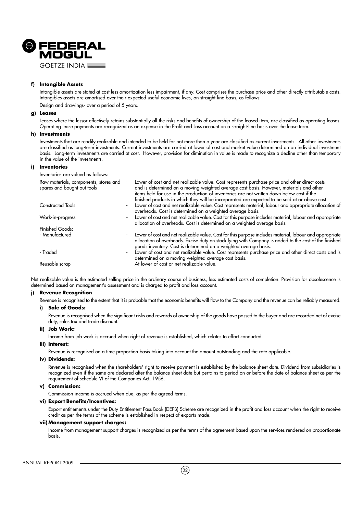

# **f) Intangible Assets**

Intangible assets are stated at cost less amortization less impairment, if any. Cost comprises the purchase price and other directly attributable costs. Intangibles assets are amortised over their expected useful economic lives, on straight line basis, as follows: Design and drawings- over a period of 5 years.

### **g) Leases**

Leases where the lessor effectively retains substantially all the risks and benefits of ownership of the leased item, are classified as operating leases. Operating lease payments are recognized as an expense in the Profit and Loss account on a straight-line basis over the lease term.

### **h) Investments**

Investments that are readily realizable and intended to be held for not more than a year are classified as current investments. All other investments are classified as long-term investments. Current investments are carried at lower of cost and market value determined on an individual investment basis. Long-term investments are carried at cost. However, provision for diminution in value is made to recognize a decline other than temporary in the value of the investments.

# **i) Inventories**

Inventories are valued as follows:

| Raw materials, components, stores and<br>spares and bought out tools | Lower of cost and net realizable value. Cost represents purchase price and other direct costs<br>and is determined on a moving weighted average cost basis. However, materials and other<br>items held for use in the production of inventories are not written down below cost if the |
|----------------------------------------------------------------------|----------------------------------------------------------------------------------------------------------------------------------------------------------------------------------------------------------------------------------------------------------------------------------------|
|                                                                      | finished products in which they will be incorporated are expected to be sold at or above cost.                                                                                                                                                                                         |
| Constructed Tools                                                    | Lower of cost and net realizable value. Cost represents material, labour and appropriate allocation of<br>overheads. Cost is determined on a weighted average basis.                                                                                                                   |
| Work-in-progress                                                     | Lower of cost and net realizable value. Cost for this purpose includes material, labour and appropriate<br>allocation of overheads. Cost is determined on a weighted average basis.                                                                                                    |
| Finished Goods:                                                      |                                                                                                                                                                                                                                                                                        |
| - Manufactured                                                       | Lower of cost and net realizable value. Cost for this purpose includes material, labour and appropriate<br>allocation of overheads. Excise duty on stock lying with Company is added to the cost of the finished<br>goods inventory. Cost is determined on a weighted average basis.   |
| - Traded                                                             | Lower of cost and net realizable value. Cost represents purchase price and other direct costs and is<br>determined on a moving weighted average cost basis.                                                                                                                            |
| Reusable scrap                                                       | At lower of cost or net realizable value.                                                                                                                                                                                                                                              |

Net realizable value is the estimated selling price in the ordinary course of business, less estimated costs of completion. Provision for obsolescence is determined based on management's assessment and is charged to profit and loss account.

# **j) Revenue Recognition**

Revenue is recognised to the extent that it is probable that the economic benefits will flow to the Company and the revenue can be reliably measured.

#### **i) Sale of Goods:**

Revenue is recognised when the significant risks and rewards of ownership of the goods have passed to the buyer and are recorded net of excise duty, sales tax and trade discount.

**ii) Job Work:**

Income from job work is accrued when right of revenue is established, which relates to effort conducted.

#### **iii) Interest:**

Revenue is recognised on a time proportion basis taking into account the amount outstanding and the rate applicable.

# **iv) Dividends:**

Revenue is recognised when the shareholders' right to receive payment is established by the balance sheet date. Dividend from subsidiaries is recognized even if the same are declared after the balance sheet date but pertains to period on or before the date of balance sheet as per the requirement of schedule VI of the Companies Act, 1956.

#### **v) Commission:**

Commission income is accrued when due, as per the agreed terms.

# **vi) Export Benefits/Incentives:**

Export entitlements under the Duty Entitlement Pass Book (DEPB) Scheme are recognized in the profit and loss account when the right to receive credit as per the terms of the scheme is established in respect of exports made.

#### **vii) Management support charges:**

Income from management support charges is recognized as per the terms of the agreement based upon the services rendered on proportionate basis.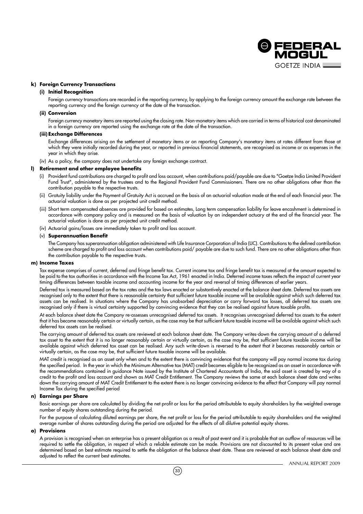

# **k) Foreign Currency Transactions**

#### **(i) Initial Recognition**

Foreign currency transactions are recorded in the reporting currency, by applying to the foreign currency amount the exchange rate between the reporting currency and the foreign currency at the date of the transaction.

# **(ii) Conversion**

Foreign currency monetary items are reported using the closing rate. Non-monetary items which are carried in terms of historical cost denominated in a foreign currency are reported using the exchange rate at the date of the transaction.

#### **(iii) Exchange Differences**

Exchange differences arising on the settlement of monetary items or on reporting Company's monetary items at rates different from those at which they were initially recorded during the year, or reported in previous financial statements, are recognised as income or as expenses in the year in which they arise.

(iv) As a policy, the company does not undertake any foreign exchange contract.

# **l) Retirement and other employee benefits**

- (i) Provident fund contributions are charged to profit and loss account, when contributions paid/payable are due to "Goetze India Limited Provident Fund Trust", administered by the trustees and to the Regional Provident Fund Commissioners. There are no other obligations other than the contribution payable to the respective trusts.
- (ii) Gratuity liability under the Payment of Gratuity Act is accrued on the basis of an actuarial valuation made at the end of each financial year. The actuarial valuation is done as per projected unit credit method.
- (iii) Short term compensated absences are provided for based on estimates, Long term compensation liability for leave encashment is determined in accordance with company policy and is measured on the basis of valuation by an independent actuary at the end of the financial year. The actuarial valuation is done as per projected unit credit method.
- (iv) Actuarial gains/losses are immediately taken to profit and loss account.

#### (v) **Superannuation Benefit**

The Company has superannuation obligation administered with Life Insurance Corporation of India (LIC). Contributions to the defined contribution scheme are charged to profit and loss account when contributions paid/ payable are due to such fund. There are no other obligations other than the contribution payable to the respective trusts.

#### **m) Income Taxes**

Tax expense comprises of current, deferred and fringe benefit tax. Current income tax and fringe benefit tax is measured at the amount expected to be paid to the tax authorities in accordance with the Income Tax Act, 1961 enacted in India. Deferred income taxes reflects the impact of current year timing differences between taxable income and accounting income for the year and reversal of timing differences of earlier years.

Deferred tax is measured based on the tax rates and the tax laws enacted or substantively enacted at the balance sheet date. Deferred tax assets are recognised only to the extent that there is reasonable certainty that sufficient future taxable income will be available against which such deferred tax assets can be realised. In situations where the Company has unabsorbed depreciation or carry forward tax losses, all deferred tax assets are recognised only if there is virtual certainty supported by convincing evidence that they can be realised against future taxable profits.

At each balance sheet date the Company re-assesses unrecognised deferred tax assets. It recognises unrecognised deferred tax assets to the extent that it has become reasonably certain or virtually certain, as the case may be that sufficient future taxable income will be available against which such deferred tax assets can be realised.

The carrying amount of deferred tax assets are reviewed at each balance sheet date. The Company writes-down the carrying amount of a deferred tax asset to the extent that it is no longer reasonably certain or virtually certain, as the case may be, that sufficient future taxable income will be available against which deferred tax asset can be realised. Any such write-down is reversed to the extent that it becomes reasonably certain or virtually certain, as the case may be, that sufficient future taxable income will be available.

MAT credit is recognised as an asset only when and to the extent there is convincing evidence that the company will pay normal income tax during the specified period. In the year in which the Minimum Alternative tax (MAT) credit becomes eligible to be recognized as an asset in accordance with the recommendations contained in guidance Note issued by the Institute of Chartered Accountants of India, the said asset is created by way of a credit to the profit and loss account and shown as MAT Credit Entitlement. The Company reviews the same at each balance sheet date and writes down the carrying amount of MAT Credit Entitlement to the extent there is no longer convincing evidence to the effect that Company will pay normal Income Tax during the specified period

# **n) Earnings per Share**

Basic earnings per share are calculated by dividing the net profit or loss for the period attributable to equity shareholders by the weighted average number of equity shares outstanding during the period.

For the purpose of calculating diluted earnings per share, the net profit or loss for the period attributable to equity shareholders and the weighted average number of shares outstanding during the period are adjusted for the effects of all dilutive potential equity shares.

# **o) Provisions**

A provision is recognised when an enterprise has a present obligation as a result of past event and it is probable that an outflow of resources will be required to settle the obligation, in respect of which a reliable estimate can be made. Provisions are not discounted to its present value and are determined based on best estimate required to settle the obligation at the balance sheet date. These are reviewed at each balance sheet date and adjusted to reflect the current best estimates.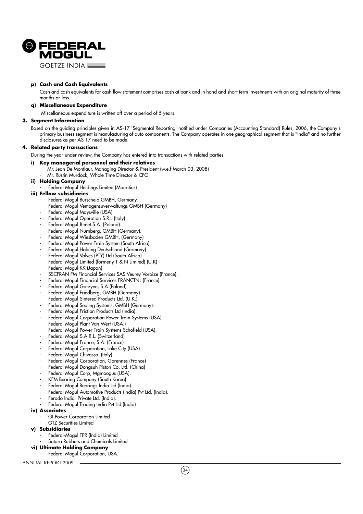

**GOFTZE INDIA L** 

# **p) Cash and Cash Equivalents**

Cash and cash equivalents for cash flow statement comprises cash at bank and in hand and short-term investments with an original maturity of three months or less.

# **q) Miscellaneous Expenditure**

Miscellaneous expenditure is written off over a period of 5 years.

# **3. Segment Information**

Based on the guiding principles given in AS-17 'Segmental Reporting' notified under Companies (Accounting Standard) Rules, 2006, the Company's primary business segment is manufacturing of auto components. The Company operates in one geographical segment that is "India" and no further disclosures as per AS-17 need to be made.

# **4. Related party transactions**

During the year under review, the Company has entered into transactions with related parties.

# **i) Key managerial personnel and their relatives**

- Mr. Jean De Montlaur, Managing Director & President (w.e.f March 03, 2008)
	- Mr. Rustin Murdock, Whole Time Director & CFO

# **ii) Holding Company**

Federal Mogul Holdings Limited (Mauritius)

# **iii) Fellow subsidiaries**

- Federal Mogul Burscheid GMBH, Germany.
- Federal Mogul Vemogensuverwaltungs GMBH (Germany)
- Federal Mogul Maysville (USA).
- Federal Mogul Operation S.R.L (Italy)
- Federal Mogul Bimet S.A. (Poland).
- Federal Mogul Nurnberg, GMBH (Germany).
- Federal Mogul Wiesbaden GMBH, (Germany)
- Federal Mogul Power Train System (South Africa).
- Federal Mogul Holding Deutschland (Germany).
- Federal Mogul Valves (PTY) Ltd (South Africa).
- Federal Mogul Limited (formerly T & N Limited) (U.K)
- Federal Mogul KK (Japan)
- SSCFRAN FM Financial Services SAS Veurey Voroize (France).
- Federal Mogul Financial Services FRANCTNL (France).
- Federal Mogul Gorzyee, S.A (Poland).
- Federal Mogul Friedberg, GMBH (Germany).
- Federal Mogul Sintered Products Ltd. (U.K.).
- Federal Mogul Sealing Systems, GMBH (Germany).
- Federal Mogul Friction Products Ltd (India).
- Federal Mogul Corporation Power Train Systems (USA).
- Federal Mogul Plant Van Wert (USA.)
- Federal Mogul Power Train Systems Schofield (USA).
- Federal Mogul S.A.R.L. (Switzerland)
- Federal Mogul France, S.A. (France)
- Federal Mogul Corporation, Lake City (USA)
- Federal-Mogul Chivasso. (Italy)
- Federal Mogul Corporation, Garennes (France)
- Federal Mogul Dongsuh Piston Co. Ltd. (China)
- Federal Mogul Corp, Mgmoogus (USA).
- KFM Bearing Company (South Korea).
- Federal Mogul Bearings India Ltd (India).
- Federal Mogul Automotive Products (India) Pvt Ltd. (India).
- Ferodo India Private Ltd. (India).
- Federal Mogul Trading India Pvt Ltd.(India)

# **iv) Associates**

- GI Power Corporation Limited
- GTZ Securities Limited
- **v) Subsidiaries**
	- Federal-Mogul TPR (India) Limited
	- Satara Rubbers and Chemicals Limited
- **vi) Ultimate Holding Company**
	- Federal Mogul Corporation, USA.

ANNUAL REPORT 2009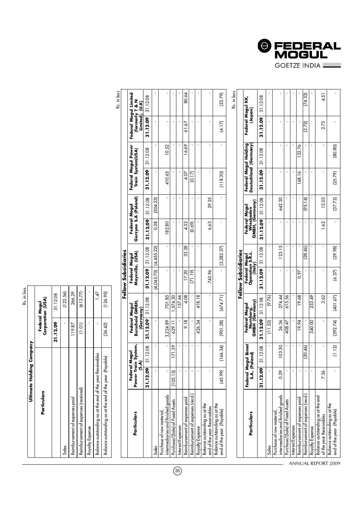

|                                                               |                          |                              |                                               |           | Fellow Subsidiaries                        |              |                                               |                |                |                                                |                                                      |                                  |
|---------------------------------------------------------------|--------------------------|------------------------------|-----------------------------------------------|-----------|--------------------------------------------|--------------|-----------------------------------------------|----------------|----------------|------------------------------------------------|------------------------------------------------------|----------------------------------|
| Particulars                                                   | Federal N<br>Power Train | System,<br>logol<br>(S.A)    | Burscheid GMBH,<br>Federal Mogul<br>(Germany) |           | Maysville, (USA)<br>Federal Mogul          |              | Gorzyee S.A (Poland)<br>Federal Mogul         |                |                | Federal Mogul Power<br>Train System(USA)       | Federal Mogul Limited<br>(formerly T & N<br>Limited) | (J.K)                            |
|                                                               | 31.12.09                 | 31.12.08                     | 31.12.09                                      | 31.12.08  | 31.12.09                                   | 31.12.08     | 31.12.09                                      | 31.12.08       | 31.12.09       | 31.12.08                                       | 31.12.09                                             | 31.12.08                         |
| Sales                                                         |                          |                              |                                               |           | (4,043.70)                                 | (4,455.22)   | 0.38                                          | (504.23)       |                |                                                |                                                      |                                  |
| intermediaries and finished goods<br>Purchase of raw material |                          |                              | 3,224.89                                      | 701.85    |                                            | $\mathbf{r}$ | 182.80                                        |                | 410.65         | 10.52                                          |                                                      |                                  |
| Purchase/(Sale) of Fixed Assets                               | (105.13)                 | δč<br>$\overline{171}$       | 629.11                                        | 574.30    |                                            | J.           |                                               |                |                |                                                | ×                                                    |                                  |
| Interest Expenses                                             |                          |                              |                                               | 57.66     |                                            | ×            |                                               | ï              |                |                                                |                                                      |                                  |
| Reimbursement of expenses paid                                |                          |                              | $\infty$<br>$\overline{\circ}$                | 4.08      | 20<br>r                                    | 38<br>33.    | 4.32                                          | ×              | 4.07           | 6.69                                           | $\tilde{\mathcal{S}}$<br>5                           | $\overline{2}$<br>$\overline{8}$ |
| Reimbursement of expenses (recd.                              |                          |                              |                                               |           | (71.19)                                    | ×.           | (0.69)                                        | $\mathbf{r}$   | (0.17)         |                                                |                                                      |                                  |
| Royalty Expense                                               | ×                        | ï                            | 426.34                                        | 8.18<br>₹ |                                            | f,           |                                               | $\blacksquare$ |                | f,                                             | ï                                                    |                                  |
| Balance outstanding as at the<br>end of the year Receivables  |                          |                              |                                               | r.        | 743.96                                     | $\mathbf{r}$ | 6.63                                          | 29.25          |                |                                                |                                                      |                                  |
| Balance outstanding as at the<br>end of the year (Payable)    | (45.99)                  | (166.34)                     | (901.28)                                      | (674.71)  |                                            | (3,282.37)   |                                               |                | (118.30)       | ï                                              | (4.17)                                               | (23.79)                          |
|                                                               |                          |                              |                                               |           |                                            |              |                                               |                |                |                                                |                                                      | Rs. in lacs                      |
|                                                               |                          |                              |                                               |           | Fellow Subsidiaries                        |              |                                               |                |                |                                                |                                                      |                                  |
| Particulars                                                   | S.A, (Pol                | Federal Mogul Bimet<br>land) | Nurnberg,<br>GMBH (Germany)<br>Federal Mogul  |           | Federal Mogul<br>Operation S.R.L.<br>(Haly |              | Wiesbaden<br>GMBH, (Germany)<br>Federal Mogul |                |                | Federal Mogul Holding<br>Deutschland (Germany) | Federal Mogul                                        | KK,<br>(Japan)                   |
|                                                               | 31.12.09                 | 31.12.08                     | 31.12.09                                      | 31.12.08  | 31.12.09                                   | 31.12.08     | 31.12.09                                      | 31.12.08       | 31.12.09       | 31.12.08                                       | 31.12.09                                             | 31.12.08                         |
| Sales                                                         |                          |                              | (11.52)                                       | (9.76)    |                                            |              |                                               | $\blacksquare$ |                |                                                |                                                      |                                  |
| intermediaries and finished goods<br>Purchase of raw material | 0.29                     | 103.30                       | 26.36                                         | 274.44    |                                            | 5<br>123.13  |                                               | 30<br>642.     |                |                                                | f.                                                   |                                  |
| Purchase/(Sale) of Fixed Assets                               |                          |                              | 408.47                                        | 615.56    |                                            |              |                                               |                |                |                                                | $\blacksquare$                                       |                                  |
| Interest Expenses                                             |                          | J.                           |                                               |           |                                            | ×            |                                               | ×              |                |                                                | ×                                                    |                                  |
| Reimbursement of expenses paid                                |                          |                              | 19.94                                         | 19.68     | 0.97                                       |              |                                               |                | ∘<br>168.1     | 32.76                                          |                                                      |                                  |
| Reimbursement of expenses (recd.                              |                          | (20.46)                      |                                               |           |                                            | (28.46)      |                                               | (95.14)        |                |                                                | (2.72)                                               | (74.33)                          |
| Royalty Expense                                               | J.                       |                              | 340.00                                        | 233.49    | ×                                          |              |                                               | $\blacksquare$ | $\blacksquare$ |                                                |                                                      |                                  |
| Balance outstanding as at the end<br>of the year Receivables  | 7.36                     | $\mathbf{r}$                 |                                               | 3.62      |                                            | ×,           | $\overline{62}$                               | 12.03          | ı              |                                                | 2.73                                                 | 4.51                             |
| Balance outstanding as at the<br>end of the year (Payable)    |                          | (1.12)                       | (292.74)                                      | (401.67)  | (6.37)                                     | (29.98)      |                                               | (37.72)        | (25.79)        | 80.80)                                         |                                                      |                                  |
|                                                               |                          |                              |                                               |           |                                            |              |                                               |                |                |                                                |                                                      |                                  |

Rs. in lacs

 $(126.95)$ 

 $(36.42)$ l,

 $\frac{1}{47}$ 

Balance outstanding as at the end of the year Receivables Balance outstanding as at the end of the year (Payable)

Reimbursement of expenses (received)

Royalty Expense

Reimbursement of expenses paid

Sales

**Particulars**

Particulars

**Federal Mogul Corporation (USA) 31.12.09** 31.12.08

Federal Mogul<br>Corporation (USA)

Sales - (122.56) Reimbursement of expenses paid<br>
and the 119.87 | 266.29 Reimbursement of expenses (received) (1.01) (613.77) Royalty Expense - - Balance outstanding as at the end of the year Receivables - 1.47 Balance outstanding as at the end of the year (Payable) (36.42) (126.95)

 $\hat{\mathbf{r}}$ 119.87

266.29  $(122.56)$ 

31.12.08

31.12.09

 $(613.77)$ 

 $(1.01)$ 

**Ultimate Holding Company**

**Ultimate Holding Company** 

Rs. in lacs

 $\overline{35}$ 

ANNUAL REPORT 2009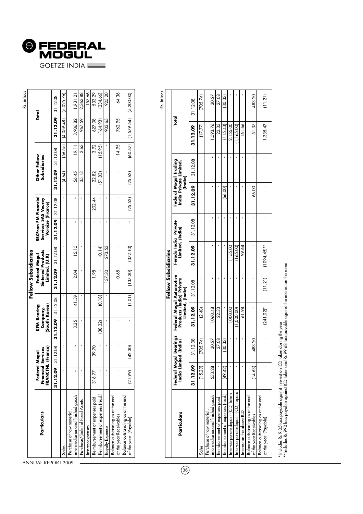

|                                                                |                                    |                               |                                                 |        | Fellow Subsidiaries                                         |                     |                                                                 |         |                     |                              |            | Rs. in lacs |
|----------------------------------------------------------------|------------------------------------|-------------------------------|-------------------------------------------------|--------|-------------------------------------------------------------|---------------------|-----------------------------------------------------------------|---------|---------------------|------------------------------|------------|-------------|
| Particulars                                                    | Financial :<br>FRANCTNL<br>Federal | (France)<br>iervices<br>Nogul | (South Korea)<br><b>KFM Bearing</b><br>Company, |        | <b>Sintered Products</b><br>Federal Mogul<br>Limited, (U.K) |                     | SSCFran FM Financial<br>Services SAS Veurey<br>Voroize (France) |         |                     | Other Fellow<br>Subsidiaries | Total      |             |
|                                                                | 31.12.09                           | 31.12.08                      | $31.12.09$ 31.12.08                             |        |                                                             | $31.12.09$ 31.12.08 | 31.12.09 31.12.08                                               |         | $31.12.09$ 31.12.08 |                              | 31.12.09   | 31.12.08    |
| Sales                                                          |                                    |                               |                                                 |        |                                                             |                     |                                                                 |         | (4.64)              | (56.55)                      | (4,059.48) | (5,025.76)  |
| intermediaries and finished goods<br>Purchase of raw material, |                                    |                               | 3.35                                            | 41.39  | 2.04                                                        | 15.15               |                                                                 |         | 56.45               | 19.11                        | 3,906.82   | 1,931.21    |
| Purchase/(Sale) of Fixed Assets                                |                                    |                               |                                                 |        |                                                             |                     |                                                                 |         | 35.13               | 2.63                         | 967.59     | 2,363.88    |
| Interest expenses                                              |                                    |                               |                                                 |        |                                                             |                     |                                                                 |         |                     |                              |            | 157.66      |
| Reimbursement of expenses paid                                 | 316.77                             | 39.70                         |                                                 |        | 1.98                                                        |                     |                                                                 | 202.44  | 22.82               | 3.92                         | 627.08     | 533.29      |
| Reimbursement of expenses (recd.                               |                                    |                               | (38.32)                                         | (0.18) |                                                             | (0.14)              |                                                                 |         | (51.83)             | (15.95)                      | (164.93)   | (234.66)    |
| Royalty Expense                                                |                                    |                               |                                                 |        | 137.30                                                      | 273.53              |                                                                 |         |                     |                              | 903.65     | 925.20      |
| Balance outstanding as at the end<br>of the year Receivables   |                                    |                               |                                                 |        | 0.65                                                        |                     |                                                                 |         |                     | 14.95                        | 762.95     | 64.36       |
| Balance outstanding as at the end<br>of the year (Payable)     | (21.99)                            | (42.30)                       |                                                 | (1.01) | (137.30)                                                    | (372.10)            |                                                                 | (25.52) | (25.62)             | (60.57)                      | (1,579.54) | (5,200.00)  |
|                                                                |                                    |                               |                                                 |        |                                                             |                     |                                                                 |         |                     |                              |            |             |

Rs. in lacs

|                                                               |              |                                   |                                                                          |          | Fellow Subsidiaries                      |          |                                                            |          |             |          |
|---------------------------------------------------------------|--------------|-----------------------------------|--------------------------------------------------------------------------|----------|------------------------------------------|----------|------------------------------------------------------------|----------|-------------|----------|
| Particulars                                                   | Federal Mogu | Bearings<br>India Limited (India) | Federal Mogul Automotive<br>Products (India) Private<br>Limited, (India) |          | Ferodo India Private<br>Limited, (India) |          | Federal Mogul Trading<br>India Private Limited,<br>(India) |          | Total       |          |
|                                                               | 31.12.09     | 31.12.08                          | 31.12.09                                                                 | 31.12.08 | 31.12.09                                 | 31.12.08 | 31.12.09                                                   | 31.12.08 | 31.12.09    | 31.12.08 |
| Sales                                                         | (15.29)      | (705.74)                          | (2.48)                                                                   |          |                                          |          |                                                            |          | (17.77)     | (705.74) |
| intermediaries and finished goods<br>Purchase of raw material | 533.28       | 30.27                             | 1,060.48                                                                 |          |                                          |          |                                                            |          | 1,593.76    | 30.27    |
| Reimbursement of expenses paid                                |              | 27.08                             | 22.33                                                                    |          |                                          |          |                                                            |          | 22.33       | 27.08    |
| Reimbursement of expenses (recd.)                             | (49.42)      | (30.33)                           |                                                                          |          |                                          |          | 66.00                                                      |          | (115.43)    | 30.33)   |
| Inter-corporate deposit (ICD) Taken                           |              |                                   | 00.000.1                                                                 |          | 155.00                                   |          |                                                            |          | 2,155.00    |          |
| Inter-corporate deposit (ICD) repaid                          |              |                                   | 1,000.00)                                                                |          | 165.00                                   |          |                                                            |          | (1, 165.00) |          |
| Interest on the above ICD                                     |              |                                   | 61.98                                                                    |          | 99.68                                    |          |                                                            |          | 161.66      |          |
| Balance outstanding as at the end<br>of the year Receivables  | (14, 63)     | 483.20                            |                                                                          |          |                                          |          | 66.00                                                      |          | 51.37       | 483.20   |
| Balance outstanding as at the end<br>of the year (Payable)    |              |                                   | $(241.02)^*$                                                             |          | $(11.21)$ $(1094.45)$ **                 |          |                                                            |          | 1,335.47    | (11.21)  |

\* Includes Rs 9.05 lacs payable against interest on ICD taken during the year<br>\*\* Includes Rs 990 lacs payable against ICD taken and Rs 99.68 lacs payable against the interest on the same \* Includes Rs 9.05 lacs payable against interest on ICD taken during the year

 $\boldsymbol{^{**}}$  Includes Rs 990 lacs payable against ICD taken and Rs 99.68 lacs payable against the interest on the same

ANNUAL REPORT 2009

 $\overline{\phantom{a}}$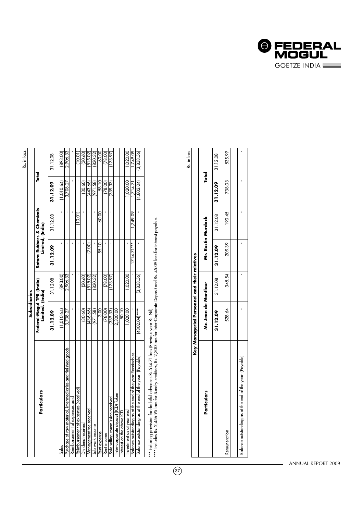|                                                             | Subsidiaries                                  |            |              |                                                |            |            |
|-------------------------------------------------------------|-----------------------------------------------|------------|--------------|------------------------------------------------|------------|------------|
| Particulars                                                 | Federal-Mogul TPR (India)<br>Limited, (India) |            |              | Satara Rubbers & Chemicals<br>Limited, (India) | Total      |            |
|                                                             | 31.12.09                                      | 31.12.08   | 31.12.09     | 31.12.08                                       | 31.12.09   | 31.12.08   |
| Sales                                                       | (1.010.64)                                    | (893.00)   |              |                                                | (1,010.64) | (893.00)   |
| Purchase of raw material, intermediaries and finished goods | 3,708.27                                      | 2,906.33   |              |                                                | 3,708.27   | 2,906.33   |
| Reimbursement of expenses paid                              |                                               |            |              |                                                |            |            |
| Reimbursement of expenses (received)                        |                                               |            |              | 10.01                                          |            | 10.01      |
| Dividend received                                           | (30.60)                                       | (30.60)    |              |                                                | (30.60)    | (30.60)    |
| Management tee received                                     | 436.66)                                       | (515.02)   | (7.00)       |                                                | (443.66)   | (515.02)   |
| Job work income                                             | (971.58)                                      | 830.32     |              |                                                | (971.58)   | (830.32)   |
| Rent expense                                                | $\frac{8}{3}$                                 |            | 55.10        | 60.00                                          | 58.10      | 60.00      |
| Rent income                                                 | (78.00)                                       | (78.00)    |              |                                                | (78.00)    | (78.00)    |
| Sole selling commission received                            | (339.33)                                      | 173.97     |              |                                                | (339.33)   | 173.97     |
| Inter-corporate deposit (ICD) Taken                         | 2,300.00                                      |            |              |                                                |            |            |
| Interest on the above ICD                                   | 50.10                                         |            |              |                                                |            |            |
| Investment as at year end                                   | 020.00                                        | ,020.0C    |              |                                                | 020.00     | ,020.00    |
| Balance outstanding as at the end ot the year Receivables   |                                               |            | $1714.71***$ | 1.749.09                                       | 1,714.71   | 749.09     |
| Balance outstanding as at the end of the year (Payable)     | $(4802.04)$ ****                              | (3,838.56) |              |                                                | (4,802.04) | (3,838.56) |
|                                                             |                                               |            |              |                                                |            |            |

\*\*\* Including provision for doubtful advances Rs.514.71 lacs (Previous year Rs. Nil).

\*\*\* Including provision for doubful advances Rs.514.71 lacs (Previous year Rs. Nil).<br>\*\*\*\* Includes Rs. 2,456.95 lacs for Sundry creditors, Rs. 2,300 lacs for Inter-Corporate Deposit and Rs. 45.09 lacs for interest payable. \*\*\*\* Includes Rs. 2,456.95 lacs for Sundry creditors, Rs. 2,300 lacs for Inter-Corporate Deposit and Rs. 45.09 lacs for interest payable.

|                                                         |                                              |        |                     |                                  |              | Rs. in lacs |
|---------------------------------------------------------|----------------------------------------------|--------|---------------------|----------------------------------|--------------|-------------|
|                                                         | Key Managerial Personnel and their relatives |        |                     |                                  |              |             |
| Particulars                                             | Mr. Jean de Montlaur                         |        |                     | Mr. Rustin Murdock               | <b>Total</b> |             |
|                                                         | 31.12.09                                     |        | $31.12.08$ 31.12.09 | $31.12.08$   31.12.09   31.12.08 |              |             |
| Remuneration                                            | 528.64                                       | 345.54 | 209.39              | 190.45                           | 738.03 1     | 535.99      |
|                                                         |                                              |        |                     |                                  |              |             |
| Balance outstanding as at the end of the year (Payable) |                                              |        |                     |                                  |              |             |

Rs. in lacs

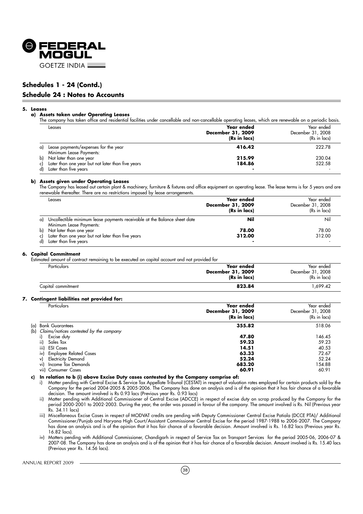

## **Schedules 1 - 24 (Contd.)**

#### **Schedule 24 : Notes to Accounts**

#### **5. Leases**

#### **a) Assets taken under Operating Leases**

The company has taken office and residential facilities under cancellable and non-cancellable operating leases, which are renewable on a periodic basis.

|    | Leases                                                          | Year ended<br>December 31, 2009<br>(Rs in lacs) | Year ended<br>December 31, 2008<br>(Rs in lacs) |
|----|-----------------------------------------------------------------|-------------------------------------------------|-------------------------------------------------|
| a) | Lease payments/expenses for the year<br>Minimum Lease Payments: | 416.42                                          | 222.78                                          |
| b) | Not later than one year                                         | 215.99                                          | 230.04                                          |
| c) | Later than one year but not later than five years               | 184.86                                          | 522.58                                          |
| d) | Later than five years                                           | $\overline{\phantom{0}}$                        |                                                 |

#### **b) Assets given under Operating Leases**

The Company has leased out certain plant & machinery, furniture & fixtures and office equipment on operating lease. The lease terms is for 5 years and are renewable thereafter. There are no restrictions imposed by lease arrangements.

|    | Leases                                                                          | Year ended<br>December 31, 2009<br>(Rs in lacs) | Year ended<br>December 31, 2008<br>(Rs in lacs) |
|----|---------------------------------------------------------------------------------|-------------------------------------------------|-------------------------------------------------|
| a) | Uncollectible minimum lease payments receivable at the Balance sheet date       | Nil                                             | Nil                                             |
|    | Minimum Lease Payments:                                                         |                                                 |                                                 |
| c) | b) Not later than one year<br>Later than one year but not later than five years | 78.00<br>312.00                                 | 78.00<br>312.00                                 |
|    | Later than five years                                                           |                                                 |                                                 |

#### **6. Capital Commitment**

Estimated amount of contract remaining to be executed on capital account and not provided for

| Particulars        | Year ended<br>December 31, 2009<br>(Rs in lacs) | Year ended<br>December 31, 2008<br>(Rs in lacs) |
|--------------------|-------------------------------------------------|-------------------------------------------------|
| Capital commitment | 823.84                                          | .699.42                                         |

#### **7. Contingent liabilities not provided for:**

|      | Particulars                                 | Year ended<br>December 31, 2009<br>(Rs in lacs) | Year ended<br>December 31, 2008<br>(Rs in lacs) |
|------|---------------------------------------------|-------------------------------------------------|-------------------------------------------------|
|      | (a) Bank Guarantees                         | 355.82                                          | 518.06                                          |
|      | (b) Claims/notices contested by the company |                                                 |                                                 |
|      | Excise duty                                 | 47.80                                           | 146.45                                          |
| ii)  | Sales Tax                                   | 59.23                                           | 59.23                                           |
| iii) | <b>ESI Cases</b>                            | 14.51                                           | 40.53                                           |
| iv)  | <b>Employee Related Cases</b>               | 63.33                                           | 72.67                                           |
| v)   | Electricity Demand                          | 52.24                                           | 52.24                                           |
| vi)  | Income Tax Demands                          | 683.20                                          | 154.88                                          |
|      | vii) Consumer Cases                         | 60.91                                           | 60.91                                           |

**c) In relation to b (i) above Excise Duty cases contested by the Company comprise of:**

i) Matter pending with Central Excise & Service Tax Appellate Tribunal (CESTAT) in respect of valuation rates employed for certain products sold by the Company for the period 2004-2005 & 2005-2006. The Company has done an analysis and is of the opinion that it has fair chance of a favorable decision. The amount involved is Rs 0.93 lacs (Previous year Rs. 0.93 lacs)

ii) Matter pending with Additional Commissioner of Central Excise (ADCCE) in respect of excise duty on scrap produced by the Company for the period 2000-2001 to 2002-2003. During the year, the order was passed in favour of the company. The amount involved is Rs. Nil (Previous year Rs. 34.11 lacs)

iii) Miscellaneous Excise Cases in respect of MODVAT credits are pending with Deputy Commissioner Central Excise Patiala (DCCE PTA)/ Additional Commissioner/Punjab and Haryana High Court/Assistant Commissioner Central Excise for the period 1987-1988 to 2006-2007. The Company has done an analysis and is of the opinion that it has fair chance of a favorable decision. Amount involved is Rs. 16.82 lacs (Previous year Rs. 16.82 lacs).

iv) Matters pending with Additional Commissioner, Chandigarh in respect of Service Tax on Transport Services for the period 2005-06, 2006-07 & 2007-08. The Company has done an analysis and is of the opinion that it has fair chance of a favorable decision. Amount involved is Rs. 15.40 lacs (Previous year Rs. 14.56 lacs).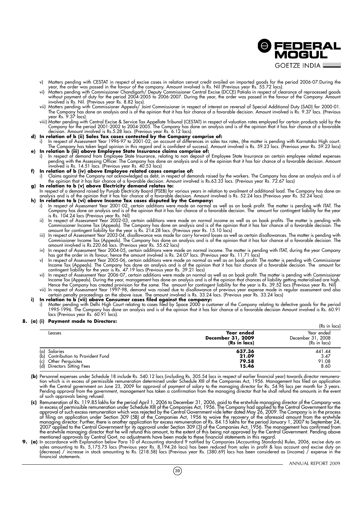**O FEDERAL** MOGUL **GOFTZE INDIA \_** 

- v) Matters pending with CESTAT in respect of excise cases in relation cenvat credit availed on imported goods for the period 2006-07.During the year, the order was passed in the favour of the company. Amount involved is Rs. Nil (Previous year Rs. 55.72 lacs).
- vi) Matters pending with Commissioner Chandigarh/ Deputy Commissioner Central Excise (DCCE) Patiala in respect of clearance of reprocessed goods without payment of duty for the period 2004-2005 to 2006-2007. During the year, the order was passed in the favour of the Company. Amount involved is Rs. Nil. (Previous year Rs. 8.82 lacs).
- vii) Matters pending with Commissioner Appeals/ Joint Commissioner in respect of interest on reversal of Special Additional Duty (SAD) for 2000-01. The Company has done an analysis and is of the opinion that it has fair chance of a favorable decision. Amount involved is Rs. 9.37 lacs. (Previous year Rs. 9.37 lacs).
- viii) Matter pending with Central Excise & Service Tax Appellate Tribunal (CESTAT) in respect of valuation rates employed for certain products sold by the Company for the period 2001-2002 to 2004-2005. The Company has done an analysis and is of the opinion that it has fair chance of a favorable decision. Amount involved is Rs.5.28 lacs. (Previous year Rs. 6.12 lacs).

#### **d) In relation of b (ii) Sales Tax cases contested by the Company comprise of:**

- i) In respect of Assessment Year 1996-97 to 2001-02, on account of differences in sales tax rates, (the matter is pending with Karnataka High court. The Company has taken legal opinion in this regard and is confident of success). Amount involved is Rs. 59.23 lacs. (Previous year Rs. 59.23 lacs) **e) In relation b (iii) above Employee State Insurance claims comprise of:**
- i) In respect of demand from Employee State Insurance, relating to non deposit of Employee State Insurance on certain employee related expenses pending with the Assessing Officer. The Company has done an analysis and is of the opinion that it has fair chance of a favorable decision. Amount involved is Rs. 14.51 lacs. (Previous year Rs. 40.53 lacs)
- **f) In relation of b (iv) above Employee related cases comprise of:**
- i) Claims against the Company not acknowledged as debt, in respect of demands raised by the workers. The Company has done an analysis and is of the opinion that it has fair chance of a favorable decision. Amount involved is Rs.63.33 lacs. (Previous year Rs. 72.67 lacs) **g) In relation to b (v) above Electricity demand relates to:**
- In respect of a demand raised by Punjab Electricity Board (PSEB) for various years in relation to availment of additional load. The Company has done an analysis and is of the opinion that it has fair chance of a favorable decision. Amount involved is Rs. 52.24 lacs (Previous year Rs. 52.24 lacs).

#### **h) In relation to b (vi) above Income Tax cases disputed by the Company:**

- i) In respect of Assessment Year 2001-02, certain additions were made on normal as well as on book profit. The matter is pending with ITAT. The Company has done an analysis and is of the opinion that it has fair chance of a favorable decision. The amount for contingent liability for the year is Rs. 104.24 lacs (Previous year Rs. Nil)
- ii) In respect of Assessment Year 2002-03, certain additions were made on normal income as well as on book profits. The matter is pending with Commissioner Income Tax (Appeals). The Company has done an analysis and is of the opinion that it has fair chance of a favorable decision. The amount for contingent liability for the year is Rs. 214.28 lacs. (Previous year Rs. 15.10 lacs)
- iii) In respect of Assessment Year 2003-04, disallowance was made for carry forward losses as well as certain disallowances. The matter is pending with Commissioner Income Tax (Appeals). The Company has done an analysis and is of the opinion that it has fair chance of a favorable decision. The amount involved is Rs.220.66 lacs. (Previous year Rs. 55.62 lacs)
- iv) In respect of Assessment Year 2004-05, certain additions were made on normal income. The matter is pending with ITAT, during the year Company has got the order in its favour, hence the amount involved is Rs. 24.07 lacs. (Previous year Rs. 11.71 lacs)
- v) In respect of Assessment Year 2005-06, certain additions were made on normal as well as on book profit. The matter is pending with Commissioner Income Tax (Appeals). The Company has done an analysis and is of the opinion that it has fair chance of a favorable decision. The amount for contingent liability for the year is Rs. 47.19 lacs (Previous year Rs. 39.21 lacs)
- vi) In respect of Assessment Year 2006-07, certain additions were made on normal as well as on book profit. The matter is pending with Commissioner Income Tax (Appeals). During the year, management has done an analysis and is of the opinion that chances of liability getting materialised are high. Hence the Company has created provision for the same. The amount for contingent liability for the year is Rs. 39.52 lacs (Previous year Rs. Nil) vii) In respect of Assessment Year 1997-98, demand was raised due to disallowance of previous year expense made in regular assessment and also
- certain penalty proceedings on the above issue. The amount involved is Rs. 33.24 lacs. (Previous year Rs. 33.24 lacs) **i) In relation to b (vii) above Consumer cases filed against the company:**
- i) Matter pending with Delhi High Court relating to cases filed by Space 2000 a customer of the Company relating to defective goods for the period 1995-1996. The Company has done an analysis and is of the opinion that it has fair chance of a favorable decision Amount involved is Rs. 60.91 lacs (Previous year Rs. 60.91 lacs).

#### **8. (a) (i) Payment made to Directors:**

|                                                                                                                       |                                                 | (Rs in lacs)                                    |
|-----------------------------------------------------------------------------------------------------------------------|-------------------------------------------------|-------------------------------------------------|
| Leases                                                                                                                | Year ended<br>December 31, 2009<br>(Rs in lacs) | Year ended<br>December 31, 2008<br>(Rs in lacs) |
| Salaries<br>(a)<br>(b)<br>Contribution to Provident Fund<br>Other Perguisites<br>(c)<br>Directors Sitting Fees<br>(d) | 637.36<br>21.09<br>79.58<br>15.46               | 441.44<br>3.47<br>91.08<br>8.60                 |

- **(b)** Personnel expenses under Schedule 18 include Rs. 540.12 lacs (including Rs. 305.54 lacs in respect of earlier financial year) towards director remuneration which is in excess of permissible remuneration determined under Schedule XIII of the Companies Act, 1956. Management has filed an application with the Central government on June 23, 2009 for approval of payment of salary to the managing director for Rs. 54.96 lacs per month for 5 years. Pending approval from the government, management has taken a confirmation from the managing director that he shall refund the amounts in the event of such approvals being refused.
- **(c)** Remuneration of Rs. 119.85 lakhs for the period April 1, 2006 to December 31, 2006, paid to the erstwhile managing director of the Company was in excess of permissible remuneration under Schedule XIII of the Companies Act, 1956. The Company had applied to the Central Government for the approval of such excess remuneration which was rejected by the Central Government vide letter dated May 26, 2009. The Company is in the process of filing an application under Section 309 (5B) of the Companies Act, 1956 to waive the recovery of the aforesaid amount from the erstwhile managing director. Further, there is another application for excess remuneration of Rs. 84.15 lakhs for the period January 1, 2007 to September 24, 2007 applied to the Central Government for its approval under Section 309 (3) of the Companies Act, 1956. The management has confirmed from the erstwhile managing director that he will refund this amount, to the extent of this being not approved by the Central Government. Pending above mentioned approvals by Central Govt, no adjustments have been made to these financial statements in this regard.
- **9. (a)** In accordance with Explanation below Para 10 of Accounting standard 9 notified by Companies (Accounting Standards) Rules, 2006, excise duty on sales amounting to Rs. 5,175.75 lacs (Previous year Rs. 8,194.26 lacs) has been reduced from sales in profit & loss account and excise duty on (decrease) / increase in stock amounting to Rs. (218.58) lacs (Previous year Rs. (380.69) lacs has been considered as (income) / expense in the financial statements.

(39)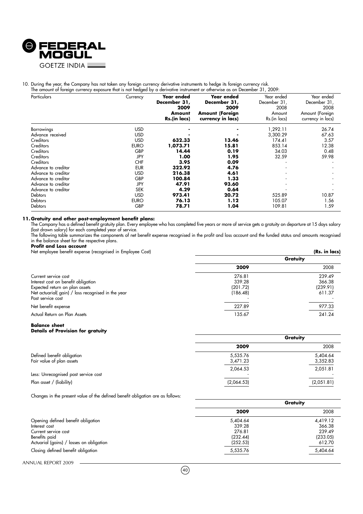

## 10. During the year, the Company has not taken any foreign currency derivative instruments to hedge its foreign currency risk.

| Particulars         | Currency    | Year ended   | <b>Year ended</b>      | Year ended   | Year ended        |
|---------------------|-------------|--------------|------------------------|--------------|-------------------|
|                     |             | December 31, | December 31,           | December 31, | December 31,      |
|                     |             | 2009         | 2009                   | 2008         | 2008              |
|                     |             | Amount       | <b>Amount (Foreign</b> | Amount       | Amount (Foreign   |
|                     |             | Rs.(in lacs) | currency in lacs)      | Rs.(in lacs) | currency in lacs) |
| Borrowings          | <b>USD</b>  |              |                        | 1,292.11     | 26.74             |
| Advance received    | <b>USD</b>  |              |                        | 3,300.29     | 67.63             |
| Creditors           | <b>USD</b>  | 632.33       | 13.46                  | 174.41       | 3.57              |
| Creditors           | <b>EURO</b> | 1,073.71     | 15.81                  | 853.14       | 12.38             |
| <b>Creditors</b>    | <b>GBP</b>  | 14.44        | 0.19                   | 34.03        | 0.48              |
| Creditors           | JPY         | 1.00         | 1.95                   | 32.59        | 59.98             |
| Creditors           | <b>CHF</b>  | 3.95         | 0.09                   |              |                   |
| Advance to creditor | <b>EUR</b>  | 322.92       | 4.76                   |              |                   |
| Advance to creditor | <b>USD</b>  | 216.38       | 4.61                   |              |                   |
| Advance to creditor | <b>GBP</b>  | 100.84       | 1.33                   |              |                   |
| Advance to creditor | JPY         | 47.91        | 93.60                  |              |                   |
| Advance to creditor | <b>SEK</b>  | 4.29         | 0.64                   |              |                   |
| <b>Debtors</b>      | <b>USD</b>  | 973.41       | 20.72                  | 525.89       | 10.87             |
| <b>Debtors</b>      | <b>EURO</b> | 76.13        | 1.12                   | 105.07       | 1.56              |
| Debtors             | <b>GBP</b>  | 78.71        | 1.04                   | 109.81       | 1.59              |

#### **11. Gratuity and other post-employment benefit plans:**

The Company has a defined benefit gratuity plan. Every employee who has completed five years or more of service gets a gratuity on departure at 15 days salary (last drawn salary) for each completed year of service.

The following table summarizes the components of net benefit expense recognised in the profit and loss account and the funded status and amounts recognised in the balance sheet for the respective plans. **Profit and Loss account**

**Gratuity**

**Gratuity**

## Net employee benefit expense (recognised in Employee Cost) **(Rs. in lacs)** (Rs. in lacs) **2009** 2008 Current service cost 276.81 239.49<br>
Interest cost on benefit obligation 339.28 236.38 Interest cost on benefit obligation 339.28 366.38 366.38 366.38 366.39 366.39 1239.28 366.38 366.38 366.38 366<br>Expected return on plan assets 39.20 1239.91 366.38 Expected return on plan assets

| Net actuarial(gain) / loss recognised in the year<br>Past service cost | (186.48) | 611.37 |
|------------------------------------------------------------------------|----------|--------|
| Net benefit expense                                                    | 227.89   | 977.33 |
| Actual Return on Plan Assets                                           | 135.67   | 241.24 |

#### **Balance sheet Details of Provision for gratuity**

|                                      | Gratuity   |            |
|--------------------------------------|------------|------------|
|                                      | 2009       | 2008       |
| Defined benefit obligation           | 5,535.76   | 5,404.64   |
| Fair value of plan assets            | 3,471.23   | 3,352.83   |
|                                      | 2,064.53   | 2,051.81   |
| Less: Unrecognised past service cost |            |            |
| Plan asset / (liability)             | (2,064.53) | (2,051.81) |

Changes in the present value of the defined benefit obligation are as follows:

|                                          | vruiviiv |          |
|------------------------------------------|----------|----------|
|                                          | 2009     | 2008     |
| Opening defined benefit obligation       | 5,404.64 | 4,419.12 |
| Interest cost                            | 339.28   | 366.38   |
| Current service cost                     | 276.81   | 239.49   |
| Benefits paid                            | (232.44) | (233.05) |
| Actuarial (gains) / losses on obligation | (252.53) | 612.70   |
| Closing defined benefit obligation       | 5,535.76 | 5,404.64 |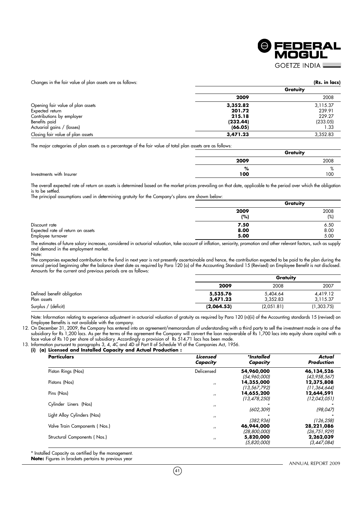

Changes in the fair value of plan assets are as follows: **(Rs. in lacs)**

| Changes in the fail value of plan assers are as follows. |          | (ISO) 111 1565 |
|----------------------------------------------------------|----------|----------------|
|                                                          |          | Gratuity       |
|                                                          | 2009     | 2008           |
| Opening fair value of plan assets                        | 3,352.82 | 3,115.37       |
| Expected return                                          | 201.72   | 239.91         |
| Contributions by employer                                | 215.18   | 229.27         |
| Benefits paid                                            | (232.44) | (233.05)       |
| Actuarial gains / (losses)                               | (66.05)  | I .33          |
| Closing fair value of plan assets                        | 3,471.23 | 3,352.83       |

The major categories of plan assets as a percentage of the fair value of total plan assets are as follows:

|      | Gratuity                   |
|------|----------------------------|
| 2009 | 2008                       |
| %    | $\Omega$<br>$\sqrt{\circ}$ |
| 100  | 100                        |

The overall expected rate of return on assets is determined based on the market prices prevailing on that date, applicable to the period over which the obligation is to be settled.

The principal assumptions used in determining gratuity for the Company's plans are shown below:

|                                   |      | Gratuity |  |
|-----------------------------------|------|----------|--|
|                                   | 2009 | 2008     |  |
|                                   | (%)  | (%)      |  |
| Discount rate                     | 7.50 | 6.50     |  |
| Expected rate of return on assets | 8.00 | 8.00     |  |
| Employee turnover                 | 5.00 | 5.00     |  |

The estimates of future salary increases, considered in actuarial valuation, take account of inflation, seniority, promotion and other relevant factors, such as supply and demand in the employment market. Note:

The companies expected contribution to the fund in next year is not presently ascertainable and hence, the contribution expected to be paid to the plan during the annual period beginning after the balance sheet date as required by Para 120 (o) of the Accounting Standard 15 (Revised) on Employee Benefit is not disclosed. Amounts for the current and previous periods are as follows:

|                            |            | Gratuity   |            |  |
|----------------------------|------------|------------|------------|--|
|                            | 2009       | 2008       | 2007       |  |
| Defined benefit obligation | 5,535.76   | 5,404.64   | 4,419.12   |  |
| Plan assets                | 3,471.23   | 3.352.83   | 3,115.37   |  |
| Surplus / (deficit)        | (2,064.53) | (2,051.81) | (1,303.75) |  |

Note: Information relating to experience adjustment in actuarial valuation of gratuity as required by Para 120 (n)(ii) of the Accounting standards 15 (revised) on Employee Benefits is not available with the company.

12. On December 31, 2009, the Company has entered into an agreement/memorandum of understanding with a third party to sell the investment made in one of the subsidiary for Rs 1,200 lacs. As per the terms of the agreement the Company will convert the loan recoverable of Rs 1,700 lacs into equity share capital with a face value of Rs 10 per share of subsidiary. Accordingly a provision of Rs 514.71 lacs has been made.

13. Information pursuant to paragraphs 3, 4, 4C and 4D of Part II of Schedule VI of the Companies Act, 1956.

#### **(i) (a) Licensed and Installed Capacity and Actual Production :**

| <b>Particulars</b>            | Licensed<br>Capacity | *Installed<br>Capacity       | Actual<br>Production         |
|-------------------------------|----------------------|------------------------------|------------------------------|
| Piston Rings (Nos)            | Delicensed           | 54,960,000<br>(54,960,000)   | 46,134,526<br>(43, 958, 567) |
| Pistons (Nos)                 | $^{\prime}$          | 14,355,000<br>(13, 567, 792) | 12,375,808<br>(11, 364, 644) |
| Pins (Nos)                    | $^{\prime}$          | 14,655,200<br>(13, 478, 250) | 12,644,591<br>(12,043,051)   |
| Cylinder Liners (Nos)         | $^{\prime}$          | (602, 309)                   | (98, 047)                    |
| Light Alloy Cylinders (Nos)   | $^{\prime}$          | (382, 936)                   | (126, 258)                   |
| Valve Train Components (Nos.) | $^{\prime}$          | 46,944,000<br>(28,800,000)   | 28,221,086<br>(26,751,929)   |
| Structural Components (Nos.)  | $^{\prime}$          | 5,820,000<br>(5,820,000)     | 2,262,039<br>(3,447,084)     |

\* Installed Capacity as certified by the management.

**Note:** Figures in brackets pertains to previous year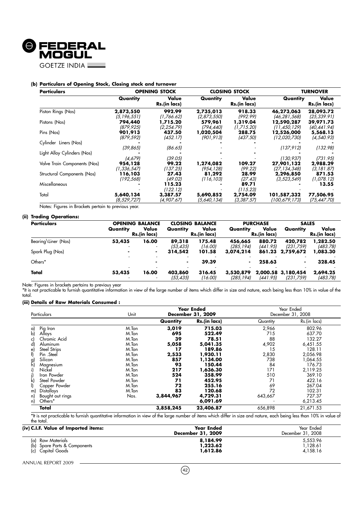

#### **(b) Particulars of Opening Stock, Closing stock and turnover**

| <b>Particulars</b>           |                                     | <b>OPENING STOCK</b><br><b>CLOSING STOCK</b> |                                  |                             | <b>TURNOVER</b>                            |                                     |
|------------------------------|-------------------------------------|----------------------------------------------|----------------------------------|-----------------------------|--------------------------------------------|-------------------------------------|
|                              | Quantity                            | Value<br>Rs.(in lacs)                        | Quantity                         | Value<br>Rs.(in lacs)       | Quantity                                   | Value<br>Rs.(in lacs)               |
| Piston Rings (Nos)           | 2,873,550<br>(5, 196, 551)          | 992.99<br>(1,766.62)                         | 2,735,013<br>(2,873,550)         | 918.33<br>(992.99)          | 46,273,063<br>(46,281,568)                 | 28,093.72<br>(25, 339.91)           |
| Pistons (Nos)                | 794,440<br>(879,925)                | 1,715.20<br>(2, 254.79)                      | 579,961<br>(794,440)             | 1,319.04<br>(1,715.20)      | 12,590,287<br>(11, 450, 129)               | 39,971.73<br>(40, 441, 94)          |
| Pins (Nos)                   | 901,913<br>(879,592)                | 437.50<br>(452.17)                           | 1,020,504<br>(901,913)           | 288.75<br>(437.50)          | 12,526,000<br>(12,020,730)                 | 5,568.13<br>(4, 540.93)             |
| Cylinder Liners (Nos)        | (39, 865)                           | (86.65)                                      |                                  |                             | (137, 912)                                 | (132.98)                            |
| Light Alloy Cylinders (Nos)  |                                     |                                              |                                  |                             |                                            |                                     |
| Valve Train Components (Nos) | (4,679)<br>954,128                  | (39.05)<br>99.22                             | 1,274,082                        | 109.27                      | (130,937)<br>27,901,132                    | (731.95)<br>2,988.29                |
| Structural Components (Nos)  | (1,336,547)<br>116,103<br>(192,568) | (137.25)<br>27.43<br>(49.02)                 | (954,128)<br>81,292<br>(116,103) | (99.22)<br>28.99<br>(27.43) | (27,134,348)<br>2,296,850<br>(3, 523, 549) | (3, 181.87)<br>871.53<br>(1,078,12) |
| Miscellaneous                |                                     | 115.23<br>(122.12)                           |                                  | 89.71<br>(115.23)           |                                            | 13.55                               |
| Total                        | 5,640,134<br>(8,529,727)            | 3,387.57<br>(4,907.67)                       | 5,690,852<br>(5,640,134)         | 2,754.09<br>(3,387.57)      | 101,587,332<br>(100,679,173)               | 77,506.95<br>(75, 447, 70)          |

Notes: Figures in Brackets pertain to previous year.

#### **(ii) Trading Operations:**

| <b>Particulars</b>  |          | <b>OPENING BALANCE</b> | <b>CLOSING BALANCE</b>              |                       | <b>PURCHASE</b>        |                       | <b>SALES</b>                    |                       |
|---------------------|----------|------------------------|-------------------------------------|-----------------------|------------------------|-----------------------|---------------------------------|-----------------------|
|                     | Quantity | Value<br>Rs.(in lacs)  | Quantity                            | Value<br>Rs.(in lacs) | Quantity               | Value<br>Rs.(in lacs) | Quantity                        | Value<br>Rs.(in lacs) |
| Bearing\Liner (Nos) | 53,435   | 16.00                  | 89,318<br>(53,435)                  | 175.48<br>(16.00)     | 456,665<br>(285,194)   | 880.72<br>(441.95)    | 420,782<br>(231.759)            | 1,282.50<br>(483.78)  |
| Spark Plug (Nos)    |          |                        | 314,542<br>$\overline{\phantom{a}}$ | 101.58                | 3,074,214              | 861.23                | 2,759,672                       | 1,083.30              |
| Others*             |          |                        |                                     | 39.39                 | $\blacksquare$         | 258.63                | $\blacksquare$                  | 328.45                |
| Total               | 53,435   | 16.00                  | 403,860<br>(53,435)                 | 316.45<br>(16.00)     | 3,530,879<br>(285,194) | (441.95)              | 2,000.58 3,180,454<br>(231,759) | 2,694.25<br>(483.78)  |

Note: Figures in brackets pertains to previous year

\*It is not practicable to furnish quantitative information in view of the large number of items which differ in size and nature, each being less than 10% in value of the total.

#### **(iii) Details of Raw Materials Consumed :**

| Particulars             | Unit  | <b>Year Ended</b><br>December 31, 2009 |              |          | Year Ended<br>December 31, 2008 |
|-------------------------|-------|----------------------------------------|--------------|----------|---------------------------------|
|                         |       | Quantity                               | Rs.(in lacs) | Quantity | Rs.(in lacs)                    |
| Pig Iron<br>a)          | M.Ton | 3,019                                  | 715.03       | 2,966    | 802.96                          |
| b)<br>Alloys            | M.Ton | 695                                    | 522.49       | 715      | 637.70                          |
| Chromic Acid<br>c)      | M.Ton | 39                                     | 78.51        | 88       | 132.27                          |
| Aluminum<br>d)          | M.Ton | 5,058                                  | 5,041.35     | 4,902    | 6,451.55                        |
| Steel Strips<br>e)      | M.Ton | 17                                     | 189.86       | 15       | 128.11                          |
| Pin .Steel              | M.Ton | 2,533                                  | 1,930.11     | 2,830    | 2,056.98                        |
| Silicon<br>g)           | M.Ton | 857                                    | 1,134.00     | 738      | 1,064.55                        |
| h)<br>Magnesium         | M.Ton | 93                                     | 150.44       | 84       | 176.73                          |
| Nickel                  | M.Ton | 217                                    | 1,636.30     | 171      | 2,119.25                        |
| Iron Powder             | M.Ton | 524                                    | 358.99       | 510      | 369.10                          |
| Steel Powder            | M.Ton | 71                                     | 452.95       | 71       | 422.16                          |
| Copper Powder           | M.Ton | 72                                     | 255.16       | 69       | 267.04                          |
| <b>Distalloys</b><br>m) | M.Ton | 83                                     | 120.68       | 72       | 102.31                          |
| Bought out rings<br>n)  | Nos.  | 3,844,967                              | 4,729.31     | 643,667  | 727.37                          |
| Others*<br>n)           |       |                                        | 6,091.69     |          | 6,213.45                        |
| Total                   |       | 3,858,245                              | 23,406.87    | 656,898  | 21,671.53                       |

\*It is not practicable to furnish quantitative information in view of the large number of items which differ in size and nature, each being less than 10% in value of the total.

| (iv) C.I.F. Value of Imported items:                                      | Year Ended<br>December 31, 2009  | Year Ended<br>December 31, 2008 |
|---------------------------------------------------------------------------|----------------------------------|---------------------------------|
| (a) Raw Materials<br>(b) Spare Parts & Components<br>(c)<br>Capital Goods | 8,184.99<br>1,223.62<br>1.612.86 | 5.553.96<br>.128.61<br>4.158.16 |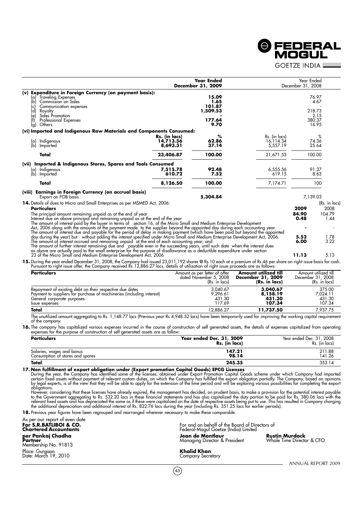**GOFTZE INDIA L Year Ended** Year Ended **December 31, 2009** December 31, 2008 **(v) Expenditure in Foreign Currency (on payment basis):** (a) Traveling Expenses **15.09** 76.97<br>(a) Traveling Expenses **15.09** 76.97<br>(b) Commission on Sales 4.67 (b) Commission on Sales **1.65** 4.67 Communication expenses **101.87**<br>
Royalty **1,509.53** - 1,509.53 218.73 218.73 (d) Royalty **1,509.53** 218.73 (e) Sales Promotion **-** 2.15 (f) Professional Expenses **177.64** 380.37 (g) Others **9.70** 16.95 **(vi) Imported and Indigenous Raw Materials and Components Consumed: Rs. (in lacs)** % Rs. (in lacs) % Rs. (in lacs) % Rs. (in lacs) % Rs. (in lacs) % Rs. (in lacs) % Rs. (in lacs) % Rs. (in lacs) % Rs. (in lacs) % Rs. (in lacs) % Rs. (in lacs) % Rs. (in lacs) % Rs. (in lacs) % Rs. (in lacs (a) Indigenous **14,713.56 62.86** 16,114.34 74.36<br>
(b) Imported the contract to the contract **14,713.56** 62.86 16,114.34 74.36 (b) Imported **8,693.31 37.14** 5,557.19 25.64 **Total 23,406.87 100.00** 21,671.53 100.00 **(vii) Imported & Indigenous Stores, Spares and Tools Consumed** (a) Indigenous **7,515.78 92.48** 6,555.56 91.37 (b) Imported **610.72 7.52** 619.15 8.63 **100.00 100.00 100.00 100.00 100.00 100.00** 7,174.71 100.00 100.00 بين بين العام 100.00 بين العام 100.00 100 بين ا **(viii) Earnings in Foreign Currency (on accrual basis)** Export on FOB basis **5,304.84** 7,139.03 **14.** Details of dues to Micro and Small Enterprises as per MSMED Act, 2006: (Rs. in lacs)<br>**Particulars** (Rs. in lacs) **Particulars 2009** 2008 The principal amount remaining unpaid as at the end of year<br>
Interest due on above principal and remaining unpaid as at the end of the year<br>
The amount of interest paid by the buyer in terms of section 16, of the Micro Sma 15. During the year ended December 31, 2008, the Company had issued 23,011,192 shares @ Rs 10 each at a premium of Rs 46 per share on right issue basis for cash.<br>Pursuant to right issue offer, the Company received Rs 12,88

| <b>Particulars</b>                                                    | Amount as per letter of offer | Amount utilized till | Amount utilized till |
|-----------------------------------------------------------------------|-------------------------------|----------------------|----------------------|
|                                                                       | dated November 5, 2008        | December 31, 2009    | December 31, 2008    |
|                                                                       | (Rs. in lacs)                 | (Rs. in lacs)        | (Rs. in lacs)        |
| Repayment of existing debt on their respective due dates              | 3.040.67                      | 3,040.67             | 375.00               |
| Payment to suppliers for purchase of machineries (including interest) | 9.296.61                      | 8,158.19             | 7.024.11             |
| General corporate purposes                                            | 431.30                        | 431.30               | 431.30               |
| Issue expenses                                                        | 117.69                        | 107.34               | 107.34               |
| Total                                                                 | 12.886.27                     | 11,737.50            | 7.937.75             |

The unutilized amount aggregating to Rs. 1,148.77 lacs (Previous year Rs 4,948.52 lacs) have been temporarily used for improving the working capital requirement of the company.

**16.** The company has capitalized various expenses incurred in the course of construction of self generated assets, the details of expenses capitalized from operating<br>expenses for the purpose of construction of self genera

| <b>Particulars</b>                                            | Year ended Dec. 31, 2009<br>Rs. (in lacs) | Year ended Dec. 31, 2008<br>Rs. (in lacs) |
|---------------------------------------------------------------|-------------------------------------------|-------------------------------------------|
| Salaries, wages and bonus<br>Consumption of stores and spares | 147.21<br>98.14                           | 211.88<br>141.26                          |
| <b>Total</b>                                                  | 245.35                                    | 353.14                                    |

17. Non fulfillment of export obligation under (Export promotion Capital Goods) EPCG Licenses<br>During the year, the Company has identified some of the licenses, obtained under Export Promotion Capital Goods scheme under whi

However, considering that these licenses have already expired, the management has decided, on prudent basis, to make a provision for the potential interest payable<br>to the Government aggregating to Rs. 532.20 lacs in these

**18.** Previous year figures have been regrouped and rearranged wherever necessary to make these comparable.

| As per our report of even date<br>For S.R.BATLIBOI & CO.<br><b>Chartered Accountants</b> | For and on behalf of the Board of Directors of<br>Federal-Mogul Goetze (India) Limited |                                                    |
|------------------------------------------------------------------------------------------|----------------------------------------------------------------------------------------|----------------------------------------------------|
| per Pankaj Chadha<br>Partner<br>Membership No. 91813                                     | Jean de Montlaur<br>Managing Director & President                                      | <b>Rustin Murdock</b><br>Whole Time Director & CFO |
| Place: Gurgaon<br>Date: March 19, 2010                                                   | Khalid Khan<br>Company Secretary                                                       |                                                    |
|                                                                                          |                                                                                        | ANNUAL REPORT                                      |

 $(43)$ 

ANNUAL REPORT 2009

**O FEDERAL** MOGUL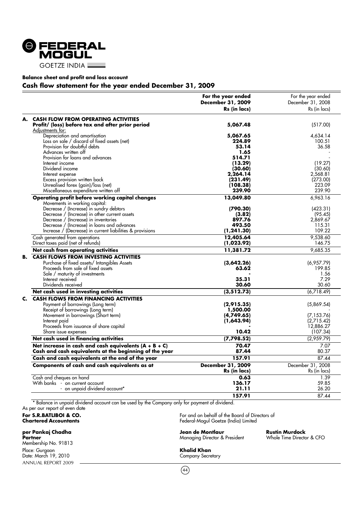

#### **Balance sheet and profit and loss account**

#### **Cash flow statement for the year ended December 31, 2009**

|    |                                                                                                                                                                                                                | For the year ended<br>December 31, 2009<br>Rs (in lacs) | For the year ended<br>December 31, 2008<br>Rs (in lacs) |
|----|----------------------------------------------------------------------------------------------------------------------------------------------------------------------------------------------------------------|---------------------------------------------------------|---------------------------------------------------------|
| А. | <b>CASH FLOW FROM OPERATING ACTIVITIES</b><br>Profit/ (loss) before tax and after prior period<br>Adjustments for:                                                                                             | 5,067.48                                                | (517.00)                                                |
|    | Depreciation and amortisation<br>Loss on sale / discard of fixed assets (net)<br>Provision for doubtful debts                                                                                                  | 5,067.65<br>224.89<br>53.14                             | 4,634.14<br>100.51<br>36.58                             |
|    | Advances written off<br>Provision for loans and advances<br>Interest income                                                                                                                                    | 1.65<br>514.71<br>(13.29)                               | (19.27)                                                 |
|    | Dividend income<br>Interest expense<br>Excess provision written back                                                                                                                                           | (30.60)<br>2,264.14<br>(231.49)                         | (30.60)<br>2.568.81<br>(273.00)                         |
|    | Unrealised forex (gain)/loss (net)<br>Miscellaneous expenditure written off<br>Operating profit before working capital changes                                                                                 | (108.38)<br>239.90<br>13,049.80                         | 223.09<br>239.90<br>6,963.16                            |
|    | Movements in working capital:<br>Decrease / (Increase) in sundry debtors<br>Decrease / (Increase) in other current assets<br>Decrease / (Increase) in inventories                                              | (790.30)<br>(3.82)<br>897.76                            | (423.31)<br>(95.45)<br>2,869.67                         |
|    | Decrease / (Increase) in loans and advances<br>Increase / (Decrease) in current liabilities & provisions<br>Cash generated from operations                                                                     | 493.50<br>(1, 241.30)<br>12,405.64                      | 115.31<br>109.22<br>9,538.60                            |
|    | Direct taxes paid (net of refunds)<br>Net cash from operating activities                                                                                                                                       | (1,023.92)<br>11,381.72                                 | 146.75<br>9,685.35                                      |
| В. | <b>CASH FLOWS FROM INVESTING ACTIVITIES</b><br>Purchase of fixed assets/ Intangibles Assets<br>Proceeds from sale of fixed assets<br>Sale / maturity of investments<br>Interest received<br>Dividends received | (3,642.26)<br>63.62<br>35.31<br>30.60                   | (6,957.79)<br>199.85<br>1.56<br>7.29<br>30.60           |
|    | Net cash used in investing activities                                                                                                                                                                          | (3, 512.73)                                             | (6,718.49)                                              |
| C. | <b>CASH FLOWS FROM FINANCING ACTIVITIES</b><br>Payment of borrowings (Long term)<br>Receipt of borrowings (Long term)<br>Movement in borrowings (Short term)                                                   | (2,915.35)<br>1,500.00<br>(4,749.65)                    | (5,869.54)<br>(7, 153.76)                               |
|    | Interest paid<br>Proceeds from issuance of share capital<br>Share issue expenses                                                                                                                               | (1,643.94)<br>10.42                                     | (2,715.42)<br>12,886.27<br>(107.34)                     |
|    | Net cash used in financing activities                                                                                                                                                                          | (7, 798.52)                                             | (2,959.79)                                              |
|    | Net increase in cash and cash equivalents $(A + B + C)$<br>Cash and cash equivalents at the beginning of the year                                                                                              | 70.47<br>87.44                                          | 7.07<br>80.37                                           |
|    | Cash and cash equivalents at the end of the year                                                                                                                                                               | 157.91                                                  | 87.44                                                   |
|    | Components of cash and cash equivalents as at                                                                                                                                                                  | <b>December 31, 2009</b><br>Rs (in lacs)                | December 31, 2008<br>Rs (in lacs)                       |
|    | Cash and cheques on hand<br>With banks - on current account<br>- on unpaid dividend account*                                                                                                                   | 0.63<br>136.17<br>21.11                                 | 1.39<br>59.85<br>26.20                                  |
|    |                                                                                                                                                                                                                | 157.91                                                  | 87.44                                                   |

\* Balance in unpaid dividend account can be used by the Company only for payment of dividend.

## As per our report of even date

ANNUAL REPORT 2009 Membership No. 91813 Place: Gurgaon **Khalid Khan** Date: March 19, 2010 Company Secretary

**For S.R.BATLIBOI & CO.** For and on behalf of the Board of Directors of Chartered Accountants and Section of Chartered Accountants of Chartered Accountants **Chartered Accountants** Federal-Mogul Goetze (India) Limited

#### **per Pankaj Chadha Jean de Montlaur Rustin Murdock Partners** Managing Director & President

 $(44)$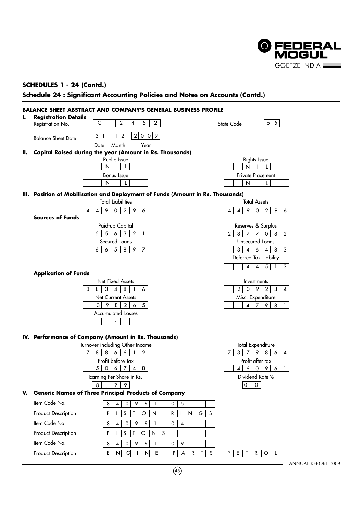

### **SCHEDULES 1 - 24 (Contd.)**

**Schedule 24 : Significant Accounting Policies and Notes on Accounts (Contd.)**

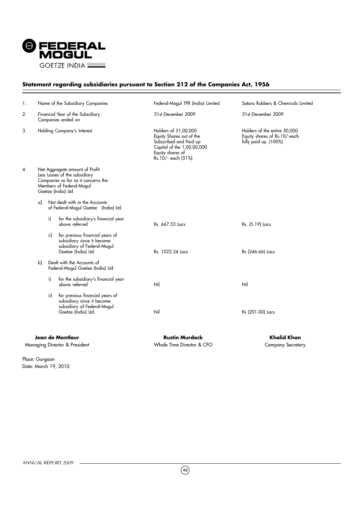

### **Statement regarding subsidiaries pursuant to Section 212 of the Companies Act, 1956**

| 1. |    |     | Name of the Subsidiary Companies                                                                                                                         | Federal-Mogul TPR (India) Limited                                                                                                                  | Satara Rubbers & Chemicals Limited                                                    |
|----|----|-----|----------------------------------------------------------------------------------------------------------------------------------------------------------|----------------------------------------------------------------------------------------------------------------------------------------------------|---------------------------------------------------------------------------------------|
| 2. |    |     | Financial Year of the Subsidiary<br>Companies ended on                                                                                                   | 31st December 2009                                                                                                                                 | 31st December 2009                                                                    |
| 3. |    |     | Holding Company's Interest                                                                                                                               | Holders of 51,00,000<br>Equity Shares out of the<br>Subscribed and Paid up<br>Capital of the 1,00,00,000<br>Equity shares of<br>Rs.10/- each (51%) | Holders of the entire 50,000<br>Equity shares of Rs.10/-each<br>fully paid up. (100%) |
| 4. |    |     | Net Aggregate amount of Profit<br>Less Losses of the subsidiary<br>Companies so far as it concerns the<br>Members of Federal-Mogul<br>Goetze (India) Ltd |                                                                                                                                                    |                                                                                       |
|    | αl |     | Not dealt with in the Accounts<br>of Federal-Mogul Goetze (India) Ltd.                                                                                   |                                                                                                                                                    |                                                                                       |
|    |    | i)  | for the subsidiary's financial year<br>above referred                                                                                                    | Rs. 667.53 Lacs                                                                                                                                    | Rs. (5.19) Lacs                                                                       |
|    |    | ii) | for previous financial years of<br>subsidiary since it became<br>subsidiary of Federal-Mogul<br>Goetze (India) Ltd.                                      | Rs. 1022.34 Lacs                                                                                                                                   | Rs (246.66) Lacs                                                                      |
|    | bl |     | Dealt with the Accounts of<br>Federal-Mogul Goetze (India) Ltd.                                                                                          |                                                                                                                                                    |                                                                                       |
|    |    | i)  | for the subsidiary's financial year<br>above referred                                                                                                    | Nil                                                                                                                                                | Nil                                                                                   |
|    |    | ii) | for previous financial years of<br>subsidiary since it became<br>subsidiary of Federal-Mogul<br>Goetze (India) Ltd.                                      | Nil                                                                                                                                                | Rs (201.00) Lacs                                                                      |
|    |    |     | Jean de Montlaur<br>Managing Director & President                                                                                                        | <b>Rustin Murdock</b><br>Whole Time Director & CFO                                                                                                 | <b>Khalid Khan</b><br><b>Company Secretary</b>                                        |

Place: Gurgaon Date: March 19, 2010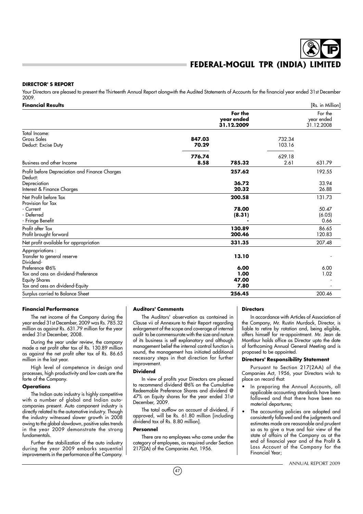#### **DIRECTOR' S REPORT**

Your Directors are pleased to present the Thirteenth Annual Report alongwith the Audited Statements of Accounts for the financial year ended 31st December 2009.

| <b>Financial Results</b>                                                                                         |                 |                                     |                  | [Rs. in Million]                    |
|------------------------------------------------------------------------------------------------------------------|-----------------|-------------------------------------|------------------|-------------------------------------|
|                                                                                                                  |                 | For the<br>year ended<br>31.12.2009 |                  | For the<br>year ended<br>31.12.2008 |
| Total Income:<br>Gross Sales<br>Deduct: Excise Duty                                                              | 847.03<br>70.29 |                                     | 732.34<br>103.16 |                                     |
| Business and other Income                                                                                        | 776.74<br>8.58  | 785.32                              | 629.18<br>2.61   | 631.79                              |
| Profit before Depreciation and Finance Charges<br>Deduct:<br>Depreciation<br>Interest & Finance Charges          |                 | 257.62<br>36.72<br>20.32            |                  | 192.55<br>33.94<br>26.88            |
| Net Profit before Tax<br>Provision for Tax<br>- Current<br>- Deferred<br>- Fringe Benefit                        |                 | 200.58<br>78.00<br>(8.31)           |                  | 131.73<br>50.47<br>(6.05)<br>0.66   |
| Profit after Tax<br>Profit brought forward                                                                       |                 | 130.89<br>200.46                    |                  | 86.65<br>120.83                     |
| Net profit available for appropriation                                                                           |                 | 331.35                              |                  | 207.48                              |
| Appropriations:<br>Transfer to general reserve<br>Dividend-                                                      |                 | 13.10                               |                  |                                     |
| Preference @6%<br>Tax and cess on dividend-Preference<br><b>Equity Shares</b><br>Tax and cess on dividend-Equity |                 | 6.00<br>1.00<br>47.00<br>7.80       |                  | 6.00<br>1.02                        |
| Surplus carried to Balance Sheet                                                                                 |                 | 256.45                              |                  | 200.46                              |

#### **Financial Performance**

The net income of the Company during the year ended 31st December, 2009 was Rs. 785.32 million as against Rs. 631.79 million for the year ended 31st December, 2008.

During the year under review, the company made a net profit after tax of Rs. 130.89 million as against the net profit after tax of Rs. 86.65 million in the last year.

High level of competence in design and processes, high productivity and low costs are the forte of the Company.

#### **Operations**

The Indian auto industry is highly competitive with a number of global and Indian autocompanies present. Auto component industry is directly related to the automotive industry. Though the industry witnessed slower growth in 2008 owing to the global slowdown, positive sales trends in the year 2009 demonstrate the strong fundamentals.

Further the stabilization of the auto industry during the year 2009 embarks sequential improvements in the performance of the Company.

#### **Auditors' Comments**

The Auditors' observation as contained in Clause vii of Annexure to their Report regarding enlargement of the scope and coverage of internal audit to be commensurate with the size and nature of its business is self explanatory and although management belief the internal control function is sound, the management has initiated additional necessary steps in that direction for further improvement.

#### **Dividend**

In view of profits your Directors are pleased to recommend dividend @6% on the Cumulative Redeemable Preference Shares and dividend @ 47% on Equity shares for the year ended 31st December, 2009.

The total outflow on account of dividend, if approved, will be Rs. 61.80 million [including dividend tax of Rs. 8.80 million].

#### **Personnel**

There are no employees who come under the category of employees, as required under Section 217(2A) of the Companies Act, 1956.

#### **Directors**

In accordance with Articles of Association of the Company, Mr. Rustin Murdock, Director, is liable to retire by rotation and, being eligible, offers himself for re-appointment. Mr. Jean de Montlaur holds office as Director upto the date of forthcoming Annual General Meeting and is proposed to be appointed.

#### **Directors' Responsibility Statement**

Pursuant to Section 217(2AA) of the Companies Act, 1956, your Directors wish to place on record that:

- In preparing the Annual Accounts, all applicable accounting standards have been followed and that there have been no material departures;
- The accounting policies are adopted and consistently followed and the judgments and estimates made are reasonable and prudent so as to give a true and fair view of the state of affairs of the Company as at the end of financial year and of the Profit & Loss Account of the Company for the Financial Year;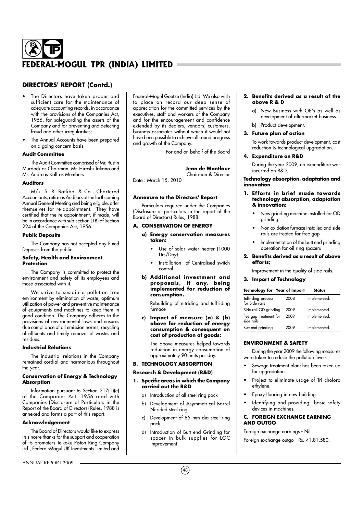## **DIRECTORS' REPORT (Contd.)**

- The Directors have taken proper and sufficient care for the maintenance of adequate accounting records, in accordance with the provisions of the Companies Act, 1956, for safeguarding the assets of the Company and for preventing and detecting fraud and other irreaularities:
- The Annual Accounts have been prepared on a going concern basis.

#### **Audit Committee**

The Audit Committee comprised of Mr. Rustin Murdock as Chairman, Mr. Hiroshi Takano and Mr. Andreas Kolf as Members.

#### **Auditors**

M/s. S. R. Batliboi & Co., Chartered Accountants, retire as Auditors at the forthcoming Annual General Meeting and being eligible, offer themselves for re-appointment. They have certified that the re-appointment, if made, will be in accordance with sub-section (1B) of Section 224 of the Companies Act, 1956.

#### **Public Deposits**

The Company has not accepted any Fixed Deposits from the public.

#### **Safety, Health and Environment Protection**

The Company is committed to protect the environment and safety of its employees and those associated with it.

We strive to sustain a pollution free environment by elimination of waste, optimum utilization of power and preventive maintenance of equipments and machines to keep them in good condition. The Company adheres to the provisions of environmental laws and ensures due compliance of all emission norms, recycling of effluents and timely removal of wastes and residues.

#### **Industrial Relations**

The industrial relations in the Company remained cordial and harmonious throughout the year.

#### **Conservation of Energy & Technology Absorption**

Information pursuant to Section 217(1)(e) of the Companies Act, 1956 read with Companies (Disclosure of Particulars in the Report of the Board of Directors) Rules, 1988 is annexed and forms a part of this report.

#### **Acknowledgement**

The Board of Directors would like to express its sincere thanks for the support and cooperation of its promoters Teikoku Piston Ring Company Ltd., Federal-Mogul UK Investments Limited and

ANNUAL REPORT 2009

Federal-Mogul Goetze (India) Ltd. We also wish to place on record our deep sense of appreciation for the committed services by the executives, staff and workers of the Company and for the encouragement and confidence extended by its dealers, vendors, customers, business associates without which it would not have been possible to achieve all round progress and growth of the Company.

For and on behalf of the Board

#### **Jean de Montlaur**

Chairman & Director Date : March 15, 2010

## **Annexure to the Directors' Report**

Particulars required under the Companies (Disclosure of particulars in the report of the Board of Directors) Rules, 1988.

#### **A. CONSERVATION OF ENERGY**

- **a) Energy conservation measures taken:**
	- Use of solar water heater (1000 Ltrs/Day)
	- Installation of Centralised switch control
- **b)** Additional investment and **proposa ls , if any, be ing implemented for reduction of consumption.**

Rebuilding of nitriding and tuffriding furnace

**c) Impact of measure (a) & (b) above for reduction of energy consumption & consequent on cost of production of goods:**

The above measures helped towards reduction in energy consumption of approximately 90 units per day.

### **B. TECHNOLOGY ABSORPTION**

### **Research & Development (R&D)**

- **1. Specific areas in which the Company carried out the R&D**
	- a) Introduction of all steel ring pack
	- b) Development of Asymmetrical Barrel Nitrided steel ring
	- c) Development of 85 mm dia steel ring pack
	- d) Introduction of Butt end Grinding for spacer in bulk supplies for LOC improvement

#### **2. Benefits derived as a result of the above R & D**

- a) New Business with OE's as well as development of aftermarket business.
- b) Product development.

#### **3. Future plan of action**

To work towards product development, cost reduction & technological upgradation.

#### **4. Expenditure on R&D**

During the year 2009, no expenditure was incurred on R&D.

#### **Technology absorption, adaptation and innovation**

#### **1. Efforts in brief made towards technology absorption, adaptation & innovation:**

- New grinding machine installed for OD grinding.
- Non oxidation furnace installed and side rails are treated for free gap
- Implementation of the butt end grinding operation for oil ring spacers
- **2. Benefits derived as a result of above efforts;**

Improvement in the quality of side rails.

#### **3. Import of Technology**

| <b>Technology for Year of Import</b> |      | Status       |
|--------------------------------------|------|--------------|
| Tuffriding process<br>for Side rails | 2008 | Implemented. |
| Side rail OD grinding                | 2009 | Implemented. |
| Fee gap treatment for<br>side rails  | 2009 | Implemented. |
| Butt end grinding                    | 2009 | Implemented. |

#### **ENVIRONMENT & SAFETY**

During the year 2009 the following measures were taken to reduce the pollution levels:

- Sewage treatment plant has been taken up for upgradation.
- Project to eliminate usage of Tri choloro ethylene.
- Epoxy flooring in new building.
- Identifying and providing basic safety devices in machines.

#### **C. FOREIGN EXCHANGE EARNING AND OUTGO**

Foreign exchange earnings - Nil Foreign exchange outgo - Rs. 41,81,580.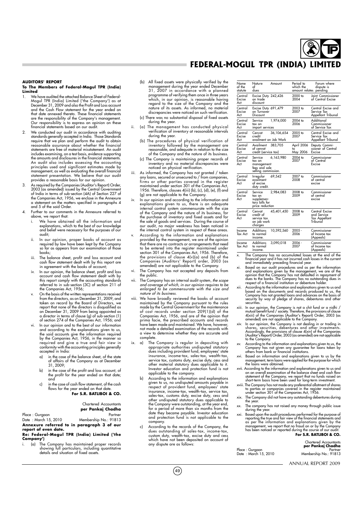#### **AUDITORS' REPORT**

#### **To The Members of Federal-Mogul TPR (India) Limited** 1. We have audited the attached Balance Sheet of Federal-

- Mogul TPR (India) Limited ('the Company') as at December 31, 2009 and also the Profit and Loss account and the Cash Flow statement for the year ended on<br>that date annexed thereto. These financial statements<br>are the responsibility of the Company's management.<br>Our responsibility is to express an opinion on these financial statements based on our audit.
- We conducted our audit in accordance with auditing standards generally accepted in India. Those Standards require that we plan and perform the audit to obtain reasonable assurance about whether the financial statements are free of material misstatement. An audit includes examining, on a test basis, evidence supporting the amounts and disclosures in the financial statements. An audit also includes assessing the accounting principles used and significant estimates made by management, as well as evaluating the overall financial statement presentation. We believe that our audit provides a reasonable basis for our opinion.
- 3. As required by the Companies (Auditor's Report) Order, 2003 (as amended) issued by the Central Government of India in terms of sub-section (4A) of Section 227 of the Companies Act, 1956, we enclose in the Annexure a statement on the matters specified in paragraphs 4 and 5 of the said Order.
- 4. Further to our comments in the Annexure referred to above, we report that:
	- i. We have obtained all the information and explanations, which to the best of our knowledge and belief were necessary for the purposes of our audit;
	- ii. In our opinion, proper books of account as required by law have been kept by the Company so far as appears from our examination of those books;
	- iii. The balance sheet, profit and loss account and cash flow statement dealt with by this report are in agreement with the books of account;
	- iv. In our opinion, the balance sheet, profit and loss account and cash flow statement dealt with by this report comply with the accounting standards referred to in sub-section (3C) of section 211 of the Companies Act, 1956;
	- v. On the basis of the written representations received from the directors, as on December 31, 2009, and taken on record by the Board of Directors, we report that none of the directors is disqualified as December 31, 2009 from being appointed a director in terms of clause (g) of sub-section (1) of section 274 of the Companies Act, 1956; and
	- In our opinion and to the best of our information and according to the explanations given to us, the said accounts give the information required by the Companies Act, 1956, in the manner so required and give a true and fair view in conformity with the accounting principles generally accepted in India:
		- a) in the case of the balance sheet, of the state of affairs of the Company as at December 31, 2009;
		- b) in the case of the profit and loss account, of the profit for the year ended on that date; and
		- c) in the case of cash flow statement, of the cash flows for the year ended on that date. **For S.R. BATLIBOI & CO.**

Chartered Accountants **per Pankaj Chadha**

Place : Gurgaon Partner Membership No.: 91813 **Annexure referred to in paragraph 3 of our**

#### **report of even date. Re: Federal-Mogul TPR (India) Limited ('the**

**Company')** i. (a) The Company has maintained proper records showing full particulars, including quantitative details and situation of fixed assets.

- (b) All fixed assets were physically verified by the management during the year ended December 31, 2007 in accordance with a planned programme of verifying them once in three years<br>which, in our opinion, is reasonable having<br>regard to the size of the Company and the<br>nature of its assets. As informed, no material discrepancies were noticed on such verification.
- (c) There was no substantial disposal of fixed assets during the year.
- ii. (a) The management has conducted physical verification of inventory at reasonable intervals during the year.
	- (b) The procedures of physical verification of inventory followed by the management are reasonable, and adequate in relation to the size of the Company and the nature of its business.
	- (c) The Company is maintaining proper records of inventory and no material discrepancies were noticed on physical verification.
- iii. As informed, the Company has not granted / taken any loans, secured or unsecured to / from companies, firms or other parties covered in the register maintained under section 301 of the Companies Act, 1956. Therefore, clauses 4(iii) (b), (c), (d), (e), (f) and (g) are not applicable to the Company.
- iv. In our opinion and according to the information and explanations given to us, there is an adequate internal control system commensurate with the size<br>of the Company and the nature of its business, for<br>the purchase of inventory and fixed assets and for<br>the sale of goods and services. During the course of our audit, no major weakness has been noticed in the internal control system in respect of these areas.
- According to the information and explanations provided by the management, we are of the opinion that there are no contracts or arrangements that need to be entered into the register maintained under section 301 of the Companies Act, 1956. Therefore, the provisions of clause 4(v)(a) and (b) of the Companies (Auditors' Report) order, 2003 (as amended) are not applicable to the Company.
- vi. The Company has not accepted any deposits from the public.
- vii. The Company has an internal audit system, the scope and coverage of which, in our opinion requires to be enlarged to be commensurate with the size and nature of its business.
- We have broadly reviewed the books of account maintained by the Company pursuant to the rules made by the Central Government for the maintenance of cost records under section 209(1)(d) of the Companies Act, 1956, and are of the opinion that prima facie, the prescribed accounts and records have been made and maintained. We have, however, not made a detailed examination of the records with a view to determine whether they are accurate and complete.
- ix. a) The Company is regular in depositing with appropriate authorities undisputed statutory dues including provident fund, employees' state insurance, income-tax, sales-tax, wealth-tax, service tax, customs duty, excise duty, cess and other material statutory dues applicable to it. Investor education and protection fund is not applicable to the company.
	- According to the information and explanations given to us, no undisputed amounts payable in respect of provident fund, employees' state insurance, income-tax, wealth-tax, service tax, sales-tax, customs duty, excise duty, cess and other undisputed statutory dues applicable to<br>the Company were outstanding, at the year end,<br>for a period of more than six months from the<br>date they became payable. Investor education and protection fund is not applicable to the company.
	- c) According to the records of the Company, the dues outstanding of sales-tax, income-tax, custom duty, wealth-tax, excise duty and cess which have not been deposited on account of any dispute are as follows:

 $(49)$ 

| Name<br>of the<br>statute | Nature<br>of<br>dues                                                    | Amount     | Period to<br>which the<br>amount relates pending | Forum where<br>dispute is                                  |
|---------------------------|-------------------------------------------------------------------------|------------|--------------------------------------------------|------------------------------------------------------------|
| Central<br>Excise<br>Act  | Excise Duty 242,426<br>on trade<br>discount                             |            | 2000 to<br>2004                                  | Joint Commissioner<br>of Central Excise                    |
| Central<br>Excise<br>Act  | Excise Duty 691,479<br>on Turnover<br>Discount                          |            | 2003 to<br>2007                                  | Central Excise and<br>Service Tax<br>Appellant Tribunal    |
| Central<br>Excise<br>Act  | Service<br>tax on<br>import services                                    | 1,974,000  | 2004 to<br>2006                                  | Additional<br>Commissioner<br>of Service Tax               |
| Central<br>Excise<br>Act  | Cenvat<br>credit<br>availment on Job Work                               | 36,106,654 | 2005 to<br>2007                                  | Central Excise and<br>Service Tax<br>Appellant Tribunal    |
| Central<br>Excise<br>Act  | Availment<br>ot cenvat<br>credit (service tax)                          | 383,705    | April 2006<br>to<br>May 2006                     | Deputy Commi-<br>ssioner of Central<br>Excise              |
| Central<br>Excise<br>Act  | Service<br>tax on<br>management<br>tees and sole<br>selling commission. | 6,163,980  | 2004 to<br>2007                                  | Commissioner<br>of Central<br>Excise                       |
| Central<br>Excise<br>Act  | Irregular<br>availment<br>of excise<br>duty credit.                     | 69,542     | 2007 to<br>2008                                  | Commissioner<br>of central<br>excise                       |
| Central<br>Excise<br>Act  | Service<br>tax on<br>supplemen-<br>tary bills for<br>price reduction    | 2,984,083  | 2008 to<br>2009                                  | Commissioner<br>of central<br>excise                       |
| Central<br>Excise<br>Act  | Cenvat<br>credit of<br>service tax<br>on job work<br>charges            | 45,401,450 | 2008 to<br>2009                                  | Central Excise<br>and Service<br>Tax Appellant<br>Tribunal |
| Income<br>Tax Act         | Additions<br>to normal<br>income.                                       | 10,592,560 | $2005 -$<br>2006                                 | Commissioner<br>of Income tax<br>(Appeals)                 |
| Income<br>Tax Act         | Additions<br>to normal<br>income.                                       | 3,090,018  | 2006 -<br>2007                                   | Commissioner<br>of Income tax<br>(Appeals)                 |
| ×.                        |                                                                         |            |                                                  | The Company has no accumulated losses at the end of the    |

x. The Company has no accumulated losses at the end of the financial year and it has not incurred cash losses in the current and immediately preceding financial year.<br>and immediately preceding financial year.<br>xi. Based on

- and explanations given by the management, we are of the<br>opinion that the Company has not defaulted in repayment of<br>dues to the banks. The Company has no outstanding dues in<br>respect of a financial institution or debenture h
- xii. According to the information and explanations given to us and<br>based on the documents and records produced to us, the<br>Company has not granted loans and advances on the basis of<br>security by way of pledge of shares, debe securities.
- xiii. In our opinion, the Company is not a chit fund or a nidhi /<br>mutual benefit fund / society. Therefore, the provisions of clause<br>4(xiii) of the Companies (Auditor's Report) Order, 2003 (as<br>amended) are not applicable t
- xiv. In our opinion, the Company is not dealing in or trading in shares, securities, debentures and other investments. Accordingly, the provisions of clause 4(xiv) of the Companies (Auditor's Report) Order, 2003 (as amended) are not applicable to the Company.
- xv. According to the information and explanations given to us, the Company has not given any guarantee for loans taken by others from bank or financial institutions.
- xvi. Based on information and explanations given to us by the management, term loans were applied for the purpose for which the loans were obtained.
- xvii. According to the information and explanations given to us and on an overall examination of the balance sheet and cash flow statement of the Company, we report that no funds raised on short-term basis have been used for long-term investment.
- xviii. The Company has not made any preferential allotment of shares to parties or companies covered in the register maintained under section 301 of the Companies Act, 1956.
- The Company did not have any outstanding debentures during the year.
- xx. The company has not raised any money through public issue during the year.
- xxi. Based upon the audit procedures performed for the purpose of the perporting the true and foir view of the financial statements and as per the information and explanations given by the management, we report that no fra **For S.R. BATLIBOI & CO.**

Chartered Accountants **per Pankaj Chadha**

Place : Gurgaon Partner Date : March 15, 2010 Membership No.: 91813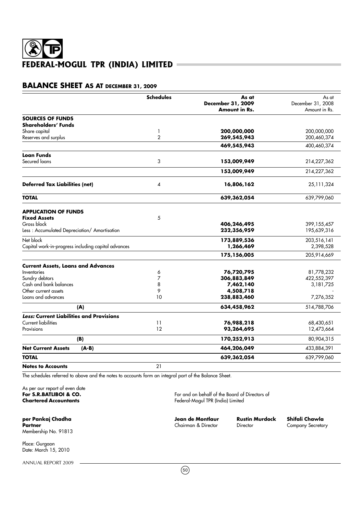## **BALANCE SHEET AS AT DECEMBER 31, 2009**

|                                                     | <b>Schedules</b> | As at                | As at                      |
|-----------------------------------------------------|------------------|----------------------|----------------------------|
|                                                     |                  | December 31, 2009    | December 31, 2008          |
|                                                     |                  | <b>Amount in Rs.</b> | Amount in Rs.              |
| <b>SOURCES OF FUNDS</b>                             |                  |                      |                            |
| Shareholders' Funds                                 |                  | 200,000,000          |                            |
| Share capital<br>Reserves and surplus               | 1<br>2           | 269,545,943          | 200,000,000<br>200,460,374 |
|                                                     |                  | 469,545,943          | 400,460,374                |
| <b>Loan Funds</b>                                   |                  |                      |                            |
| Secured loans                                       | 3                | 153,009,949          | 214,227,362                |
|                                                     |                  | 153,009,949          | 214,227,362                |
| <b>Deferred Tax Liabilities (net)</b>               | 4                | 16,806,162           | 25,111,324                 |
| <b>TOTAL</b>                                        |                  | 639,362,054          | 639,799,060                |
| <b>APPLICATION OF FUNDS</b>                         |                  |                      |                            |
| <b>Fixed Assets</b>                                 | 5                |                      |                            |
| Gross block                                         |                  | 406,246,495          | 399,155,457                |
| Less: Accumulated Depreciation/ Amortisation        |                  | 232,356,959          | 195,639,316                |
| Net block                                           |                  | 173,889,536          | 203,516,141                |
| Capital work-in-progress including capital advances |                  | 1,266,469            | 2,398,528                  |
|                                                     |                  | 175,156,005          | 205,914,669                |
| <b>Current Assets, Loans and Advances</b>           |                  |                      |                            |
| Inventories                                         | 6                | 76,720,795           | 81,778,232                 |
| Sundry debtors                                      | 7                | 306,883,849          | 422,552,397                |
| Cash and bank balances                              | 8                | 7,462,140            | 3,181,725                  |
| Other current assets                                | 9                | 4,508,718            |                            |
| Loans and advances                                  | 10               | 238,883,460          | 7,276,352                  |
| (A)                                                 |                  | 634,458,962          | 514,788,706                |
| Less: Current Liabilities and Provisions            |                  |                      |                            |
| <b>Current liabilities</b>                          | 11               | 76,988,218           | 68,430,651                 |
| Provisions                                          | 12               | 93,264,695           | 12,473,664                 |
| (B)                                                 |                  | 170,252,913          | 80,904,315                 |
| <b>Net Current Assets</b><br>$(A-B)$                |                  | 464,206,049          | 433,884,391                |
| <b>TOTAL</b>                                        |                  | 639,362,054          | 639,799,060                |
| <b>Notes to Accounts</b>                            | 21               |                      |                            |

The schedules referred to above and the notes to accounts form an integral part of the Balance Sheet.

As per our report of even date<br>For S.R.BATLIBOI & CO.

**per Pankaj Chadha Indiana de Jean de Montlaur de Rustin Murdock Shifali Chawla**<br>Partner Chairman & Director Director Company Secretar Membership No. 91813

Place: Gurgaon Date: March 15, 2010

ANNUAL REPORT 2009

**For S.R.BATLIBOI & CO.** For and on behalf of the Board of Directors of **Chartered Accountants** Federal-Mogul TPR (India) Limited

**Company Secretary**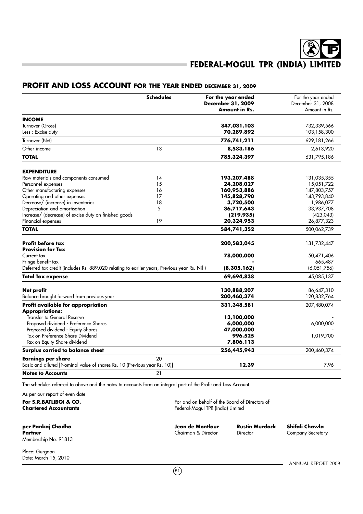## **PROFIT AND LOSS ACCOUNT FOR THE YEAR ENDED DECEMBER 31, 2009**

|                                                                                             | <b>Schedules</b> | For the year ended                        | For the year ended |
|---------------------------------------------------------------------------------------------|------------------|-------------------------------------------|--------------------|
|                                                                                             |                  | December 31, 2009<br><b>Amount in Rs.</b> | December 31, 2008  |
|                                                                                             |                  |                                           | Amount in Rs.      |
| <b>INCOME</b>                                                                               |                  |                                           |                    |
| Turnover (Gross)                                                                            |                  | 847,031,103                               | 732,339,566        |
| Less: Excise duty                                                                           |                  | 70,289,892                                | 103,158,300        |
| Turnover (Net)                                                                              |                  | 776,741,211                               | 629,181,266        |
| Other income                                                                                | 13               | 8,583,186                                 | 2,613,920          |
| <b>TOTAL</b>                                                                                |                  | 785,324,397                               | 631,795,186        |
| <b>EXPENDITURE</b>                                                                          |                  |                                           |                    |
| Raw materials and components consumed                                                       | 14               | 193,207,488                               | 131,035,355        |
| Personnel expenses                                                                          | 15               | 24,208,027                                | 15,051,722         |
| Other manufacturing expenses                                                                | 16               | 160,953,886                               | 147,803,757        |
| Operating and other expenses                                                                | 17               | 145,828,790                               | 143,793,840        |
| Decrease/ (increase) in inventories                                                         | 18               | 3,720,500                                 | 1,986,077          |
| Depreciation and amortisation                                                               | 5                | 36,717,643                                | 33,937,708         |
| Increase/ (decrease) of excise duty on finished goods                                       |                  | (219, 935)                                | (423, 043)         |
| Financial expenses                                                                          | 19               | 20,324,953                                | 26,877,323         |
| <b>TOTAL</b>                                                                                |                  | 584,741,352                               | 500,062,739        |
| <b>Profit before tax</b>                                                                    |                  | 200,583,045                               | 131,732,447        |
| <b>Provision for Tax</b>                                                                    |                  |                                           |                    |
| Current tax                                                                                 |                  | 78,000,000                                | 50,471,406         |
| Fringe benefit tax                                                                          |                  |                                           | 665,487            |
| Deferred tax credit (includes Rs. 889,020 relating to earlier years, Previous year Rs. Nil) |                  | (8, 305, 162)                             | (6,051,756)        |
| <b>Total Tax expense</b>                                                                    |                  | 69,694,838                                | 45,085,137         |
| <b>Net profit</b>                                                                           |                  | 130,888,207                               | 86,647,310         |
| Balance brought forward from previous year                                                  |                  | 200,460,374                               | 120,832,764        |
| Profit available for appropriation                                                          |                  | 331,348,581                               | 207,480,074        |
| <b>Appropriations:</b>                                                                      |                  |                                           |                    |
| Transfer to General Reserve                                                                 |                  | 13,100,000                                |                    |
| Proposed dividend - Preference Shares                                                       |                  | 6,000,000                                 | 6,000,000          |
| Proposed dividend - Equity Shares                                                           |                  | 47,000,000                                |                    |
| Tax on Preference Share Dividend<br>Tax on Equity Share dividend                            |                  | 996,525                                   | 1,019,700          |
|                                                                                             |                  | 7,806,113                                 |                    |
| Surplus carried to balance sheet                                                            |                  | 256,445,943                               | 200,460,374        |
| <b>Earnings per share</b>                                                                   | 20               |                                           |                    |
| Basic and diluted [Nominal value of shares Rs. 10 (Previous year Rs. 10)]                   |                  | 12.39                                     | 7.96               |
| <b>Notes to Accounts</b>                                                                    | 21               |                                           |                    |

The schedules referred to above and the notes to accounts form an integral part of the Profit and Loss Account.

As per our report of even date **For S.R.BATLIBOI & CO.**<br> **Chartered Accountants**<br> **Chartered Accountants** 

**Partner Chairman & Director Chairman & Director Company Secretary** Membership No. 91813

**per Pankaj Chadha Jean de Montlaur Rustin Murdock Shifali Chawla**

**Chartered Accountants** Federal-Mogul TPR (India) Limited

 $(51)$ 

Place: Gurgaon Date: March 15, 2010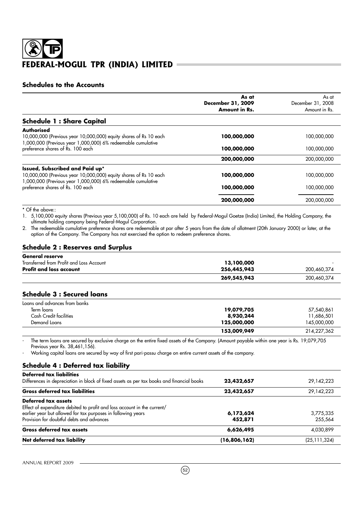### **Schedules to the Accounts**

|                                                                                                                                                                      | As at<br>December 31, 2009<br><b>Amount in Rs.</b> | As at<br>December 31, 2008<br>Amount in Rs. |
|----------------------------------------------------------------------------------------------------------------------------------------------------------------------|----------------------------------------------------|---------------------------------------------|
| <b>Schedule 1: Share Capital</b>                                                                                                                                     |                                                    |                                             |
| Authorised<br>10,000,000 (Previous year 10,000,000) equity shares of Rs 10 each<br>1,000,000 (Previous year 1,000,000) 6% redeemable cumulative                      | 100,000,000                                        | 100,000,000                                 |
| preference shares of Rs. 100 each                                                                                                                                    | 100,000,000                                        | 100,000,000                                 |
|                                                                                                                                                                      | 200,000,000                                        | 200,000,000                                 |
| Issued, Subscribed and Paid up*<br>10,000,000 (Previous year 10,000,000) equity shares of Rs 10 each<br>1,000,000 (Previous year 1,000,000) 6% redeemable cumulative | 100,000,000                                        | 100,000,000                                 |
| preference shares of Rs. 100 each                                                                                                                                    | 100,000,000                                        | 100,000,000                                 |
|                                                                                                                                                                      | 200,000,000                                        | 200,000,000                                 |

\* Of the above::

1. 5,100,000 equity shares (Previous year 5,100,000) of Rs. 10 each are held by Federal-Mogul Goetze (India) Limited, the Holding Company, the ultimate holding company being Federal-Mogul Corporation.

2. The redeemable cumulative preference shares are redeemable at par after 5 years from the date of allotment (20th January 2000) or later, at the option of the Company. The Company has not exercised the option to redeem preference shares.

## **Schedule 2 : Reserves and Surplus**

| <b>General reserve</b>                   |             |             |
|------------------------------------------|-------------|-------------|
| Transferred from Profit and Loss Account | 13,100,000  |             |
| <b>Profit and loss account</b>           | 256,445,943 | 200.460.374 |
|                                          | 269,545,943 | 200,460,374 |

## **Schedule 3 : Secured loans**

| Loans and advances from banks |             |             |
|-------------------------------|-------------|-------------|
| Term loans                    | 19,079,705  | 57,540,861  |
| <b>Cash Credit facilities</b> | 8,930,244   | 1,686,501   |
| Demand Loans                  | 125,000,000 | 145,000,000 |
|                               | 153,009,949 | 214,227,362 |

The term loans are secured by exclusive charge on the entire fixed assets of the Company. (Amount payable within one year is Rs. 19,079,705 Previous year Rs. 38,461,156).

- Working capital loans are secured by way of first pari-passu charge on entire current assets of the company.

### **Schedule 4 : Deferred tax liability**

| Net deferred tax liability                                                                                                                                                                                   | (16,806,162)         | (25, 111, 324)       |
|--------------------------------------------------------------------------------------------------------------------------------------------------------------------------------------------------------------|----------------------|----------------------|
| Gross deferred tax assets                                                                                                                                                                                    | 6,626,495            | 4,030,899            |
| Deferred tax assets<br>Effect of expenditure debited to profit and loss account in the current/<br>earlier year but allowed for tax purposes in following years<br>Provision for doubtful debts and advances | 6,173,624<br>452,871 | 3,775,335<br>255,564 |
| <b>Gross deferred tax liabilities</b>                                                                                                                                                                        | 23,432,657           | 29,142,223           |
| <b>Deferred tax liabilities</b><br>Differences in depreciation in block of fixed assets as per tax books and financial books                                                                                 | 23,432,657           | 29,142,223           |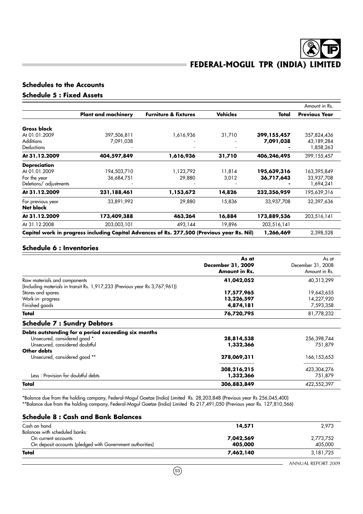## **Schedules to the Accounts**

## **Schedule 5 : Fixed Assets**

|                            |                                 |                 |             | Amount in Rs.                                                                              |
|----------------------------|---------------------------------|-----------------|-------------|--------------------------------------------------------------------------------------------|
| <b>Plant and machinery</b> | <b>Furniture &amp; fixtures</b> | <b>Vehicles</b> | Total       | <b>Previous Year</b>                                                                       |
|                            |                                 |                 |             |                                                                                            |
| 397,506,811                | 1,616,936                       | 31,710          | 399,155,457 | 357,824,436                                                                                |
| 7,091,038                  |                                 |                 | 7,091,038   | 43,189,284                                                                                 |
|                            |                                 |                 |             | 1,858,263                                                                                  |
| 404,597,849                | 1,616,936                       | 31,710          | 406,246,495 | 399,155,457                                                                                |
|                            |                                 |                 |             |                                                                                            |
| 194,503,710                | 1,123,792                       | 11,814          | 195,639,316 | 163,395,849                                                                                |
| 36,684,751                 | 29,880                          | 3,012           | 36,717,643  | 33,937,708                                                                                 |
|                            |                                 |                 |             | 1,694,241                                                                                  |
| 231,188,461                | 1,153,672                       | 14,826          | 232,356,959 | 195,639,316                                                                                |
| 33,891,992                 | 29,880                          | 15,836          | 33,937,708  | 32,397,636                                                                                 |
|                            |                                 |                 |             |                                                                                            |
| 173,409,388                | 463,264                         | 16,884          | 173,889,536 | 203,516,141                                                                                |
| 203,003,101                | 493,144                         | 19,896          | 203,516,141 |                                                                                            |
|                            |                                 |                 | 1,266,469   | 2,398,528                                                                                  |
|                            |                                 |                 |             | Capital work in progress including Capital Advances of Rs. 277,500 (Previous year Rs. Nil) |

### **Schedule 6 : Inventories**

|                                                                             | As at<br>December 31, 2009<br><b>Amount in Rs.</b> | As at<br>December 31, 2008<br>Amount in Rs. |
|-----------------------------------------------------------------------------|----------------------------------------------------|---------------------------------------------|
| Raw materials and components                                                | 41,042,052                                         | 40,313,299                                  |
| (Including materials in transit Rs. 1,917,233 (Previous year Rs 3,767,961)) |                                                    |                                             |
| Stores and spares                                                           | 17,577,965                                         | 19,643,655                                  |
| Work-in-progress                                                            | 13,226,597                                         | 14,227,920                                  |
| Finished goods                                                              | 4,874,181                                          | 7,593,358                                   |
| Total                                                                       | 76,720,795                                         | 81,778,232                                  |
| <b>Schedule 7: Sundry Debtors</b>                                           |                                                    |                                             |
| Debts outstanding for a period exceeding six months                         |                                                    |                                             |
| Unsecured, considered good *                                                | 28,814,538                                         | 256,398,744                                 |
| Unsecured, considered doubtful                                              | 1,332,366                                          | 751,879                                     |
| Other debts                                                                 |                                                    |                                             |
| Unsecured, considered good **                                               | 278,069,311                                        | 166,153,653                                 |
|                                                                             | 308,216,215                                        | 423,304,276                                 |
| Less: Provision for doubtful debts                                          | 1,332,366                                          | 751,879                                     |
| Total                                                                       | 306,883,849                                        | 422,552,397                                 |

\*Balance due from the holding company, Federal-Mogul Goetze (India) Limited Rs. 28,203,848 (Previous year Rs 256,045,400) \*\*Balance due from the holding company, Federal-Mogul Goetze (India) Limited Rs 217,491,050 (Previous year Rs. 127,810,566)

#### **Schedule 8 : Cash and Bank Balances**

| Total                                                     | 7,462,140 | 3, 181, 725 |
|-----------------------------------------------------------|-----------|-------------|
| On deposit accounts (pledged with Government authorities) | 405,000   | 405,000     |
| On current accounts                                       | 7,042,569 | 2,773,752   |
| Balances with scheduled banks:                            |           |             |
| Cash on hand                                              | 14,571    | 2,973       |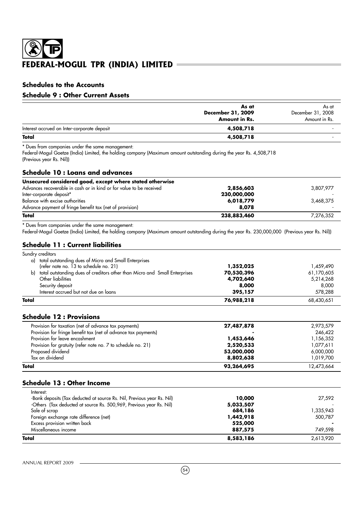## **Schedules to the Accounts**

## **Schedule 9 : Other Current Assets**

|                                             | As at                | As at             |
|---------------------------------------------|----------------------|-------------------|
|                                             | December 31, 2009    | December 31, 2008 |
|                                             | <b>Amount in Rs.</b> | Amount in Rs.     |
| Interest accrued on Inter-corporate deposit | 4,508,718            |                   |
| Total                                       | 4,508,718            |                   |

\* Dues from companies under the same management:

Federal-Mogul Goetze (India) Limited, the holding company (Maximum amount outstanding during the year Rs. 4,508,718 (Previous year Rs. Nil))

## **Schedule 10 : Loans and advances**

| Unsecured considered good, except where stated otherwise            |             |           |
|---------------------------------------------------------------------|-------------|-----------|
| Advances recoverable in cash or in kind or for value to be received | 2,856,603   | 3,807,977 |
| Inter-corporate deposit*                                            | 230,000,000 |           |
| Balance with excise authorities                                     | 6,018,779   | 3,468,375 |
| Advance payment of fringe benefit tax (net of provision)            | 8,078       |           |
| Total                                                               | 238,883,460 | 7,276,352 |

\* Dues from companies under the same management:

Federal-Mogul Goetze (India) Limited, the holding company (Maximum amount outstanding during the year Rs. 230,000,000 (Previous year Rs. Nil))

### **Schedule 11 : Current liabilities**

| Total |                                                                            | 76,988,218 | 68,430,651 |
|-------|----------------------------------------------------------------------------|------------|------------|
|       | Interest accrued but not due on loans                                      | 395,157    | 578,288    |
|       | Security deposit                                                           | 8,000      | 8,000      |
|       | Other liabilities                                                          | 4,702,640  | 5,214,268  |
| b)    | total outstanding dues of creditors other than Micro and Small Enterprises | 70,530,396 | 61,170,605 |
|       | (refer note no. 13 to schedule no. 21)                                     | 1,352,025  | 1,459,490  |
| a)    | total outstanding dues of Micro and Small Enterprises                      |            |            |
|       | Sundry creditors                                                           |            |            |

## **Schedule 12 : Provisions**

| Total                                                          | 93,264,695 | 12,473,664 |
|----------------------------------------------------------------|------------|------------|
| Tax on dividend                                                | 8,802,638  | 1,019,700  |
| Proposed dividend                                              | 53,000,000 | 6,000,000  |
| Provision for gratuity (refer note no. 7 to schedule no. 21)   | 2,520,533  | 1,077,611  |
| Provision for leave encashment                                 | 1,453,646  | 1,156,352  |
| Provision for fringe benefit tax (net of advance tax payments) |            | 246.422    |
| Provision for taxation (net of advance tax payments)           | 27,487,878 | 2,973,579  |
|                                                                |            |            |

## **Schedule 13 : Other Income**

| Total                                                                  | 8,583,186 | 2,613,920 |
|------------------------------------------------------------------------|-----------|-----------|
| Miscellaneous income                                                   | 887,575   | 749.598   |
| Excess provision written back                                          | 525,000   |           |
| Foreign exchange rate difference (net)                                 | 1,442,918 | 500.787   |
| Sale of scrap                                                          | 684,186   | 1,335,943 |
| -Others (Tax deducted at source Rs. 500,969, Previous year Rs. Nil)    | 5,033,507 |           |
| -Bank deposits (Tax deducted at source Rs. Nil, Previous year Rs. Nil) | 10,000    | 27,592    |
| Interest:                                                              |           |           |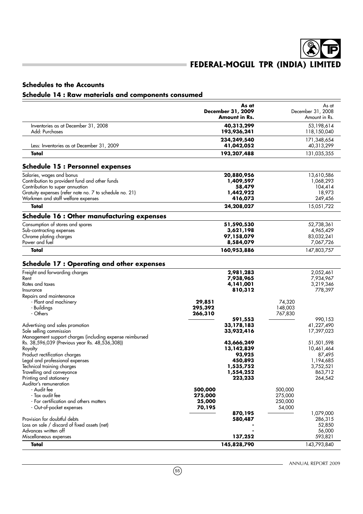## **Schedules to the Accounts**

## **Schedule 14 : Raw materials and components consumed**

|                                                          | As at<br><b>December 31, 2009</b> | December 31, 2008 | As at                   |
|----------------------------------------------------------|-----------------------------------|-------------------|-------------------------|
|                                                          | Amount in Rs.                     |                   | Amount in Rs.           |
| Inventories as at December 31, 2008                      | 40,313,299                        |                   | 53,198,614              |
| Add: Purchases                                           | 193,936,241                       |                   | 118,150,040             |
|                                                          | 234,249,540                       |                   | 171,348,654             |
| Less: Inventories as at December 31, 2009                | 41,042,052                        |                   | 40,313,299              |
| Total                                                    | 193,207,488                       |                   | 131,035,355             |
| <b>Schedule 15: Personnel expenses</b>                   |                                   |                   |                         |
| Salaries, wages and bonus                                | 20,880,956                        |                   | 13,610,586              |
| Contribution to provident fund and other funds           | 1,409,597                         |                   | 1,068,293               |
| Contribution to super annuation                          | 58,479                            |                   | 104,414                 |
| Gratuity expenses (refer note no. 7 to schedule no. 21)  | 1,442,922<br>416,073              |                   | 18,973<br>249,456       |
| Workmen and staff welfare expenses<br>Total              | 24,208,027                        |                   | 15,051,722              |
|                                                          |                                   |                   |                         |
| <b>Schedule 16: Other manufacturing expenses</b>         |                                   |                   |                         |
| Consumption of stores and spares                         | 51,590,530                        |                   | 52,738,361              |
| Sub-contracting expenses                                 | 3,621,198                         |                   | 4,965,429               |
| Chrome plating charges<br>Power and fuel                 | 97,158,079<br>8,584,079           |                   | 83,032,241<br>7,067,726 |
| Total                                                    | 160,953,886                       |                   | 147,803,757             |
|                                                          |                                   |                   |                         |
| <b>Schedule 17: Operating and other expenses</b>         |                                   |                   |                         |
| Freight and forwarding charges                           | 2,981,283                         |                   | 2,052,461               |
| Rent<br>Rates and taxes                                  | 7,938,965                         |                   | 7,934,967               |
| Insurance                                                | 4,141,001<br>810,312              |                   | 3,219,346<br>778,397    |
| Repairs and maintenance                                  |                                   |                   |                         |
| - Plant and machinery                                    | 29,851                            | 74,320            |                         |
| - Buildings                                              | 295,392                           | 148,003           |                         |
| - Others                                                 | 266,310                           | 767,830           |                         |
| Advertising and sales promotion                          | 591,553<br>33,178,183             |                   | 990,153<br>41,227,490   |
| Sole selling commission                                  | 33,932,416                        |                   | 17,397,023              |
| Management support charges (including expense reimbursed |                                   |                   |                         |
| Rs. 38,596,039 (Previous year Rs. 48,536,308))           | 43,666,249                        |                   | 51,501,598              |
| Royalty                                                  | 13,142,839                        |                   | 10,461,464              |
| Product rectification charges                            | 93,925                            |                   | 87,495                  |
| Legal and professional expenses                          | 450,893<br>1,535,752              |                   | 1,194,685               |
| Technical training charges<br>Travelling and conveyance  | 1,554,252                         |                   | 3,752,521<br>863,712    |
| Printing and stationery                                  | 223,233                           |                   | 264,542                 |
| Auditor's remuneration                                   |                                   |                   |                         |
| - Audit fee                                              | 500,000                           | 500,000           |                         |
| - Tax audit fee                                          | 275,000                           | 275,000           |                         |
| - For certification and others matters                   | 25,000                            | 250,000           |                         |
| - Out-of-pocket expenses                                 | 70,195<br>870,195                 | 54,000            | 1,079,000               |
| Provision for doubtful debts                             | 580,487                           |                   | 286,315                 |
| Loss on sale / discard of fixed assets (net)             |                                   |                   | 52,850                  |
| Advances written off                                     |                                   |                   | 56,000                  |
| Miscellaneous expenses                                   | 137,252                           |                   | 593,821                 |
| Total                                                    | 145,828,790                       |                   | 143,793,840             |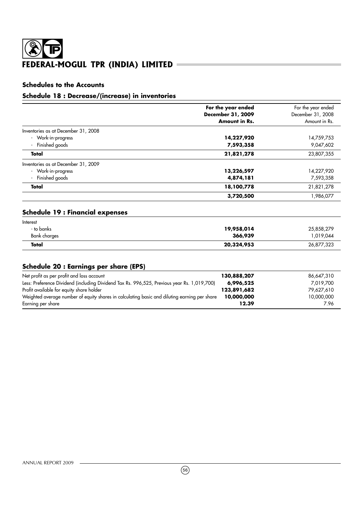## **Schedules to the Accounts**

## **Schedule 18 : Decrease/(increase) in inventories**

|                                     | For the year ended<br>December 31, 2009<br><b>Amount in Rs.</b> | For the year ended<br>December 31, 2008<br>Amount in Rs. |
|-------------------------------------|-----------------------------------------------------------------|----------------------------------------------------------|
| Inventories as at December 31, 2008 |                                                                 |                                                          |
| - Work-in-progress                  | 14,227,920                                                      | 14,759,753                                               |
| Finished goods                      | 7,593,358                                                       | 9,047,602                                                |
| Total                               | 21,821,278                                                      | 23,807,355                                               |
| Inventories as at December 31, 2009 |                                                                 |                                                          |
| - Work-in-progress                  | 13,226,597                                                      | 14,227,920                                               |
| Finished goods                      | 4,874,181                                                       | 7,593,358                                                |
| Total                               | 18,100,778                                                      | 21,821,278                                               |
|                                     | 3,720,500                                                       | 1,986,077                                                |

## **Schedule 19 : Financial expenses**

| Interest     |            |            |
|--------------|------------|------------|
| - to banks   | 19,958,014 | 25,858,279 |
| Bank charges | 366,939    | 1,019,044  |
| Total        | 20,324,953 | 26,877,323 |

## **Schedule 20 : Earnings per share (EPS)**

| Net profit as per profit and loss account                                                    | 130,888,207 | 86,647,310 |
|----------------------------------------------------------------------------------------------|-------------|------------|
| Less: Preference Dividend (including Dividend Tax Rs. 996,525, Previous year Rs. 1,019,700)  | 6,996,525   | 7.019.700  |
| Profit available for equity share holder                                                     | 123,891,682 | 79.627.610 |
| Weighted average number of equity shares in calculating basic and diluting earning per share | 10,000,000  | 10,000,000 |
| Earning per share                                                                            | 12.39       | 7.96       |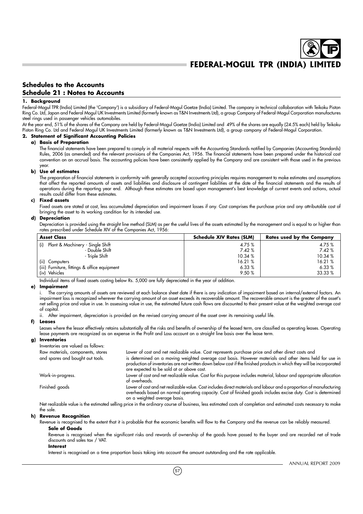### **Schedules to the Accounts Schedule 21 : Notes to Accounts**

#### **1. Background**

Federal-Mogul TPR (India) Limited (the 'Company') is a subsidiary of Federal-Mogul Goetze (India) Limited. The company in technical collaboration with Teikoku Piston Ring Co. Ltd, Japan and Federal Mogul UK Investments Limited (formerly known as T&N Investments Ltd), a group Company of Federal-Mogul Corporation manufactures steel rings used in passenger vehicles automobiles.

At the year end, 51% of the shares of the Company are held by Federal-Mogul Goetze (India) Limited and 49% of the shares are equally (24.5% each) held by Teikoku Piston Ring Co. Ltd and Federal Mogul UK Investments Limited (formerly known as T&N Investments Ltd), a group company of Federal-Mogul Corporation.

#### **2. Statement of Significant Accounting Policies**

#### **a) Basis of Preparation**

The financial statements have been prepared to comply in all material respects with the Accounting Standards notified by Companies (Accounting Standards) Rules, 2006 (as amended) and the relevant provisions of the Companies Act, 1956. The financial statements have been prepared under the historical cost convention on an accrual basis. The accounting policies have been consistently applied by the Company and are consistent with those used in the previous year.

#### **b) Use of estimates**

The preparation of financial statements in conformity with generally accepted accounting principles requires management to make estimates and assumptions that affect the reported amounts of assets and liabilities and disclosure of contingent liabilities at the date of the financial statements and the results of operations during the reporting year end. Although these estimates are based upon management's best knowledge of current events and actions, actual results could differ from these estimates.

#### **c) Fixed assets**

Fixed assets are stated at cost, less accumulated depreciation and impairment losses if any. Cost comprises the purchase price and any attributable cost of bringing the asset to its working condition for its intended use.

#### **d) Depreciation**

Depreciation is provided using the straight line method (SLM) as per the useful lives of the assets estimated by the management and is equal to or higher than rates prescribed under Schedule XIV of the Companies Act, 1956:

| <b>Asset Class</b>                           | <b>Schedule XIV Rates (SLM)</b> | Rates used by the Company |
|----------------------------------------------|---------------------------------|---------------------------|
| Plant & Machinery - Single Shift<br>(i)      | 4.75 %                          | 4.75 %                    |
| - Double Shift                               | 7.42%                           | 7.42%                     |
| - Triple Shift                               | 10.34 %                         | 10.34 %                   |
| (iii)<br>Computers                           | 16.21 %                         | 16.21 %                   |
| (iii) Furniture, fittings & office equipment | 6.33%                           | 6.33%                     |
| (iv) Vehicles                                | 9.50 %                          | 33.33 %                   |

Individual items of fixed assets costing below Rs. 5,000 are fully depreciated in the year of addition.

#### **e) Impairment**

i. The carrying amounts of assets are reviewed at each balance sheet date if there is any indication of impairment based on internal/external factors. An impairment loss is recognized wherever the carrying amount of an asset exceeds its recoverable amount. The recoverable amount is the greater of the asset's net selling price and value in use. In assessing value in use, the estimated future cash flows are discounted to their present value at the weighted average cost of capital.

ii. After impairment, depreciation is provided on the revised carrying amount of the asset over its remaining useful life.

#### **f) Leases**

Leases where the lessor effectively retains substantially all the risks and benefits of ownership of the leased term, are classified as operating leases. Operating lease payments are recognized as an expense in the Profit and Loss account on a straight line basis over the lease term.

#### **g) Inventories**

| Inventories are valued as follows: |                                                                                                                                                                                                                                                                                |
|------------------------------------|--------------------------------------------------------------------------------------------------------------------------------------------------------------------------------------------------------------------------------------------------------------------------------|
| Raw materials, components, stores  | Lower of cost and net realizable value. Cost represents purchase price and other direct costs and                                                                                                                                                                              |
| and spares and bought out tools.   | is determined on a moving weighted average cost basis. However materials and other items held for use in<br>production of inventories are not written down below cost if the finished products in which they will be incorporated<br>are expected to be sold at or above cost. |
| Work-in-progress.                  | Lower of cost and net realizable value. Cost for this purpose includes material, labour and appropriate allocation<br>of overheads.                                                                                                                                            |
| Finished goods                     | Lower of cost and net realizable value. Cost includes direct materials and labour and a proportion of manufacturing<br>overheads based on normal operating capacity. Cost of finished goods includes excise duty. Cost is determined<br>on a weighted average basis.           |
|                                    | Attractically only trible rate and efficiency trible collections of hosters. The rate and received and reaction of receiverance of analysis and relationship of the second state of the second state of the second state of th                                                 |

Net realizable value is the estimated selling price in the ordinary course of business, less estimated costs of completion and estimated costs necessary to make the sale.

#### **h) Revenue Recognition**

Revenue is recognised to the extent that it is probable that the economic benefits will flow to the Company and the revenue can be reliably measured. **Sale of Goods**

Revenue is recognised when the significant risks and rewards of ownership of the goods have passed to the buyer and are recorded net of trade discounts and sales tax / VAT.

#### **Interest**

Interest is recognised on a time proportion basis taking into account the amount outstanding and the rate applicable.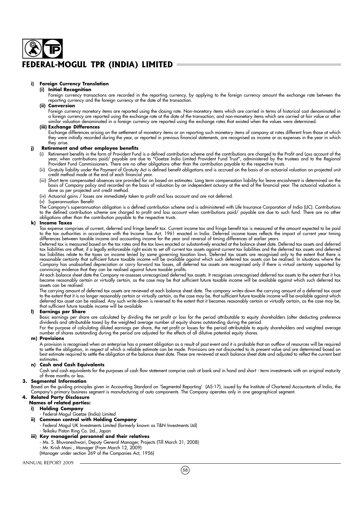#### **i) Foreign Currency Translation**

#### **(i) Initial Recognition**

Foreign currency transactions are recorded in the reporting currency, by applying to the foreign currency amount the exchange rate between the reporting currency and the foreign currency at the date of the transaction.

#### **(ii) Conversion**

Foreign currency monetary items are reported using the closing rate. Non-monetary items which are carried in terms of historical cost denominated in a foreign currency are reported using the exchange rate at the date of the transaction; and non-monetary items which are carried at fair value or other similar valuation denominated in a foreign currency are reported using the exchange rates that existed when the values were determined.

#### **(iii) Exchange Differences**

Exchange differences arising on the settlement of monetary items or on reporting such monetary items of company at rates different from those at which they were initially recorded during the year, or reported in previous financial statements, are recognised as income or as expenses in the year in which they arise.

#### **j) Retirement and other employee benefits**

- (i) Retirement benefits in the form of Provident Fund is a defined contribution scheme and the contributions are charged to the Profit and Loss account of the year, when contributions paid/ payable are due to "Goetze India Limited Provident Fund Trust", administered by the trustees and to the Regional Provident Fund Commissioners. There are no other obligations other than the contribution payable to the respective trusts.
- (ii) Gratuity liability under the Payment of Gratuity Act is defined benefit obligations and is accrued on the basis of an actuarial valuation on projected unit credit method made at the end of each financial year.
- (iii) Short term compensated absences are provided for on based on estimates. Long term compensation liability for leave encashment is determined on the basis of Company policy and recorded on the basis of valuation by an independent actuary at the end of the financial year. The actuarial valuation is done as per projected unit credit method.
- Actuarial gains / losses are immediately taken to profit and loss account and are not deferred.
- Superannuation Benefit

The Company's superannuation obligation is a defined contribution scheme and is administered with Life Insurance Corporation of India (LIC). Contributions to the defined contribution scheme are charged to profit and loss account when contributions paid/ payable are due to such fund. There are no other obligations other than the contribution payable to the respective trusts.

#### **k) Income Taxes**

Tax expense comprises of current, deferred and fringe benefit tax. Current income tax and fringe benefit tax is measured at the amount expected to be paid to the tax authorities in accordance with the Income Tax Act, 1961 enacted in India. Deferred income taxes reflects the impact of current year timing differences between taxable income and accounting income for the year and reversal of timing differences of earlier years.

Deferred tax is measured based on the tax rates and the tax laws enacted or substantively enacted at the balance sheet date. Deferred tax assets and deferred tax liabilities are offset, if a legally enforceable right exists to set off current tax assets against current tax liabilities and the deferred tax assets and deferred tax liabilities relate to the taxes on income levied by same governing taxation laws. Deferred tax assets are recognised only to the extent that there is reasonable certainty that sufficient future taxable income will be available against which such deferred tax assets can be realised. In situations where the Company has unabsorbed depreciation or carry forward tax losses, all deferred tax assets are recognised only if there is virtual certainty supported by convincing evidence that they can be realised against future taxable profits.

At each balance sheet date the Company re-assesses unrecognized deferred tax assets. It recognises unrecognised deferred tax assets to the extent that it has become reasonably certain or virtually certain, as the case may be that sufficient future taxable income will be available against which such deferred tax assets can be realised.

The carrying amount of deferred tax assets are reviewed at each balance sheet date. The company writes-down the carrying amount of a deferred tax asset to the extent that it is no longer reasonably certain or virtually certain, as the case may be, that sufficient future taxable income will be available against which deferred tax asset can be realised. Any such write-down is reversed to the extent that it becomes reasonably certain or virtually certain, as the case may be, that sufficient future taxable income will be available

#### **l) Earnings per Share**

Basic earnings per share are calculated by dividing the net profit or loss for the period attributable to equity shareholders (after deducting preference dividends and attributable taxes) by the weighted average number of equity shares outstanding during the period.

For the purpose of calculating diluted earnings per share, the net profit or losses for the period attributable to equity shareholders and weighted average number of shares outstanding during the period are adjusted for the effects of all dilutive potential equity shares.

#### **m) Provisions**

A provision is recognised when an enterprise has a present obligation as a result of past event and it is probable that an outflow of resources will be required to settle the obligation, in respect of which a reliable estimate can be made. Provisions are not discounted to its present value and are determined based on best estimate required to settle the obligation at the balance sheet date. These are reviewed at each balance sheet date and adjusted to reflect the current best estimates.

#### **n) Cash and Cash Equivalents**

Cash and cash equivalents for the purposes of cash flow statement comprise cash at bank and in hand and short - term investments with an original maturity of three months or less.

#### **3. Segmental Information**

Based on the guiding principles given in Accounting Standard on 'Segmental Reporting' (AS-17), issued by the Institute of Chartered Accountants of India, the Company's primary business segment is manufacturing of auto components. The Company operates only in one geographical segment.

## **4. Related Party Disclosure**

## **Names of related parties:**

- **i) Holding Company**
- Federal-Mogul Goetze (India) Limited **ii) Common control with Holding Company**
	- Federal Mogul UK Investments Limited (formerly known as T&N Investments Ltd)
		- Teikoku Piston Ring Co. Ltd., Japan
- **iii) Key managerial personnel and their relatives** - Ms. S. Bhuvaneshwari, Deputy General Manager, Projects (Till March 31, 2008) - Mr. Krish Mani , Manager (From March 12, 2009) (Manager under section 269 of the Companies Act, 1956)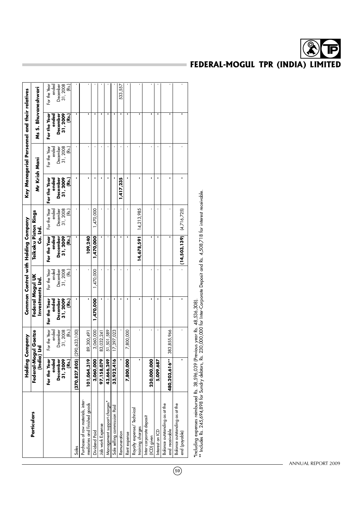|                                                                    |                                                       | Holding Company                                      |                                                           |                                                       | Common Control with Holding Company                   |                                                        |                                                      |                                                        | Key Managerial Personnel and their relatives          |                                                        |
|--------------------------------------------------------------------|-------------------------------------------------------|------------------------------------------------------|-----------------------------------------------------------|-------------------------------------------------------|-------------------------------------------------------|--------------------------------------------------------|------------------------------------------------------|--------------------------------------------------------|-------------------------------------------------------|--------------------------------------------------------|
| Particulars                                                        |                                                       | Federal-Mogul Goetze<br>(India) Ltd                  |                                                           | Federal Mogul UK<br>Investments Ltd.                  | Teikoku Piston Rings<br>Co. Ltd.                      |                                                        | Mr Krish Mani                                        |                                                        | Ms S. Bhuvaneshwari                                   |                                                        |
|                                                                    | For the Year<br>ended<br>31,2009<br>December<br>(Rs.) | For the Year<br>31,2008<br>December<br>ended<br>(Rs. | For the Year<br>ended<br>December<br>31,2009<br><u>์ล</u> | For the Year<br>31,2008<br>December<br>ended<br>(Rs.) | For the Year<br>31,2009<br>ended<br>December<br>(Rs.) | For the Year<br>December<br>31, 2008<br>ended<br>(Rs.) | December<br>31,2009<br>ended<br>For the Year<br>(Rs. | December<br>31, 2008<br>ended<br>For the Year<br>(Rs.) | 31,2009<br>For the Year<br>ended<br>December<br>(Rs.) | December<br>31, 2008<br>ended<br>For the Year<br>(Rs.) |
| Sales                                                              | $(370, 827, 805)$ $(290, 633, 100)$                   |                                                      |                                                           |                                                       |                                                       |                                                        |                                                      |                                                        |                                                       |                                                        |
| Purchases of raw materials, inter-<br>mediaries and finished goods | 101,064,319                                           | 89,300,491                                           |                                                           |                                                       | 109,240                                               |                                                        |                                                      |                                                        |                                                       |                                                        |
| Dividend Paid                                                      | 3,060,000                                             | 3,060,000                                            | 1,470,000                                                 | 1,470,000                                             | 1,470,000                                             | 1,470,000                                              |                                                      |                                                        |                                                       |                                                        |
| Job work Expense                                                   | 97,158,079                                            | 83,032,241                                           |                                                           |                                                       |                                                       |                                                        |                                                      |                                                        |                                                       |                                                        |
| Management support charges*                                        | 43,666,249                                            | 51,501,589                                           |                                                           |                                                       |                                                       |                                                        |                                                      |                                                        |                                                       |                                                        |
| Sole selling commission Paid                                       | 33,932,416                                            | 17,397,023                                           |                                                           |                                                       |                                                       |                                                        |                                                      |                                                        |                                                       |                                                        |
| Remuneration                                                       |                                                       |                                                      |                                                           |                                                       |                                                       |                                                        | 1,417,235                                            |                                                        |                                                       | 533,557                                                |
| Rent expense                                                       | 7,800,000                                             | 7,800,000                                            |                                                           |                                                       |                                                       |                                                        |                                                      |                                                        |                                                       |                                                        |
| Royalty expense/ Technical<br>training charges                     |                                                       |                                                      |                                                           |                                                       | 14,678,591                                            | 14,213,985                                             |                                                      |                                                        |                                                       |                                                        |
| Inter-corporate deposit<br>(ICD) given                             | 230,000,000                                           |                                                      |                                                           |                                                       |                                                       |                                                        |                                                      |                                                        |                                                       |                                                        |
| Interest on ICD                                                    | 5,009,687                                             |                                                      |                                                           |                                                       |                                                       |                                                        |                                                      |                                                        |                                                       |                                                        |
| Balance outstanding as at the<br>end receivable                    | 480,203,616**                                         | 383,855,966                                          |                                                           |                                                       |                                                       |                                                        |                                                      |                                                        |                                                       |                                                        |
| Balance outstanding as at the<br>end (payable)                     |                                                       |                                                      |                                                           |                                                       | (14,503,139)                                          | (4,716,725)                                            |                                                      |                                                        |                                                       |                                                        |

\*Including expenses reimbursed Rs. 38,596,039 (Previous year Rs. 48,536,308).

 $\overline{69}$ 

"Including expenses reimbursed Rs. 38,596,039 (Previous year Rs. 48,536,308).<br>\*\* Includes Rs. 245,694,898 for Sundry debtors, Rs. 230,000,000 for Inter-Corporate Deposit and Rs. 4,508,718 for interest receivable. \*\* Includes Rs. 245,694,898 for Sundry debtors, Rs. 230,000,000 for Inter-Corporate Deposit and Rs. 4,508,718 for interest receivable.

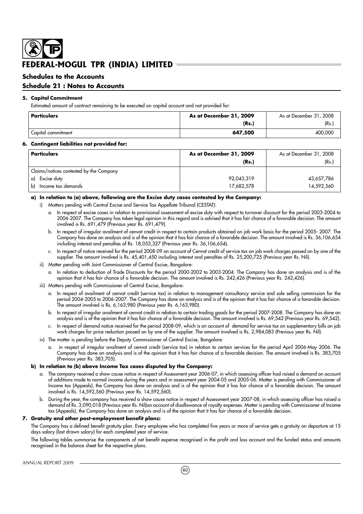### **Schedules to the Accounts**

### **Schedule 21 : Notes to Accounts**

#### **5. Capital Commitment**

Estimated amount of contract remaining to be executed on capital account and not provided for:

| Particulars        | As at December 31, 2009 | As at December 31, 2008 |
|--------------------|-------------------------|-------------------------|
|                    | (Rs.                    | (Rs.                    |
| Capital commitment | 647,500                 | 400,000                 |

#### **6. Contingent liabilities not provided for:**

| Particulars                             | As at December 31, 2009 | As at December 31, 2008 |
|-----------------------------------------|-------------------------|-------------------------|
|                                         | (Rs.)                   | (Rs.)                   |
| Claims/notices contested by the Company |                         |                         |
| Excise duty<br>a)                       | 92,043,319              | 43,657,786              |
| Income tax demands<br>b)                | 17,682,578              | 14,592,560              |

#### **a) In relation to (a) above, following are the Excise duty cases contested by the Company:**

- i) Matters pending with Central Excise and Service Tax Appellate Tribunal (CESTAT):
	- a. In respect of excise cases in relation to provisional assessment of excise duty with respect to turnover discount for the period 2003-2004 to 2006-2007. The Company has taken legal opinion in this regard and is advised that it has fair chance of a favorable decision. The amount involved is Rs. 691,479 (Previous year Rs. 691,479).
	- b. In respect of irregular availment of cenvat credit in respect to certain products obtained on job work basis for the period 2005- 2007. The Company has done an analysis and is of the opinion that it has fair chance of a favorable decision. The amount involved is Rs. 36,106,654 including interest and penalties of Rs. 18,053,327 (Previous year Rs. 36,106,654).
	- c. In respect of notice received for the period 2008-09 on account of Cenvat credit of service tax on job work charges passed on by one of the supplier. The amount involved is Rs. 45,401,450 including interest and penalties of Rs. 25,200,725 (Previous year Rs. Nil).
- ii) Matter pending with Joint Commissioner of Central Excise, Bangalore:
	- a. In relation to deduction of Trade Discounts for the period 2000-2002 to 2003-2004. The Company has done an analysis and is of the opinion that it has fair chance of a favorable decision. The amount involved is Rs. 242,426 (Previous year Rs. 242,426).
- iii) Matters pending with Commissioner of Central Excise, Bangalore:
	- a. In respect of availment of cenvat credit (service tax) in relation to management consultancy service and sole selling commission for the period 2004-2005 to 2006-2007. The Company has done an analysis and is of the opinion that it has fair chance of a favorable decision. The amount involved is Rs. 6,163,980 (Previous year Rs. 6,163,980).
	- b. In respect of irregular availment of cenvat credit in relation to certain trading goods for the period 2007-2008. The Company has done an analysis and is of the opinion that it has fair chance of a favorable decision. The amount involved is Rs. 69,542 (Previous year Rs. 69,542).
	- c. In respect of demand notice received for the period 2008-09, which is on account of demand for service tax on supplementary bills on job work charges for price reduction passed on by one of the supplier. The amount involved is Rs. 2,984,083 (Previous year Rs. Nil).
- iv) The matter is pending before the Deputy Commissioner of Central Excise, Bangalore:
	- a. in respect of irregular availment of cenvat credit (service tax) in relation to certain services for the period April 2006-May 2006. The Company has done an analysis and is of the opinion that it has fair chance of a favorable decision. The amount involved is Rs. 383,705 (Previous year Rs. 383,705).

#### **b) In relation to (b) above Income Tax cases disputed by the Company:**

- a. The company received a show cause notice in respect of Assessment year 2006-07, in which assessing officer had raised a demand on account of additions made to normal income during the years and in assessment year 2004-05 and 2005-06. Matter is pending with Commissioner of Income tax (Appeals), the Company has done an analysis and is of the opinion that it has fair chance of a favorable decision. The amount involved is Rs. 14,592,560 (Previous year Rs. 14,592,560).
- b. During the year, the company has received a show cause notice in respect of Assessment year 2007-08, in which assessing officer has raised a demand of Rs. 3,090,018 (Previous year Rs. Nil)on account of disallowance of royalty expenses. Matter is pending with Commissioner of Income tax (Appeals), the Company has done an analysis and is of the opinion that it has fair chance of a favorable decision.

#### **7. Gratuity and other post-employment benefit plans:**

The Company has a defined benefit gratuity plan. Every employee who has completed five years or more of service gets a gratuity on departure at 15 days salary (last drawn salary) for each completed year of service.

The following tables summarise the components of net benefit expense recognised in the profit and loss account and the funded status and amounts recognised in the balance sheet for the respective plans.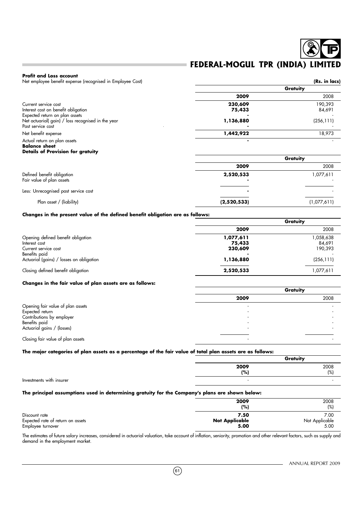#### **Profit and Loss account**

Net employee benefit expense (recognised in Employee Cost) **(Rs. in lacs)** (**Rs. in lacs**)

|                                                    | Gratuity  |            |
|----------------------------------------------------|-----------|------------|
|                                                    | 2009      | 2008       |
| Current service cost                               | 230,609   | 190.393    |
| Interest cost on benefit obligation                | 75,433    | 84,691     |
| Expected return on plan assets                     |           |            |
| Net actuarial( gain) / loss recognised in the year | 1,136,880 | (256, 111) |
| Past service cost                                  |           |            |
| Net benefit expense                                | 1,442,922 | 18,973     |
| Actual return on plan assets                       |           |            |

#### **Balance sheet Details of Provision for gratuity**

|                                                         |             | Gratuity    |
|---------------------------------------------------------|-------------|-------------|
|                                                         | 2009        | 2008        |
| Defined benefit obligation<br>Fair value of plan assets | 2,520,533   | 077,611 ا   |
| Less: Unrecognised past service cost                    |             |             |
| Plan asset / (liability)                                | (2,520,533) | (1,077,611) |

#### **Changes in the present value of the defined benefit obligation are as follows:**

|                                          | Gratuity  |            |
|------------------------------------------|-----------|------------|
|                                          | 2009      | 2008       |
| Opening defined benefit obligation       | 1,077,611 | 058,638    |
| Interest cost                            | 75,433    | 84,691     |
| Current service cost                     | 230,609   | 190,393    |
| Benefits paid                            |           |            |
| Actuarial (gains) / losses on obligation | 1,136,880 | (256, 111) |
| Closing defined benefit obligation       | 2,520,533 | 077,611    |

#### **Changes in the fair value of plan assets are as follows:**

|                                   | Gratuity |      |
|-----------------------------------|----------|------|
|                                   | 2009     | 2008 |
| Opening fair value of plan assets |          |      |
| Expected return                   |          |      |
| Contributions by employer         |          |      |
| Benefits paid                     |          |      |
| Actuarial gains / (losses)        |          |      |
|                                   |          |      |
| Closing fair value of plan assets |          |      |

#### **The major categories of plan assets as a percentage of the fair value of total plan assets are as follows:**

|                          |              | Gratuity    |
|--------------------------|--------------|-------------|
|                          | 2009<br>(% ) | 2008<br>(%) |
|                          |              |             |
| Investments with insurer | . .          |             |

#### **The principal assumptions used in determining gratuity for the Company's plans are shown below:**

|                                   | 2009<br>(%)           | 2008<br>(%)    |
|-----------------------------------|-----------------------|----------------|
| Discount rate                     | 7.50                  | 7.00           |
| Expected rate of return on assets | <b>Not Applicable</b> | Not Applicable |
| Employee turnover                 | 5.00                  | 5.00           |

The estimates of future salary increases, considered in actuarial valuation, take account of inflation, seniority, promotion and other relevant factors, such as supply and demand in the employment market.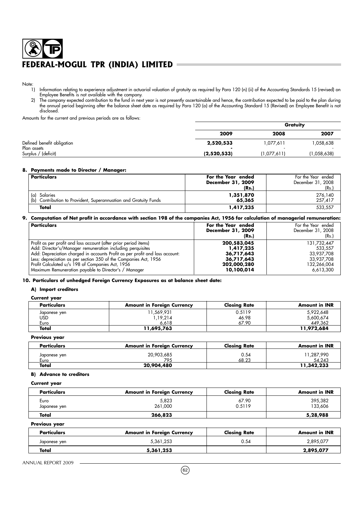Note:<br>1)

- 1) Information relating to experience adjustment in actuarial valuation of gratuity as required by Para 120 (n) (ii) of the Accounting Standards 15 (revised) on Employee Benefits is not available with the company.
- 2) The company expected contribution to the fund in next year is not presently ascertainable and hence, the contribution expected to be paid to the plan during the annual period beginning after the balance sheet date as required by Para 120 (o) of the Accounting Standard 15 (Revised) on Employee Benefit is not disclosed.

Amounts for the current and previous periods are as follows:

|                                           |                 | Gratuity    |             |  |  |
|-------------------------------------------|-----------------|-------------|-------------|--|--|
|                                           | 2009            | 2008        | 2007        |  |  |
| Defined benefit obligation<br>Plan assets | 2,520,533<br>۰. | 114,777,61  | ,058,638    |  |  |
| Surplus / (deficit)                       | (2,520,533)     | (1,077,611) | (1,058,638) |  |  |

#### **8. Payments made to Director / Manager:**

| Particulars                                                         | For the Year ended | For the Year ended |
|---------------------------------------------------------------------|--------------------|--------------------|
|                                                                     | December 31, 2009  | December 31, 2008  |
|                                                                     | (Rs.)              | (Rs.)              |
| Salaries<br>(a)                                                     | 1,351,870          | 276,140            |
| (b)<br>Contribution to Provident, Superannuation and Gratuity Funds | 65,365             | 257,417            |
| Total                                                               | 1,417,235          | 533.557            |

### **9. Computation of Net profit in accordance with section 198 of the companies Act, 1956 for calculation of managerial remuneration:**

| Particulars                                                                  | For the Year ended<br>December 31, 2009<br>(Rs.) | For the Year ended<br>December 31, 2008<br>(Rs.) |
|------------------------------------------------------------------------------|--------------------------------------------------|--------------------------------------------------|
| Profit as per profit and loss account (after prior period items)             | 200,583,045                                      | 131.732.447                                      |
| Add: Director's/Manager remuneration including perquisites                   | 1,417,235                                        | 533.557                                          |
| Add: Depreciation charged in accounts Profit as per profit and loss account: | 36,717,643                                       | 33,937,708                                       |
| Less: depreciation as per section 350 of the Companies Act, 1956             | 36,717,643                                       | 33,937,708                                       |
| Profit Calculated u/s 198 of Companies Act, 1956                             | 202,000,280                                      | 132,266,004                                      |
| Maximum Remuneration payable to Director's / Manager                         | 10,100,014                                       | 6,613,300                                        |

**10. Particulars of unhedged Foreign Currency Exposures as at balance sheet date:**

#### **A) Import creditors**

#### **Current year**

| <b>Particulars</b> | <b>Amount in Foreign Currency</b> | <b>Closing Rate</b> | <b>Amount in INR</b> |
|--------------------|-----------------------------------|---------------------|----------------------|
| Japanese yen       | ' 1,569,931                       | 0.5119              | 5,922,648            |
| USD                | 1,19,214                          | 46.98               | 5,600,674            |
| Euro               | 6.618                             | 67.90               | 449,362              |
| Total              | 11,695,763                        |                     | 11,972,684           |

#### **Previous year**

| <b>Particulars</b>   | <b>Amount in Foreign Currency</b> | Closina Rate  | <b>Amount in INR</b> |
|----------------------|-----------------------------------|---------------|----------------------|
| Japanese yen<br>Euro | 20,903,685<br>795                 | 0.54<br>68.23 | 1,287,990<br>54.243  |
| Total                | 20,904,480                        |               | 11,342,233           |

#### **B) Advance to creditors**

**Current year**

| <b>Particulars</b>   | <b>Amount in Foreign Currency</b> | <b>Closing Rate</b> | <b>Amount in INR</b> |
|----------------------|-----------------------------------|---------------------|----------------------|
| Euro<br>Japanese yen | 5.823<br>261.000                  | 67.90<br>0.5119     | 395,382<br>133,606   |
| Total                | 266,823                           |                     | 5,28,988             |

#### **Previous year**

| <b>Particulars</b> | <b>Amount in Foreign Currency</b> | <b>Closing Rate</b> | <b>Amount in INR</b> |
|--------------------|-----------------------------------|---------------------|----------------------|
| Japanese yen       | 5,361,253                         | 0.54                | 2,895,077            |
| Total              | 5,361,253                         |                     | 2,895,077            |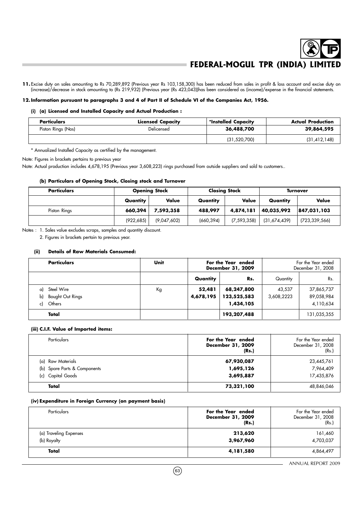11. Excise duty on sales amounting to Rs 70,289,892 (Previous year Rs 103,158,300) has been reduced from sales in profit & loss account and excise duty on (increase)/decrease in stock amounting to (Rs 219,932) (Previous year (Rs 423,043))has been considered as (income)/expense in the financial statements.

#### **12. Information pursuant to paragraphs 3 and 4 of Part II of Schedule VI of the Companies Act, 1956.**

#### **(i) (a) Licensed and Installed Capacity and Actual Production :**

| <b>Particulars</b> | <b>Licensed Capacity</b> | *Installed Capacity | <b>Actual Production</b> |
|--------------------|--------------------------|---------------------|--------------------------|
| Piston Rings (Nos) | Delicensed               | 36,488,700          | 39,864,595               |
|                    |                          | (31, 520, 700)      | (31, 412, 148)           |

\* Annualized Installed Capacity as certified by the management.

Note: Figures in brackets pertains to previous year

Note: Actual production includes 4,678,195 (Previous year 3,608,223) rings purchased from outside suppliers and sold to customers..

#### **(b) Particulars of Opening Stock, Closing stock and Turnover**

| <b>Particulars</b> | <b>Opening Stock</b> |             | <b>Closing Stock</b> |               | <b>Turnover</b> |                 |
|--------------------|----------------------|-------------|----------------------|---------------|-----------------|-----------------|
|                    | Quantity             | Value       | Quantity             | Value         | Quantity        | Value           |
| Piston Rings       | 660,394              | 7,593,358   | 488,997              | 4,874,181     | 40,035,992      | 847,031,103     |
|                    | (922, 685)           | (9,047,602) | (660, 394)           | (7, 593, 358) | (31,674,439)    | (723, 339, 566) |

Notes : 1. Sales value excludes scraps, samples and quantity discount.

2. Figures in brackets pertain to previous year.

#### **(ii) Details of Raw Materials Consumed:**

|    | <b>Particulars</b>      | Unit | For the Year ended<br>December 31, 2009 |             |            | For the Year ended<br>December 31, 2008 |
|----|-------------------------|------|-----------------------------------------|-------------|------------|-----------------------------------------|
|    |                         |      | Quantity                                | Rs.         | Quantity   | Rs.                                     |
| a) | Steel Wire              | Кg   | 52,481                                  | 68,247,800  | 43,537     | 37,865,737                              |
| b) | <b>Bought Out Rings</b> |      | 4,678,195                               | 123,525,583 | 3,608,2223 | 89,058,984                              |
| c) | Others                  |      |                                         | 1,434,105   |            | 4,110,634                               |
|    | Total                   |      |                                         | 193,207,488 |            | 131,035,355                             |

#### **(iii) C.I.F. Value of Imported items:**

| Particulars                                                               | For the Year ended<br>December 31, 2009<br>(Rs.) | For the Year ended<br>December 31, 2008<br>(Rs.) |
|---------------------------------------------------------------------------|--------------------------------------------------|--------------------------------------------------|
| (a) Raw Materials<br>(b) Spare Parts & Components<br>Capital Goods<br>(c) | 67,930,087<br>1,695,126<br>3,695,887             | 23,445,761<br>7,964,409<br>17,435,876            |
| Total                                                                     | 73,321,100                                       | 48,846,046                                       |

#### **(iv) Expenditure in Foreign Currency (on payment basis)**

| Particulars                           | For the Year ended<br>December 31, 2009<br>(Rs.) | For the Year ended<br>December 31, 2008<br>(Rs.) |
|---------------------------------------|--------------------------------------------------|--------------------------------------------------|
| (a) Traveling Expenses<br>(b) Royalty | 213,620<br>3,967,960                             | 161,460<br>4,703,037                             |
| Total                                 | 4,181,580                                        | 4,864,497                                        |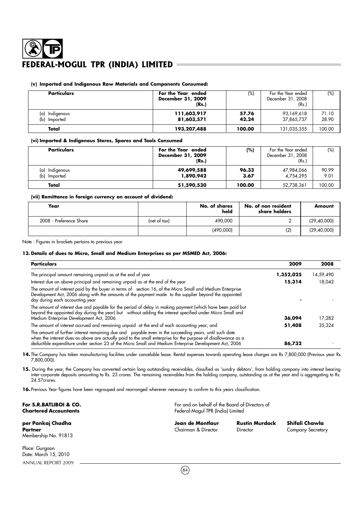#### **(v) Imported and Indigenous Raw Materials and Components Consumed:**

| <b>Particulars</b>             | For the Year ended<br>December 31, 2009<br>(Rs.) | (%)            | For the Year ended<br>December 31, 2008<br>(Rs.) | (%)            |
|--------------------------------|--------------------------------------------------|----------------|--------------------------------------------------|----------------|
| (a) Indigenous<br>(b) Imported | 111,603,917<br>81,603,571                        | 57.76<br>42.24 | 93,169,618<br>37,865,737                         | 71.10<br>28.90 |
| Total                          | 193,207,488                                      | 100.00         | 131,035,355                                      | 100.00         |

#### **(vi) Imported & Indigenous Stores, Spares and Tools Consumed**

| <b>Particulars</b>                   | For the Year ended<br>December 31, 2009<br>(Rs.) | (%)           | For the Year ended<br>December 31, 2008<br>(Rs.) | (%)           |
|--------------------------------------|--------------------------------------------------|---------------|--------------------------------------------------|---------------|
| Indigenous<br>(a)<br>Imported<br>(b) | 49,699,588<br>1,890,942                          | 96.33<br>3.67 | 47,984,066<br>4.754.295                          | 90.99<br>9.01 |
| Total                                | 51,590,530                                       | 100.00        | 52,738,361                                       | 100.00        |

#### **(vii) Remittance in foreign currency on account of dividend:**

| Year                    |              | No. of shares<br>held | No. of non resident<br>share holders | Amount        |
|-------------------------|--------------|-----------------------|--------------------------------------|---------------|
| 2008 - Preference Share | (net of tax) | 490,000               |                                      | (29, 40, 000) |
|                         |              | (490,000)             | (2)                                  | (29, 40, 000) |

Note : Figures in brackets pertains to previous year

ANNUAL REPORT 2009

#### **13. Details of dues to Micro, Small and Medium Enterprises as per MSMED Act, 2006:**

| <b>Particulars</b>                                                                                                                                                                                                                                                                                                                 | 2009      | 2008      |
|------------------------------------------------------------------------------------------------------------------------------------------------------------------------------------------------------------------------------------------------------------------------------------------------------------------------------------|-----------|-----------|
| The principal amount remaining unpaid as at the end of year                                                                                                                                                                                                                                                                        | 1,352,025 | 14,59,490 |
| Interest due on above principal and remaining unpaid as at the end of the year                                                                                                                                                                                                                                                     | 15,314    | 18,042    |
| The amount of interest paid by the buyer in terms of section 16, of the Micro Small and Medium Enterprise<br>Development Act, 2006 along with the amounts of the payment made to the supplier beyond the appointed<br>day during each accounting year                                                                              |           |           |
| The amount of interest due and payable for the period of delay in making payment (which have been paid but<br>beyond the appointed day during the year) but without adding the interest specified under Micro Small and<br>Medium Enterprise Development Act, 2006.                                                                | 36,094    | 17,282    |
| The amount of interest accrued and remaining unpaid at the end of each accounting year; and                                                                                                                                                                                                                                        | 51,408    | 35,324    |
| The amount of further interest remaining due and payable even in the succeeding years, until such date<br>when the interest dues as above are actually paid to the small enterprise for the purpose of disallowance as a<br>deductible expenditure under section 23 of the Micro Small and Medium Enterprise Development Act, 2006 | 86,732    |           |

14. The Company has taken manufacturing facilities under cancelable lease. Rental expenses towards operating lease charges are Rs 7,800,000 (Previous year Rs 7,800,000).

15. During the year, the Company has converted certain long outstanding receivables, classified as 'sundry debtors', from holding company into interest bearing inter-corporate deposits amounting to Rs. 23 crores. The remaining receivables from the holding company, outstanding as at the year end is aggregating to Rs. 24.57crores.

**16.** Previous Year figures have been regrouped and rearranged wherever necessary to confirm to this years classification.

| For S.R.BATLIBOI & CO.<br><b>Chartered Accountants</b> |                                         | For and on behalf of the Board of Directors of<br>Federal-Mogul TPR (India) Limited |                                            |  |
|--------------------------------------------------------|-----------------------------------------|-------------------------------------------------------------------------------------|--------------------------------------------|--|
| per Pankaj Chadha<br>Partner<br>Membership No. 91813   | Jean de Montlaur<br>Chairman & Director | <b>Rustin Murdock</b><br>Director                                                   | Shifali Chawla<br><b>Company Secretary</b> |  |
| Place: Gurgaon<br>Date: March 15, 2010                 |                                         |                                                                                     |                                            |  |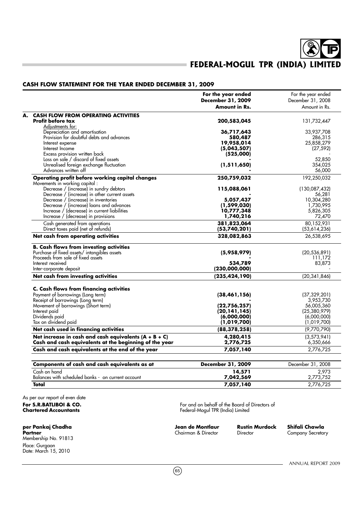#### **CASH FLOW STATEMENT FOR THE YEAR ENDED DECEMBER 31, 2009**

|                                                                                   | For the year ended<br>December 31, 2009<br>Amount in Rs. | For the year ended<br>December 31, 2008<br>Amount in Rs. |
|-----------------------------------------------------------------------------------|----------------------------------------------------------|----------------------------------------------------------|
| <b>CASH FLOW FROM OPERATING ACTIVITIES</b>                                        |                                                          |                                                          |
| <b>Profit before tax</b><br>Adjustments for:                                      | 200,583,045                                              | 131,732,447                                              |
| Depreciation and amortisation                                                     | 36,717,643                                               | 33,937,708                                               |
| Provision for doubtful debts and advances                                         | 580,487                                                  | 286,315                                                  |
| Interest expense                                                                  | 19,958,014                                               | 25,858,279                                               |
| Interest Income                                                                   | (5,043,507)                                              | (27, 592)                                                |
| Excess provision written back                                                     | (525,000)                                                |                                                          |
| Loss on sale / discard of fixed assets                                            |                                                          | 52,850                                                   |
| Unrealised foreign exchange fluctuation                                           | (1,511,650)                                              | 354,025                                                  |
| Advances written off                                                              |                                                          | 56,000<br>192,250,032                                    |
| Operating profit before working capital changes<br>Movements in working capital : | 250,759,032                                              |                                                          |
| Decrease / (increase) in sundry debtors                                           | 115,088,061                                              | (130,087,432)                                            |
| Decrease / (increase) in other current assets                                     |                                                          | 56,281                                                   |
| Decrease / (increase) in inventories                                              | 5,057,437                                                | 10,304,280                                               |
| Decrease / (increase) loans and advances                                          | (1,599,030)                                              | 1,730,995                                                |
| Increase / (decrease) in current liabilities                                      | 10,777,348                                               | 5,826,305                                                |
| Increase / (decrease) in provisions                                               | 1,740,216                                                | 72,470                                                   |
| Cash generated from operations                                                    | 381,823,064                                              | 80,152,931                                               |
| Direct taxes paid (net of refunds)                                                | (53,740,201)                                             | (53,614,236)                                             |
| Net cash from operating activities                                                | 328,082,863                                              | 26,538,695                                               |
| <b>B. Cash flows from investing activities</b>                                    |                                                          |                                                          |
| Purchase of fixed assets/ intangibles assets                                      | (5,958,979)                                              | (20, 536, 891)                                           |
| Proceeds from sale of fixed assets                                                |                                                          | 111,172                                                  |
| Interest received                                                                 | 534,789                                                  | 83,873                                                   |
| Inter-corporate deposit                                                           | (230,000,000)                                            |                                                          |
| Net cash from investing activities                                                | (235, 424, 190)                                          | (20, 341, 846)                                           |
| C. Cash flows from financing activities                                           |                                                          |                                                          |
| Payment of borrowings (Long term)                                                 | (38, 461, 156)                                           | (37, 329, 201)                                           |
| Receipt of borrowings (Long term)                                                 |                                                          | 3,953,730                                                |
| Movement of borrowings (Short term)                                               | (22,756,257)                                             | 56,005,360                                               |
| Interest paid                                                                     | (20,141,145)                                             | (25,380,979)                                             |
| Dividends paid                                                                    | (6,000,000)                                              | (6,000,000)                                              |
| Tax on dividend paid                                                              | (1,019,700)                                              | (1,019,700)                                              |
| Net cash used in financing activities                                             | (88, 378, 258)                                           | (9,770,790)                                              |
| Net increase in cash and cash equivalents $(A + B + C)$                           | 4,280,415                                                | (3,573,941)                                              |
| Cash and cash equivalents at the beginning of the year                            | 2,776,725                                                | 6,350,666                                                |
| Cash and cash equivalents at the end of the year                                  | 7,057,140                                                | 2,776,725                                                |
| Components of cash and cash equivalents as at                                     | <b>December 31, 2009</b>                                 | December 31, 2008                                        |
| Cash on hand                                                                      | 14,571                                                   | 2,973                                                    |
| Balances with scheduled banks - on current account                                | 7,042,569                                                | 2,773,752                                                |
| Total                                                                             | 7,057,140                                                | 2,776,725                                                |

As per our report of even date

**per Pankaj Chadha Jean de Montlaur Rustin Murdock Shifali Chawla** Partner **Partner** Chairman & Director Director Company Secretary Company Secretary Membership No. 91813 Place: Gurgaon Date: March 15, 2010

**For S.R.BATLIBOI & CO.** For and on behalf of the Board of Directors of Chartered Accountants and Section 2011 of the Board of Directors of Chartered Accountants **Chartered Accountants** Federal-Mogul TPR (India) Limited

 $(65)$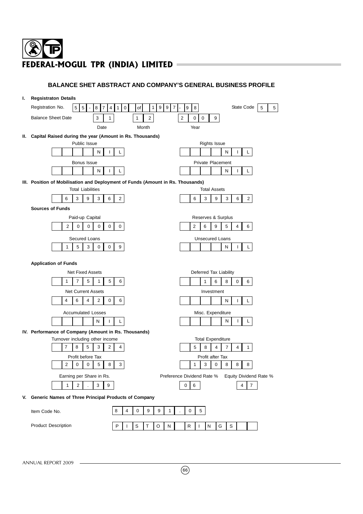## **BALANCE SHET ABSTRACT AND COMPANY'S GENERAL BUSINESS PROFILE**

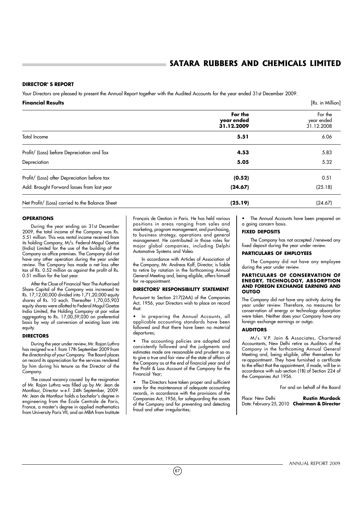#### **DIRECTOR' S REPORT**

Your Directors are pleased to present the Annual Report together with the Audited Accounts for the year ended 31st December 2009.

| <b>Financial Results</b>                        |                                     | [Rs. in Million]                    |
|-------------------------------------------------|-------------------------------------|-------------------------------------|
|                                                 | For the<br>year ended<br>31.12.2009 | For the<br>year ended<br>31.12.2008 |
| Total Income                                    | 5.51                                | 6.06                                |
| Profit/ (Loss) before Depreciation and Tax      | 4.53                                | 5.83                                |
| Depreciation                                    | 5.05                                | 5.32                                |
| Profit/ (Loss) after Depreciation before tax    | (0.52)                              | 0.51                                |
| Add: Brought Forward losses from last year      | (24.67)                             | (25.18)                             |
| Net Profit/ (Loss) carried to the Balance Sheet | (25.19)                             | (24.67)                             |

#### **OPERATIONS**

During the year ending on 31st December 2009, the total income of the Company was Rs. 5.51 million. This was rental income received from its holding Company, M/s. Federal-Mogul Goetze (India) Limited for the use of the building of the Company as office premises. The Company did not have any other operation during the year under review. The Company has made a net loss after tax of Rs. 0.52 million as against the profit of Rs. 0.51 million for the last year.

After the Close of Financial Year The Authorised Share Capital of the Company was increased to Rs. 17,12,00,000 divided into 1,71,20,000 equity shares of Rs. 10 each. Thereafter 1,70,05,903 equity shares were allotted to Federal Mogul Goetze India Limited, the Holding Company at par value aggregating to Rs. 17,00,59,030 on preferential basis by way of conversion of existing loan into equity.

#### **DIRECTORS**

During the year under review, Mr. Rajan Luthra has resigned w.e.f. from 17th September 2009 from the directorship of your Company. The Board places on record its appreciation for the services rendered by him during his tenure as the Director of the Company.

The casual vacancy caused by the resignation of Mr. Rajan Luthra was filled up by Mr. Jean de Montlaur, Director w.e.f. 24th September, 2009. Mr. Jean de Montlaur holds a bachelor's degree in engineering from the École Centrale de Paris, France, a master's degree in applied mathematics from University Paris VII, and an MBA from Institute

Français de Gestion in Paris. He has held various positions in areas ranging from sales and marketing, program management, and purchasing, to business strategy, operations and general management. He contributed in those roles for major global companies, including Delphi Automotive Systems and Valeo.

In accordance with Articles of Association of the Company, Mr. Andreas Kolf, Director, is liable to retire by rotation in the forthcoming Annual General Meeting and, being eligible, offers himself for re-appointment.

#### **DIRECTORS' RESPONSIBILITY STATEMENT**

Pursuant to Section 217(2AA) of the Companies Act, 1956, your Directors wish to place on record that:

In preparing the Annual Accounts, all applicable accounting standards have been followed and that there have been no material departures;

• The accounting policies are adopted and consistently followed and the judgments and estimates made are reasonable and prudent so as to give a true and fair view of the state of affairs of the Company as at the end of financial year and of the Profit & Loss Account of the Company for the Financial Year;

The Directors have taken proper and sufficient care for the maintenance of adequate accounting records, in accordance with the provisions of the Companies Act, 1956, for safeguarding the assets of the Company and for preventing and detecting fraud and other irregularities;

• The Annual Accounts have been prepared on a going concern basis.

#### **FIXED DEPOSITS**

The Company has not accepted /renewed any fixed deposit during the year under review.

#### **PARTICULARS OF EMPLOYEES**

The Company did not have any employee during the year under review.

#### **PARTICULARS OF CONSERVATION OF ENEGRY, TECHNOLOGY, ABSORPTION AND FOREGN EXCHANGE EARNING AND OUTGO**

The Company did not have any activity during the year under review. Therefore, no measures for conservation of energy or technology absorption were taken. Neither does your Company have any foreign exchange earnings or outgo.

#### **AUDITORS**

M/s. V.P. Jain & Associates, Chartered Accountants, New Delhi retire as Auditors of the Company in the forthcoming Annual General Meeting and, being eligible, offer themselves for re-appointment. They have furnished a certificate to the effect that the appointment, if made, will be in accordance with sub-section (1B) of Section 224 of the Companies Act 1956.

For and on behalf of the Board

Place: New Delhi **Rustin Murdock** Date: February 25, 2010 **Chairman & Director**

 $(67)$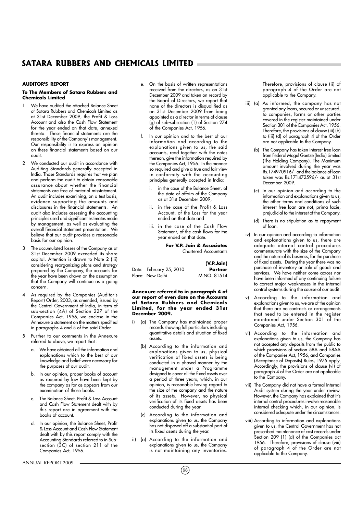#### **AUDITOR'S REPORT**

#### **To The Members of Satara Rubbers and Chemicals Limited**

- We have audited the attached Balance Sheet of Satara Rubbers and Chemicals Limited as at 31st December 2009, the Profit & Loss Account and also the Cash Flow Statement for the year ended on that date, annexed thereto. These financial statements are the responsibility of the Company's management. Our responsibility is to express an opinion on these financial statements based on our audit.
- 2 We conducted our audit in accordance with Auditing Standards generally accepted in India. Those Standards requires that we plan and perform the audit to obtain reasonable assurance about whether the financial statements are free of material misstatement. An audit includes examining, on a test basis, evidence supporting the amounts and disclosures in the financial statements. An audit also includes assessing the accounting principles used and significant estimates made by management, as well as evaluating the overall financial statement presentation. We believe that our audit provides a reasonable basis for our opinion.
- 3 The accumulated losses of the Company as at 31st December 2009 exceeded its share capital. Attention is drawn to Note 2 (iii) considering reorganizing plans and strategy prepared by the Company, the accounts for the year have been drawn on the assumption that the Company will continue as a going concern.
- 4 As required by the Companies (Auditor's Report) Order, 2003, as amended, issued by the Central Government of India, in term of sub-section (4A) of Section 227 of the Companies Act, 1956, we enclose in the Annexure a statement on the matters specified in paragraphs 4 and 5 of the said Order.
- 5 Further to our comments in the Annexure referred to above, we report that :
	- a. We have obtained all the information and explanations which to the best of our knowledge and belief were necessary for the purposes of our audit.
	- b. In our opinion, proper books of account as required by law have been kept by the company as far as appears from our examination of those books.
	- c. The Balance Sheet, Profit & Loss Account and Cash Flow Statement dealt with by this report are in agreement with the books of account.
	- d. In our opinion, the Balance Sheet, Profit & Loss Account and Cash Flow Statement dealt with by this report comply with the Accounting Standards referred to in Subsection (3C) of section 211 of the Companies Act, 1956.
- e. On the basis of written representations received from the directors, as on 31st December 2009 and taken on record by the Board of Directors, we report that none of the directors is disqualified as on 31st December 2009 from being appointed as a director in terms of clause (g) of sub-subsection (1) of Section 274 of the Companies Act, 1956.
- In our opinion and to the best of our information and according to the explanations given to us, the said accounts, read together with the notes thereon, give the information required by the Companies Act, 1956. In the manner so required and give a true and fair view in conformity with the accounting principles generally accepted in India:
	- i. in the case of the Balance Sheet, of the state of affairs of the Company as at 31st December 2009,
	- ii. in the case of the Profit & Loss Account, of the Loss for the year ended on that date and
	- iii. in the case of the Cash Flow Statement, of the cash flows for the year ended on that date.

**For V.P. Jain & Associates** Chartered Accountants

#### **(V.P.Jain)**

| Date: February 25, 2010 | Partner     |
|-------------------------|-------------|
| Place: New Delhi        | M.NO. 81514 |

#### **Annexure referred to in paragraph 4 of our report of even date on the Accounts of Satara Rubbers and Chemicals Limited, for the year ended 31st December 2009.**

- (a) The Company has maintained proper records showing full particulars including quantitative details and situation of fixed assets.
	- (b) According to the information and explanations given to us, physical verification of fixed assets is being conducted in a phased manner by the management under a Programme designed to cover all the fixed assets over a period of three years, which, in our opinion, is reasonable having regard to the size of the company and the nature of its assets. However, no physical verification of its fixed assets has been conducted during the year.
	- (c) According to the information and explanations given to us, the Company has not disposed off a substantial part of its fixed assets during the year.
- ii) (a) According to the information and explanations given to us, the Company is not maintaining any inventories.

Therefore, provisions of clause (ii) of paragraph 4 of the Order are not applicable to the Company.

- iii) (a) As informed, the company has not granted any loans, secured or unsecured, to companies, forms or other parties covered in the register maintained under Section 301 of the Companies Act, 1956. Therefore, the provisions of clause (iii) (b) to (iii) (d) of paragraph 4 of the Order are not applicable to the Company.
	- (b) The Company has taken interest free loan from Federal Mogul Goetze (India) Limited (The Holding Company). The Maximum amount involved during the year was Rs.174970916/- and the balance of loan taken was Rs.171472596/- as at 31st December 2009.
	- (c) In our opinion and according to the information and explanations given to us, the other terms and conditions of such interest free loan are not, prima facie, prejudicial to the interest of the Company.
	- (d) There is no stipulation as to repayment of loan.
- iv) In our opinion and according to information and explanations given to us, there are adequate internal control procedures commensurate with the size of the Company and the nature of its business, for the purchase of fixed assets. During the year there was no purchase of inventory or sale of goods and services. We have neither come across nor have been informed of any continuing failure to correct major weaknesses in the internal control systems during the course of our audit.
- v) According to the information and explanations given to us, we are of the opinion that there are no contracts or arrangements that need to be entered in the register maintained under Section 301 of the Companies Act, 1956.
- vi) According to the information and explanations given to us, the Company has not accepted any deposits from the public to which provisions of section 58A and 58AA of the Companies Act, 1956, and Companies (Acceptance of Deposits) Rules, 1975 apply. Accordingly, the provisions of clause (vi) of paragraph 4 of the Order are not applicable to the Company.
- vii) The Company did not have a formal Internal Audit system during the year under review. However, the Company has explained that it's internal control procedures involve reasonable internal checking which, in our opinion, is considered adequate under the circumstances.
- viii) According to information and explanations given to us, the Central Government has not prescribed maintenance of cost records under Section 209 (1) (d) of the Companies act 1956. Therefore, provisions of clause (viii) of paragraph 4 of the Order are not applicable to the Company.

ANNUAL REPORT 2009

 $(68)$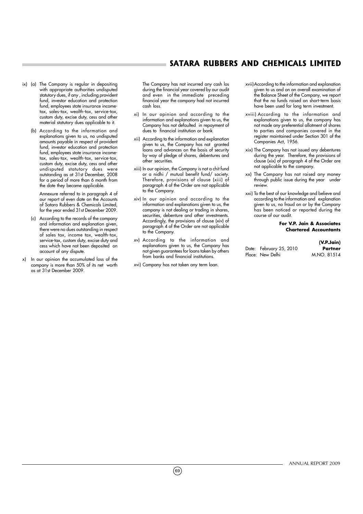- ix) (a) The Company is regular in depositing with appropriate authorities undisputed statutory dues, if any , including provident fund, investor education and protection fund, employees state insurance incometax, sales-tax, wealth-tax, service-tax, custom duty, excise duty, cess and other material statutory dues applicable to it.
	- (b) According to the information and explanations given to us, no undisputed amounts payable in respect of provident fund, investor education and protection fund, employees state insurance incometax, sales-tax, wealth-tax, service-tax, custom duty, excise duty, cess and other undisputed statutory dues were outstanding as at 31st December, 2008 for a period of more than 6 month from the date they became applicable.

Annexure referred to in paragraph 4 of our report of even date on the Accounts of Satara Rubbers & Chemicals Limited, for the year ended 31st December 2009.

- (c) According to the records of the company and information and explanation given, there were no dues outstanding in respect of sales tax, income tax, wealth-tax, service-tax, custom duty, excise duty and cess which have not been deposited on account of any dispute.
- x) In our opinion the accumulated loss of the company is more than 50% of its net worth as at 31st December 2009.

The Company has not incurred any cash los during the financial year covered by our audit and even in the immediate preceding financial year the company had not incurred cash loss.

- xi) In our opinion and according to the information and explanations given to us, the Company has not defaulted in repayment of dues to financial institution or bank
- xii) According to the information and explanation given to us, the Company has not granted loans and advances on the basis of security by way of pledge of shares, debentures and other securities.
- xiii) In our opinion, the Company is not a chit fund or a nidhi / mutual benefit fund/ society. Therefore, provisions of clause (xiii) of paragraph 4 of the Order are not applicable to the Company.
- xiv) In our opinion and according to the information and explanations given to us, the company is not dealing or trading in shares, securities, debenture and other investments. Accordingly, the provisions of clause (xiv) of paragraph 4 of the Order are not applicable to the Company.
- xv) According to the information and explanations given to us, the Company has not given guarantees for loans taken by others from banks and financial institutions.
- xvi) Company has not taken any term loan.
- xvii)According to the information and explanation given to us and on an overall examination of the Balance Sheet of the Company, we report that the no funds raised on short-term basis have been used for long term investment.
- xviii) According to the information and explanations given to us, the company has not made any preferential allotment of shares to parties and companies covered in the register maintained under Section 301 of the Companies Act, 1956.
- xix) The Company has not issued any debentures during the year. Therefore, the provisions of clause (xix) of paragraph 4 of the Order are not applicable to the company.
- xx) The Company has not raised any money through public issue during the year under review.
- xxi) To the best of our knowledge and believe and according to the information and explanation given to us, no fraud on or by the Company has been noticed or reported during the course of our audit.

#### **For V.P. Jain & Associates Chartered Accountants**

|                         | (V.P.Jain)  |
|-------------------------|-------------|
| Date: February 25, 2010 | Partner     |
| Place: New Delhi        | M.NO. 81514 |

 $(69)$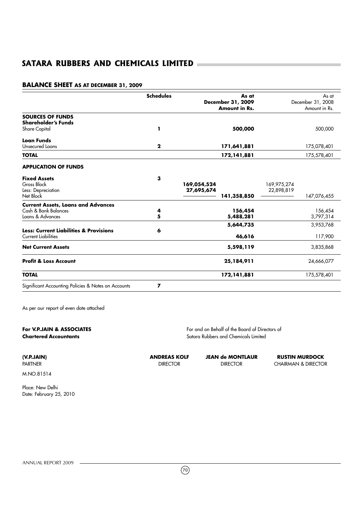## **BALANCE SHEET AS AT DECEMBER 31, 2009**

|                                                                                 | <b>Schedules</b> | As at                | As at             |
|---------------------------------------------------------------------------------|------------------|----------------------|-------------------|
|                                                                                 |                  | December 31, 2009    | December 31, 2008 |
|                                                                                 |                  | <b>Amount in Rs.</b> | Amount in Rs.     |
| <b>SOURCES OF FUNDS</b>                                                         |                  |                      |                   |
| <b>Shareholder's Funds</b>                                                      |                  |                      |                   |
| Share Capital                                                                   | ı                | 500,000              | 500,000           |
| Loan Funds                                                                      |                  |                      |                   |
| Unsecured Loans                                                                 | $\mathbf{2}$     | 171,641,881          | 175,078,401       |
| <b>TOTAL</b>                                                                    |                  | 172, 141, 881        | 175,578,401       |
| <b>APPLICATION OF FUNDS</b>                                                     |                  |                      |                   |
| <b>Fixed Assets</b>                                                             | з                |                      |                   |
| Gross Block                                                                     |                  | 169,054,524          | 169,975,274       |
| Less: Depreciation                                                              |                  | 27,695,674           | 22,898,819        |
| Net Block                                                                       |                  | 141,358,850          | 147,076,455       |
| <b>Current Assets, Loans and Advances</b>                                       |                  |                      |                   |
| Cash & Bank Balances                                                            | 4                | 156,454              | 156,454           |
| Loans & Advances                                                                | 5                | 5,488,281            | 3,797,314         |
|                                                                                 |                  | 5,644,735            | 3,953,768         |
| <b>Less: Current Liabilities &amp; Provisions</b><br><b>Current Liabilities</b> | 6                | 46,616               | 117,900           |
|                                                                                 |                  |                      |                   |
| <b>Net Current Assets</b>                                                       |                  | 5,598,119            | 3,835,868         |
| <b>Profit &amp; Loss Account</b>                                                |                  | 25,184,911           | 24,666,077        |
| <b>TOTAL</b>                                                                    |                  | 172,141,881          | 175,578,401       |
| Significant Accounting Policies & Notes on Accounts                             | 7                |                      |                   |

As per our report of even date attached

| For V.P.JAIN & ASSOCIATES<br><b>Chartered Accountants</b> |                     | For and on Behalf of the Board of Directors of<br>Satara Rubbers and Chemicals Limited |                                |  |  |
|-----------------------------------------------------------|---------------------|----------------------------------------------------------------------------------------|--------------------------------|--|--|
| (V.P.JAIN)                                                | <b>ANDREAS KOLF</b> | <b>JEAN de MONTLAUR</b>                                                                | <b>RUSTIN MURDOCK</b>          |  |  |
| <b>PARTNER</b>                                            | <b>DIRECTOR</b>     | <b>DIRECTOR</b>                                                                        | <b>CHAIRMAN &amp; DIRECTOR</b> |  |  |

M.NO.81514

Place: New Delhi Date: February 25, 2010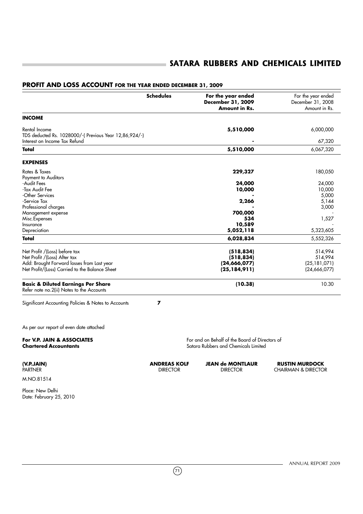## **Schedules For the year ended** For the year ended **December 31, 2009** December 31, 2008<br>**Amount in Rs.** Amount in Rs. **Amount in Rs. INCOME** Rental Income **5,510,000** 6,000,000 TDS deducted Rs. 1028000/-( Previous Year 12,86,924/-) Interest on Income Tax Refund **-** 67,320 **Total 5,510,000** 6,067,320 **EXPENSES** Rates & Taxes **229,327** 180,050 Payment to Auditors<br>-Audit Fees -Audit Fees **24,000** 24,000 -Tax Audit Fee **10,000** 10,000 -Other Services **-** 5,000 -Service Tax **2,266** 5,144 Professional charges **-** 3,000 Management expense **700,000**<br>Misc.Expenses **700,000**<br>Misc.Expenses **700,000** Misc.Expenses **534** 1,527 Insurance **10,589** - Depreciation **5,052,118** 5,323,605 **Total 6,028,834** 5,552,326 Net Profit /(Loss) before tax **(518,834)** 514,994 Net Profit /(Loss) After tax **(518,834)** 514,994 Add: Brought Forward losses from Last year **(24,666,077)** (24,**666,077)** (24,666,077) (25,184,911) Net Profit/(Loss) Carried to the Balance Sheet **(25,184,911)** (24,666,077) **Basic & Diluted Earnings Per Share (10.38)** 10.30 Refer note no.2(ii) Notes to the Accounts Significant Accounting Policies & Notes to Accounts **7** As per our report of even date attached **For V.P. JAIN & ASSOCIATES**<br> **Chartered Accountants**<br> **Chartered Accountants Satara Rubbers and Chemicals Limited (V.P.JAIN) ANDREAS KOLF JEAN de MONTLAUR RUSTIN MURDOCK** CHAIRMAN & DIRECTOR

### **PROFIT AND LOSS ACCOUNT FOR THE YEAR ENDED DECEMBER 31, 2009**

M.NO.81514

Place: New Delhi Date: February 25, 2010

ANNUAL REPORT 2009

 $(71)$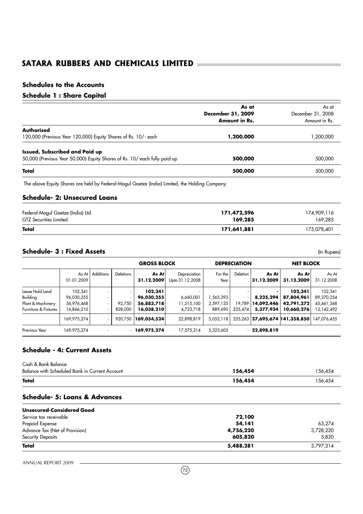# **Schedules to the Accounts**

# **Schedule 1 : Share Capital**

|                                                                           | As at<br>December 31, 2009 | As at<br>December 31, 2008 |
|---------------------------------------------------------------------------|----------------------------|----------------------------|
|                                                                           | <b>Amount in Rs.</b>       | Amount in Rs.              |
| <b>Authorised</b>                                                         |                            |                            |
| 120,000 (Previous Year 120,000) Equity Shares of Rs. 10/- each            | 1,200,000                  | ,200,000                   |
| <b>Issued, Subscribed and Paid up</b>                                     |                            |                            |
| 50,000 (Previous Year 50,000) Equity Shares of Rs. 10/-each fully paid-up | 500,000                    | 500,000                    |
| Total                                                                     | 500,000                    | 500,000                    |
|                                                                           |                            |                            |

The above Equity Shares are held by Federal-Mogul Goetze (India) Limited, the Holding Company.

# **Schedule- 2: Unsecured Loans**

| Federal-Mogul Goetze (India) Ltd. | 171,472,596 | 174,909,116 |
|-----------------------------------|-------------|-------------|
| <b>GTZ</b> Securities Limited     | 169,285     | 169,285     |
| Total                             | 171,641,881 | 175.078.401 |

# **Schedule- 3 : Fixed Assets** (In Rupees)

|                                           |                          |                   | <b>GROSS BLOCK</b> |                          |                                 | <b>DEPRECIATION</b>  |                   | <b>NET BLOCK</b>        |                                     |                          |
|-------------------------------------------|--------------------------|-------------------|--------------------|--------------------------|---------------------------------|----------------------|-------------------|-------------------------|-------------------------------------|--------------------------|
|                                           | 01.01.2009               | As At   Additions | <b>Deletions</b>   | As Atl<br>31.12.2009     | Depreciation<br>Upto 31.12.2008 | For the<br>Year      | Deletion          | As At<br>31.12.2009     | As At<br>31.12.2009                 | As At<br>31.12.2008      |
| Lease Hold Land<br>Building               | 102,341<br>96,030,255    |                   | ٠                  | 102,341<br>96,030,255    | 6,660,001                       | ,565,293             |                   | 8,225,294               | 102,341<br>87,804,961               | 102,341<br>89,370,254    |
| Plant & Machinery<br>Furniture & Fixtures | 56,976,468<br>16,866,210 | ٠                 | 92.750<br>828,000  | 56,883,718<br>16,038,210 | 11,515,100<br>4,723,718         | 2,597,135<br>889,690 | 19.789<br>235,474 | 14,092,446<br>5,377,934 | 42,791,272<br>10,660,276            | 45,461,368<br>12,142,492 |
|                                           | 169,975,274              |                   | 920.750            | 169,054,524              | 22,898,819                      | 5,052,118            |                   |                         | 255, 263 27, 695, 674 141, 358, 850 | 147,076,455              |
| Previous Year                             | 169,975,274              | ٠                 | ٠                  | 169,975,274              | 17,575,214                      | 5,323,605            |                   | $-22,898,819$           |                                     |                          |

# **Schedule - 4: Current Assets**

| Total                                          | 5,488,281 | 3,797,314 |
|------------------------------------------------|-----------|-----------|
| Security Deposits                              | 605,820   | 5,820     |
| Advance Tax (Net of Provision)                 | 4,756,220 | 3,728,220 |
| Prepaid Expense                                | 54,141    | 63,274    |
| Service tax receivable                         | 72,100    |           |
| <b>Unsecured-Considered Good</b>               |           |           |
| Schedule- 5: Loans & Advances                  |           |           |
| Total                                          | 156,454   | 156,454   |
| Balance with Scheduled Bank in Current Account | 156,454   | 156,454   |
| Cash & Bank Balance                            |           |           |

ANNUAL REPORT 2009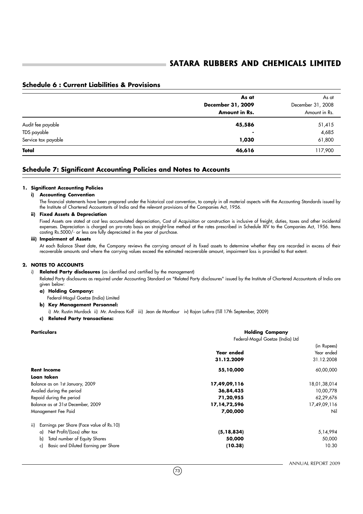# **Schedule 6 : Current Liabilities & Provisions**

|                     | As at             | As at             |
|---------------------|-------------------|-------------------|
|                     | December 31, 2009 | December 31, 2008 |
|                     | Amount in Rs.     | Amount in Rs.     |
| Audit fee payable   | 45,586            | 51,415            |
| TDS payable         | ۰                 | 4,685             |
| Service tax payable | 1,030             | 61,800            |
| Total               | 46,616            | 117,900           |

# **Schedule 7: Significant Accounting Policies and Notes to Accounts**

#### **1. Significant Accounting Policies**

#### **i) Accounting Convention**

The financial statements have been prepared under the historical cost convention, to comply in all material aspects with the Accounting Standards issued by the Institute of Chartered Accountants of India and the relevant provisions of the Companies Act, 1956.

#### **ii) Fixed Assets & Depreciation**

Fixed Assets are stated at cost less accumulated depreciation, Cost of Acquisition or construction is inclusive of freight, duties, taxes and other incidental expenses. Depreciation is charged on pro-rata basis on straight-line method at the rates prescribed in Schedule XIV to the Companies Act, 1956. Items costing Rs.5000/- or less are fully depreciated in the year of purchase.

#### **iii) Impairment of Assets**

At each Balance Sheet date, the Company reviews the carrying amount of its fixed assets to determine whether they are recorded in excess of their recoverable amounts and where the carrying values exceed the estimated recoverable amount, impairment loss is provided to that extent.

#### **2. NOTES TO ACCOUNTS**

#### i) **Related Party disclosures** (as identified and certified by the management)

Related Party disclosures as required under Accounting Standard on "Related Party disclosures" issued by the Institute of Chartered Accountants of India are given below:

#### **a) Holding Company:**

- Federal-Mogul Goetze (India) Limited
- **b) Key Management Personnel:**

i) Mr. Rustin Murdock ii) Mr. Andreas Kolf iii) Jean de Montlaur iv) Rajan Luthra (Till 17th September, 2009)

#### **c) Related Party transactions:**

| <b>Particulars</b>                              | <b>Holding Company</b><br>Federal-Mogul Goetze (India) Ltd |                                         |
|-------------------------------------------------|------------------------------------------------------------|-----------------------------------------|
|                                                 | Year ended<br>31.12.2009                                   | (in Rupees)<br>Year ended<br>31.12.2008 |
| <b>Rent Income</b>                              | 55,10,000                                                  | 60,00,000                               |
| Loan taken                                      |                                                            |                                         |
| Balance as on 1st January, 2009                 | 17,49,09,116                                               | 18,01,38,014                            |
| Availed during the period                       | 36,84,435<br>71,20,955<br>17, 14, 72, 596                  | 10,00,778<br>62,29,676<br>17,49,09,116  |
| Repaid during the period                        |                                                            |                                         |
| Balance as at 31st December, 2009               |                                                            |                                         |
| Management Fee Paid                             | 7,00,000                                                   | Nil                                     |
| Earnings per Share (Face value of Rs.10)<br>ii) |                                                            |                                         |
| Net Profit/(Loss) after tax<br>a)               | (5, 18, 834)                                               | 5,14,994                                |
| Total number of Equity Shares<br>b)             | 50,000                                                     | 50,000                                  |
| Basic and Diluted Earning per Share<br>c)       | (10.38)                                                    | 10.30                                   |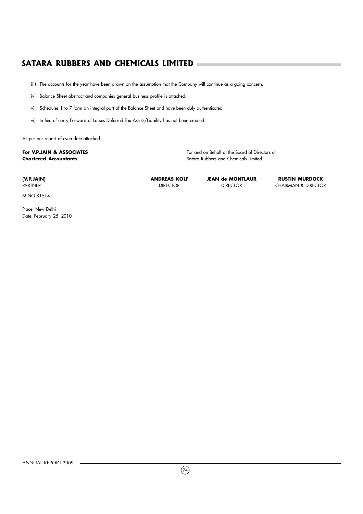iii) The accounts for the year have been drawn on the assumption that the Company will continue as a going concern.

iv) Balance Sheet abstract and companies general business profile is attached.

v) Schedules 1 to 7 form an integral part of the Balance Sheet and have been duly authenticated.

vi) In lieu of carry Forward of Losses Deferred Tax Assets/Liability has not been created.

As per our report of even date attached

# **For V.P.JAIN & ASSOCIATES For V.P.JAIN & ASSOCIATES**

**Chartered Accountants** Satara Rubbers and Chemicals Limited

M.NO.81514

Place: New Delhi Date: February 25, 2010

ANNUAL REPORT 2009

**(V.P.JAIN) ANDREAS KOLF JEAN de MONTLAUR RUSTIN MURDOCK**

CHAIRMAN & DIRECTOR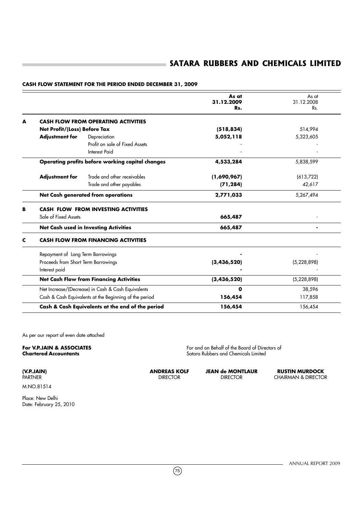|   |                                                      |                                                        | As at<br>31.12.2009<br>Rs. | As at<br>31.12.2008<br>Rs. |
|---|------------------------------------------------------|--------------------------------------------------------|----------------------------|----------------------------|
| A |                                                      | <b>CASH FLOW FROM OPERATING ACTIVITIES</b>             |                            |                            |
|   | Net Profit/(Loss) Before Tax                         |                                                        | (518, 834)                 | 514,994                    |
|   | <b>Adjustment for</b>                                | Depreciation                                           | 5,052,118                  | 5,323,605                  |
|   |                                                      | Profit on sale of Fixed Assets                         |                            |                            |
|   |                                                      | Interest Paid                                          |                            |                            |
|   |                                                      | Operating profits before working capital changes       | 4,533,284                  | 5,838,599                  |
|   | <b>Adjustment for</b>                                | Trade and other receivables                            | (1,690,967)                | (613,722)                  |
|   |                                                      | Trade and other payables                               | (71, 284)                  | 42,617                     |
|   |                                                      | Net Cash generated from operations                     | 2,771,033                  | 5,267,494                  |
| в |                                                      | CASH FLOW FROM INVESTING ACTIVITIES                    |                            |                            |
|   | Sale of Fixed Assets                                 |                                                        | 665,487                    |                            |
|   |                                                      | <b>Net Cash used in Investing Activities</b>           | 665,487                    |                            |
| c |                                                      | <b>CASH FLOW FROM FINANCING ACTIVITIES</b>             |                            |                            |
|   | Repayment of Long Term Borrowings                    |                                                        |                            |                            |
|   | Proceeds from Short Term Borrowings<br>Interest paid |                                                        | (3,436,520)                | (5,228,898)                |
|   |                                                      | <b>Net Cash Flow from Financing Activities</b>         | (3,436,520)                | (5,228,898)                |
|   |                                                      | Net Increase/(Decrease) in Cash & Cash Equivalents     | O                          | 38,596                     |
|   |                                                      | Cash & Cash Equivalents at the Beginning of the period | 156,454                    | 117,858                    |
|   |                                                      | Cash & Cash Equivalents at the end of the period       | 156,454                    | 156,454                    |

# **CASH FLOW STATEMENT FOR THE PERIOD ENDED DECEMBER 31, 2009**

As per our report of even date attached

**For V.P.JAIN & ASSOCIATES**<br> **Chartered Accountants**<br> **Chartered Accountants Satara Rubbers and Chemicals Limited** 

**(V.P.JAIN) ANDREAS KOLF JEAN de MONTLAUR RUSTIN MURDOCK** CHAIRMAN & DIRECTOR

M.NO.81514

Place: New Delhi Date: February 25, 2010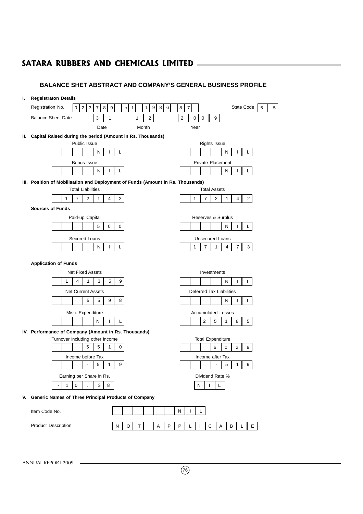# **BALANCE SHET ABSTRACT AND COMPANY'S GENERAL BUSINESS PROFILE**

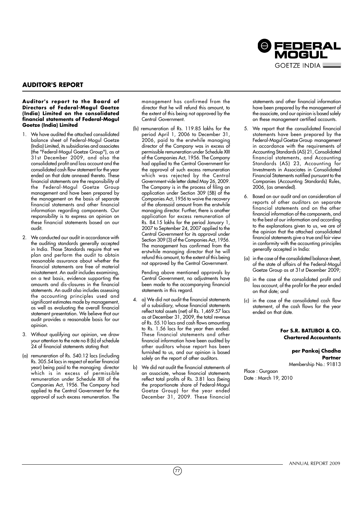

# **AUDITOR'S REPORT**

#### **Auditor's report to the Board of Directors of Federal-Mogul Goetze (India) Limited on the consolidated financial statements of Federal-Mogul Goetze (India) Limited**

- 1. We have audited the attached consolidated balance sheet of Federal-Mogul Goetze (India) Limited, its subsidiaries and associates (the "Federal-Mogul Goetze Group"), as at 31st December 2009, and also the consolidated profit and loss account and the consolidated cash flow statement for the year ended on that date annexed thereto. These financial statements are the responsibility of the Federal-Mogul Goetze Group management and have been prepared by the management on the basis of separate financial statements and other financial information regarding components. Our responsibility is to express an opinion on these financial statements based on our audit.
- 2. We conducted our audit in accordance with the auditing standards generally accepted in India. Those Standards require that we plan and perform the audit to obtain reasonable assurance about whether the financial statements are free of material misstatement. An audit includes examining, on a test basis, evidence supporting the amounts and dis-closures in the financial statements. An audit also includes assessing the accounting principles used and significant estimates made by management, as well as evaluating the overall financial statement presentation. We believe that our audit provides a reasonable basis for our opinion.
- 3. Without qualifying our opinion, we draw your attention to the note no 8 (b) of schedule 24 of financial statements stating that:
- (a) remuneration of Rs. 540.12 lacs (including Rs. 305.54 lacs in respect of earlier financial year) being paid to the managing director which is in excess of permissible remuneration under Schedule XIII of the Companies Act, 1956. The Company had applied to the Central Government for the approval of such excess remuneration. The

management has confirmed from the director that he will refund this amount, to the extent of this being not approved by the Central Government.

(b) remuneration of Rs. 119.85 lakhs for the period April 1, 2006 to December 31, 2006, paid to the erstwhile managing director of the Company was in excess of permissible remuneration under Schedule XIII of the Companies Act, 1956. The Company had applied to the Central Government for the approval of such excess remuneration which was rejected by the Central Government vide letter dated May 26, 2009. The Company is in the process of filing an application under Section 309 (5B) of the Companies Act, 1956 to waive the recovery of the aforesaid amount from the erstwhile managing director. Further, there is another application for excess remuneration of Rs. 84.15 lakhs for the period January 1, 2007 to September 24, 2007 applied to the Central Government for its approval under Section 309 (3) of the Companies Act, 1956. The management has confirmed from the erstwhile managing director that he will refund this amount, to the extent of this being not approved by the Central Government.

Pending above mentioned approvals by Central Government, no adjustments have been made to the accompanying financial statements in this regard.

- 4. a) We did not audit the financial statements of a subsidiary, whose financial statements reflect total assets (net) of Rs. 1,469.57 lacs as at December 31, 2009, the total revenue of Rs. 55.10 lacs and cash flows amounting to Rs. 1.56 lacs for the year then ended. These financial statements and other financial information have been audited by other auditors whose report has been furnished to us, and our opinion is based solely on the report of other auditors.
- b) We did not audit the financial statements of an associate, whose financial statements reflect total profits of Rs. 3.81 lacs (being the proportionate share of Federal-Mogul Goetze Group) for the year ended December 31, 2009. These financial

 $(77)$ 

statements and other financial information have been prepared by the management of the associate, and our opinion is based solely on these management certified accounts.

- 5. We report that the consolidated financial statements have been prepared by the Federal-Mogul Goetze Group management in accordance with the requirements of Accounting Standards (AS) 21, Consolidated financial statements, and Accounting Standards (AS) 23, Accounting for Investments in Associates in Consolidated Financial Statements notified pursuant to the Companies (Accounting Standards) Rules, 2006, (as amended).
- 6. Based on our audit and on consideration of reports of other auditors on separate financial statements and on the other financial information of the components, and to the best of our information and according to the explanations given to us, we are of the opinion that the attached consolidated financial statements give a true and fair view in conformity with the accounting principles generally accepted in India:
- (a) in the case of the consolidated balance sheet, of the state of affairs of the Federal-Mogul Goetze Group as at 31st December 2009;
- (b) in the case of the consolidated profit and loss account, of the profit for the year ended on that date; and
- (c) in the case of the consolidated cash flow statement, of the cash flows for the year ended on that date.

#### **For S.R. BATLIBOI & CO. Chartered Accountants**

#### **per Pankaj Chadha Partner** Membership No.: 91813

Place : Gurgaon Date : March 19, 2010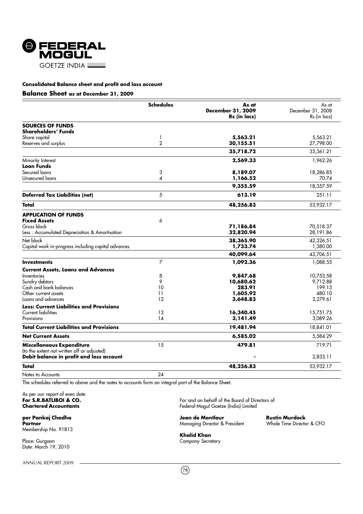

#### **Balance Sheet as at December 31, 2009**

|                                                                          | <b>Schedules</b> | As at<br>December 31, 2009<br>Rs (in lacs) | As at<br>December 31, 2008<br>Rs (in lacs) |
|--------------------------------------------------------------------------|------------------|--------------------------------------------|--------------------------------------------|
| <b>SOURCES OF FUNDS</b>                                                  |                  |                                            |                                            |
| Shareholders' Funds                                                      |                  |                                            |                                            |
| Share capital                                                            | 1                | 5,563.21                                   | 5.563.21                                   |
| Reserves and surplus                                                     | $\overline{2}$   | 30,155.51                                  | 27,798.00                                  |
|                                                                          |                  | 35,718.72                                  | 33,361.21                                  |
| Minority Interest                                                        |                  | 2,569.33                                   | 1,962.26                                   |
| Loan Funds                                                               |                  |                                            |                                            |
| Secured loans                                                            | 3                | 8,189.07                                   | 18,286.85                                  |
| Unsecured loans                                                          | 4                | 1,166.52                                   | 70.74                                      |
|                                                                          |                  | 9,355.59                                   | 18,357.59                                  |
| <b>Deferred Tax Liabilities (net)</b>                                    | 5                | 613.19                                     | 251.11                                     |
| Total                                                                    |                  | 48,256.83                                  | 53,932.17                                  |
| <b>APPLICATION OF FUNDS</b>                                              |                  |                                            |                                            |
| <b>Fixed Assets</b>                                                      | 6                |                                            |                                            |
| Gross block                                                              |                  | 71,186.84                                  | 70,518.37                                  |
| Less: Accumulated Depreciation & Amortisation                            |                  | 32,820.94                                  | 28,191.86                                  |
| Net block                                                                |                  | 38,365.90                                  | 42,326.51                                  |
| Capital work-in-progress including capital advances                      |                  | 1,733.74                                   | 1,380.00                                   |
|                                                                          |                  | 40,099.64                                  | 43,706.51                                  |
| <b>Investments</b>                                                       | $\overline{7}$   | 1.092.36                                   | 1,088.55                                   |
| <b>Current Assets, Loans and Advances</b>                                |                  |                                            |                                            |
| Inventories                                                              | 8                | 9,847.68                                   | 10,753.58                                  |
| Sundry debtors                                                           | 9                | 10,680.62                                  | 9,712.88                                   |
| Cash and bank balances                                                   | 10               | 283.91                                     | 199.13                                     |
| Other current assets                                                     | 11               | 1,605.92                                   | 480.10                                     |
| Loans and advances                                                       | 12               | 3,648.83                                   | 3,279.61                                   |
| <b>Less: Current Liabilities and Provisions</b>                          |                  |                                            |                                            |
| Current liabilities                                                      | 13               | 16,340.45                                  | 15,751.75                                  |
| Provisions                                                               | 14               | 3,141.49                                   | 3,089.26                                   |
| <b>Total Current Liabilities and Provisions</b>                          |                  | 19,481.94                                  | 18,841.01                                  |
| <b>Net Current Assets</b>                                                |                  | 6,585.02                                   | 5,584.29                                   |
| Miscellaneous Expenditure<br>(to the extent not written off or adjusted) | 15               | 479.81                                     | 719.71                                     |
| Debit balance in profit and loss account                                 |                  |                                            | 2,833.11                                   |
| Total                                                                    |                  | 48,256.83                                  | 53,932.17                                  |
| Notes to Accounts                                                        | 24               |                                            |                                            |

The schedules referred to above and the notes to accounts form an integral part of the Balance Sheet.

As per our report of even date<br>For S.R.BATLIBOI & CO.

Membership No. 91813

Place: Gurgaon **Company Secretary** Date: March 19, 2010

ANNUAL REPORT 2009

**For S.R.BATLIBOI & CO.** For and on behalf of the Board of Directors of Chartered Accountants and South of the Board of Directors of Chartered Accountants **Chartered Accountants** Federal-Mogul Goetze (India) Limited

**Managing Director & President** 

**per Pankaj Chadha** (**per Pankaj Chadha Jean de Montlaur Rustin Murdock**<br>Partner Managing Director & President (Monte Time Director & CFO)

**Khalid Khan**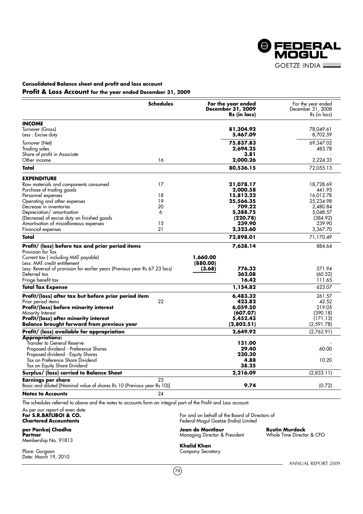

# **Consolidated Balance sheet and profit and loss account Profit & Loss Account for the year ended December 31, 2009**

|                                                                                                                 | <b>Schedules</b> | For the year ended<br>December 31, 2009<br>Rs (in lacs)                                | For the year ended<br>December 31, 2008<br>Rs (in lacs) |
|-----------------------------------------------------------------------------------------------------------------|------------------|----------------------------------------------------------------------------------------|---------------------------------------------------------|
| <b>INCOME</b>                                                                                                   |                  |                                                                                        |                                                         |
| Turnover (Gross)<br>Less: Excise duty                                                                           |                  | 81,304.92<br>5,467.09                                                                  | 78,049.61<br>8,702.59                                   |
| Turnover (Net)                                                                                                  |                  | 75,837.83                                                                              | 69,347.02                                               |
| Trading sales                                                                                                   |                  | 2,694.25                                                                               | 483.78                                                  |
| Share of profit in Associate                                                                                    |                  | 3.81                                                                                   |                                                         |
| Other income                                                                                                    | 16               | 2,000.26                                                                               | 2,224.33                                                |
| Total                                                                                                           |                  | 80,536.15                                                                              | 72,055.13                                               |
| <b>EXPENDITURE</b>                                                                                              |                  |                                                                                        |                                                         |
| Raw materials and components consumed                                                                           | 17               | 21,078.17                                                                              | 18,728.69                                               |
| Purchase of trading goods                                                                                       |                  | 2,000.58                                                                               | 441.95                                                  |
| Personnel expenses                                                                                              | 18               | 15,812.22                                                                              | 16,012.78                                               |
| Operating and other expenses                                                                                    | 19               | 25,566.35                                                                              | 25,234.98                                               |
| Decrease in inventories                                                                                         | 20               | 709.22                                                                                 | 2,480.84                                                |
| Depreciation/ amortisation                                                                                      | 6                | 5,388.75                                                                               | 5,048.57                                                |
| (Decrease) of excise duty on finished goods                                                                     |                  | (220.78)                                                                               | (384.92)                                                |
| Amortisation of miscellaneous expenses                                                                          | 15               | 239.90                                                                                 | 239.90                                                  |
| Financial expenses                                                                                              | 21               | 2,323.60                                                                               | 3,367.70                                                |
| Total                                                                                                           |                  | 72,898.01                                                                              | 71,170.49                                               |
| Profit/ (loss) before tax and prior period items                                                                |                  | 7,638.14                                                                               | 884.64                                                  |
| Provision for Tax<br>Current tax (including MAT payable)<br>Less: MAT credit entitlement                        |                  | 1,660.00<br>(880.00)                                                                   |                                                         |
| Less: Reversal of provision for earlier years (Previous year Rs 67.23 lacs)                                     |                  | 776.32<br>(3.68)                                                                       | 571.94                                                  |
| Deferred tax                                                                                                    |                  | 362.08                                                                                 | (60.52)                                                 |
| Fringe benefit tax                                                                                              |                  | 16.42                                                                                  | 111.65                                                  |
| <b>Total Tax Expense</b>                                                                                        |                  | 1,154.82                                                                               | 623.07                                                  |
| Profit/(loss) after tax but before prior period item                                                            |                  | 6,483.32                                                                               | 261.57                                                  |
| Prior period items                                                                                              | 22               | 423.82                                                                                 | 42.52                                                   |
| Profit/(loss) before minority interest                                                                          |                  | 6,059.50                                                                               | 219.05                                                  |
| Minority Interest                                                                                               |                  | (607.07)                                                                               | (390.18)                                                |
| <b>Profit/(loss) after minority interest</b>                                                                    |                  | 5,452.43                                                                               | (171.13)                                                |
| <b>Balance brought forward from previous year</b>                                                               |                  | (2,802.51)                                                                             | (2,591.78)                                              |
| Profit/ (loss) available for appropriation                                                                      |                  | 2,649.92                                                                               | (2,762.91)                                              |
| <b>Appropriations:</b>                                                                                          |                  |                                                                                        |                                                         |
| Transfer to General Reserve                                                                                     |                  | 131.00                                                                                 |                                                         |
| Proposed dividend - Preference Shares                                                                           |                  | 29.40                                                                                  | 60.00                                                   |
| Proposed dividend - Equity Shares                                                                               |                  | 230.30                                                                                 |                                                         |
| Tax on Preference Share Dividend                                                                                |                  | 4.88                                                                                   | 10.20                                                   |
| Tax on Equity Share Dividend                                                                                    |                  | 38.25                                                                                  |                                                         |
| <b>Surplus/ (loss) carried to Balance Sheet</b>                                                                 |                  | 2,216.09                                                                               | (2,833.11)                                              |
| <b>Earnings per share</b><br>Basic and diluted [Nominal value of shares Rs 10 (Previous year Rs 10)]            | 23               | 9.74                                                                                   | (0.72)                                                  |
| <b>Notes to Accounts</b>                                                                                        | 24               |                                                                                        |                                                         |
| The schedules referred to above and the notes to accounts form an integral part of the Profit and Loss account. |                  |                                                                                        |                                                         |
| As per our report of even date<br>For S.R.BATLIBOI & CO.<br><b>Chartered Accountants</b>                        |                  | For and on behalf of the Board of Directors of<br>Federal-Mogul Goetze (India) Limited |                                                         |
| per Pankaj Chadha<br><b>Partner</b><br>Membership No. 91813                                                     |                  | Jean de Montlaur<br>Managing Director & President                                      | <b>Rustin Murdock</b><br>Whole Time Director & CFO      |
| Place: Gurgaon<br>Date: March 19, 2010                                                                          |                  | Khalid Khan<br><b>Company Secretary</b>                                                |                                                         |

- ANNUAL REPORT 2009

 $(79)$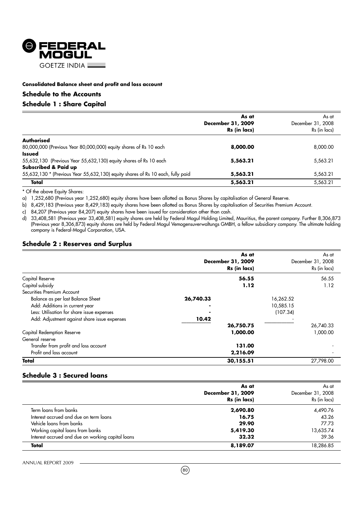

# **Schedule to the Accounts**

# **Schedule 1 : Share Capital**

|                                                                                 | As at<br>December 31, 2009<br>Rs (in lacs) | As at<br>December 31, 2008<br>Rs (in lacs) |
|---------------------------------------------------------------------------------|--------------------------------------------|--------------------------------------------|
| <b>Authorised</b>                                                               |                                            |                                            |
| 80,000,000 (Previous Year 80,000,000) equity shares of Rs 10 each               | 8,000.00                                   | 8,000.00                                   |
| <b>Issued</b>                                                                   |                                            |                                            |
| 55,632,130 (Previous Year 55,632,130) equity shares of Rs 10 each               | 5,563.21                                   | 5,563.21                                   |
| Subscribed & Paid up                                                            |                                            |                                            |
| 55,632,130 * (Previous Year 55,632,130) equity shares of Rs 10 each, fully paid | 5,563.21                                   | 5,563.21                                   |
| Total                                                                           | 5,563.21                                   | 5,563.21                                   |

\* Of the above Equity Shares:

a) 1,252,680 (Previous year 1,252,680) equity shares have been allotted as Bonus Shares by capitalisation of General Reserve.

b) 8,429,183 (Previous year 8,429,183) equity shares have been allotted as Bonus Shares by capitalisation of Securities Premium Account.

c) 84,207 (Previous year 84,207) equity shares have been issued for consideration other than cash.

d) 33,408,581 (Previous year 33,408,581) equity shares are held by Federal Mogul Holding Limited, Mauritius, the parent company. Further 8,306,873 (Previous year 8,306,873) equity shares are held by Federal Mogul Vemogensuverwaltungs GMBH, a fellow subsidiary company. The ultimate holding company is Federal-Mogul Corporation, USA.

# **Schedule 2 : Reserves and Surplus**

|                                              | December 31, 2009<br>Rs (in lacs) | As at     | As at<br>December 31, 2008<br>Rs (in lacs) |
|----------------------------------------------|-----------------------------------|-----------|--------------------------------------------|
| Capital Reserve                              |                                   | 56.55     | 56.55                                      |
| Capital subsidy                              |                                   | 1.12      | 1.12                                       |
| Securities Premium Account                   |                                   |           |                                            |
| Balance as per last Balance Sheet            | 26,740.33                         | 16,262.52 |                                            |
| Add: Additions in current year               |                                   | 10,585.15 |                                            |
| Less: Utilisation for share issue expenses   |                                   | (107.34)  |                                            |
| Add: Adjustment against share issue expenses | 10.42                             |           |                                            |
|                                              | 26,750.75                         |           | 26,740.33                                  |
| Capital Redemption Reserve                   | 1,000.00                          |           | 1,000.00                                   |
| General reserve                              |                                   |           |                                            |
| Transfer from profit and loss account        | 131.00                            |           |                                            |
| Profit and loss account                      | 2,216.09                          |           |                                            |
| Total                                        | 30,155.51                         |           | 27.798.00                                  |

# **Schedule 3 : Secured loans**

|                                                   | As at<br>December 31, 2009<br>Rs (in lacs) | As at<br>December 31, 2008<br>Rs (in lacs) |
|---------------------------------------------------|--------------------------------------------|--------------------------------------------|
| Term loans from banks                             | 2,690.80                                   | 4,490.76                                   |
| Interest accrued and due on term loans            | 16.75                                      | 43.26                                      |
| Vehicle loans from banks                          | 29.90                                      | 77.73                                      |
| Working capital loans from banks                  | 5,419.30                                   | 13,635.74                                  |
| Interest accrued and due on working capital loans | 32.32                                      | 39.36                                      |
| Total                                             | 8,189.07                                   | 18,286.85                                  |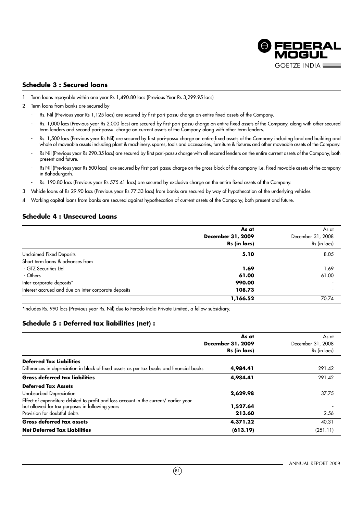

# **Schedule 3 : Secured loans**

- 1 Term loans repayable within one year Rs 1,490.80 lacs (Previous Year Rs 3,299.95 lacs)
- 2 Term loans from banks are secured by
	- Rs. Nil (Previous year Rs 1,125 lacs) are secured by first pari-passu charge on entire fixed assets of the Company.
	- Rs. 1,000 lacs (Previous year Rs 2,000 lacs) are secured by first pari-passu charge on entire fixed assets of the Company, along with other secured term lenders and second pari-passu charge on current assets of the Company along with other term lenders.
	- Rs. 1,500 lacs (Previous year Rs Nil) are secured by first pari-passu charge on entire fixed assets of the Company including land and building and whole of moveable assets including plant & machinery, spares, tools and accessories, furniture & fixtures and other moveable assets of the Company.
	- Rs Nil (Previous year Rs 290.35 lacs) are secured by first pari-passu charge with all secured lenders on the entire current assets of the Company, both present and future.
	- Rs Nil (Previous year Rs 500 lacs) are secured by first pari-passu charge on the gross block of the company i.e. fixed movable assets of the company in Bahadurgarh.
	- Rs. 190.80 lacs (Previous year Rs 575.41 lacs) are secured by exclusive charge on the entire fixed assets of the Company.
- 3 Vehicle loans of Rs 29.90 lacs (Previous year Rs 77.33 lacs) from banks are secured by way of hypothecation of the underlying vehicles
- 4 Working capital loans from banks are secured against hypothecation of current assets of the Company, both present and future.

# **Schedule 4 : Unsecured Loans**

|                                                      | As at             | As at             |
|------------------------------------------------------|-------------------|-------------------|
|                                                      | December 31, 2009 | December 31, 2008 |
|                                                      | Rs (in lacs)      | Rs (in lacs)      |
| <b>Unclaimed Fixed Deposits</b>                      | 5.10              | 8.05              |
| Short term loans & advances from                     |                   |                   |
| - GTZ Securities Ltd                                 | 1.69              | 1.69              |
| - Others                                             | 61.00             | 61.00             |
| Inter-corporate deposits*                            | 990.00            |                   |
| Interest accrued and due on inter-corporate deposits | 108.73            |                   |
|                                                      | 1,166.52          | 70.74             |

\*Includes Rs. 990 lacs (Previous year Rs. Nil) due to Ferodo India Private Limited, a fellow subsidiary.

# **Schedule 5 : Deferred tax liabilities (net) :**

|                                                                                           | As at<br>December 31, 2009<br>Rs (in lacs) | As at<br>December 31, 2008<br>Rs (in lacs) |
|-------------------------------------------------------------------------------------------|--------------------------------------------|--------------------------------------------|
| <b>Deferred Tax Liabilities</b>                                                           |                                            |                                            |
| Differences in depreciation in block of fixed assets as per tax books and financial books | 4,984.41                                   | 291.42                                     |
| <b>Gross deferred tax liabilities</b>                                                     | 4,984.41                                   | 291.42                                     |
| <b>Deferred Tax Assets</b>                                                                |                                            |                                            |
| Unabsorbed Depreciation                                                                   | 2,629.98                                   | 37.75                                      |
| Effect of expenditure debited to profit and loss account in the current/ earlier year     |                                            |                                            |
| but allowed for tax purposes in following years                                           | 1,527.64                                   |                                            |
| Provision for doubtful debts                                                              | 213.60                                     | 2.56                                       |
| <b>Gross deferred tax assets</b>                                                          | 4,371.22                                   | 40.31                                      |
| <b>Net Deferred Tax Liabilities</b>                                                       | (613.19)                                   | (251.11)                                   |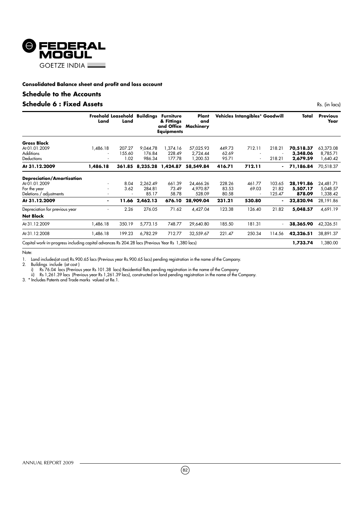

# **Schedule to the Accounts**

# **Schedule 6 : Fixed Assets** Research 2008 and 2008 Research 2008 Rs. (in lacs)

|                                                                                                  | Freehold Leasehold<br>Land | Land   | <b>Buildings</b> | <b>Furniture</b><br>& Fittings<br><b>Equipments</b> | Plant<br>and<br>and Office Machinery |        | Vehicles Intangibles* Goodwill |        | Total     | <b>Previous</b><br>Year |
|--------------------------------------------------------------------------------------------------|----------------------------|--------|------------------|-----------------------------------------------------|--------------------------------------|--------|--------------------------------|--------|-----------|-------------------------|
| <b>Gross Block</b>                                                                               |                            |        |                  |                                                     |                                      |        |                                |        |           |                         |
| At 01.01.2009                                                                                    | 1,486.18                   | 207.27 | 9,044.78         | 1,374.16                                            | 57,025.93                            | 449.73 | 712.11                         | 218.21 | 70,518.37 | 63,373.08               |
| <b>Additions</b>                                                                                 | ٠                          | 155.60 | 176.84           | 228.49                                              | 2,724.44                             | 62.69  |                                |        | 3,348.06  | 8,785.71                |
| Deductions                                                                                       | ٠                          | 1.02   | 986.34           | 177.78                                              | 1,200.53                             | 95.71  |                                | 218.21 | 2,679.59  | 1,640.42                |
| At 31.12.2009                                                                                    | 1,486.18                   | 361.85 |                  | 8,235.28 1,424.87                                   | 58,549.84                            | 416.71 | 712.11                         |        | 71,186.84 | 70,518.37               |
| <b>Depreciation/Amortisation</b>                                                                 |                            |        |                  |                                                     |                                      |        |                                |        |           |                         |
| At 01.01.2009                                                                                    |                            | 8.04   | 2,262.49         | 661.39                                              | 24,466.26                            | 228.26 | 461.77                         | 103.65 | 28,191.86 | 24,481.71               |
| For the year                                                                                     | ٠                          | 3.62   | 284.81           | 73.49                                               | 4,970.87                             | 83.53  | 69.03                          | 21.82  | 5,507.17  | 5,048.57                |
| Deletions / adjustments                                                                          | ٠                          |        | 85.17            | 58.78                                               | 528.09                               | 80.58  | ٠                              | 125.47 | 878.09    | 1,338.42                |
| At 31.12.2009                                                                                    | $\blacksquare$             | 11.66  | 2,462.13         | 676.10                                              | 28,909.04                            | 231.21 | 530.80                         |        | 32,820.94 | 28,191.86               |
| Depreciation for previous year                                                                   | ٠                          | 2.26   | 276.05           | 71.62                                               | 4,427.04                             | 123.38 | 126.40                         | 21.82  | 5,048.57  | 4,691.19                |
| <b>Net Block</b>                                                                                 |                            |        |                  |                                                     |                                      |        |                                |        |           |                         |
| At 31.12.2009                                                                                    | 1,486.18                   | 350.19 | 5,773.15         | 748.77                                              | 29,640.80                            | 185.50 | 181.31                         |        | 38,365.90 | 42,326.51               |
| At 31.12.2008                                                                                    | 1,486.18                   | 199.23 | 6,782.29         | 712.77                                              | 32,559.67                            | 221.47 | 250.34                         | 114.56 | 42,326.51 | 38,891.37               |
| Capital work-in-progress including capital advances Rs 204.28 lacs (Previous Year Rs 1,380 lacs) |                            |        |                  |                                                     |                                      |        |                                |        | 1,733.74  | 1,380.00                |

Note:

1. Land includes(at cost) Rs.900.65 lacs (Previous year Rs.900.65 lacs) pending registration in the name of the Company.

2. Buildings include (at cost )

i) Rs 76.04 lacs (Previous year Rs 101.38 lacs) Residential flats pending registration in the name of the Company

ii) Rs 1,261.39 lacs (Previous year Rs 1,261.39 lacs), constructed on land pending registration in the name of the Company.

3. \* Includes Patents and Trade marks valued at Re.1.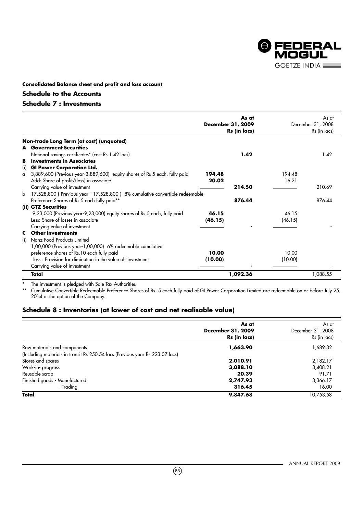

# **Schedule to the Accounts**

# **Schedule 7 : Investments**

|     |                                                                              |         | As at<br>December 31, 2009<br>Rs (in lacs) |         | As at<br>December 31, 2008<br>Rs (in lacs) |
|-----|------------------------------------------------------------------------------|---------|--------------------------------------------|---------|--------------------------------------------|
|     | Non-trade Long Term (at cost) (unquoted)                                     |         |                                            |         |                                            |
|     | <b>A</b> Government Securities                                               |         |                                            |         |                                            |
|     | National savings certificates* (cost Rs 1.42 lacs)                           |         | 1.42                                       |         | 1.42                                       |
| в   | <b>Investments in Associates</b>                                             |         |                                            |         |                                            |
| (i) | <b>GI Power Corporation Ltd.</b>                                             |         |                                            |         |                                            |
| a   | 3,889,600 (Previous year-3,889,600) equity shares of Rs 5 each, fully paid   | 194.48  |                                            | 194.48  |                                            |
|     | Add: Share of profit/(loss) in associate                                     | 20.02   |                                            | 16.21   |                                            |
|     | Carrying value of investment                                                 |         | 214.50                                     |         | 210.69                                     |
| b   | 17,528,800 (Previous year - 17,528,800) 8% cumulative convertible redeemable |         |                                            |         |                                            |
|     | Preference Shares of Rs.5 each fully paid**                                  |         | 876.44                                     |         | 876.44                                     |
|     | (ii) GTZ Securities                                                          |         |                                            |         |                                            |
|     | 9,23,000 (Previous year-9,23,000) equity shares of Rs 5 each, fully paid     | 46.15   |                                            | 46.15   |                                            |
|     | Less: Share of losses in associate                                           | (46.15) |                                            | (46.15) |                                            |
|     | Carrying value of investment                                                 |         |                                            |         |                                            |
|     | <b>C</b> Other investments                                                   |         |                                            |         |                                            |
| (i) | Nanz Food Products Limited                                                   |         |                                            |         |                                            |
|     | 1,00,000 (Previous year-1,00,000) 6% redeemable cumulative                   |         |                                            |         |                                            |
|     | preference shares of Rs.10 each fully paid                                   | 10.00   |                                            | 10.00   |                                            |
|     | Less : Provision for diminution in the value of investment                   | (10.00) |                                            | (10.00) |                                            |
|     | Carrying value of investment                                                 |         |                                            |         |                                            |
|     | Total                                                                        |         | 1,092.36                                   |         | 1,088.55                                   |

\* The investment is pledged with Sale Tax Authorities

Cumulative Convertible Redeemable Preference Shares of Rs. 5 each fully paid of GI Power Corporation Limited are redeemable on or before July 25, 2014 at the option of the Company.

# **Schedule 8 : Inventories (at lower of cost and net realisable value)**

|                                                                               | As at             | As at             |
|-------------------------------------------------------------------------------|-------------------|-------------------|
|                                                                               | December 31, 2009 | December 31, 2008 |
|                                                                               | Rs (in lacs)      | Rs (in lacs)      |
| Raw materials and components                                                  | 1,663.90          | 1,689.32          |
| (Including materials in transit Rs 250.54 lacs (Previous year Rs 223.07 lacs) |                   |                   |
| Stores and spares                                                             | 2,010.91          | 2,182.17          |
| Work-in- progress                                                             | 3,088.10          | 3,408.21          |
| Reusable scrap                                                                | 20.39             | 91.71             |
| Finished goods - Manufactured                                                 | 2,747.93          | 3,366.17          |
| - Trading                                                                     | 316.45            | 16.00             |
| Total                                                                         | 9,847.68          | 10,753.58         |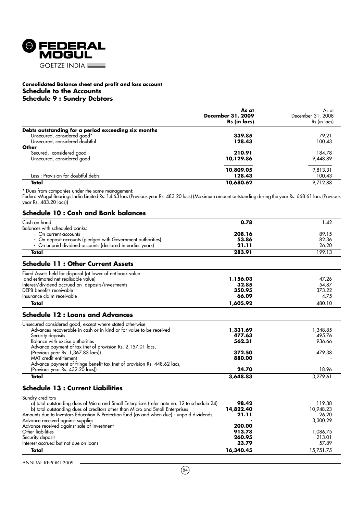

# **Consolidated Balance sheet and profit and loss account Schedule to the Accounts Schedule 9 : Sundry Debtors**

|                                                                                                                                                                                                                                   | As at                             | As at                             |
|-----------------------------------------------------------------------------------------------------------------------------------------------------------------------------------------------------------------------------------|-----------------------------------|-----------------------------------|
|                                                                                                                                                                                                                                   | December 31, 2009<br>Rs (in lacs) | December 31, 2008<br>Rs (in lacs) |
| Debts outstanding for a period exceeding six months                                                                                                                                                                               |                                   |                                   |
| Unsecured, considered good*                                                                                                                                                                                                       | 339.85                            | 79.21                             |
| Unsecured, considered doubtful                                                                                                                                                                                                    | 128.43                            | 100.43                            |
| Other                                                                                                                                                                                                                             |                                   |                                   |
| Secured, considered good                                                                                                                                                                                                          | 210.91                            | 184.78                            |
| Unsecured, considered good                                                                                                                                                                                                        | 10,129.86                         | 9,448.89                          |
|                                                                                                                                                                                                                                   | 10,809.05                         | 9,813.31                          |
| Less: Provision for doubtful debts                                                                                                                                                                                                | 128.43                            | 100.43                            |
| Total                                                                                                                                                                                                                             | 10,680.62                         | 9,712.88                          |
| Federal-Mogul Bearings India Limited Rs. 14.63 lacs (Previous year Rs. 483.20 lacs) (Maximum amount outstanding during the year Rs. 668.61 lacs (Previous<br>year Rs. 483.20 lacs))<br><b>Schedule 10: Cash and Bank balances</b> |                                   |                                   |
| Cash on hand<br>Balances with scheduled banks:                                                                                                                                                                                    | 0.78                              | 1.42                              |
| - On current accounts                                                                                                                                                                                                             | 208.16                            | 89.15                             |
| - On deposit accounts (pledged with Government authorities)                                                                                                                                                                       | 53.86                             | 82.36                             |
| - On unpaid dividend accounts (declared in earlier years)                                                                                                                                                                         | 21.11                             | 26.20                             |
| <b>Total</b>                                                                                                                                                                                                                      | 283.91                            | 199.13                            |
| <b>Schedule 11: Other Current Assets</b>                                                                                                                                                                                          |                                   |                                   |
| Fixed Assets held for disposal (at lower of net book value                                                                                                                                                                        |                                   |                                   |
| and estimated net realisable value)                                                                                                                                                                                               | 1,156.03                          | 47.26                             |
| Interest/dividend accrued on deposits/investments                                                                                                                                                                                 | 32.85                             | 54.87                             |
| DEPB benefits receivable                                                                                                                                                                                                          | 350.95                            | 373.22                            |
| Insurance claim receivable                                                                                                                                                                                                        | 66.09                             | 4.75                              |
| Total                                                                                                                                                                                                                             | 1,605.92                          | 480.10                            |
| <b>Schedule 12: Loans and Advances</b>                                                                                                                                                                                            |                                   |                                   |
| Unsecured considered good, except where stated otherwise                                                                                                                                                                          |                                   |                                   |
| Advances recoverable in cash or in kind or for value to be received                                                                                                                                                               | 1,331.69                          | 1,348.85                          |
| Security deposits                                                                                                                                                                                                                 | 477.63                            | 495.76                            |
| Balance with excise authorities                                                                                                                                                                                                   | 562.31                            | 936.66                            |
| Advance payment of tax (net of provision Rs. 2,157.01 lacs,                                                                                                                                                                       |                                   |                                   |
| (Previous year Rs. 1,367.83 lacs))                                                                                                                                                                                                | 372.50                            | 479.38                            |
| MAT credit entitlement                                                                                                                                                                                                            | 880.00                            |                                   |

# **Schedule 13 : Current Liabilities**

Advance payment of fringe benefit tax (net of provision Rs. 448.62 lacs,

| Sundry creditors                                                                            |           |           |
|---------------------------------------------------------------------------------------------|-----------|-----------|
| a) total outstanding dues of Micro and Small Enterprises (refer note no. 12 to schedule 24) | 98.42     | 119.38    |
| b) total outstanding dues of creditors other than Micro and Small Enterprises               | 14,822.40 | 10,948.23 |
| Amounts due to Investors Education & Protection fund (as and when due) - unpaid dividends   | 21.11     | 26.20     |
| Advance received against supplies                                                           |           | 3,300.29  |
| Advance received against sale of investment                                                 | 200.00    |           |
| Other liabilities                                                                           | 913.78    | 1.086.75  |
| Security deposit                                                                            | 260.95    | 213.01    |
| Interest accrued but not due on loans                                                       | 23.79     | 57.89     |
| Total                                                                                       | 16,340.45 | 15,751.75 |

(Previous year Rs. 432.20 lacs)) **24.70** 18.96 **Total** 3,279.61

ANNUAL REPORT 2009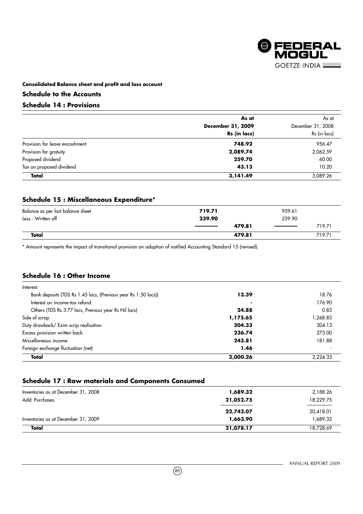

# **Schedule to the Accounts**

# **Schedule 14 : Provisions**

|                                | As at             | As at             |
|--------------------------------|-------------------|-------------------|
|                                | December 31, 2009 | December 31, 2008 |
|                                | Rs (in lacs)      | Rs (in lacs)      |
| Provision for leave encashment | 748.92            | 956.47            |
| Provision for gratuity         | 2,089.74          | 2,062.59          |
| Proposed dividend              | 259.70            | 60.00             |
| Tax on proposed dividend       | 43.13             | 10.20             |
| Total                          | 3,141.49          | 3,089.26          |

# **Schedule 15 : Miscellaneous Expenditure\***

| Balance as per last balance sheet | 719.71              | 959.61 |
|-----------------------------------|---------------------|--------|
| Less: Written off                 | 239.90              | 239.90 |
|                                   | 479.81<br>_________ | 719.71 |
| Total                             | 479.81              | 719.71 |

\* Amount represents the impact of transitional provision on adoption of notified Accounting Standard 15 (revised).

# **Schedule 16 : Other Income**

| Interest:                                                      |          |           |
|----------------------------------------------------------------|----------|-----------|
| Bank deposits (TDS Rs 1.45 lacs, (Previous year Rs 1.50 lacs)) | 13.39    | 18.76     |
| Interest on income-tax refund                                  |          | 176.90    |
| Others (TDS Rs 3.77 lacs, Previous year Rs Nil lacs)           | 24.88    | 0.83      |
| Sale of scrap                                                  | 1,175.65 | 268.83, ا |
| Duty drawback/ Exim scrip realisation                          | 304.33   | 304.13    |
| Excess provision written back                                  | 236.74   | 273.00    |
| Miscellaneous income                                           | 243.81   | 181.88    |
| Foreign exchange fluctuation (net)                             | 1.46     |           |
| Total                                                          | 2,000.26 | 2,224.33  |

# **Schedule 17 : Raw materials and Components Consumed**

| Total                               | 21,078.17 | 18,728.69 |
|-------------------------------------|-----------|-----------|
| Inventories as at December 31, 2009 | 1,663.90  | 1.689.32  |
|                                     | 22,742.07 | 20,418.01 |
| Add: Purchases                      | 21,052.75 | 18,229.75 |
| Inventories as at December 31, 2008 | 1,689.32  | 2,188.26  |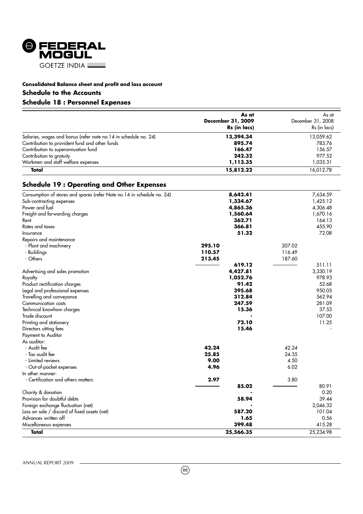

# **Consolidated Balance sheet and profit and loss account Schedule to the Accounts**

# **Schedule 18 : Personnel Expenses**

|                                                                  | As at<br>December 31, 2009<br>Rs (in lacs) | As at<br>December 31, 2008<br>Rs (in lacs) |
|------------------------------------------------------------------|--------------------------------------------|--------------------------------------------|
| Salaries, wages and bonus (refer note no. 14 in schedule no. 24) | 13,394.34                                  | 13,059.62                                  |
| Contribution to provident fund and other funds                   | 895.74                                     | 783.76                                     |
| Contribution to superannuation fund                              | 166.47                                     | 156.57                                     |
| Contribution to gratuity                                         | 242.32                                     | 977.52                                     |
| Workmen and staff welfare expenses                               | 1,113.35                                   | 1,035.31                                   |
| Total                                                            | 15,812.22                                  | 16.012.78                                  |

# **Schedule 19 : Operating and Other Expenses**

| Consumption of stores and spares (refer Note no. 14 in schedule no. 24) | 8,642.41  |        | 7,634.59  |
|-------------------------------------------------------------------------|-----------|--------|-----------|
| Sub-contracting expenses                                                | 1,334.67  |        | 1,425.12  |
| Power and fuel                                                          | 4,865.36  |        | 4,306.48  |
| Freight and forwarding charges                                          | 1,560.64  |        | 1,670.16  |
| Rent                                                                    | 362.71    |        | 164.13    |
| Rates and taxes                                                         | 366.81    |        | 455.90    |
| Insurance                                                               | 51.32     |        | 72.08     |
| Repairs and maintenance                                                 |           |        |           |
| - Plant and machinery                                                   | 295.10    | 207.02 |           |
| - Buildings                                                             | 110.57    | 116.49 |           |
| - Others                                                                | 213.45    | 187.60 |           |
|                                                                         | 619.12    |        | 511.11    |
| Advertising and sales promotion                                         | 4,427.81  |        | 3,330.19  |
| Royalty                                                                 | 1,052.76  |        | 978.93    |
| Product rectification charges                                           | 91.42     |        | 52.68     |
| Legal and professional expenses                                         | 395.68    |        | 950.05    |
| Travelling and conveyance                                               | 312.84    |        | 562.94    |
| Communication costs                                                     | 247.59    |        | 281.09    |
| Technical knowhow charges                                               | 15.36     |        | 37.53     |
| Trade discount                                                          |           |        | 107.00    |
| Printing and stationery                                                 | 72.10     |        | 11.25     |
| Directors sitting fees                                                  | 15.46     |        |           |
| Payment to Auditor                                                      |           |        |           |
| As auditor:                                                             |           |        |           |
| - Audit fee                                                             | 42.24     | 42.24  |           |
| - Tax audit fee                                                         | 25.85     | 24.35  |           |
| - Limited reviews                                                       | 9.00      | 4.50   |           |
| - Out-of-pocket expenses                                                | 4.96      | 6.02   |           |
| In other manner:                                                        |           |        |           |
| - Certification and others matters                                      | 2.97      | 3.80   |           |
|                                                                         | 85.02     |        | 80.91     |
| Charity & donation                                                      |           |        | 0.20      |
| Provision for doubtful debts                                            | 58.94     |        | 39.44     |
| Foreign exchange fluctuation (net)                                      |           |        | 2,046.32  |
| Loss on sale / discard of fixed assets (net)                            | 587.20    |        | 101.04    |
| Advances written off                                                    | 1.65      |        | 0.56      |
| Miscellaneous expenses                                                  | 399.48    |        | 415.28    |
| Total                                                                   | 25,566.35 |        | 25,234.98 |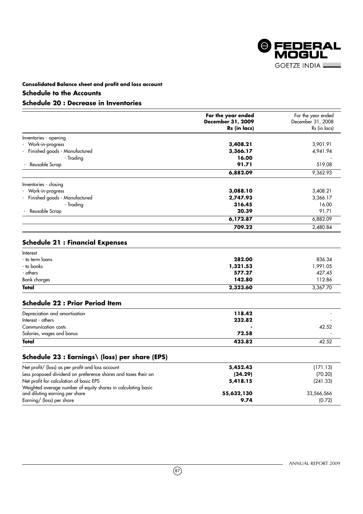

# **Schedule to the Accounts**

# **Schedule 20 : Decrease in Inventories**

|                                 | For the year ended<br>December 31, 2009<br>Rs (in lacs) | For the year ended<br>December 31, 2008<br>Rs (in lacs) |
|---------------------------------|---------------------------------------------------------|---------------------------------------------------------|
| Inventories - opening           |                                                         |                                                         |
| - Work-in-progress              | 3,408.21                                                | 3,901.91                                                |
| - Finished goods - Manufactured | 3,366.17                                                | 4,941.94                                                |
| - Tradina                       | 16.00                                                   |                                                         |
| Reusable Scrap                  | 91.71                                                   | 519.08                                                  |
|                                 | 6,882.09                                                | 9,362.93                                                |
| Inventories - closing           |                                                         |                                                         |
| - Work-in-progress              | 3,088.10                                                | 3,408.21                                                |
| - Finished goods - Manufactured | 2,747.93                                                | 3,366.17                                                |
| - Trading                       | 316.45                                                  | 16.00                                                   |
| Reusable Scrap                  | 20.39                                                   | 91.71                                                   |
|                                 | 6,172.87                                                | 6,882.09                                                |
|                                 | 709.22                                                  | 2,480.84                                                |

# **Schedule 21 : Financial Expenses**

| Interest        |          |          |
|-----------------|----------|----------|
| - to term loans | 282.00   | 836.34   |
| - to banks      | 1,321.53 | 1,991.05 |
| - others        | 577.27   | 427.45   |
| Bank charges    | 142.80   | 112.86   |
| <b>Total</b>    | 2,323.60 | 3,367.70 |

# **Schedule 22 : Prior Period Item**

| Depreciation and amortisation | 118.42 |                          |
|-------------------------------|--------|--------------------------|
| Interest - others             | 232.82 |                          |
| Communication costs           |        | 42.52                    |
| Salaries, wages and bonus     | 72.58  | $\overline{\phantom{a}}$ |
| Total                         | 423.82 | 42.52                    |

# **Schedule 23 : Earnings\ (loss) per share (EPS)**

| Net profit/ (loss) as per profit and loss account              | 5,452.43   | (171.13)   |
|----------------------------------------------------------------|------------|------------|
| Less proposed dividend on preference shares and taxes their on | (34.29)    | (70.20)    |
| Net profit for calculation of basic EPS                        | 5,418.15   | (241.33)   |
| Weighted average number of equity shares in calculating basic  |            |            |
| and diluting earning per share                                 | 55,632,130 | 33,566,566 |
| Earning/ (loss) per share                                      | 9.74       | (0.72)     |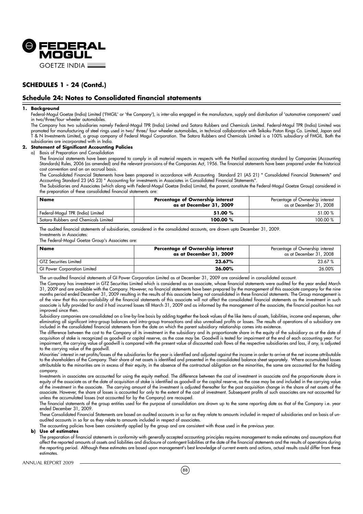

# **SCHEDULES 1 - 24 (Contd.)**

# **Schedule 24: Notes to Consolidated financial statements**

#### **1. Background**

Federal-Mogul Goetze (India) Limited ('FMGIL' or 'the Company'), is inter-alia engaged in the manufacture, supply and distribution of 'automotive components' used in two/three/four wheeler automobiles.

The Company has two subsidiaries namely Federal-Mogul TPR (India) Limited and Satara Rubbers and Chemicals Limited. Federal-Mogul TPR (India) Limited was promoted for manufacturing of steel rings used in two/ three/ four wheeler automobiles, in technical collaboration with Teikoku Piston Rings Co. Limited, Japan and T & N Investments Limited, a group company of Federal Mogul Corporation. The Satara Rubbers and Chemicals Limited is a 100% subsidiary of FMGIL. Both the subsidiaries are incorporated with in India.

#### **2. Statement of Significant Accounting Policies**

#### a) Basis of Preparation and Consolidation

The financial statements have been prepared to comply in all material respects in respects with the Notified accounting standard by Companies (Accounting Standards) Rules, 2006 (as amended) and the relevant provisions of the Companies Act, 1956. The financial statements have been prepared under the historical cost convention and on an accrual basis.

The Consolidated Financial Statements have been prepared in accordance with Accounting Standard 21 (AS 21) " Consolidated Financial Statements" and Accounting Standard 23 (AS 23) " Accounting for investments in Associates in Consolidated Financial Statements".

The Subsidiaries and Associates (which along with Federal-Mogul Goetze (India) Limited, the parent, constitute the Federal-Mogul Goetze Group) considered in the preparation of these consolidated financial statements are:

| Name                                 | Percentage of Ownership interest<br>as at December 31, 2009 | Percentage of Ownership interest<br>as at December 31, 2008 |
|--------------------------------------|-------------------------------------------------------------|-------------------------------------------------------------|
| Federal-Mogul TPR (India) Limited    | 51.00 %                                                     | 51.00 %                                                     |
| Satara Rubbers and Chemicals Limited | 100.00 %                                                    | 100.00 %                                                    |

The audited financial statements of subsidiaries, considered in the consolidated accounts, are drawn upto December 31, 2009. Investments in Associates:

The Federal-Mogul Goetze Group's Associates are:

| <b>Name</b>                         | Percentage of Ownership interest<br>as at December 31, 2009 | Percentage of Ownership interest<br>as at December 31, 2008 |
|-------------------------------------|-------------------------------------------------------------|-------------------------------------------------------------|
| <b>GTZ Securities Limited</b>       | 23.67%                                                      | 23.67%                                                      |
| <b>GI Power Corporation Limited</b> | 26.00%                                                      | 26.00%                                                      |

The un-audited financial statements of GI Power Corporation Limited as at December 31, 2009 are considered in consolidated account.

The Company has investment in GTZ Securities Limited which is considered as an associate, whose financial statements were audited for the year ended March 31, 2009 and are available with the Company. However, no financial statements have been prepared by the management of this associate company for the nine months period ended December 31, 2009 resulting in the results of this associate being not consolidated in these financial statements. The Group management is of the view that this non-availability of the financial statements of this associate will not affect the consolidated financial statements as the investment in such associate is fully provided for and it had incurred losses till March 31, 2009 and as informed by the management of the associate, the financial position has not improved since then.

Subsidiary companies are consolidated on a line-by-line basis by adding together the book values of the like items of assets, liabilities, income and expenses, after eliminating all significant intra-group balances and intra-group transactions and also unrealised profits or losses. The results of operations of a subsidiary are included in the consolidated financial statements from the date on which the parent subsidiary relationship comes into existence.

The difference between the cost to the Company of its investment in the subsidiary and its proportionate share in the equity of the subsidiary as at the date of acquisition of stake is recognized as goodwill or capital reserve, as the case may be. Goodwill is tested for impairment at the end of each accounting year. For impairment, the carrying value of goodwill is compared with the present value of discounted cash flows of the respective subsidiaries and loss, if any, is adjusted to the carrying value of the goodwill.

Minorities' interest in net profits/losses of the subsidiaries for the year is identified and adjusted against the income in order to arrive at the net income attributable to the shareholders of the Company. Their share of net assets is identified and presented in the consolidated balance sheet separately. Where accumulated losses attributable to the minorities are in excess of their equity, in the absence of the contractual obligation on the minorities, the same are accounted for the holding company.

Investments in associates are accounted for using the equity method. The difference between the cost of investment in associate and the proportionate share in equity of the associate as at the date of acquisition of stake is identified as goodwill or the capital reserve, as the case may be and included in the carrying value of the investment in the associate. The carrying amount of the investment is adjusted thereafter for the post acquisition change in the share of net assets of the associate. However, the share of losses is accounted for only to the extent of the cost of investment. Subsequent profits of such associates are not accounted for unless the accumulated losses (not accounted for by the Company) are recouped.

The financial statements of the group entities used for the purpose of consolidation are drawn up to the same reporting date as that of the Company i.e. year ended December 31, 2009.

These Consolidated Financial Statements are based on audited accounts in so far as they relate to amounts included in respect of subsidiaries and on basis of unaudited accounts in so far as they relate to amounts included in respect of associates.

The accounting policies have been consistently applied by the group and are consistent with those used in the previous year.

#### **b) Use of estimates**

The preparation of financial statements in conformity with generally accepted accounting principles requires management to make estimates and assumptions that affect the reported amounts of assets and liabilities and disclosure of contingent liabilities at the date of the financial statements and the results of operations during the reporting period. Although these estimates are based upon management's best knowledge of current events and actions, actual results could differ from these estimates.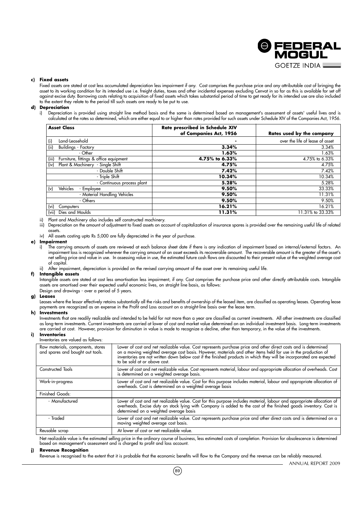

#### **c) Fixed assets**

Fixed assets are stated at cost less accumulated depreciation less impairment if any. Cost comprises the purchase price and any attributable cost of bringing the asset to its working condition for its intended use i.e. freight duties, taxes and other incidental expenses excluding Cenvat in so far as this is available for set off against excise duty. Borrowing costs relating to acquisition of fixed assets which takes substantial period of time to get ready for its intended use are also included to the extent they relate to the period till such assets are ready to be put to use.

#### **d) Depreciation**

i) Depreciation is provided using straight line method basis and the same is determined based on management's assessment of assets' useful lives and is calculated at the rates so determined, which are either equal to or higher than rates provided for such assets under Schedule XIV of the Companies Act, 1956.

| <b>Asset Class</b>                              | Rate prescribed in Schedule XIV<br>of Companies Act, 1956 | Rates used by the company       |
|-------------------------------------------------|-----------------------------------------------------------|---------------------------------|
| Land-Leasehold<br>(i)                           | ٠                                                         | over the life of lease of asset |
| (iii)<br><b>Buildings - Factory</b>             | 3.34%                                                     | 3.34%                           |
| - Other                                         | 1.63%                                                     | 1.63%                           |
| Furniture, fittings & office equipment<br>(iii) | 4.75% to 6.33%                                            | 4.75% to 6.33%                  |
| Plant & Machinery - Single Shift<br>(iv)        | 4.75%                                                     | 4.75%                           |
| - Double Shift                                  | 7.42%                                                     | 7.42%                           |
| - Triple Shift                                  | 10.34%                                                    | 10.34%                          |
| - Continuous process plant                      | 5.28%                                                     | 5.28%                           |
| Vehicles<br>(v)<br>- Employee                   | 9.50%                                                     | 33.33%                          |
| - Material Handling Vehicles                    | 9.50%                                                     | 11.31%                          |
| - Others                                        | 9.50%                                                     | 9.50%                           |
| $(v_i)$<br>Computers                            | 16.21%                                                    | 16.21%                          |
| Dies and Moulds<br>(vii)                        | 11.31%                                                    | 11.31% to 33.33%                |

ii) Plant and Machinery also includes self constructed machinery.

iii) Depreciation on the amount of adjustment to fixed assets on account of capitalization of insurance spares is provided over the remaining useful life of related assets.

iv) All assets costing upto Rs 5,000 are fully depreciated in the year of purchase.

#### **e) Impairment**

i) The carrying amounts of assets are reviewed at each balance sheet date if there is any indication of impairment based on internal/external factors. An impairment loss is recognized wherever the carrying amount of an asset exceeds its recoverable amount. The recoverable amount is the greater of the asset's net selling price and value in use. In assessing value in use, the estimated future cash flows are discounted to their present value at the weighted average cost of capital.

ii) After impairment, depreciation is provided on the revised carrying amount of the asset over its remaining useful life.

#### **f) Intangible assets**

Intangible assets are stated at cost less amortisation less impairment, if any. Cost comprises the purchase price and other directly attributable costs. Intangible assets are amortised over their expected useful economic lives, on straight line basis, as follows:

Design and drawings - over a period of 5 years.

#### **g) Leases**

Leases where the lessor effectively retains substantially all the risks and benefits of ownership of the leased item, are classified as operating leases. Operating lease payments are recognized as an expense in the Profit and Loss account on a straight-line basis over the lease term.

#### **h) Investments**

Investments that are readily realizable and intended to be held for not more than a year are classified as current investments. All other investments are classified as long-term investments. Current investments are carried at lower of cost and market value determined on an individual investment basis. Long-term investments are carried at cost. However, provision for diminution in value is made to recognize a decline, other than temporary, in the value of the investments.

#### **i) Inventories**

#### Inventories are valued as follows:

| Raw materials, components, stores<br>and spares and bought out tools. | Lower of cost and net realizable value. Cost represents purchase price and other direct costs and is determined<br>on a moving weighted average cost basis. However, materials and other items held for use in the production of<br>inventories are not written down below cost if the finished products in which they will be incorporated are expected<br>to be sold at or above cost. |
|-----------------------------------------------------------------------|------------------------------------------------------------------------------------------------------------------------------------------------------------------------------------------------------------------------------------------------------------------------------------------------------------------------------------------------------------------------------------------|
| Constructed Tools                                                     | Lower of cost and net realizable value. Cost represents material, labour and appropriate allocation of overheads. Cost<br>is determined on a weighted average basis.                                                                                                                                                                                                                     |
| Work-in-progress                                                      | Lower of cost and net realizable value. Cost for this purpose includes material, labour and appropriate allocation of<br>overheads. Cost is determined on a weighted average basis                                                                                                                                                                                                       |
| <b>Finished Goods:</b>                                                |                                                                                                                                                                                                                                                                                                                                                                                          |
| - Manufactured                                                        | Lower of cost and net realizable value. Cost for this purpose includes material, labour and appropriate allocation of<br>overheads. Excise duty on stock lying with Company is added to the cost of the finished goods inventory.<br>determined on a weighted average basis                                                                                                              |
| - Traded                                                              | Lower of cost and net realizable value. Cost represents purchase price and other direct costs and is determined on a<br>moving weighted average cost basis.                                                                                                                                                                                                                              |
| Reusable scrap                                                        | At lower of cost or net realizable value.                                                                                                                                                                                                                                                                                                                                                |

Net realizable value is the estimated selling price in the ordinary course of business, less estimated costs of completion. Provision for obsolescence is determined based on management's assessment and is charged to profit and loss account.

#### **j) Revenue Recognition**

Revenue is recognised to the extent that it is probable that the economic benefits will flow to the Company and the revenue can be reliably measured.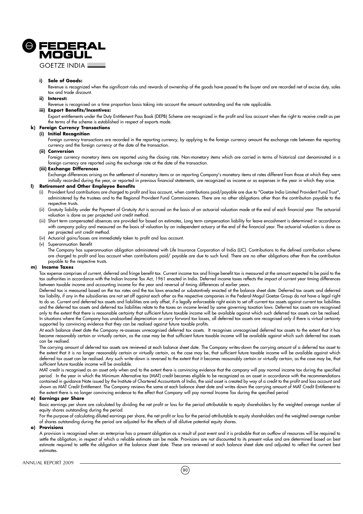

**GOFTZE INDIA L** 

#### **i) Sale of Goods:**

Revenue is recognized when the significant risks and rewards of ownership of the goods have passed to the buyer and are recorded net of excise duty, sales tax and trade discount.

#### **ii) Interest:**

Revenue is recognised on a time proportion basis taking into account the amount outstanding and the rate applicable.

#### **iii) Export Benefits/Incentives:**

Export entitlements under the Duty Entitlement Pass Book (DEPB) Scheme are recognized in the profit and loss account when the right to receive credit as per the terms of the scheme is established in respect of exports made.

# **k) Foreign Currency Transactions**

**(i) Initial Recognition**

Foreign currency transactions are recorded in the reporting currency, by applying to the foreign currency amount the exchange rate between the reporting currency and the foreign currency at the date of the transaction.

#### **(ii) Conversion**

Foreign currency monetary items are reported using the closing rate. Non-monetary items which are carried in terms of historical cost denominated in a foreign currency are reported using the exchange rate at the date of the transaction.

#### **(iii) Exchange Differences**

Exchange differences arising on the settlement of monetary items or on reporting Company's monetary items at rates different from those at which they were initially recorded during the year, or reported in previous financial statements, are recognized as income or as expenses in the year in which they arise.

#### **l) Retirement and Other Employee Benefits**

- (i) Provident fund contributions are charged to profit and loss account, when contributions paid/payable are due to "Goetze India Limited Provident Fund Trust", administered by the trustees and to the Regional Provident Fund Commissioners. There are no other obligations other than the contribution payable to the respective trusts.
- (ii) Gratuity liability under the Payment of Gratuity Act is accrued on the basis of an actuarial valuation made at the end of each financial year. The actuarial valuation is done as per projected unit credit method.
- (iii) Short term compensated absences are provided for based on estimates, Long term compensation liability for leave encashment is determined in accordance with company policy and measured on the basis of valuation by an independent actuary at the end of the financial year. The actuarial valuation is done as per projected unit credit method.
- (iv) Actuarial gains/losses are immediately taken to profit and loss account.
- (v) Superannuation Benefit

The Company has superannuation obligation administered with Life Insurance Corporation of India (LIC). Contributions to the defined contribution scheme are charged to profit and loss account when contributions paid/ payable are due to such fund. There are no other obligations other than the contribution payable to the respective trusts.

#### **m) Income Taxes**

Tax expense comprises of current, deferred and fringe benefit tax. Current income tax and fringe benefit tax is measured at the amount expected to be paid to the tax authorities in accordance with the Indian Income Tax Act, 1961 enacted in India. Deferred income taxes reflects the impact of current year timing differences between taxable income and accounting income for the year and reversal of timing differences of earlier years.

Deferred tax is measured based on the tax rates and the tax laws enacted or substantively enacted at the balance sheet date. Deferred tax assets and deferred tax liability, if any in the subsidiaries are not set off against each other as the respective companies in the Federal-Mogul Goetze Group do not have a legal right to do so. Current and deferred tax assets and liabilities are only offset, if a legally enforceable right exists to set off current tax assets against current tax liabilities and the deferred tax assets and deferred tax liabilities relate to the taxes on income levied by same governing taxation laws. Deferred tax assets are recognised only to the extent that there is reasonable certainty that sufficient future taxable income will be available against which such deferred tax assets can be realised. In situations where the Company has unabsorbed depreciation or carry forward tax losses, all deferred tax assets are recognised only if there is virtual certainty supported by convincing evidence that they can be realised against future taxable profits.

At each balance sheet date the Company re-assesses unrecognised deferred tax assets. It recognises unrecognised deferred tax assets to the extent that it has become reasonably certain or virtually certain, as the case may be that sufficient future taxable income will be available against which such deferred tax assets can be realised.

The carrying amount of deferred tax assets are reviewed at each balance sheet date. The Company writes-down the carrying amount of a deferred tax asset to the extent that it is no longer reasonably certain or virtually certain, as the case may be, that sufficient future taxable income will be available against which deferred tax asset can be realised. Any such write-down is reversed to the extent that it becomes reasonably certain or virtually certain, as the case may be, that sufficient future taxable income will be available.

MAT credit is recognised as an asset only when and to the extent there is convincing evidence that the company will pay normal income tax during the specified period. In the year in which the Minimum Alternative tax (MAT) credit becomes eligible to be recognized as an asset in accordance with the recommendations contained in guidance Note issued by the Institute of Chartered Accountants of India, the said asset is created by way of a credit to the profit and loss account and shown as MAT Credit Entitlement. The Company reviews the same at each balance sheet date and writes down the carrying amount of MAT Credit Entitlement to the extent there is no longer convincing evidence to the effect that Company will pay normal Income Tax during the specified period

#### **n) Earnings per Share**

Basic earnings per share are calculated by dividing the net profit or loss for the period attributable to equity shareholders by the weighted average number of equity shares outstanding during the period.

For the purpose of calculating diluted earnings per share, the net profit or loss for the period attributable to equity shareholders and the weighted average number of shares outstanding during the period are adjusted for the effects of all dilutive potential equity shares.

#### **o) Provisions**

A provision is recognised when an enterprise has a present obligation as a result of past event and it is probable that an outflow of resources will be required to settle the obligation, in respect of which a reliable estimate can be made. Provisions are not discounted to its present value and are determined based on best estimate required to settle the obligation at the balance sheet date. These are reviewed at each balance sheet date and adjusted to reflect the current best estimates.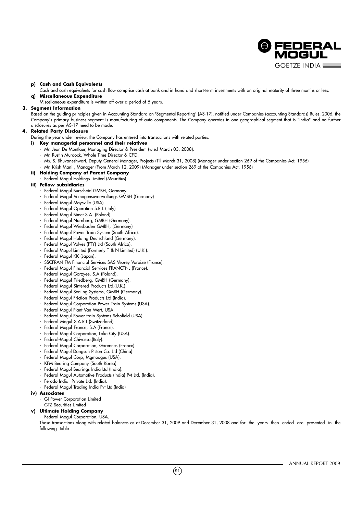

#### **p) Cash and Cash Equivalents**

Cash and cash equivalents for cash flow comprise cash at bank and in hand and short-term investments with an original maturity of three months or less. **q) Miscellaneous Expenditure**

Miscellaneous expenditure is written off over a period of 5 years.

#### **3. Segment Information**

Based on the guiding principles given in Accounting Standard on 'Segmental Reporting' (AS-17), notified under Companies (accounting Standards) Rules, 2006, the Company's primary business segment is manufacturing of auto components. The Company operates in one geographical segment that is "India" and no further disclosures as per AS-17 need to be made.

### **4. Related Party Disclosure**

- During the year under review, the Company has entered into transactions with related parties.
- **i) Key managerial personnel and their relatives**
	- Mr. Jean De Montlaur, Managing Director & President (w.e.f March 03, 2008).
	- Mr. Rustin Murdock, Whole Time Director & CFO.
	- Ms. S. Bhuvaneshwari, Deputy General Manager, Projects (Till March 31, 2008) (Manager under section 269 of the Companies Act, 1956)
	- Mr. Krish Mani , Manager (From March 12, 2009) (Manager under section 269 of the Companies Act, 1956)
- **ii) Holding Company of Parent Company**
- Federal Mogul Holdings Limited (Mauritius)

#### **iii) Fellow subsidiaries**

- Federal Mogul Burscheid GMBH, Germany.
- Federal Mogul Vemogensuverwaltungs GMBH (Germany)
- Federal Mogul Maysville (USA).
- Federal Mogul Operation S.R.L (Italy)
- Federal Mogul Bimet S.A. (Poland).
- Federal Mogul Nurnberg, GMBH (Germany).
- Federal Mogul Wiesbaden GMBH, (Germany)
- Federal Mogul Power Train System (South Africa).
- Federal Mogul Holding Deutschland (Germany).
- Federal Mogul Valves (PTY) Ltd (South Africa).
- Federal Mogul Limited (Formerly T & N Limited) (U.K.).
- Federal Mogul KK (Japan).
- SSCFRAN FM Financial Services SAS Veurey Voroize (France).
- Federal Mogul Financial Services FRANCTNL (France).
- Federal Mogul Gorzyee, S.A (Poland).
- Federal Mogul Friedberg, GMBH (Germany).
- Federal Mogul Sintered Products Ltd.(U.K.).
- Federal Mogul Sealing Systems, GMBH (Germany).
- Federal Mogul Friction Products Ltd (India).
- Federal Mogul Corporation Power Train Systems (USA).
- Federal Mogul Plant Van Wert, USA.
- Federal Mogul Power train Systems Schofield (USA).
- Federal Mogul S.A.R.L.(Switzerland)
- Federal Mogul France, S.A.(France).
- Federal Mogul Corporation, Lake City (USA).
- Federal-Mogul Chivasso.(Italy).
- Federal Mogul Corporation, Garennes (France).
- Federal Mogul Dongsuh Piston Co. Ltd (China).
- Federal Mogul Corp, Mgmoogus (USA).
- KFM Bearing Company (South Korea).
- Federal Mogul Bearings India Ltd (India).
- Federal Mogul Automotive Products (India) Pvt Ltd. (India).
- Ferodo India Private Ltd. (India).
- Federal Mogul Trading India Pvt Ltd.(India)
- **iv) Associates**
	- GI Power Corporation Limited
	- GTZ Securities Limited

#### **v) Ultimate Holding Company**

#### - Federal Mogul Corporation, USA.

Those transactions along with related balances as at December 31, 2009 and December 31, 2008 and for the years then ended are presented in the following table :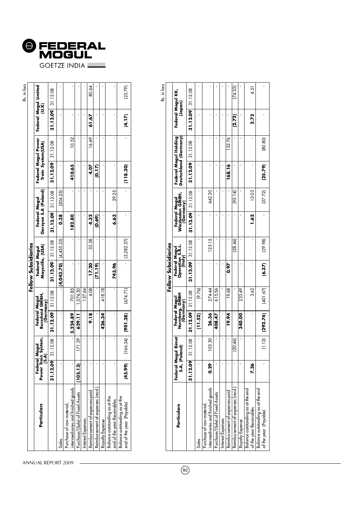

|                                                                |                                 |                    |                                               |          |                                   |                     |                                       |          |                     |                                          |          | Rs. in lacs                    |
|----------------------------------------------------------------|---------------------------------|--------------------|-----------------------------------------------|----------|-----------------------------------|---------------------|---------------------------------------|----------|---------------------|------------------------------------------|----------|--------------------------------|
|                                                                |                                 |                    |                                               |          | Fellow Subsidiaries               |                     |                                       |          |                     |                                          |          |                                |
| Particulars                                                    | Power Train<br>(S.A)<br>Federal | Mogul<br>1 System, | Burscheid GMBH,<br>(Germany)<br>Federal Mogul |          | Maysville, (USA)<br>Federal Mogul |                     | Gorzyee S.A (Poland)<br>Federal Mogul |          |                     | Federal Mogul Power<br>Train System(USA) |          | Federal Mogul Limited<br>(U.K) |
|                                                                | 31.12.09                        | 31.12.08           | $31.12.09$ 31.12.08                           |          |                                   | $31.12.09$ 31.12.08 | 31.12.09                              | 31.12.08 | $31.12.09$ 31.12.08 |                                          | 31.12.09 | 31.12.08                       |
|                                                                |                                 |                    |                                               |          | $(4,043.70)$ $(4,455.22)$         |                     | 0.38                                  | (504.23) |                     |                                          |          |                                |
| intermediaries and finished goods<br>Purchase of raw material, |                                 |                    | 3,224.89                                      | 701.85   |                                   |                     | 182.80                                |          | 410.65              | 10.52                                    |          |                                |
| Purchase/(Sale) of Fixed Assets                                | (105.13)                        | 171.39             | 629.11                                        | 1,574.30 |                                   |                     |                                       |          |                     |                                          |          |                                |
| Interest Expenses                                              |                                 |                    |                                               | 157.66   |                                   |                     |                                       |          |                     |                                          |          |                                |
| Reimbursement of expenses paid                                 |                                 |                    | 9.18                                          | 4.08     | 17.20                             | 33.38               | 4.32                                  |          | 4.07                | 16.69                                    | 61.67    | 80.64                          |
| Reimbursement of expenses (recd.                               |                                 |                    |                                               |          | (71.19)                           |                     | (0.69)                                |          | <b>(217)</b>        |                                          |          |                                |
| Royalty Expense                                                |                                 |                    | 426.34                                        | 418.18   |                                   |                     |                                       |          |                     |                                          |          |                                |
| Balance outstanding as at the<br>end of the year Receivables   |                                 |                    |                                               |          | 743.96                            |                     | 6.63                                  | 29.25    |                     |                                          |          |                                |
| Balance outstanding as at the<br>end of the year (Payable)     | (45.99)                         | (166.34)           | (901.28)                                      | (674.71) |                                   | (3,282.37)          |                                       |          | (118.30)            |                                          | (4.17)   | (23.79)                        |
|                                                                |                                 |                    |                                               |          |                                   |                     |                                       |          |                     |                                          |          |                                |

|                                                               |          |                                      |                                              |          | Fellow Subsidiaries                          |         |                                               |         |                       |                       |                              | Rs. in lacs |
|---------------------------------------------------------------|----------|--------------------------------------|----------------------------------------------|----------|----------------------------------------------|---------|-----------------------------------------------|---------|-----------------------|-----------------------|------------------------------|-------------|
| Particulars                                                   |          | Federal Mogul Bimet<br>S.A, (Poland) | Federal Mogul<br>Nurnberg, GMBH<br>(Germany) |          | Federal Mogul<br>Operation S.R.L.<br>(Italy) |         | Federal Mogul<br>Wiesbaden GMBH,<br>(Germany) |         | Deutschland (Germany) | Federal Mogul Holding | Federal Mogul KK,<br>(Japan) |             |
|                                                               | 31.12.09 | 31.12.08                             | $31.12.09$ 31.12.08                          |          | $31.12.09$ 31.12.08                          |         | 31.12.09 31.12.08                             |         | $31.12.09$ 31.12.08   |                       | 31.12.09                     | 31.12.08    |
| Sales                                                         |          |                                      | (1.52)                                       | (9.76)   |                                              |         |                                               |         |                       |                       |                              |             |
| intermediaries and finished goods<br>Purchase of raw material | 0.29     | 103.30                               | 26.36                                        | 274.44   |                                              | 123.15  |                                               | 642.30  |                       |                       |                              |             |
| Purchase/(Sale) of Fixed Assets                               |          |                                      | 408.47                                       | 615.56   |                                              |         |                                               |         |                       |                       |                              |             |
| Interest Expenses                                             |          |                                      |                                              |          |                                              |         |                                               |         |                       |                       |                              |             |
| Reimbursement of expenses pard                                |          |                                      | 19.94                                        | 19.68    | 0.97                                         |         |                                               |         | 168.16                | 132.76                |                              |             |
| Reimbursement ot expenses (reca.                              |          | (20.46)                              |                                              |          |                                              | (28.46) |                                               | (95.14) |                       |                       | (2.72)                       | [74.33]     |
| Royalty Expense                                               |          |                                      | 340.00                                       | 233.49   |                                              |         |                                               |         |                       |                       |                              |             |
| Balance outstanding as at the end<br>of the year Receivables  | 7.36     |                                      |                                              | 3.62     |                                              |         | <b>1.62</b>                                   | 12.03   |                       |                       | 2.73                         | 4.51        |
| Balance outstanding as at the end<br>of the year (Payable)    |          | (1.12)                               | (292.74)                                     | (401.67) | (6.37)                                       | (29.98) |                                               | (37.72) | (25.79)               | (80.80)               |                              |             |
|                                                               |          |                                      |                                              |          |                                              |         |                                               |         |                       |                       |                              |             |

ANNUAL REPORT 2009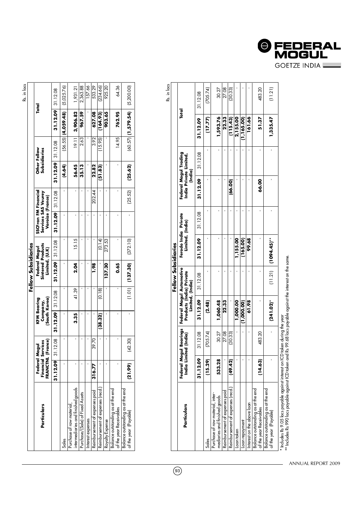|                                  |                               |                                          |          |                                                             |                   |                                                                 |         |          |                              |                      | Rs. in lacs |
|----------------------------------|-------------------------------|------------------------------------------|----------|-------------------------------------------------------------|-------------------|-----------------------------------------------------------------|---------|----------|------------------------------|----------------------|-------------|
|                                  |                               |                                          |          | Fellow Subsidiaries                                         |                   |                                                                 |         |          |                              |                      |             |
| FRANCTNL<br>Federal<br>Financial | (France)<br>Services<br>Mogul | (South Korea)<br>KFM Bearing<br>Company, |          | <b>Sintered Products</b><br>Federal Mogul<br>Limited, (U.K) |                   | SSCFran FM Financial<br>Services SAS Veurey<br>Voroize (France) |         |          | Other Fellow<br>Subsidiaries |                      | Total       |
| 31.12.09                         | 31.12.08                      | 31.12.09                                 | 31.12.08 |                                                             | 31.12.09 31.12.08 | 31.12.09 31.12.08                                               |         | 31.12.09 | 31.12.08                     | 31.12.09 31.12.08    |             |
|                                  |                               |                                          |          |                                                             |                   |                                                                 |         | (4.64)   | (56.55)                      | (4,059.48)           | (5,025.76)  |
|                                  |                               | 3.35                                     | 41.39    | 2.04                                                        | 15.15             |                                                                 |         | 56.45    | 19.11                        | 3,906.82             | 1,931.21    |
|                                  |                               |                                          |          |                                                             |                   |                                                                 |         | 35. 13   | 2.63                         | 967.59               | 2,363.88    |
|                                  |                               |                                          |          |                                                             |                   |                                                                 |         |          |                              |                      | 157.66      |
| 316.77                           | 39.70                         |                                          |          | <b>1.98</b>                                                 |                   |                                                                 | 202.44  | 22.82    | 3.92                         | 627.08               | 533.29      |
|                                  |                               | (38.32)                                  | (0.18)   |                                                             | (0.14)            |                                                                 |         | (51.83)  | (15.95)                      | (164.93)             | (234.66)    |
|                                  |                               |                                          |          | 137.30                                                      | 273.53            |                                                                 |         |          |                              | 903.65               | 925.20      |
|                                  |                               |                                          |          | 0.65                                                        |                   |                                                                 |         |          | 14.95                        | 762.95               | 64.36       |
| (21.99)                          | (42.30)                       |                                          | (1.01)   | (137.30)                                                    | (372.10)          |                                                                 | (25.52) | (25.62)  |                              | $(60.57)$ (1,579.54) | (5,200.00)  |
|                                  |                               |                                          |          |                                                             |                   |                                                                 |         |          |                              |                      |             |

Rs. in lacs

 $\circled{93}$ 

|                                                                                     |          |                                                 |                                                                          | Fellow Subsidiaries |                                          |          |                                                            |          |             | )<br>)<br>)<br>)<br>)<br>) |
|-------------------------------------------------------------------------------------|----------|-------------------------------------------------|--------------------------------------------------------------------------|---------------------|------------------------------------------|----------|------------------------------------------------------------|----------|-------------|----------------------------|
| Particulars                                                                         |          | Federal Mogul Bearings<br>India Limited (India) | Federal Mogul Automotive<br>Products (India) Private<br>Limited, (India) |                     | Ferodo India Private<br>Limited, (India) |          | Federal Mogul Trading<br>India Private Limited,<br>(India) |          | Total       |                            |
|                                                                                     | 31.12.09 | 31.12.08                                        | 31.12.09                                                                 | 31.12.08            | 31.12.09                                 | 31.12.08 | 31.12.09                                                   | 31.12.08 | 31.12.09    | 31.12.08                   |
| Sales                                                                               | (15.29)  | (705.74)                                        | (2.48)                                                                   |                     |                                          |          |                                                            |          | (17.77)     | (705.74)                   |
| Purchase ot raw material, inter-<br>mediaries and finished goods                    | 533.28   | 30.27                                           | 1,060.48                                                                 |                     |                                          |          |                                                            |          | 1,593.76    | 30.27                      |
| Reimbursement of expenses paid                                                      |          | 27.08                                           | 22.33                                                                    |                     |                                          |          |                                                            |          | 22.33       | 27.08                      |
| Reimbursement of expenses (recd.)                                                   | (49.42)  | (30.33)                                         |                                                                          |                     |                                          |          | (66.00)                                                    |          | (115.43)    | (30.33)                    |
| Loan taken                                                                          |          |                                                 | 1,000.00                                                                 |                     | 1,155.00                                 |          |                                                            |          | 2,155.00    |                            |
| Loan repayment                                                                      |          |                                                 | (1,000,00)                                                               |                     | (165.00)                                 |          |                                                            |          | (1, 165.00) |                            |
| Interest on the above loan                                                          |          |                                                 | 61.98                                                                    |                     | 99.68                                    |          |                                                            |          | 161.66      |                            |
| Balance outstanding as at the end<br>of the year Receivables                        | (14.63)  | 483.20                                          |                                                                          |                     |                                          |          | 66.00                                                      |          | 51.37       | 483.20                     |
| Balance outstanding as at the end<br>of the year (Payable)                          |          |                                                 | $(241.02)^*$                                                             |                     | $(11.21)$ $(1094.45)$ **                 |          |                                                            |          | 1,335.47    | (11.21)                    |
| $^\ast$ Includes Rs 9.05 lacs payable against interest on ICD taken during the year |          |                                                 |                                                                          |                     |                                          |          |                                                            |          |             |                            |

\*\* Includes Rs 990 lacs payable against ICD taken and Rs 99.68 lacs payable against the interest on the same.

 $\overline{a}$ 

ANNUAL REPORT 2009

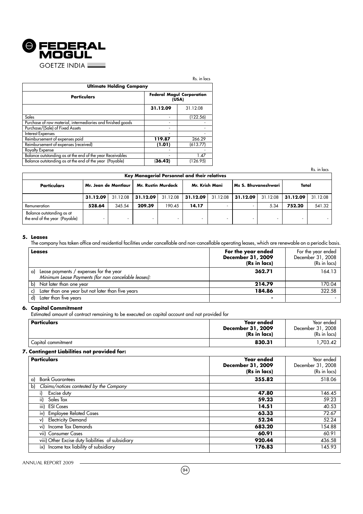

|                                                             |          | Rs. in lacs                               |
|-------------------------------------------------------------|----------|-------------------------------------------|
| <b>Ultimate Holding Company</b>                             |          |                                           |
| <b>Particulars</b>                                          |          | <b>Federal Mogul Corporation</b><br>(USA) |
|                                                             | 31.12.09 | 31.12.08                                  |
| Sales                                                       | ۰        | (122.56)                                  |
| Purchase of raw material, intermediaries and finished goods | ۰        |                                           |
| Purchase/(Sale) of Fixed Assets                             |          |                                           |
| <b>Interest Expenses</b>                                    |          |                                           |
| Reimbursement of expenses paid                              | 119.87   | 266.29                                    |
| Reimbursement of expenses (received)                        | (1.01)   | (613.77)                                  |
| <b>Royalty Expense</b>                                      |          |                                           |
| Balance outstanding as at the end of the year Receivables   |          | 1.47                                      |
| Balance outstanding as at the end of the year (Payable)     | (36.42)  | (126.95)                                  |

Rs. in lacs

|                                                            |                      |          |                           |          | Key Managerial Personnel and their relatives |          |                     |          |          |          |
|------------------------------------------------------------|----------------------|----------|---------------------------|----------|----------------------------------------------|----------|---------------------|----------|----------|----------|
| Particulars                                                | Mr. Jean de Montlaur |          | <b>Mr. Rustin Murdock</b> |          | Mr. Krish Mani                               |          | Ms S. Bhuvaneshwari |          | Total    |          |
|                                                            | 31.12.09             | 31.12.08 | 31.12.09                  | 31.12.08 | 31.12.09                                     | 31.12.08 | 31.12.09            | 31.12.08 | 31.12.09 | 31.12.08 |
| Remuneration                                               | 528.64               | 345.54   | 209.39                    | 190.45   | 14.17                                        |          |                     | 5.34     | 752.20   | 541.32   |
| Balance outstanding as at<br>the end of the year (Payable) |                      |          |                           |          |                                              |          |                     |          |          |          |

#### **5. Leases**

The company has taken office and residential facilities under cancellable and non-cancellable operating leases, which are renewable on a periodic basis.

| Leases                                                                                              | For the year ended<br><b>December 31, 2009</b><br>(Rs in lacs) | For the year ended<br>December 31, 2008<br>(Rs in lacs) |
|-----------------------------------------------------------------------------------------------------|----------------------------------------------------------------|---------------------------------------------------------|
| Lease payments / expenses for the year<br>a)<br>Minimum Lease Payments (for non cancelable leases): | 362.71                                                         | 164.13                                                  |
| Not later than one year<br>b)                                                                       | 214.79                                                         | 170.04                                                  |
| Later than one year but not later than five years                                                   | 184.86                                                         | 322.58                                                  |
| Later than five years<br>d)                                                                         |                                                                |                                                         |

#### **6. Capital Commitment**

Estimated amount of contract remaining to be executed on capital account and not provided for

| Particulars        | <b>Year ended</b><br>December 31, 2009<br>(Rs in lacs) | Year ended<br>December 31, 2008<br>(Rs in lacs) |
|--------------------|--------------------------------------------------------|-------------------------------------------------|
| Capital commitment | 830.31                                                 | .703.42                                         |

#### **7. Contingent Liabilities not provided for:**

| <b>Particulars</b>                                | Year ended<br>December 31, 2009<br>(Rs in lacs) | Year ended<br>December 31, 2008<br>(Rs in lacs) |
|---------------------------------------------------|-------------------------------------------------|-------------------------------------------------|
| <b>Bank Guarantees</b><br>a)                      | 355.82                                          | 518.06                                          |
| Claims/notices contested by the Company<br>b)     |                                                 |                                                 |
| Excise duty                                       | 47.80                                           | 146.45                                          |
| ii) Sales Tax                                     | 59.23                                           | 59.23                                           |
| iii) ESI Cases                                    | 14.51                                           | 40.53                                           |
| iv) Employee Related Cases                        | 63.33                                           | 72.67                                           |
| <b>Electricity Demand</b><br>v)                   | 52.24                                           | 52.24                                           |
| vi) Income Tax Demands                            | 683.20                                          | 154.88                                          |
| vii) Consumer Cases                               | 60.91                                           | 60.91                                           |
| viii) Other Excise duty liabilities of subsidiary | 920.44                                          | 436.58                                          |
| ix) Income tax liability of subsidiary            | 176.83                                          | 145.93                                          |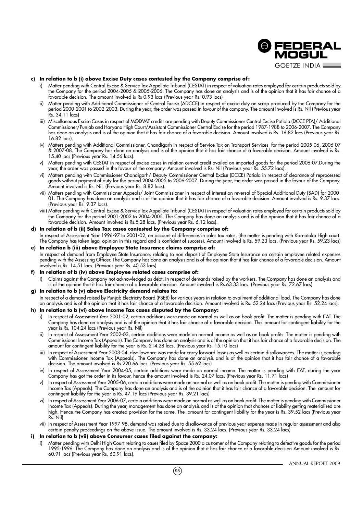

#### **c) In relation to b (i) above Excise Duty cases contested by the Company comprise of :**

- i) Matter pending with Central Excise & Service Tax Appellate Tribunal (CESTAT) in respect of valuation rates employed for certain products sold by the Company for the period 2004-2005 & 2005-2006. The Company has done an analysis and is of the opinion that it has fair chance of a favorable decision. The amount involved is Rs 0.93 lacs (Previous year Rs. 0.93 lacs)
- ii) Matter pending with Additional Commissioner of Central Excise (ADCCE) in respect of excise duty on scrap produced by the Company for the period 2000-2001 to 2002-2003. During the year, the order was passed in favour of the company. The amount involved is Rs. Nil (Previous year Rs. 34.11 lacs)
- iii) Miscellaneous Excise Cases in respect of MODVAT credits are pending with Deputy Commissioner Central Excise Patiala (DCCE PTA)/ Additional Commissioner/Punjab and Haryana High Court/Assistant Commissioner Central Excise for the period 1987-1988 to 2006-2007. The Company has done an analysis and is of the opinion that it has fair chance of a favorable decision. Amount involved is Rs. 16.82 lacs (Previous year Rs. 16.82 lacs).
- iv) Matters pending with Additional Commissioner, Chandigarh in respect of Service Tax on Transport Services for the period 2005-06, 2006-07 & 2007-08. The Company has done an analysis and is of the opinion that it has fair chance of a favorable decision. Amount involved is Rs. 15.40 lacs (Previous year Rs. 14.56 lacs).
- v) Matters pending with CESTAT in respect of excise cases in relation cenvat credit availed on imported goods for the period 2006-07.During the year, the order was passed in the favour of the company. Amount involved is Rs. Nil (Previous year Rs. 55.72 lacs).
- vi) Matters pending with Commissioner Chandigarh/ Deputy Commissioner Central Excise (DCCE) Patiala in respect of clearance of reprocessed goods without payment of duty for the period 2004-2005 to 2006-2007. During the year, the order was passed in the favour of the Company. Amount involved is Rs. Nil. (Previous year Rs. 8.82 lacs).
- vii) Matters pending with Commissioner Appeals/ Joint Commissioner in respect of interest on reversal of Special Additional Duty (SAD) for 2000- 01. The Company has done an analysis and is of the opinion that it has fair chance of a favorable decision. Amount involved is Rs. 9.37 lacs. (Previous year Rs. 9.37 lacs).
- viii) Matter pending with Central Excise & Service Tax Appellate Tribunal (CESTAT) in respect of valuation rates employed for certain products sold by the Company for the period 2001-2002 to 2004-2005. The Company has done an analysis and is of the opinion that it has fair chance of a favorable decision. Amount involved is Rs.5.28 lacs. (Previous year Rs. 6.12 lacs).

#### **d) In relation of b (ii) Sales Tax cases contested by the Company comprise of:**

In respect of Assessment Year 1996-97 to 2001-02, on account of differences in sales tax rates, (the matter is pending with Karnataka High court. The Company has taken legal opinion in this regard and is confident of success). Amount involved is Rs. 59.23 lacs. (Previous year Rs. 59.23 lacs)

**e) In relation b (iii) above Employee State Insurance claims comprise of:** In respect of demand from Employee State Insurance, relating to non deposit of Employee State Insurance on certain employee related expenses pending with the Assessing Officer. The Company has done an analysis and is of the opinion that it has fair chance of a favorable decision. Amount involved is Rs. 14.51 lacs. (Previous year Rs. 40.53 lacs)

**f) In relation of b (iv) above Employee related cases comprise of:**

i) Claims against the Company not acknowledged as debt, in respect of demands raised by the workers. The Company has done an analysis and is of the opinion that it has fair chance of a favorable decision. Amount involved is Rs.63.33 lacs. (Previous year Rs. 72.67 lacs)

#### **g) In relation to b (v) above Electricity demand relates to:**

In respect of a demand raised by Punjab Electricity Board (PSEB) for various years in relation to availment of additional load. The Company has done an analysis and is of the opinion that it has fair chance of a favorable decision. Amount involved is Rs. 52.24 lacs (Previous year Rs. 52.24 lacs).

#### **h) In relation to b (vi) above Income Tax cases disputed by the Company:**

- i) In respect of Assessment Year 2001-02, certain additions were made on normal as well as on book profit. The matter is pending with ITAT. The Company has done an analysis and is of the opinion that it has fair chance of a favorable decision. The amount for contingent liability for the year is Rs. 104.24 lacs (Previous year Rs. Nil)
- ii) In respect of Assessment Year 2002-03, certain additions were made on normal income as well as on book profits. The matter is pending with Commissioner Income Tax (Appeals). The Company has done an analysis and is of the opinion that it has fair chance of a favorable decision. The amount for contingent liability for the year is Rs. 214.28 lacs. (Previous year Rs. 15.10 lacs)
- iii) In respect of Assessment Year 2003-04, disallowance was made for carry forward losses as well as certain disallowances. The matter is pending with Commissioner Income Tax (Appeals). The Company has done an analysis and is of the opinion that it has fair chance of a favorable decision. The amount involved is Rs.220.66 lacs. (Previous year Rs. 55.62 lacs)
- iv) In respect of Assessment Year 2004-05, certain additions were made on normal income. The matter is pending with ITAT, during the year Company has got the order in its favour, hence the amount involved is Rs. 24.07 lacs. (Previous year Rs. 11.71 lacs)
- v) In respect of Assessment Year 2005-06, certain additions were made on normal as well as on book profit. The matter is pending with Commissioner Income Tax (Appeals). The Company has done an analysis and is of the opinion that it has fair chance of a favorable decision. The amount for contingent liability for the year is Rs. 47.19 lacs (Previous year Rs. 39.21 lacs)
- vi) In respect of Assessment Year 2006-07, certain additions were made on normal as well as on book profit. The matter is pending with Commissioner Income Tax (Appeals). During the year, management has done an analysis and is of the opinion that chances of liability getting materialised are high. Hence the Company has created provision for the same. The amount for contingent liability for the year is Rs. 39.52 lacs (Previous year Rs. Nil)
- vii) In respect of Assessment Year 1997-98, demand was raised due to disallowance of previous year expense made in regular assessment and also certain penalty proceedings on the above issue. The amount involved is Rs. 33.24 lacs. (Previous year Rs. 33.24 lacs)

#### **i) In relation to b (vii) above Consumer cases filed against the company:**

i) Matter pending with Delhi High Court relating to cases filed by Space 2000 a customer of the Company relating to defective goods for the period 1995-1996. The Company has done an analysis and is of the opinion that it has fair chance of a favorable decision Amount involved is Rs. 60.91 lacs (Previous year Rs. 60.91 lacs).

 $(95)$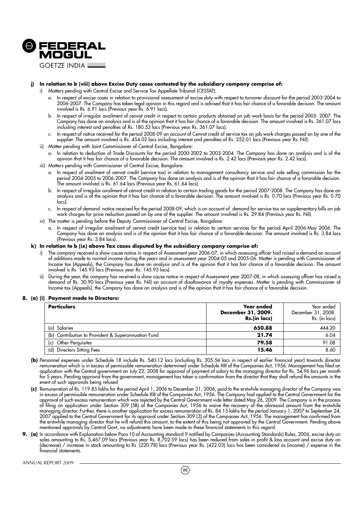

#### **j) In relation to b (viii) above Excise Duty cases contested by the subsidiary company comprise of:**

- i) Matters pending with Central Excise and Service Tax Appellate Tribunal (CESTAT):
	- a. In respect of excise cases in relation to provisional assessment of excise duty with respect to turnover discount for the period 2003-2004 to 2006-2007. The Company has taken legal opinion in this regard and is advised that it has fair chance of a favorable decision. The amount involved is Rs. 6.91 lacs (Previous year Rs. 6.91 lacs).
	- b. In respect of irregular availment of cenvat credit in respect to certain products obtained on job work basis for the period 2005- 2007. The Company has done an analysis and is of the opinion that it has fair chance of a favorable decision. The amount involved is Rs. 361.07 lacs including interest and penalties of Rs. 180.53 lacs (Previous year Rs. 361.07 lacs).
	- c. In respect of notice received for the period 2008-09 on account of Cenvat credit of service tax on job work charges passed on by one of the supplier. The amount involved is Rs. 454.02 lacs including interest and penalties of Rs. 252.01 lacs (Previous year Rs. Nil).
- ii) Matter pending with Joint Commissioner of Central Excise, Bangalore:
	- a. In relation to deduction of Trade Discounts for the period 2000-2002 to 2003-2004. The Company has done an analysis and is of the opinion that it has fair chance of a favorable decision. The amount involved is Rs. 2.42 lacs (Previous year Rs. 2.42 lacs).
- iii) Matters pending with Commissioner of Central Excise, Bangalore:
	- a. In respect of availment of cenvat credit (service tax) in relation to management consultancy service and sole selling commission for the period 2004-2005 to 2006-2007. The Company has done an analysis and is of the opinion that it has fair chance of a favorable decision. The amount involved is Rs. 61.64 lacs (Previous year Rs. 61.64 lacs).
	- b. In respect of irregular availment of cenvat credit in relation to certain trading goods for the period 2007-2008. The Company has done an analysis and is of the opinion that it has fair chance of a favorable decision. The amount involved is Rs. 0.70 lacs (Previous year Rs. 0.70 lacs).
	- c. In respect of demand notice received for the period 2008-09, which is on account of demand for service tax on supplementary bills on job work charges for price reduction passed on by one of the supplier. The amount involved is Rs. 29.84 (Previous year Rs. Nil).
- iv) The matter is pending before the Deputy Commissioner of Central Excise, Bangalore:
	- a. In respect of irregular availment of cenvat credit (service tax) in relation to certain services for the period April 2006-May 2006. The Company has done an analysis and is of the opinion that it has fair chance of a favorable decision. The amount involved is Rs. 3.84 lacs (Previous year Rs. 3.84 lacs).

#### **k) In relation to b (ix) above Tax cases disputed by the subsidiary company comprise of:**

- i) The company received a show cause notice in respect of Assessment year 2006-07, in which assessing officer had raised a demand on account of additions made to normal income during the years and in assessment year 2004-05 and 2005-06. Matter is pending with Commissioner of Income tax (Appeals), the Company has done an analysis and is of the opinion that it has fair chance of a favorable decision. The amount involved is Rs. 145.93 lacs (Previous year Rs. 145.93 lacs).
- ii) During the year, the company has received a show cause notice in respect of Assessment year 2007-08, in which assessing officer has raised a demand of Rs. 30.90 lacs (Previous year Rs. Nil) on account of disallowance of royalty expenses. Matter is pending with Commissioner of Income tax (Appeals), the Company has done an analysis and is of the opinion that it has fair chance of a favorable decision.

#### **8. (a) (i) Payment made to Directors:**

| <b>Particulars</b>                                  | Year ended<br>December 31, 2009.<br>Rs.(in lacs) | Year ended<br>December 31, 2008.<br>Rs. (in lacs) |
|-----------------------------------------------------|--------------------------------------------------|---------------------------------------------------|
| $(\alpha)$<br>Salaries                              | 650.88                                           | 444.20                                            |
| (b) Contribution to Provident & Superannuation Fund | 21.74                                            | 6.04                                              |
| <b>Other Perquisites</b><br>(c)                     | 79.58                                            | 91.08                                             |
| (d)<br>Directors Sitting Fees                       | 15.46                                            | 8.60                                              |

- **(b)** Personnel expenses under Schedule 18 include Rs. 540.12 lacs (including Rs. 305.54 lacs in respect of earlier financial year) towards director remuneration which is in excess of permissible remuneration determined under Schedule XIII of the Companies Act, 1956. Management has filed an application with the Central government on July 22, 2008 for approval of payment of salary to the managing director for Rs. 54.96 lacs per month for 5 years. Pending approval from the government, management has taken a confirmation from the director that they shall refund the amounts in the event of such approvals being refused.
- **(c)** Remuneration of Rs. 119.85 lakhs for the period April 1, 2006 to December 31, 2006, paid to the erstwhile managing director of the Company was in excess of permissible remuneration under Schedule XIII of the Companies Act, 1956. The Company had applied to the Central Government for the approval of such excess remuneration which was rejected by the Central Government vide letter dated May 26, 2009. The Company is in the process of filing an application under Section 309 (5B) of the Companies Act, 1956 to waive the recovery of the aforesaid amount from the erstwhile managing director. Further, there is another application for excess remuneration of Rs. 84.15 lakhs for the period January 1, 2007 to September 24, 2007 applied to the Central Government for its approval under Section 309 (3) of the Companies Act, 1956. The management has confirmed from the erstwhile managing director that he will refund this amount, to the extent of this being not approved by the Central Government. Pending above mentioned approvals by Central Govt, no adjustments have been made to these financial statements in this regard.
- **9. (a)** In accordance with Explanation below Para 10 of Accounting standard 9 notified by Companies (Accounting Standards) Rules, 2006, excise duty on sales amounting to Rs. 5,467.09 lacs (Previous year Rs. 8,702.59 lacs) has been reduced from sales in profit & loss account and excise duty on (decrease) / increase in stock amounting to Rs. (220.78) lacs (Previous year Rs. (422.03) lacs has been considered as (income) / expense in the financial statements.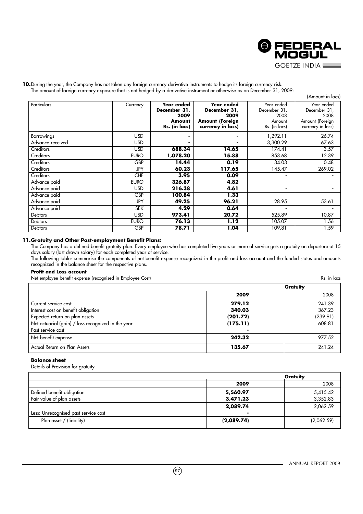

#### 10. During the year, the Company has not taken any foreign currency derivative instruments to hedge its foreign currency risk. The amount of foreign currency exposure that is not hedged by a derivative instrument or otherwise as on December 31, 2009:

|                   |             |                                                               |                                                                                   |                                                               | (Amount in lacs)                                                           |
|-------------------|-------------|---------------------------------------------------------------|-----------------------------------------------------------------------------------|---------------------------------------------------------------|----------------------------------------------------------------------------|
| Particulars       | Currency    | Year ended<br>December 31,<br>2009<br>Amount<br>Rs. (in lacs) | Year ended<br>December 31,<br>2009<br><b>Amount (Foreign</b><br>currency in lacs) | Year ended<br>December 31,<br>2008<br>Amount<br>Rs. (in lacs) | Year ended<br>December 31,<br>2008<br>Amount (Foreign<br>currency in lacs) |
| <b>Borrowings</b> | <b>USD</b>  | $\blacksquare$                                                | ٠                                                                                 | 1,292.11                                                      | 26.74                                                                      |
| Advance received  | <b>USD</b>  | $\blacksquare$                                                | ۰.                                                                                | 3,300.29                                                      | 67.63                                                                      |
| Creditors         | <b>USD</b>  | 688.34                                                        | 14.65                                                                             | 174.41                                                        | 3.57                                                                       |
| Creditors         | <b>EURO</b> | 1,078.20                                                      | 15.88                                                                             | 853.68                                                        | 12.39                                                                      |
| Creditors         | <b>GBP</b>  | 14.44                                                         | 0.19                                                                              | 34.03                                                         | 0.48                                                                       |
| Creditors         | <b>JPY</b>  | 60.23                                                         | 117.65                                                                            | 145.47                                                        | 269.02                                                                     |
| Creditors         | <b>CHF</b>  | 3.95                                                          | 0.09                                                                              | $\overline{\phantom{a}}$                                      |                                                                            |
| Advance paid      | <b>EURO</b> | 326.87                                                        | 4.82                                                                              | ۰.                                                            |                                                                            |
| Advance paid      | <b>USD</b>  | 216.38                                                        | 4.61                                                                              | $\overline{\phantom{a}}$                                      |                                                                            |
| Advance paid      | GBP         | 100.84                                                        | 1.33                                                                              |                                                               |                                                                            |
| Advance paid      | JPY         | 49.25                                                         | 96.21                                                                             | 28.95                                                         | 53.61                                                                      |
| Advance paid      | <b>SEK</b>  | 4.29                                                          | 0.64                                                                              |                                                               |                                                                            |
| <b>Debtors</b>    | <b>USD</b>  | 973.41                                                        | 20.72                                                                             | 525.89                                                        | 10.87                                                                      |
| <b>Debtors</b>    | <b>EURO</b> | 76.13                                                         | 1.12                                                                              | 105.07                                                        | 1.56                                                                       |
| Debtors           | GBP         | 78.71                                                         | 1.04                                                                              | 109.81                                                        | 1.59                                                                       |

### **11.Gratuity and Other Post-employment Benefit Plans:**

The Company has a defined benefit gratuity plan. Every employee who has completed five years or more of service gets a gratuity on departure at 15 days salary (last drawn salary) for each completed year of service.

The following tables summarise the components of net benefit expense recognized in the profit and loss account and the funded status and amounts recognized in the balance sheet for the respective plans.

### **Profit and Loss account**

Net employee benefit expense (recognised in Employee Cost) Rs. in lacs

|                                                    |          | <b>Gratuity</b> |
|----------------------------------------------------|----------|-----------------|
|                                                    | 2009     | 2008            |
| Current service cost                               | 279.12   | 241.39          |
| Interest cost on benefit obligation                | 340.03   | 367.23          |
| Expected return on plan assets                     | (201.72) | (239.91)        |
| Net actuarial (gain) / loss recognized in the year | (175.11) | 608.81          |
| Past service cost                                  |          |                 |
| Net benefit expense                                | 242.32   | 977.52          |
| Actual Return on Plan Assets                       | 135.67   | 241.24          |

#### **Balance sheet**

Details of Provision for gratuity

|                                      |            | Gratuity   |
|--------------------------------------|------------|------------|
|                                      | 2009       | 2008       |
| Defined benefit obligation           | 5,560.97   | 5,415.42   |
| Fair value of plan assets            | 3,471.23   | 3,352.83   |
|                                      | 2,089.74   | 2,062.59   |
| Less: Unrecognised past service cost |            |            |
| Plan asset / (liability)             | (2,089.74) | (2,062.59) |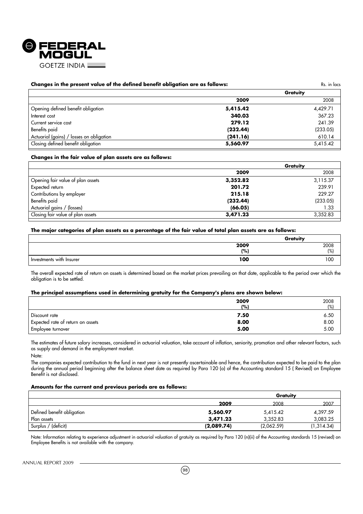

#### **Changes in the present value of the defined benefit obligation are as follows:** Res. in lacs Rs. in lacs

|                                          |          | Gratuity |
|------------------------------------------|----------|----------|
|                                          | 2009     | 2008     |
| Opening defined benefit obligation       | 5,415.42 | 4,429.71 |
| Interest cost                            | 340.03   | 367.23   |
| Current service cost                     | 279.12   | 241.39   |
| Benefits paid                            | (232.44) | (233.05) |
| Actuarial (gains) / losses on obligation | (241.16) | 610.14   |
| Closing defined benefit obligation       | 5,560.97 | 5,415.42 |

#### **Changes in the fair value of plan assets are as follows:**

|                                   | Gratuity |          |
|-----------------------------------|----------|----------|
|                                   | 2009     | 2008     |
| Opening fair value of plan assets | 3,352.82 | 3,115.37 |
| Expected return                   | 201.72   | 239.91   |
| Contributions by employer         | 215.18   | 229.27   |
| Benefits paid                     | (232.44) | (233.05) |
| Actuarial gains / (losses)        | (66.05)  | 1.33     |
| Closing fair value of plan assets | 3,471.23 | 3,352.83 |
|                                   |          |          |

#### **The major categories of plan assets as a percentage of the fair value of total plan assets are as follows:**

|                          | Gratuity |                     |
|--------------------------|----------|---------------------|
|                          | 2009     | $\frac{2008}{(\%)}$ |
|                          | (% )     |                     |
| Investments with Insurer | 100      | 100                 |

The overall expected rate of return on assets is determined based on the market prices prevailing on that date, applicable to the period over which the obligation is to be settled.

#### **The principal assumptions used in determining gratuity for the Company's plans are shown below:**

|                                   | 2009<br>(%) | 2008<br>(%) |
|-----------------------------------|-------------|-------------|
| Discount rate                     | 7.50        | 6.50        |
| Expected rate of return on assets | 8.00        | 8.00        |
| Employee turnover                 | 5.00        | 5.00        |

The estimates of future salary increases, considered in actuarial valuation, take account of inflation, seniority, promotion and other relevant factors, such as supply and demand in the employment market.

Note:

The companies expected contribution to the fund in next year is not presently ascertainable and hence, the contribution expected to be paid to the plan during the annual period beginning after the balance sheet date as required by Para 120 (o) of the Accounting standard 15 ( Revised) on Employee Benefit is not disclosed.

#### **Amounts for the current and previous periods are as follows:**

|                            | Gratuity   |            |            |
|----------------------------|------------|------------|------------|
|                            | 2009       | 2008       | 2007       |
| Defined benefit obligation | 5,560.97   | 5,415.42   | 4,397.59   |
| Plan assets                | 3,471,23   | 3.352.83   | 3,083.25   |
| Surplus / (deficit)        | (2,089.74) | (2,062,59) | (1,314.34) |

Note: Information relating to experience adjustment in actuarial valuation of gratuity as required by Para 120 (n)(ii) of the Accounting standards 15 (revised) on Employee Benefits is not available with the company.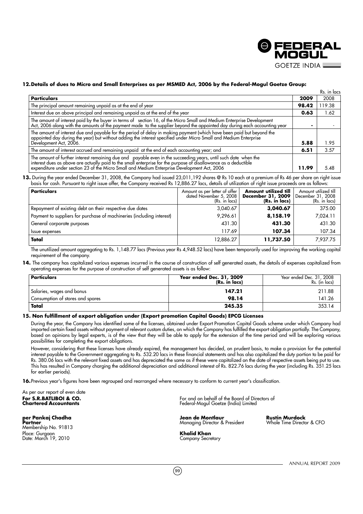

#### **12.Details of dues to Micro and Small Enterprises as per MSMED Act, 2006 by the Federal-Mogul Goetze Group:**

|                                                                                                                                                                                                                                                                     |       | Rs. in lacs |
|---------------------------------------------------------------------------------------------------------------------------------------------------------------------------------------------------------------------------------------------------------------------|-------|-------------|
| <b>Particulars</b>                                                                                                                                                                                                                                                  | 2009  | 2008        |
| The principal amount remaining unpaid as at the end of year                                                                                                                                                                                                         | 98.42 | 119.38      |
| Interest due on above principal and remaining unpaid as at the end of the year                                                                                                                                                                                      | 0.63  | l.62        |
| The amount of interest paid by the buyer in terms of section 16, of the Micro Small and Medium Enterprise Development<br>Act, 2006 along with the amounts of the payment made to the supplier beyond the appointed day during eac                                   |       |             |
| The amount of interest due and payable for the period of delay in making payment (which have been paid but beyond the<br>appointed day during the year) but without adding the interest specified under Micro Small and Medium Enterprise<br>Development Act, 2006. | 5.88  | 1.95        |
| The amount of interest accrued and remaining unpaid at the end of each accounting year; and                                                                                                                                                                         | 6.51  | 3.57        |
| The amount of further interest remaining due and payable even in the succeeding years, until such date when the<br>interest dues as above are actually paid to the small enterprise for the purpose of disallowance as a deductib                                   | 11.99 | 5.48        |

**13.** During the year ended December 31, 2008, the Company had issued 23,011,192 shares @ Rs 10 each at a premium of Rs 46 per share on right issue basis for cash. Pursuant to right issue offer, the Company received Rs 12,886.27 lacs, details of utilization of right issue proceeds are as follows:

| <b>Particulars</b>                                                    | Amount as per letter of offer<br>dated November 5, 2008<br>(Rs. in lacs) | Amount utilized till<br>December 31, 2009<br>(Rs. in lacs) | Amount utilized till<br>December 31, 2008<br>(Rs. in lacs) |
|-----------------------------------------------------------------------|--------------------------------------------------------------------------|------------------------------------------------------------|------------------------------------------------------------|
| Repayment of existing debt on their respective due dates              | 3,040.67                                                                 | 3,040.67                                                   | 375.00                                                     |
| Payment to suppliers for purchase of machineries (including interest) | 9,296.61                                                                 | 8,158.19                                                   | 7,024.11                                                   |
| General corporate purposes                                            | 431.30                                                                   | 431.30                                                     | 431.30                                                     |
| Issue expenses                                                        | 117.69                                                                   | 107.34                                                     | 107.34                                                     |
| Total                                                                 | 12,886.27                                                                | 11,737.50                                                  | 7.937.75                                                   |

The unutilized amount aggregating to Rs. 1,148.77 lacs (Previous year Rs 4,948.52 lacs) have been temporarily used for improving the working capital requirement of the company.

**14.** The company has capitalized various expenses incurred in the course of construction of self generated assets, the details of expenses capitalized from operating expenses for the purpose of construction of self generated assets is as follow:

| <b>Particulars</b>               | Year ended Dec. 31, 2009<br>(Rs. in lacs) | Year ended Dec. 31, 2008<br>Rs. (in lacs) |
|----------------------------------|-------------------------------------------|-------------------------------------------|
| Salaries, wages and bonus        | 147.21                                    | 211.88                                    |
| Consumption of stores and spares | 98.14                                     | 141.26                                    |
| Total                            | 245.35                                    | 353.14                                    |

#### **15. Non fulfillment of export obligation under (Export promotion Capital Goods) EPCG Licenses**

During the year, the Company has identified some of the licenses, obtained under Export Promotion Capital Goods scheme under which Company had imported certain fixed assets without payment of relevant custom duties, on which the Company has fulfilled the export obligation partially. The Company, based on opinions by legal experts, is of the view that they will be able to apply for the extension of the time period and will be exploring various possibilities for completing the export obligations.

However, considering that these licenses have already expired, the management has decided, on prudent basis, to make a provision for the potential interest payable to the Government aggregating to Rs. 532.20 lacs in these financial statements and has also capitalized the duty portion to be paid for Rs. 380.06 lacs with the relevant fixed assets and has depreciated the same as if these were capitalized on the date of respective assets being put to use. This has resulted in Company charging the additional depreciation and additional interest of Rs. 822.76 lacs during the year (including Rs. 351.25 lacs for earlier periods).

**16.**Previous year's figures have been regrouped and rearranged where necessary to conform to current year's classification.

As per our report of even date<br>**For S.R.BATLIBOI & CO.**<br>Chartered Accountants

**per Pankaj Chadha Jean de Montlaur Rustin Murdock Partner** Managing Director & President Whole Time Director & CFO Membership No. 91813 Place: Gurgaon **Khalid Khan** Date: March 19, 2010 Company Secretary

**For S.R.BATLIBOI & CO.** For and on behalf of the Board of Directors of **Chartered Accountants** Federal-Mogul Goetze (India) Limited

 $(99)$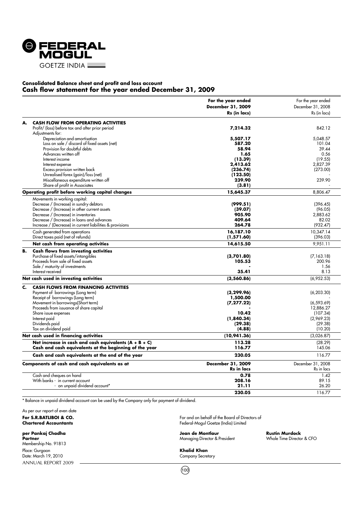

### **Consolidated Balance sheet and profit and loss account Cash flow statement for the year ended December 31, 2009**

|    |                                                                                                                   | For the year ended | For the year ended |
|----|-------------------------------------------------------------------------------------------------------------------|--------------------|--------------------|
|    |                                                                                                                   | December 31, 2009  | December 31, 2008  |
|    |                                                                                                                   | Rs (in lacs)       | Rs (in lacs)       |
| А. | <b>CASH FLOW FROM OPERATING ACTIVITIES</b>                                                                        |                    |                    |
|    | Profit/ (loss) before tax and after prior period                                                                  | 7,214.32           | 842.12             |
|    | Adjustments for:                                                                                                  |                    |                    |
|    | Depreciation and amortisation                                                                                     | 5,507.17           | 5,048.57           |
|    | Loss on sale / discard of fixed assets (net)                                                                      | 587.20             | 101.04             |
|    | Provision for doubtful debts                                                                                      | 58.94              | 39.44              |
|    | Advances written off                                                                                              | 1.65               | 0.56               |
|    | Interest income                                                                                                   | (13.39)            | (19.55)            |
|    | Interest expense                                                                                                  | 2,413.62           | 2,827.39           |
|    | Excess provision written back                                                                                     | (236.74)           | (273.00)           |
|    | Unrealised forex (gain)/loss (net)                                                                                | (123.50)           |                    |
|    | Miscellaneous expenditure written off                                                                             | 239.90             | 239.90             |
|    | Share of profit in Associates                                                                                     | (3.81)             |                    |
|    | Operating profit before working capital changes                                                                   | 15,645.37          | 8,806.47           |
|    | Movements in working capital:                                                                                     |                    |                    |
|    | Decrease / (Increase) in sundry debtors                                                                           | (999.51)           | (396.45)           |
|    | Decrease / (Increase) in other current assets                                                                     | (39.07)            | (96.05)            |
|    | Decrease / (Increase) in inventories                                                                              | 905.90             | 2,883.62           |
|    | Decrease / (Increase) in loans and advances                                                                       | 409.64             | 82.02              |
|    | Increase / (Decrease) in current liabilities & provisions                                                         | 264.78             | (932.47)           |
|    | Cash generated from operations                                                                                    | 16,187.10          | 10.347.14          |
|    | Direct taxes paid (net of refunds)                                                                                | (1,571.60)         | (396.03)           |
|    | Net cash from operating activities                                                                                | 14,615.50          | 9,951.11           |
|    |                                                                                                                   |                    |                    |
| В. | <b>Cash flows from investing activities</b>                                                                       |                    |                    |
|    | Purchase of fixed assets/intangibles                                                                              | (3,701.80)         | (7, 163.18)        |
|    | Proceeds from sale of fixed assets                                                                                | 105.53             | 200.96             |
|    | Sale / maturity of investments                                                                                    |                    | 1.56               |
|    | Interest received                                                                                                 | 35.41              | 8.13               |
|    | Net cash used in investing activities                                                                             | (3,560.86)         | (6,952.53)         |
| c. | <b>CASH FLOWS FROM FINANCING ACTIVITIES</b>                                                                       |                    |                    |
|    | Payment of borrowings (Long term)                                                                                 | (3, 299.96)        | (6,203.30)         |
|    | Receipt of borrowings (Long term)                                                                                 | 1,500.00           |                    |
|    | Movement in borrowings(Short term)                                                                                | (7, 277.22)        | (6, 593.69)        |
|    | Proceeds from issuance of share capital                                                                           |                    | 12.886.27          |
|    | Share issue expenses                                                                                              | 10.42              | (107.34)           |
|    | Interest paid                                                                                                     | (1,840.34)         | (2,969.23)         |
|    | Dividends paid                                                                                                    | (29.38)            | (29.38)            |
|    | Tax on dividend paid                                                                                              | (4.88)             | (10.20)            |
|    | Net cash used in financing activities                                                                             | (10,941.36)        | (3,026.87)         |
|    | Net increase in cash and cash equivalents $(A + B + C)$<br>Cash and cash equivalents at the beginning of the year | 113.28<br>116.77   | (28.29)<br>145.06  |
|    |                                                                                                                   | 230.05             | 116.77             |
|    | Cash and cash equivalents at the end of the year                                                                  |                    |                    |
|    | Components of cash and cash equivalents as at                                                                     | December 31, 2009  | December 31, 2008  |
|    |                                                                                                                   | Rs in lacs         | Rs in lacs         |
|    | Cash and cheques on hand                                                                                          | 0.78               | 1.42               |
|    | With banks - in current account                                                                                   | 208.16             | 89.15              |
|    | - on unpaid dividend account*                                                                                     | 21.11              | 26.20              |
|    |                                                                                                                   | 230.05             | 116.77             |

\* Balance in unpaid dividend account can be used by the Company only for payment of dividend.

As per our report of even date

ANNUAL REPORT 2009 Membership No. 91813 Place: Gurgaon **Khalid Khan**<br>
Pate: March 19, 2010 **Company Secretary** Date: March 19, 2010

**For S.R.BATLIBOI & CO.** For and on behalf of the Board of Directors of Chartered Accountants and South of the Board of Directors of Chartered Accountants **Chartered Accountants** Federal-Mogul Goetze (India) Limited

**per Pankaj Chadha Jean de Montlaur Rustin Murdock Managing Director & President** 

 $(100)$